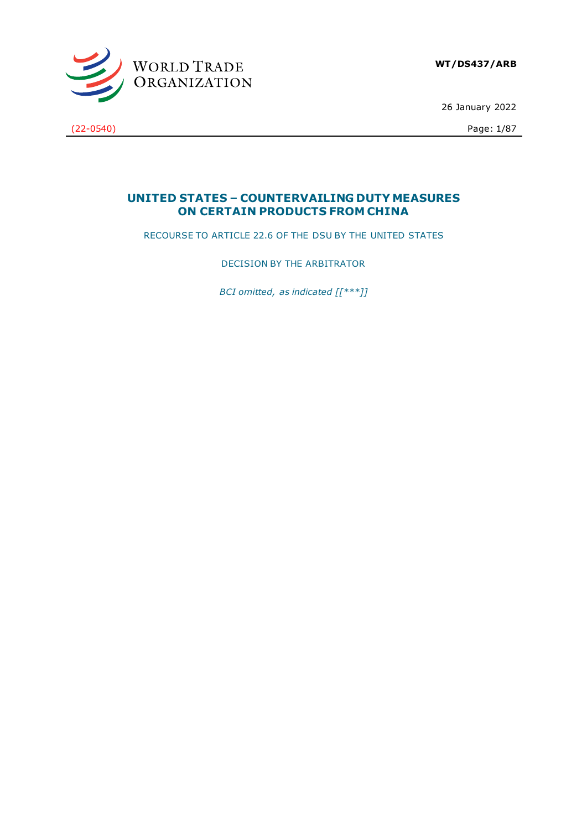

26 January 2022

(22-0540) Page: 1/87

# **UNITED STATES – COUNTERVAILING DUTY MEASURES ON CERTAIN PRODUCTS FROM CHINA**

RECOURSE TO ARTICLE 22.6 OF THE DSU BY THE UNITED STATES

DECISION BY THE ARBITRATOR

*BCI omitted, as indicated [[\*\*\*]]*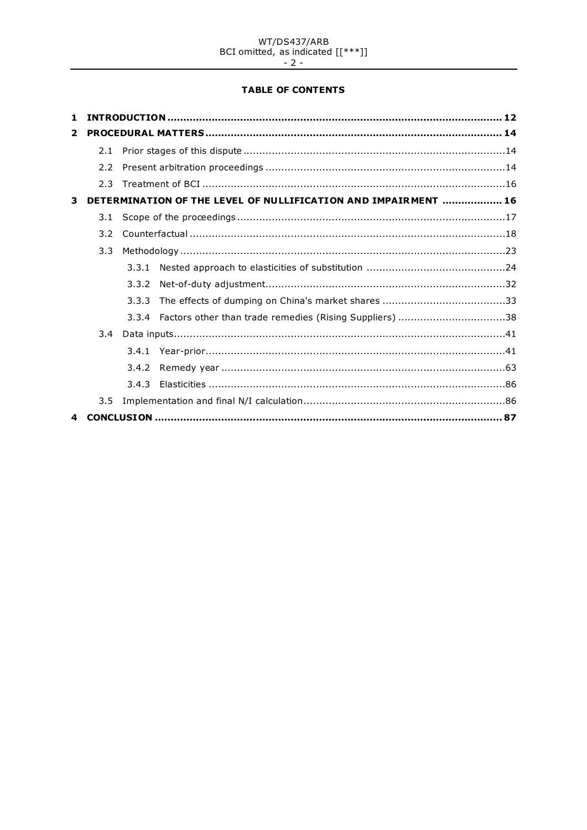# WT/DS437/ARB<br>BCI omitted, as indicated  $[[***]]$ <br>- 2 -

# **TABLE OF CONTENTS**

| 2                       |     |       |                                                                |  |
|-------------------------|-----|-------|----------------------------------------------------------------|--|
|                         |     |       |                                                                |  |
|                         | 2.2 |       |                                                                |  |
|                         | 2.3 |       |                                                                |  |
| $\overline{\mathbf{3}}$ |     |       | DETERMINATION OF THE LEVEL OF NULLIFICATION AND IMPAIRMENT  16 |  |
|                         | 3.1 |       |                                                                |  |
|                         | 3.2 |       |                                                                |  |
| 3.3                     |     |       |                                                                |  |
|                         |     |       |                                                                |  |
|                         |     | 3.3.2 |                                                                |  |
|                         |     |       |                                                                |  |
|                         |     |       | 3.3.4 Factors other than trade remedies (Rising Suppliers) 38  |  |
|                         |     |       |                                                                |  |
|                         |     |       |                                                                |  |
|                         |     |       |                                                                |  |
|                         |     |       |                                                                |  |
|                         | 3.5 |       |                                                                |  |
|                         |     |       |                                                                |  |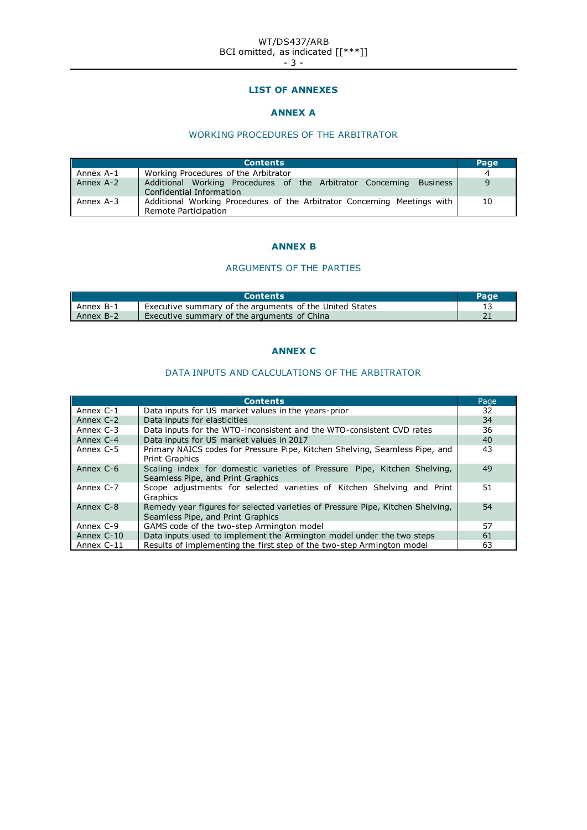#### WT/DS437/ARB BCI omitted, as indicated [[\*\*\*]] - 3 -

## **LIST OF ANNEXES**

# **ANNEX A**

# WORKING PROCEDURES OF THE ARBITRATOR

|           | <b>Contents</b>                                                                                           | Page |
|-----------|-----------------------------------------------------------------------------------------------------------|------|
| Annex A-1 | Working Procedures of the Arbitrator                                                                      | 4    |
| Annex A-2 | Additional Working Procedures of the Arbitrator Concerning<br><b>Business</b><br>Confidential Information | 9    |
| Annex A-3 | Additional Working Procedures of the Arbitrator Concerning Meetings with<br>Remote Participation          | 10   |

# **ANNEX B**

# ARGUMENTS OF THE PARTIES

|           | <b>Contents</b>                                         |  |
|-----------|---------------------------------------------------------|--|
| Annex B-1 | Executive summary of the arguments of the United States |  |
| Annex B-2 | Executive summary of the arguments of China             |  |

# **ANNEX C**

# DATA INPUTS AND CALCULATIONS OF THE ARBITRATOR

|              | <b>Contents</b>                                                                                                     | Page |
|--------------|---------------------------------------------------------------------------------------------------------------------|------|
| Annex C-1    | Data inputs for US market values in the years-prior                                                                 | 32   |
| Annex C-2    | Data inputs for elasticities                                                                                        | 34   |
| Annex C-3    | Data inputs for the WTO-inconsistent and the WTO-consistent CVD rates                                               | 36   |
| Annex C-4    | Data inputs for US market values in 2017                                                                            | 40   |
| Annex C-5    | Primary NAICS codes for Pressure Pipe, Kitchen Shelving, Seamless Pipe, and<br><b>Print Graphics</b>                | 43   |
| Annex C-6    | Scaling index for domestic varieties of Pressure Pipe, Kitchen Shelving,<br>Seamless Pipe, and Print Graphics       | 49   |
| Annex C-7    | Scope adjustments for selected varieties of Kitchen Shelving and Print<br>Graphics                                  | 51   |
| Annex C-8    | Remedy year figures for selected varieties of Pressure Pipe, Kitchen Shelving,<br>Seamless Pipe, and Print Graphics | 54   |
| Annex C-9    | GAMS code of the two-step Armington model                                                                           | 57   |
| Annex $C-10$ | Data inputs used to implement the Armington model under the two steps                                               | 61   |
| Annex C-11   | Results of implementing the first step of the two-step Armington model                                              | 63   |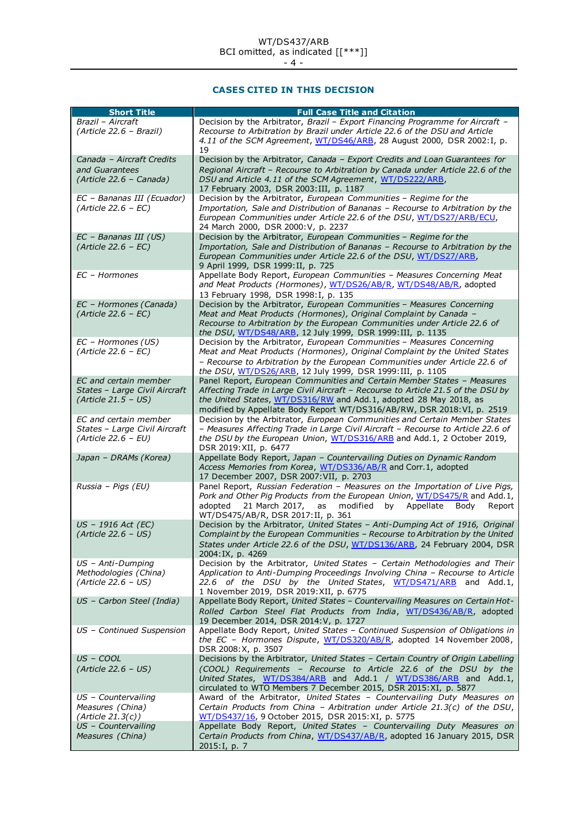**CASES CITED IN THIS DECISION**

| <b>Short Title</b>                                                              | <b>Full Case Title and Citation</b>                                                                                                                                                                                                                                                                         |
|---------------------------------------------------------------------------------|-------------------------------------------------------------------------------------------------------------------------------------------------------------------------------------------------------------------------------------------------------------------------------------------------------------|
| Brazil - Aircraft<br>(Article 22.6 - Brazil)                                    | Decision by the Arbitrator, Brazil - Export Financing Programme for Aircraft -<br>Recourse to Arbitration by Brazil under Article 22.6 of the DSU and Article<br>4.11 of the SCM Agreement, WT/DS46/ARB, 28 August 2000, DSR 2002: I, p.                                                                    |
| Canada - Aircraft Credits<br>and Guarantees<br>(Article 22.6 - Canada)          | 19<br>Decision by the Arbitrator, Canada - Export Credits and Loan Guarantees for<br>Regional Aircraft - Recourse to Arbitration by Canada under Article 22.6 of the<br>DSU and Article 4.11 of the SCM Agreement, WT/DS222/ARB,<br>17 February 2003, DSR 2003: III, p. 1187                                |
| EC - Bananas III (Ecuador)<br>$(Article 22.6 - EC)$                             | Decision by the Arbitrator, European Communities - Regime for the<br>Importation, Sale and Distribution of Bananas - Recourse to Arbitration by the<br>European Communities under Article 22.6 of the DSU, WT/DS27/ARB/ECU,<br>24 March 2000, DSR 2000: V, p. 2237                                          |
| $EC - Bananas III (US)$<br>$(Article 22.6 - EC)$                                | Decision by the Arbitrator, European Communities - Regime for the<br>Importation, Sale and Distribution of Bananas - Recourse to Arbitration by the<br>European Communities under Article 22.6 of the DSU, WT/DS27/ARB,<br>9 April 1999, DSR 1999: II, p. 725                                               |
| EC - Hormones                                                                   | Appellate Body Report, European Communities - Measures Concerning Meat<br>and Meat Products (Hormones), WT/DS26/AB/R, WT/DS48/AB/R, adopted<br>13 February 1998, DSR 1998: I, p. 135                                                                                                                        |
| EC - Hormones (Canada)<br>$(Article 22.6 - EC)$                                 | Decision by the Arbitrator, European Communities - Measures Concerning<br>Meat and Meat Products (Hormones), Original Complaint by Canada -<br>Recourse to Arbitration by the European Communities under Article 22.6 of<br>the DSU, WT/DS48/ARB, 12 July 1999, DSR 1999: III, p. 1135                      |
| EC - Hormones (US)<br>$(Article 22.6 - EC)$                                     | Decision by the Arbitrator, European Communities - Measures Concerning<br>Meat and Meat Products (Hormones), Original Complaint by the United States<br>- Recourse to Arbitration by the European Communities under Article 22.6 of<br>the DSU, WT/DS26/ARB, 12 July 1999, DSR 1999: III, p. 1105           |
| EC and certain member<br>States - Large Civil Aircraft<br>$(Article 21.5 - US)$ | Panel Report, European Communities and Certain Member States - Measures<br>Affecting Trade in Large Civil Aircraft - Recourse to Article 21.5 of the DSU by<br>the United States, WT/DS316/RW and Add.1, adopted 28 May 2018, as<br>modified by Appellate Body Report WT/DS316/AB/RW, DSR 2018: VI, p. 2519 |
| EC and certain member<br>States - Large Civil Aircraft<br>$(Article 22.6 - EU)$ | Decision by the Arbitrator, European Communities and Certain Member States<br>- Measures Affecting Trade in Large Civil Aircraft - Recourse to Article 22.6 of<br>the DSU by the European Union, WT/DS316/ARB and Add.1, 2 October 2019,<br>DSR 2019: XII, p. 6477                                          |
| Japan - DRAMs (Korea)                                                           | Appellate Body Report, Japan - Countervailing Duties on Dynamic Random<br>Access Memories from Korea, WT/DS336/AB/R and Corr.1, adopted<br>17 December 2007, DSR 2007: VII, p. 2703                                                                                                                         |
| Russia - Pigs (EU)                                                              | Panel Report, Russian Federation - Measures on the Importation of Live Pigs,<br>Pork and Other Pig Products from the European Union, WT/DS475/R and Add.1,<br>adopted<br>21 March 2017,<br>as<br>modified<br>Appellate<br>by<br>Bodv<br>Report<br>WT/DS475/AB/R, DSR 2017: II, p. 361                       |
| US - 1916 Act (EC)<br>$(Article 22.6 - US)$                                     | Decision by the Arbitrator, United States - Anti-Dumping Act of 1916, Original<br>Complaint by the European Communities - Recourse to Arbitration by the United<br>States under Article 22.6 of the DSU, WT/DS136/ARB, 24 February 2004, DSR<br>2004:IX, p. 4269                                            |
| US - Anti-Dumping<br>Methodologies (China)<br>$(Article 22.6 - US)$             | Decision by the Arbitrator, United States - Certain Methodologies and Their<br>Application to Anti-Dumping Proceedings Involving China - Recourse to Article<br>22.6 of the DSU by the United States, WT/DS471/ARB and Add.1,<br>1 November 2019, DSR 2019: XII, p. 6775                                    |
| US - Carbon Steel (India)                                                       | Appellate Body Report, United States - Countervailing Measures on Certain Hot-<br>Rolled Carbon Steel Flat Products from India, WT/DS436/AB/R, adopted<br>19 December 2014, DSR 2014: V, p. 1727                                                                                                            |
| US - Continued Suspension                                                       | Appellate Body Report, United States - Continued Suspension of Obligations in<br>the EC - Hormones Dispute, WT/DS320/AB/R, adopted 14 November 2008,<br>DSR 2008: X, p. 3507                                                                                                                                |
| US - COOL<br>$(Article 22.6 - US)$                                              | Decisions by the Arbitrator, United States - Certain Country of Origin Labelling<br>(COOL) Requirements - Recourse to Article 22.6 of the DSU by the<br>United States, WT/DS384/ARB and Add.1 / WT/DS386/ARB and Add.1,<br>circulated to WTO Members 7 December 2015, DSR 2015:XI, p. 5877                  |
| $US$ – Countervailing<br>Measures (China)<br>(Article 21.3(c))                  | Award of the Arbitrator, United States - Countervailing Duty Measures on<br>Certain Products from China - Arbitration under Article 21.3(c) of the DSU,<br>WT/DS437/16, 9 October 2015, DSR 2015:XI, p. 5775                                                                                                |
| US - Countervailing<br>Measures (China)                                         | Appellate Body Report, United States - Countervailing Duty Measures on<br>Certain Products from China, WT/DS437/AB/R, adopted 16 January 2015, DSR<br>2015: I, p. 7                                                                                                                                         |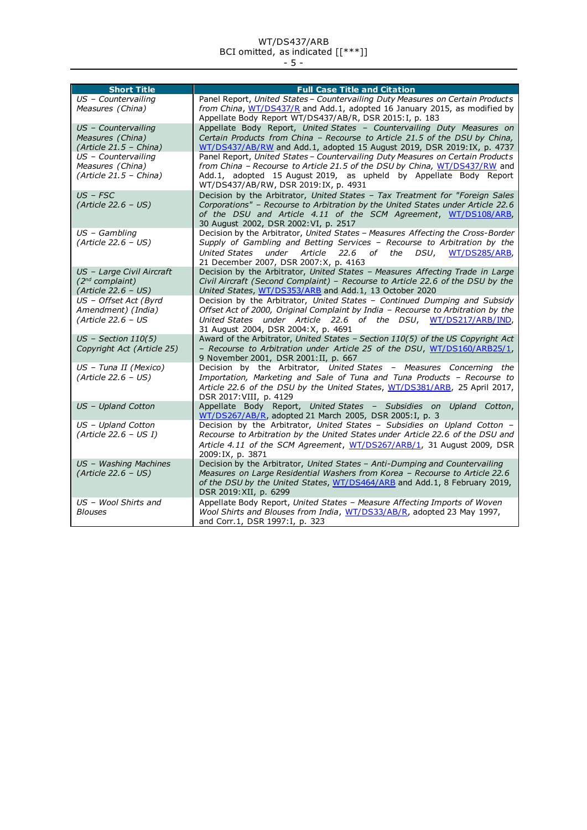#### WT/DS437/ARB BCI omitted, as indicated [[\*\*\*]] - 5 -

| <b>Short Title</b>                                                                                                                         | <b>Full Case Title and Citation</b>                                                                                                                                                                                                                                                                                                                                                                                                                                                                          |
|--------------------------------------------------------------------------------------------------------------------------------------------|--------------------------------------------------------------------------------------------------------------------------------------------------------------------------------------------------------------------------------------------------------------------------------------------------------------------------------------------------------------------------------------------------------------------------------------------------------------------------------------------------------------|
| US - Countervailing<br>Measures (China)                                                                                                    | Panel Report, United States - Countervailing Duty Measures on Certain Products<br>from China, WT/DS437/R and Add.1, adopted 16 January 2015, as modified by<br>Appellate Body Report WT/DS437/AB/R, DSR 2015: I, p. 183                                                                                                                                                                                                                                                                                      |
| US - Countervailing<br>Measures (China)<br>$(Article 21.5 - China)$<br>US - Countervailing<br>Measures (China)<br>$(Article 21.5 - China)$ | Appellate Body Report, United States - Countervailing Duty Measures on<br>Certain Products from China - Recourse to Article 21.5 of the DSU by China,<br>WT/DS437/AB/RW and Add.1, adopted 15 August 2019, DSR 2019:IX, p. 4737<br>Panel Report, United States - Countervailing Duty Measures on Certain Products<br>from China - Recourse to Article 21.5 of the DSU by China, WT/DS437/RW and<br>Add.1, adopted 15 August 2019, as upheld by Appellate Body Report<br>WT/DS437/AB/RW, DSR 2019:IX, p. 4931 |
| $US$ – $FSC$<br>$(Article 22.6 - US)$                                                                                                      | Decision by the Arbitrator, United States - Tax Treatment for "Foreign Sales<br>Corporations" - Recourse to Arbitration by the United States under Article 22.6<br>of the DSU and Article 4.11 of the SCM Agreement, WT/DS108/ARB,<br>30 August 2002, DSR 2002: VI, p. 2517                                                                                                                                                                                                                                  |
| $US - Gambling$<br>(Article 22.6 - US)                                                                                                     | Decision by the Arbitrator, United States - Measures Affecting the Cross-Border<br>Supply of Gambling and Betting Services - Recourse to Arbitration by the<br>22.6 of the DSU, WT/DS285/ARB.<br>United States<br>under Article<br>21 December 2007, DSR 2007:X, p. 4163                                                                                                                                                                                                                                     |
| US - Large Civil Aircraft<br>$(2^{nd}$ complaint)<br>$(Article 22.6 - US)$                                                                 | Decision by the Arbitrator, United States - Measures Affecting Trade in Large<br>Civil Aircraft (Second Complaint) - Recourse to Article 22.6 of the DSU by the<br>United States, WT/DS353/ARB and Add.1, 13 October 2020                                                                                                                                                                                                                                                                                    |
| US - Offset Act (Byrd<br>Amendment) (India)<br>$(Article 22.6 - US$                                                                        | Decision by the Arbitrator, United States - Continued Dumping and Subsidy<br>Offset Act of 2000, Original Complaint by India - Recourse to Arbitration by the<br>United States under Article 22.6 of the DSU, WT/DS217/ARB/IND,<br>31 August 2004, DSR 2004: X, p. 4691                                                                                                                                                                                                                                      |
| $US$ - Section 110(5)<br>Copyright Act (Article 25)                                                                                        | Award of the Arbitrator, United States - Section 110(5) of the US Copyright Act<br>- Recourse to Arbitration under Article 25 of the DSU, WT/DS160/ARB25/1,<br>9 November 2001, DSR 2001: II, p. 667                                                                                                                                                                                                                                                                                                         |
| US - Tuna II (Mexico)<br>$(Article 22.6 - US)$                                                                                             | Decision by the Arbitrator, United States - Measures Concerning the<br>Importation, Marketing and Sale of Tuna and Tuna Products - Recourse to<br>Article 22.6 of the DSU by the United States, WT/DS381/ARB, 25 April 2017,<br>DSR 2017: VIII, p. 4129                                                                                                                                                                                                                                                      |
| US - Upland Cotton                                                                                                                         | Appellate Body Report, United States - Subsidies on Upland Cotton,<br>WT/DS267/AB/R, adopted 21 March 2005, DSR 2005: I, p. 3                                                                                                                                                                                                                                                                                                                                                                                |
| US - Upland Cotton<br>$(Article 22.6 - US I)$                                                                                              | Decision by the Arbitrator, United States - Subsidies on Upland Cotton -<br>Recourse to Arbitration by the United States under Article 22.6 of the DSU and<br>Article 4.11 of the SCM Agreement, WT/DS267/ARB/1, 31 August 2009, DSR<br>2009: IX, p. 3871                                                                                                                                                                                                                                                    |
| US - Washing Machines<br>(Article 22.6 - US)                                                                                               | Decision by the Arbitrator, United States - Anti-Dumping and Countervailing<br>Measures on Large Residential Washers from Korea - Recourse to Article 22.6<br>of the DSU by the United States, WT/DS464/ARB and Add.1, 8 February 2019,<br>DSR 2019: XII, p. 6299                                                                                                                                                                                                                                            |
| US - Wool Shirts and<br><b>Blouses</b>                                                                                                     | Appellate Body Report, United States - Measure Affecting Imports of Woven<br>Wool Shirts and Blouses from India, WT/DS33/AB/R, adopted 23 May 1997,<br>and Corr.1, DSR 1997:1, p. 323                                                                                                                                                                                                                                                                                                                        |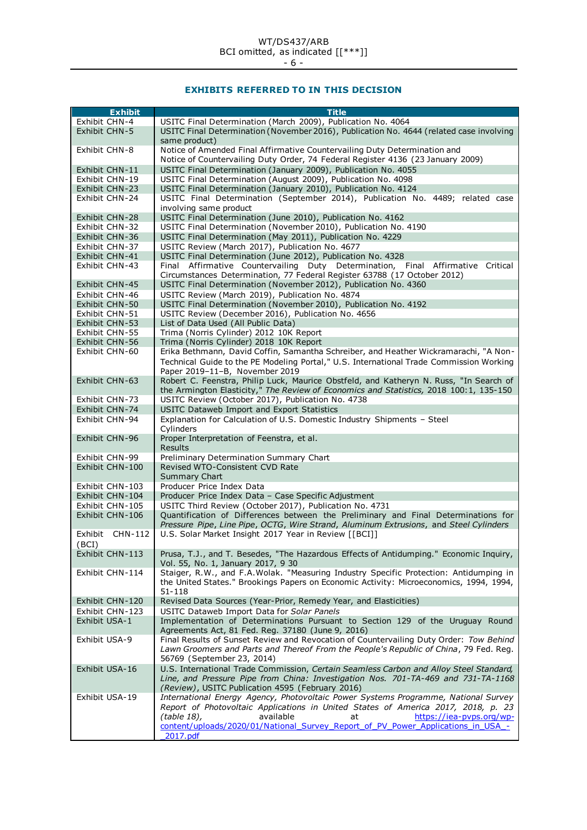# **EXHIBITS REFERRED TO IN THIS DECISION**

| <b>Exhibit</b>  | <b>Title</b>                                                                            |
|-----------------|-----------------------------------------------------------------------------------------|
| Exhibit CHN-4   | USITC Final Determination (March 2009), Publication No. 4064                            |
| Exhibit CHN-5   | USITC Final Determination (November 2016), Publication No. 4644 (related case involving |
|                 |                                                                                         |
|                 | same product)                                                                           |
| Exhibit CHN-8   | Notice of Amended Final Affirmative Countervailing Duty Determination and               |
|                 | Notice of Countervailing Duty Order, 74 Federal Register 4136 (23 January 2009)         |
| Exhibit CHN-11  | USITC Final Determination (January 2009), Publication No. 4055                          |
| Exhibit CHN-19  | USITC Final Determination (August 2009), Publication No. 4098                           |
| Exhibit CHN-23  | USITC Final Determination (January 2010), Publication No. 4124                          |
| Exhibit CHN-24  | USITC Final Determination (September 2014), Publication No. 4489; related case          |
|                 | involving same product                                                                  |
| Exhibit CHN-28  | USITC Final Determination (June 2010), Publication No. 4162                             |
| Exhibit CHN-32  | USITC Final Determination (November 2010), Publication No. 4190                         |
| Exhibit CHN-36  | USITC Final Determination (May 2011), Publication No. 4229                              |
| Exhibit CHN-37  | USITC Review (March 2017), Publication No. 4677                                         |
| Exhibit CHN-41  | USITC Final Determination (June 2012), Publication No. 4328                             |
| Exhibit CHN-43  | Final Affirmative Countervailing Duty Determination, Final Affirmative Critical         |
|                 | Circumstances Determination, 77 Federal Register 63788 (17 October 2012)                |
|                 |                                                                                         |
| Exhibit CHN-45  | USITC Final Determination (November 2012), Publication No. 4360                         |
| Exhibit CHN-46  | USITC Review (March 2019), Publication No. 4874                                         |
| Exhibit CHN-50  | USITC Final Determination (November 2010), Publication No. 4192                         |
| Exhibit CHN-51  | USITC Review (December 2016), Publication No. 4656                                      |
| Exhibit CHN-53  | List of Data Used (All Public Data)                                                     |
| Exhibit CHN-55  | Trima (Norris Cylinder) 2012 10K Report                                                 |
| Exhibit CHN-56  | Trima (Norris Cylinder) 2018 10K Report                                                 |
| Exhibit CHN-60  | Erika Bethmann, David Coffin, Samantha Schreiber, and Heather Wickramarachi, "A Non-    |
|                 | Technical Guide to the PE Modeling Portal," U.S. International Trade Commission Working |
|                 | Paper 2019-11-B, November 2019                                                          |
| Exhibit CHN-63  | Robert C. Feenstra, Philip Luck, Maurice Obstfeld, and Katheryn N. Russ, "In Search of  |
|                 | the Armington Elasticity," The Review of Economics and Statistics, 2018 100:1, 135-150  |
| Exhibit CHN-73  | USITC Review (October 2017), Publication No. 4738                                       |
| Exhibit CHN-74  | USITC Dataweb Import and Export Statistics                                              |
| Exhibit CHN-94  | Explanation for Calculation of U.S. Domestic Industry Shipments - Steel                 |
|                 | Cylinders                                                                               |
| Exhibit CHN-96  | Proper Interpretation of Feenstra, et al.                                               |
|                 | <b>Results</b>                                                                          |
| Exhibit CHN-99  |                                                                                         |
|                 | Preliminary Determination Summary Chart                                                 |
| Exhibit CHN-100 | Revised WTO-Consistent CVD Rate                                                         |
|                 | Summary Chart                                                                           |
| Exhibit CHN-103 | Producer Price Index Data                                                               |
| Exhibit CHN-104 | Producer Price Index Data - Case Specific Adjustment                                    |
| Exhibit CHN-105 | USITC Third Review (October 2017), Publication No. 4731                                 |
| Exhibit CHN-106 | Quantification of Differences between the Preliminary and Final Determinations for      |
|                 | Pressure Pipe, Line Pipe, OCTG, Wire Strand, Aluminum Extrusions, and Steel Cylinders   |
| Exhibit CHN-112 | U.S. Solar Market Insight 2017 Year in Review [[BCI]]                                   |
| (BCI)           |                                                                                         |
| Exhibit CHN-113 | Prusa, T.J., and T. Besedes, "The Hazardous Effects of Antidumping." Economic Inquiry,  |
|                 | Vol. 55, No. 1, January 2017, 9 30                                                      |
| Exhibit CHN-114 | Staiger, R.W., and F.A.Wolak. "Measuring Industry Specific Protection: Antidumping in   |
|                 | the United States." Brookings Papers on Economic Activity: Microeconomics, 1994, 1994,  |
|                 | 51-118                                                                                  |
| Exhibit CHN-120 | Revised Data Sources (Year-Prior, Remedy Year, and Elasticities)                        |
| Exhibit CHN-123 |                                                                                         |
| Exhibit USA-1   | USITC Dataweb Import Data for Solar Panels                                              |
|                 | Implementation of Determinations Pursuant to Section 129 of the Uruguay Round           |
|                 | Agreements Act, 81 Fed. Reg. 37180 (June 9, 2016)                                       |
| Exhibit USA-9   | Final Results of Sunset Review and Revocation of Countervailing Duty Order: Tow Behind  |
|                 | Lawn Groomers and Parts and Thereof From the People's Republic of China, 79 Fed. Reg.   |
|                 | 56769 (September 23, 2014)                                                              |
| Exhibit USA-16  | U.S. International Trade Commission, Certain Seamless Carbon and Alloy Steel Standard,  |
|                 | Line, and Pressure Pipe from China: Investigation Nos. 701-TA-469 and 731-TA-1168       |
|                 | (Review), USITC Publication 4595 (February 2016)                                        |
| Exhibit USA-19  | International Energy Agency, Photovoltaic Power Systems Programme, National Survey      |
|                 | Report of Photovoltaic Applications in United States of America 2017, 2018, p. 23       |
|                 | (table 18),<br>available<br>https://iea-pvps.org/wp-<br>at                              |
|                 | content/uploads/2020/01/National Survey Report of PV Power Applications in USA -        |
|                 | 2017.pdf                                                                                |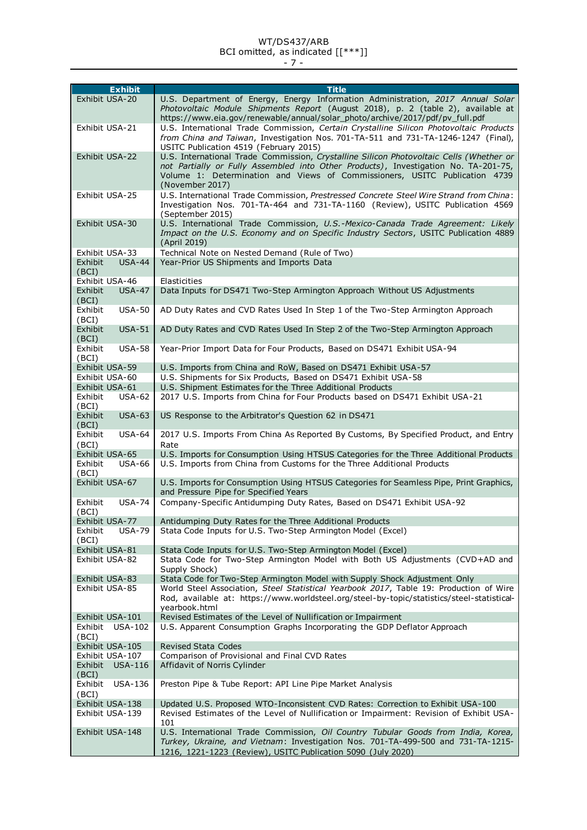# WT/DS437/ARB

BCI omitted, as indicated [[\*\*\*]] - 7 -

| <b>Exhibit</b>                               | <b>Title</b>                                                                                                                                                      |
|----------------------------------------------|-------------------------------------------------------------------------------------------------------------------------------------------------------------------|
| Exhibit USA-20                               | U.S. Department of Energy, Energy Information Administration, 2017 Annual Solar                                                                                   |
|                                              | Photovoltaic Module Shipments Report (August 2018), p. 2 (table 2), available at<br>https://www.eia.gov/renewable/annual/solar_photo/archive/2017/pdf/pv_full.pdf |
| Exhibit USA-21                               | U.S. International Trade Commission, Certain Crystalline Silicon Photovoltaic Products                                                                            |
|                                              | from China and Taiwan, Investigation Nos. 701-TA-511 and 731-TA-1246-1247 (Final),<br>USITC Publication 4519 (February 2015)                                      |
| Exhibit USA-22                               | U.S. International Trade Commission, Crystalline Silicon Photovoltaic Cells (Whether or                                                                           |
|                                              | not Partially or Fully Assembled into Other Products), Investigation No. TA-201-75,                                                                               |
|                                              | Volume 1: Determination and Views of Commissioners, USITC Publication 4739<br>(November 2017)                                                                     |
| Exhibit USA-25                               | U.S. International Trade Commission, Prestressed Concrete Steel Wire Strand from China:                                                                           |
|                                              | Investigation Nos. 701-TA-464 and 731-TA-1160 (Review), USITC Publication 4569<br>(September 2015)                                                                |
| Exhibit USA-30                               | U.S. International Trade Commission, U.S.-Mexico-Canada Trade Agreement: Likely                                                                                   |
|                                              | Impact on the U.S. Economy and on Specific Industry Sectors, USITC Publication 4889<br>(April 2019)                                                               |
| Exhibit USA-33                               | Technical Note on Nested Demand (Rule of Two)                                                                                                                     |
| <b>USA-44</b><br>Exhibit                     | Year-Prior US Shipments and Imports Data                                                                                                                          |
| (BCI)                                        |                                                                                                                                                                   |
| Exhibit USA-46                               | Elasticities                                                                                                                                                      |
| <b>USA-47</b><br>Exhibit<br>(BCI)            | Data Inputs for DS471 Two-Step Armington Approach Without US Adjustments                                                                                          |
| Exhibit<br><b>USA-50</b><br>(BCI)            | AD Duty Rates and CVD Rates Used In Step 1 of the Two-Step Armington Approach                                                                                     |
| <b>USA-51</b><br>Exhibit<br>(BCI)            | AD Duty Rates and CVD Rates Used In Step 2 of the Two-Step Armington Approach                                                                                     |
| <b>USA-58</b><br>Exhibit<br>(BCI)            | Year-Prior Import Data for Four Products, Based on DS471 Exhibit USA-94                                                                                           |
| Exhibit USA-59                               | U.S. Imports from China and RoW, Based on DS471 Exhibit USA-57                                                                                                    |
| Exhibit USA-60                               | U.S. Shipments for Six Products, Based on DS471 Exhibit USA-58                                                                                                    |
| Exhibit USA-61                               | U.S. Shipment Estimates for the Three Additional Products                                                                                                         |
| Exhibit<br>$USA-62$<br>(BCI)                 | 2017 U.S. Imports from China for Four Products based on DS471 Exhibit USA-21                                                                                      |
| $USA-63$<br>Exhibit<br>(BCI)                 | US Response to the Arbitrator's Question 62 in DS471                                                                                                              |
| Exhibit<br><b>USA-64</b><br>(BCI)            | 2017 U.S. Imports From China As Reported By Customs, By Specified Product, and Entry<br>Rate                                                                      |
| Exhibit USA-65                               | U.S. Imports for Consumption Using HTSUS Categories for the Three Additional Products                                                                             |
| Exhibit<br><b>USA-66</b><br>(BCI)            | U.S. Imports from China from Customs for the Three Additional Products                                                                                            |
| Exhibit USA-67                               | U.S. Imports for Consumption Using HTSUS Categories for Seamless Pipe, Print Graphics,<br>and Pressure Pipe for Specified Years                                   |
| <b>USA-74</b><br>Exhibit<br>(BCI)            | Company-Specific Antidumping Duty Rates, Based on DS471 Exhibit USA-92                                                                                            |
| Exhibit USA-77                               | Antidumping Duty Rates for the Three Additional Products                                                                                                          |
| <b>USA-79</b><br>Exhibit<br>(BCI)            | Stata Code Inputs for U.S. Two-Step Armington Model (Excel)                                                                                                       |
| Exhibit USA-81                               | Stata Code Inputs for U.S. Two-Step Armington Model (Excel)                                                                                                       |
| Exhibit USA-82                               | Stata Code for Two-Step Armington Model with Both US Adjustments (CVD+AD and<br>Supply Shock)                                                                     |
| Exhibit USA-83                               | Stata Code for Two-Step Armington Model with Supply Shock Adjustment Only                                                                                         |
| Exhibit USA-85                               | World Steel Association, Steel Statistical Yearbook 2017, Table 19: Production of Wire                                                                            |
|                                              | Rod, available at: https://www.worldsteel.org/steel-by-topic/statistics/steel-statistical-                                                                        |
| Exhibit USA-101                              | yearbook.html<br>Revised Estimates of the Level of Nullification or Impairment                                                                                    |
| Exhibit<br><b>USA-102</b>                    | U.S. Apparent Consumption Graphs Incorporating the GDP Deflator Approach                                                                                          |
| (BCI)                                        |                                                                                                                                                                   |
| Exhibit USA-105                              | <b>Revised Stata Codes</b>                                                                                                                                        |
| Exhibit USA-107<br>Exhibit<br><b>USA-116</b> | Comparison of Provisional and Final CVD Rates<br>Affidavit of Norris Cylinder                                                                                     |
| (BCI)                                        |                                                                                                                                                                   |
| Exhibit<br><b>USA-136</b>                    | Preston Pipe & Tube Report: API Line Pipe Market Analysis                                                                                                         |
| (BCI)                                        |                                                                                                                                                                   |
| Exhibit USA-138                              | Updated U.S. Proposed WTO-Inconsistent CVD Rates: Correction to Exhibit USA-100                                                                                   |
| Exhibit USA-139                              | Revised Estimates of the Level of Nullification or Impairment: Revision of Exhibit USA-<br>101                                                                    |
| Exhibit USA-148                              | U.S. International Trade Commission, Oil Country Tubular Goods from India, Korea,                                                                                 |
|                                              | Turkey, Ukraine, and Vietnam: Investigation Nos. 701-TA-499-500 and 731-TA-1215-<br>1216, 1221-1223 (Review), USITC Publication 5090 (July 2020)                  |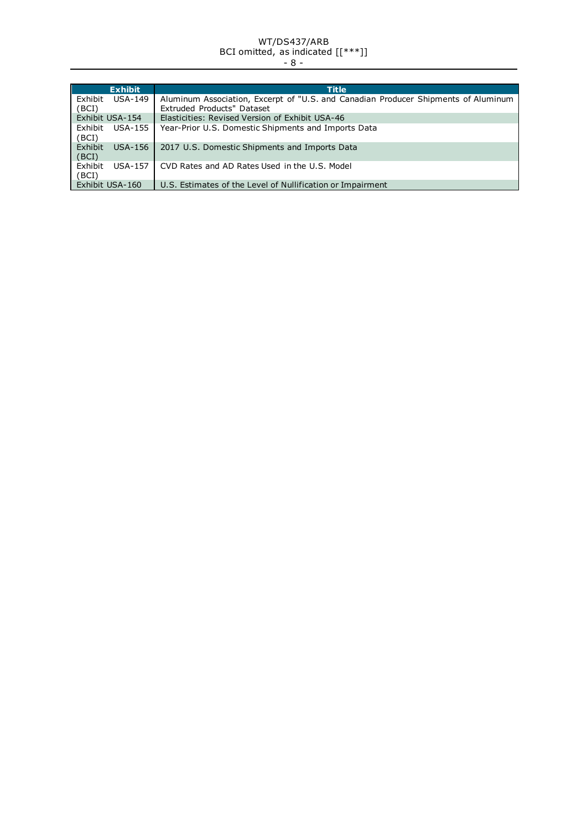#### WT/DS437/ARB BCI omitted, as indicated [[\*\*\*]] - 8 -

|                  | <b>Exhibit</b> | Title                                                                                                            |
|------------------|----------------|------------------------------------------------------------------------------------------------------------------|
| Exhibit<br>(BCI) | <b>USA-149</b> | Aluminum Association, Excerpt of "U.S. and Canadian Producer Shipments of Aluminum<br>Extruded Products" Dataset |
| Exhibit USA-154  |                | Elasticities: Revised Version of Exhibit USA-46                                                                  |
| Exhibit<br>(BCI) | USA-155        | Year-Prior U.S. Domestic Shipments and Imports Data                                                              |
| Exhibit<br>(BCI) | USA-156        | 2017 U.S. Domestic Shipments and Imports Data                                                                    |
| Exhibit<br>(BCI) | <b>USA-157</b> | CVD Rates and AD Rates Used in the U.S. Model                                                                    |
| Exhibit USA-160  |                | U.S. Estimates of the Level of Nullification or Impairment                                                       |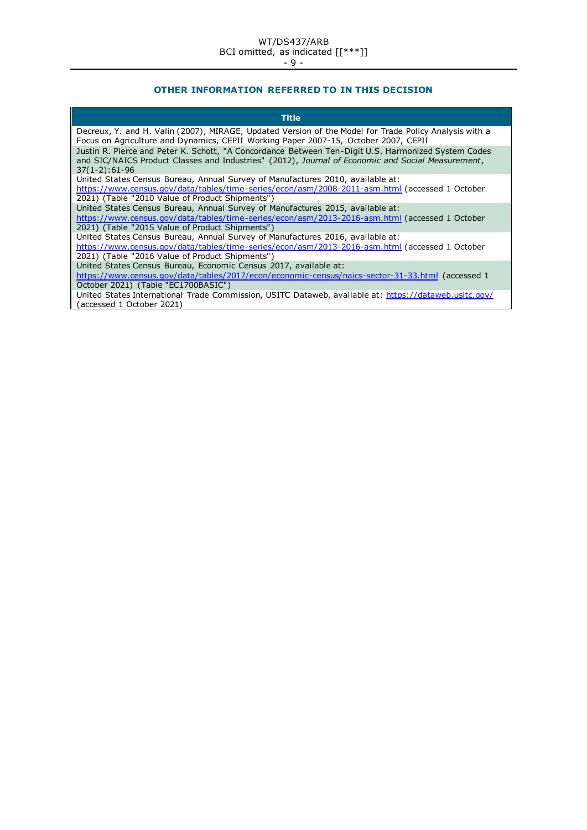# **OTHER INFORMATION REFERRED TO IN THIS DECISION**

| Title                                                                                                                                                                                                                               |
|-------------------------------------------------------------------------------------------------------------------------------------------------------------------------------------------------------------------------------------|
| Decreux, Y. and H. Valin (2007), MIRAGE, Updated Version of the Model for Trade Policy Analysis with a<br>Focus on Agriculture and Dynamics, CEPII Working Paper 2007-15, October 2007, CEPII                                       |
| Justin R. Pierce and Peter K. Schott, "A Concordance Between Ten-Digit U.S. Harmonized System Codes<br>and SIC/NAICS Product Classes and Industries" (2012), Journal of Economic and Social Measurement,<br>$37(1-2):61-96$         |
| United States Census Bureau, Annual Survey of Manufactures 2010, available at:<br>https://www.census.gov/data/tables/time-series/econ/asm/2008-2011-asm.html (accessed 1 October<br>2021) (Table "2010 Value of Product Shipments") |
| United States Census Bureau, Annual Survey of Manufactures 2015, available at:<br>https://www.census.gov/data/tables/time-series/econ/asm/2013-2016-asm.html (accessed 1 October<br>2021) (Table "2015 Value of Product Shipments") |
| United States Census Bureau, Annual Survey of Manufactures 2016, available at:<br>https://www.census.gov/data/tables/time-series/econ/asm/2013-2016-asm.html (accessed 1 October<br>2021) (Table "2016 Value of Product Shipments") |
| United States Census Bureau, Economic Census 2017, available at:<br>https://www.census.gov/data/tables/2017/econ/economic-census/naics-sector-31-33.html (accessed 1<br>October 2021) (Table "EC1700BASIC")                         |
| United States International Trade Commission, USITC Dataweb, available at: https://dataweb.usitc.gov/<br>(accessed 1 October 2021)                                                                                                  |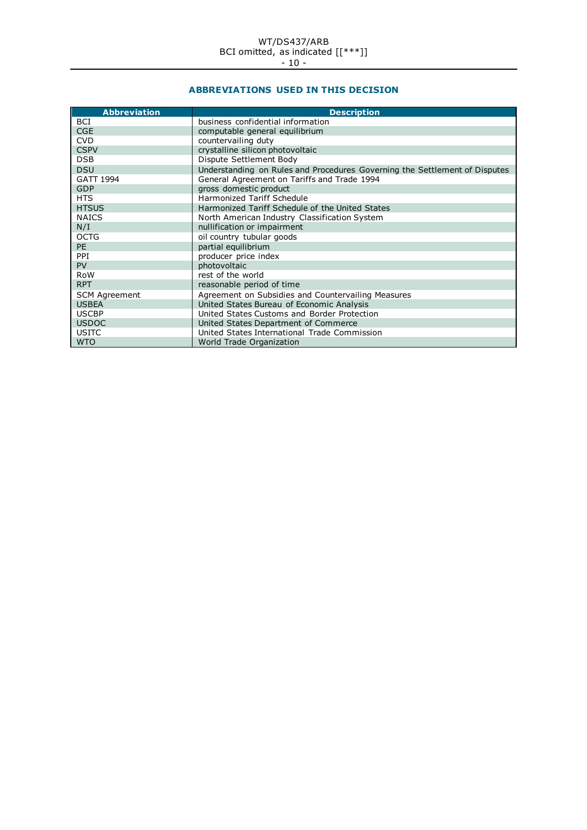# **ABBREVIATIONS USED IN THIS DECISION**

| <b>Abbreviation</b>  | <b>Description</b>                                                         |
|----------------------|----------------------------------------------------------------------------|
| BCI                  | business confidential information                                          |
| <b>CGE</b>           | computable general equilibrium                                             |
| <b>CVD</b>           | countervailing duty                                                        |
| <b>CSPV</b>          | crystalline silicon photovoltaic                                           |
| <b>DSB</b>           | Dispute Settlement Body                                                    |
| <b>DSU</b>           | Understanding on Rules and Procedures Governing the Settlement of Disputes |
| GATT 1994            | General Agreement on Tariffs and Trade 1994                                |
| <b>GDP</b>           | gross domestic product                                                     |
| <b>HTS</b>           | Harmonized Tariff Schedule                                                 |
| <b>HTSUS</b>         | Harmonized Tariff Schedule of the United States                            |
| <b>NAICS</b>         | North American Industry Classification System                              |
| N/I                  | nullification or impairment                                                |
| <b>OCTG</b>          | oil country tubular goods                                                  |
| PE                   | partial equilibrium                                                        |
| PPI                  | producer price index                                                       |
| PV                   | photovoltaic                                                               |
| <b>RoW</b>           | rest of the world                                                          |
| RPT                  | reasonable period of time                                                  |
| <b>SCM Agreement</b> | Agreement on Subsidies and Countervailing Measures                         |
| <b>USBEA</b>         | United States Bureau of Economic Analysis                                  |
| <b>USCBP</b>         | United States Customs and Border Protection                                |
| <b>USDOC</b>         | United States Department of Commerce                                       |
| <b>USITC</b>         | United States International Trade Commission                               |
| <b>WTO</b>           | World Trade Organization                                                   |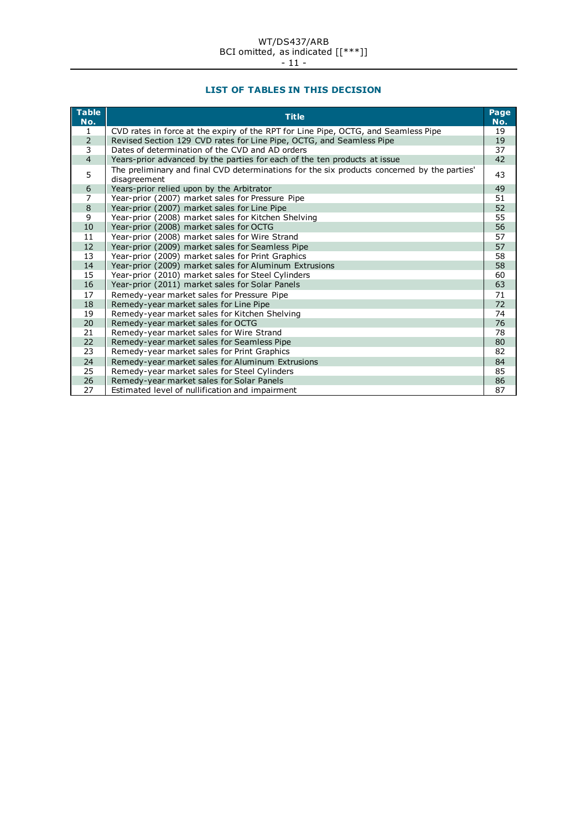# **LIST OF TABLES IN THIS DECISION**

| $\overline{\phantom{a}}$ Table<br>No. | <b>Title</b>                                                                                                | Page<br>No. |
|---------------------------------------|-------------------------------------------------------------------------------------------------------------|-------------|
| 1                                     | CVD rates in force at the expiry of the RPT for Line Pipe, OCTG, and Seamless Pipe                          | 19          |
| $\overline{2}$                        | Revised Section 129 CVD rates for Line Pipe, OCTG, and Seamless Pipe                                        | 19          |
| 3                                     | Dates of determination of the CVD and AD orders                                                             | 37          |
| $\overline{4}$                        | Years-prior advanced by the parties for each of the ten products at issue                                   | 42          |
| 5                                     | The preliminary and final CVD determinations for the six products concerned by the parties'<br>disagreement | 43          |
| 6                                     | Years-prior relied upon by the Arbitrator                                                                   | 49          |
| $\overline{7}$                        | Year-prior (2007) market sales for Pressure Pipe                                                            | 51          |
| 8                                     | Year-prior (2007) market sales for Line Pipe                                                                | 52          |
| 9                                     | Year-prior (2008) market sales for Kitchen Shelving                                                         | 55          |
| 10                                    | Year-prior (2008) market sales for OCTG                                                                     | 56          |
| 11                                    | Year-prior (2008) market sales for Wire Strand                                                              | 57          |
| 12                                    | Year-prior (2009) market sales for Seamless Pipe                                                            | 57          |
| 13                                    | Year-prior (2009) market sales for Print Graphics                                                           | 58          |
| 14                                    | Year-prior (2009) market sales for Aluminum Extrusions                                                      | 58          |
| 15                                    | Year-prior (2010) market sales for Steel Cylinders                                                          | 60          |
| 16                                    | Year-prior (2011) market sales for Solar Panels                                                             | 63          |
| 17                                    | Remedy-year market sales for Pressure Pipe                                                                  | 71          |
| 18                                    | Remedy-year market sales for Line Pipe                                                                      | 72          |
| 19                                    | Remedy-year market sales for Kitchen Shelving                                                               | 74          |
| 20                                    | Remedy-year market sales for OCTG                                                                           | 76          |
| 21                                    | Remedy-year market sales for Wire Strand                                                                    | 78          |
| 22                                    | Remedy-year market sales for Seamless Pipe                                                                  | 80          |
| 23                                    | Remedy-year market sales for Print Graphics                                                                 | 82          |
| 24                                    | Remedy-year market sales for Aluminum Extrusions                                                            | 84          |
| 25                                    | Remedy-year market sales for Steel Cylinders                                                                | 85          |
| 26                                    | Remedy-year market sales for Solar Panels                                                                   | 86          |
| 27                                    | Estimated level of nullification and impairment                                                             | 87          |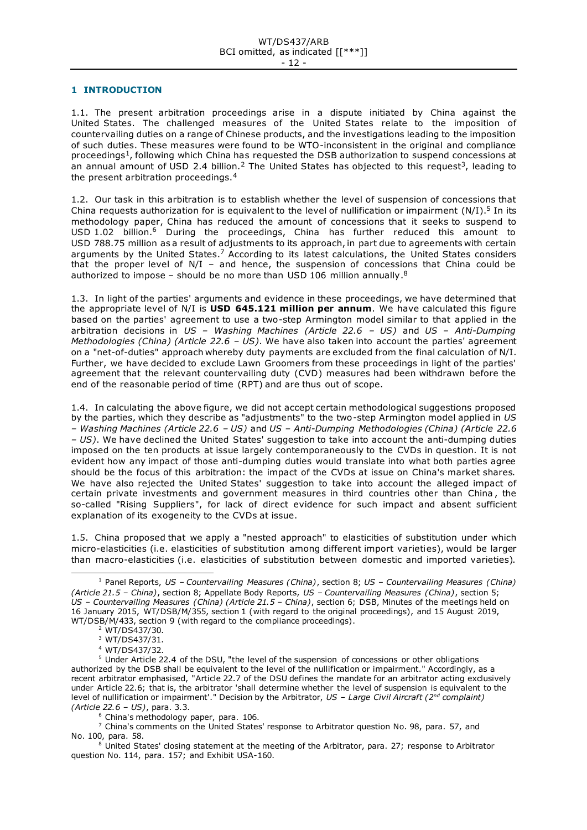#### <span id="page-11-0"></span>**1 INTRODUCTION**

1.1. The present arbitration proceedings arise in a dispute initiated by China against the United States. The challenged measures of the United States relate to the imposition of countervailing duties on a range of Chinese products, and the investigations leading to the imposition of such duties. These measures were found to be WTO-inconsistent in the original and compliance proceedings<sup>1</sup>, following which China has requested the DSB authorization to suspend concessions at an annual amount of USD 2.4 billion.<sup>2</sup> The United States has objected to this request<sup>3</sup>, leading to the present arbitration proceedings.<sup>4</sup>

1.2. Our task in this arbitration is to establish whether the level of suspension of concessions that China requests authorization for is equivalent to the level of nullification or impairment  $(N/I).<sup>5</sup>$  In its methodology paper, China has reduced the amount of concessions that it seeks to suspend to USD 1.02 billion.<sup>6</sup> During the proceedings, China has further reduced this amount to USD 788.75 million as a result of adjustments to its approach, in part due to agreements with certain arguments by the United States.<sup>7</sup> According to its latest calculations, the United States considers that the proper level of N/I – and hence, the suspension of concessions that China could be authorized to impose – should be no more than USD 106 million annually.<sup>8</sup>

1.3. In light of the parties' arguments and evidence in these proceedings, we have determined that the appropriate level of N/I is **USD 645.121 million per annum**. We have calculated this figure based on the parties' agreement to use a two-step Armington model similar to that applied in the arbitration decisions in *US – Washing Machines (Article 22.6 – US)* and *US – Anti-Dumping Methodologies (China) (Article 22.6 – US)*. We have also taken into account the parties' agreement on a "net-of-duties" approach whereby duty payments are excluded from the final calculation of N/I. Further, we have decided to exclude Lawn Groomers from these proceedings in light of the parties' agreement that the relevant countervailing duty (CVD) measures had been withdrawn before the end of the reasonable period of time (RPT) and are thus out of scope.

1.4. In calculating the above figure, we did not accept certain methodological suggestions proposed by the parties, which they describe as "adjustments" to the two-step Armington model applied in *US – Washing Machines (Article 22.6 – US)* and *US – Anti-Dumping Methodologies (China) (Article 22.6 – US)*. We have declined the United States' suggestion to take into account the anti-dumping duties imposed on the ten products at issue largely contemporaneously to the CVDs in question. It is not evident how any impact of those anti-dumping duties would translate into what both parties agree should be the focus of this arbitration: the impact of the CVDs at issue on China's market shares. We have also rejected the United States' suggestion to take into account the alleged impact of certain private investments and government measures in third countries other than China , the so-called "Rising Suppliers", for lack of direct evidence for such impact and absent sufficient explanation of its exogeneity to the CVDs at issue.

1.5. China proposed that we apply a "nested approach" to elasticities of substitution under which micro-elasticities (i.e. elasticities of substitution among different import varieties), would be larger than macro-elasticities (i.e. elasticities of substitution between domestic and imported varieties).

<sup>1</sup> Panel Reports, *US – Countervailing Measures (China)*, section 8; *US – Countervailing Measures (China) (Article 21.5 – China)*, section 8; Appellate Body Reports, *US – Countervailing Measures (China)*, section 5; *US – Countervailing Measures (China) (Article 21.5 – China)*, section 6; DSB, Minutes of the meetings held on 16 January 2015, WT/DSB/M/355, section 1 (with regard to the original proceedings), and 15 August 2019, WT/DSB/M/433, section 9 (with regard to the compliance proceedings).

<sup>2</sup> WT/DS437/30.

<sup>3</sup> WT/DS437/31.

<sup>4</sup> WT/DS437/32.

<sup>&</sup>lt;sup>5</sup> Under Article 22.4 of the DSU, "the level of the suspension of concessions or other obligations authorized by the DSB shall be equivalent to the level of the nullification or impairment." Accordingly, as a recent arbitrator emphasised, "Article 22.7 of the DSU defines the mandate for an arbitrator acting exclusively under Article 22.6; that is, the arbitrator 'shall determine whether the level of suspension is equivalent to the level of nullification or impairment'." Decision by the Arbitrator, *US – Large Civil Aircraft (2nd complaint) (Article 22.6 – US)*, para. 3.3.

<sup>6</sup> China's methodology paper, para. 106.

 $7$  China's comments on the United States' response to Arbitrator question No. 98, para. 57, and No. 100, para. 58.

 $8$  United States' closing statement at the meeting of the Arbitrator, para. 27; response to Arbitrator question No. 114, para. 157; and Exhibit USA-160.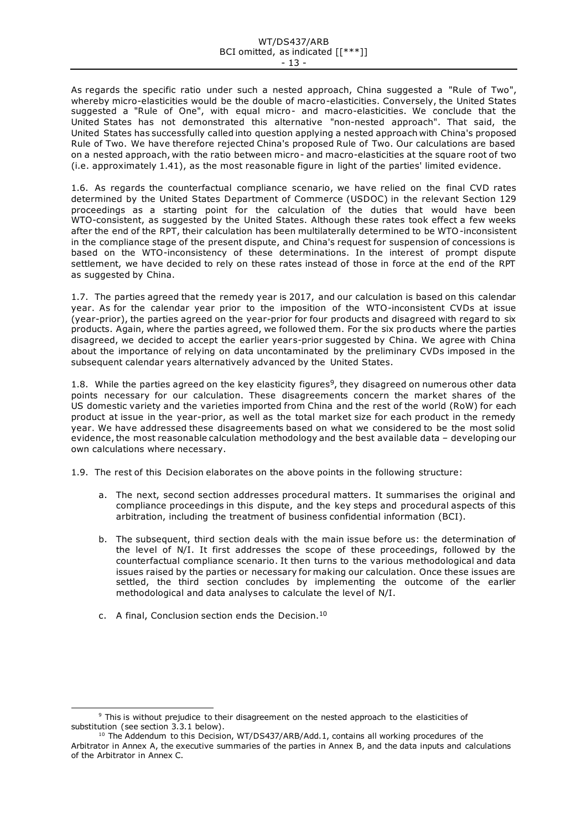#### WT/DS437/ARB BCI omitted, as indicated [[\*\*\*]] - 13 -

As regards the specific ratio under such a nested approach, China suggested a "Rule of Two", whereby micro-elasticities would be the double of macro-elasticities. Conversely, the United States suggested a "Rule of One", with equal micro- and macro-elasticities. We conclude that the United States has not demonstrated this alternative "non-nested approach". That said, the United States has successfully called into question applying a nested approach with China's proposed Rule of Two. We have therefore rejected China's proposed Rule of Two. Our calculations are based on a nested approach, with the ratio between micro- and macro-elasticities at the square root of two (i.e. approximately 1.41), as the most reasonable figure in light of the parties' limited evidence.

1.6. As regards the counterfactual compliance scenario, we have relied on the final CVD rates determined by the United States Department of Commerce (USDOC) in the relevant Section 129 proceedings as a starting point for the calculation of the duties that would have been WTO-consistent, as suggested by the United States. Although these rates took effect a few weeks after the end of the RPT, their calculation has been multilaterally determined to be WTO-inconsistent in the compliance stage of the present dispute, and China's request for suspension of concessions is based on the WTO-inconsistency of these determinations. In the interest of prompt dispute settlement, we have decided to rely on these rates instead of those in force at the end of the RPT as suggested by China.

1.7. The parties agreed that the remedy year is 2017, and our calculation is based on this calendar year. As for the calendar year prior to the imposition of the WTO-inconsistent CVDs at issue (year-prior), the parties agreed on the year-prior for four products and disagreed with regard to six products. Again, where the parties agreed, we followed them. For the six products where the parties disagreed, we decided to accept the earlier years-prior suggested by China. We agree with China about the importance of relying on data uncontaminated by the preliminary CVDs imposed in the subsequent calendar years alternatively advanced by the United States.

1.8. While the parties agreed on the key elasticity figures<sup>9</sup>, they disagreed on numerous other data points necessary for our calculation. These disagreements concern the market shares of the US domestic variety and the varieties imported from China and the rest of the world (RoW) for each product at issue in the year-prior, as well as the total market size for each product in the remedy year. We have addressed these disagreements based on what we considered to be the most solid evidence, the most reasonable calculation methodology and the best available data – developing our own calculations where necessary.

1.9. The rest of this Decision elaborates on the above points in the following structure:

- a. The next, second section addresses procedural matters. It summarises the original and compliance proceedings in this dispute, and the key steps and procedural aspects of this arbitration, including the treatment of business confidential information (BCI).
- b. The subsequent, third section deals with the main issue before us: the determination of the level of N/I. It first addresses the scope of these proceedings, followed by the counterfactual compliance scenario. It then turns to the various methodological and data issues raised by the parties or necessary for making our calculation. Once these issues are settled, the third section concludes by implementing the outcome of the earlier methodological and data analyses to calculate the level of N/I.
- c. A final, Conclusion section ends the Decision.<sup>10</sup>

<sup>&</sup>lt;sup>9</sup> This is without prejudice to their disagreement on the nested approach to the elasticities of substitution (see section 3.3.1 below).

 $10$  The Addendum to this Decision, WT/DS437/ARB/Add.1, contains all working procedures of the Arbitrator in Annex A, the executive summaries of the parties in Annex B, and the data inputs and calculations of the Arbitrator in Annex C.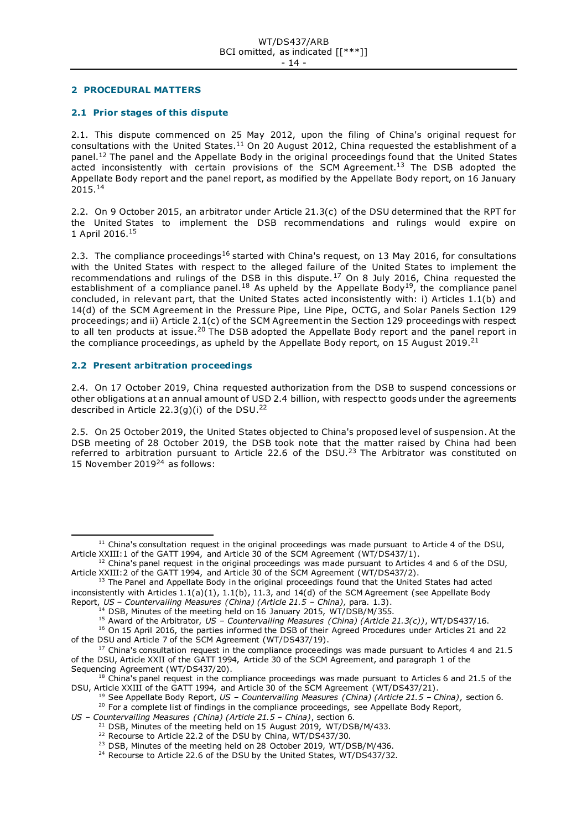#### <span id="page-13-0"></span>**2 PROCEDURAL MATTERS**

## <span id="page-13-1"></span>**2.1 Prior stages of this dispute**

2.1. This dispute commenced on 25 May 2012, upon the filing of China's original request for consultations with the United States.<sup>11</sup> On 20 August 2012, China requested the establishment of a panel.<sup>12</sup> The panel and the Appellate Body in the original proceedings found that the United States  $\frac{1}{2}$  acted inconsistently with certain provisions of the SCM Agreement.<sup>13</sup> The DSB adopted the Appellate Body report and the panel report, as modified by the Appellate Body report, on 16 January 2015.<sup>14</sup>

2.2. On 9 October 2015, an arbitrator under Article 21.3(c) of the DSU determined that the RPT for the United States to implement the DSB recommendations and rulings would expire on 1 April 2016.<sup>15</sup>

2.3. The compliance proceedings<sup>16</sup> started with China's request, on 13 May 2016, for consultations with the United States with respect to the alleged failure of the United States to implement the recommendations and rulings of the DSB in this dispute.<sup>17</sup> On 8 July 2016, China requested the establishment of a compliance panel.<sup>18</sup> As upheld by the Appellate Body<sup>19</sup>, the compliance panel concluded, in relevant part, that the United States acted inconsistently with: i) Articles 1.1(b) and 14(d) of the SCM Agreement in the Pressure Pipe, Line Pipe, OCTG, and Solar Panels Section 129 proceedings; and ii) Article 2.1(c) of the SCM Agreement in the Section 129 proceedings with respect to all ten products at issue.<sup>20</sup> The DSB adopted the Appellate Body report and the panel report in the compliance proceedings, as upheld by the Appellate Body report, on 15 August 2019.<sup>21</sup>

# <span id="page-13-2"></span>**2.2 Present arbitration proceedings**

2.4. On 17 October 2019, China requested authorization from the DSB to suspend concessions or other obligations at an annual amount of USD 2.4 billion, with respect to goods under the agreements described in Article 22.3(g)(i) of the DSU.<sup>22</sup>

2.5. On 25 October 2019, the United States objected to China's proposed level of suspension. At the DSB meeting of 28 October 2019, the DSB took note that the matter raised by China had been referred to arbitration pursuant to Article 22.6 of the DSU.<sup>23</sup> The Arbitrator was constituted on 15 November 2019<sup>24</sup> as follows:

 $11$  China's consultation request in the original proceedings was made pursuant to Article 4 of the DSU, Article XXIII:1 of the GATT 1994, and Article 30 of the SCM Agreement (WT/DS437/1).

 $12$  China's panel request in the original proceedings was made pursuant to Articles 4 and 6 of the DSU, Article XXIII:2 of the GATT 1994, and Article 30 of the SCM Agreement (WT/DS437/2).

 $13$  The Panel and Appellate Body in the original proceedings found that the United States had acted inconsistently with Articles 1.1(a)(1), 1.1(b), 11.3, and 14(d) of the SCM Agreement (see Appellate Body Report, *US – Countervailing Measures (China) (Article 21.5 – China),* para. 1.3).

 $14$  DSB, Minutes of the meeting held on 16 January 2015, WT/DSB/M/355.

<sup>15</sup> Award of the Arbitrator, *US – Countervailing Measures (China) (Article 21.3(c))*, WT/DS437/16.

<sup>&</sup>lt;sup>16</sup> On 15 April 2016, the parties informed the DSB of their Agreed Procedures under Articles 21 and 22 of the DSU and Article 7 of the SCM Agreement (WT/DS437/19).

 $17$  China's consultation request in the compliance proceedings was made pursuant to Articles 4 and 21.5 of the DSU, Article XXII of the GATT 1994, Article 30 of the SCM Agreement, and paragraph 1 of the Sequencing Agreement (WT/DS437/20).

<sup>&</sup>lt;sup>18</sup> China's panel request in the compliance proceedings was made pursuant to Articles 6 and 21.5 of the DSU, Article XXIII of the GATT 1994, and Article 30 of the SCM Agreement (WT/DS437/21).

<sup>19</sup> See Appellate Body Report, *US – Countervailing Measures (China) (Article 21.5 – China)*, section 6. <sup>20</sup> For a complete list of findings in the compliance proceedings, see Appellate Body Report,

*US – Countervailing Measures (China) (Article 21.5 – China)*, section 6.

 $21$  DSB, Minutes of the meeting held on 15 August 2019, WT/DSB/M/433.

<sup>&</sup>lt;sup>22</sup> Recourse to Article 22.2 of the DSU by China, WT/DS437/30.

<sup>&</sup>lt;sup>23</sup> DSB, Minutes of the meeting held on 28 October 2019, WT/DSB/M/436.

<sup>&</sup>lt;sup>24</sup> Recourse to Article 22.6 of the DSU by the United States, WT/DS437/32.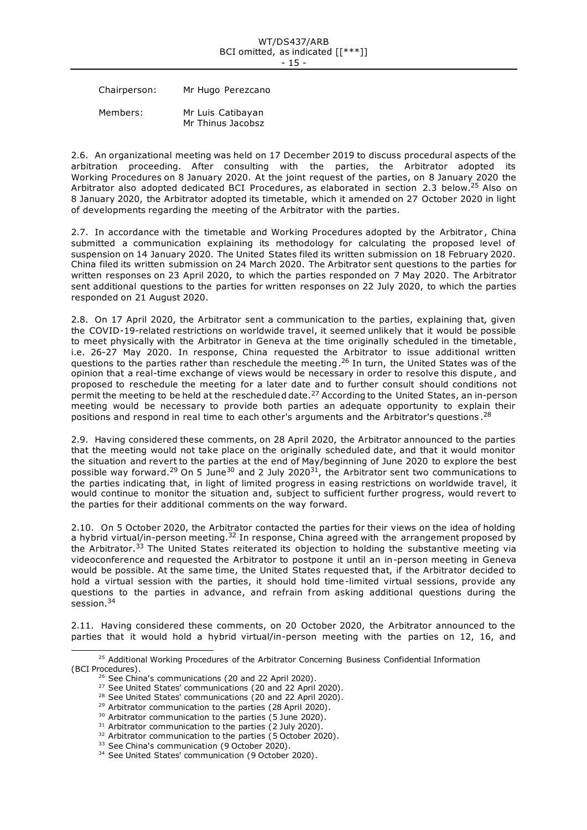Chairperson: Mr Hugo Perezcano

Members: Mr Luis Catibayan Mr Thinus Jacobsz

2.6. An organizational meeting was held on 17 December 2019 to discuss procedural aspects of the arbitration proceeding. After consulting with the parties, the Arbitrator adopted its Working Procedures on 8 January 2020. At the joint request of the parties, on 8 January 2020 the Arbitrator also adopted dedicated BCI Procedures, as elaborated in section 2.3 below.<sup>25</sup> Also on 8 January 2020, the Arbitrator adopted its timetable, which it amended on 27 October 2020 in light of developments regarding the meeting of the Arbitrator with the parties.

2.7. In accordance with the timetable and Working Procedures adopted by the Arbitrator , China submitted a communication explaining its methodology for calculating the proposed level of suspension on 14 January 2020. The United States filed its written submission on 18 February 2020. China filed its written submission on 24 March 2020. The Arbitrator sent questions to the parties for written responses on 23 April 2020, to which the parties responded on 7 May 2020. The Arbitrator sent additional questions to the parties for written responses on 22 July 2020, to which the parties responded on 21 August 2020.

2.8. On 17 April 2020, the Arbitrator sent a communication to the parties, explaining that, given the COVID-19-related restrictions on worldwide travel, it seemed unlikely that it would be possible to meet physically with the Arbitrator in Geneva at the time originally scheduled in the timetable, i.e. 26-27 May 2020. In response, China requested the Arbitrator to issue additional written questions to the parties rather than reschedule the meeting.<sup>26</sup> In turn, the United States was of the opinion that a real-time exchange of views would be necessary in order to resolve this dispute , and proposed to reschedule the meeting for a later date and to further consult should conditions not permit the meeting to be held at the rescheduled date.<sup>27</sup> According to the United States, an in-person meeting would be necessary to provide both parties an adequate opportunity to explain their positions and respond in real time to each other's arguments and the Arbitrator's questions.<sup>28</sup>

2.9. Having considered these comments, on 28 April 2020, the Arbitrator announced to the parties that the meeting would not take place on the originally scheduled date, and that it would monitor the situation and revert to the parties at the end of May/beginning of June 2020 to explore the best possible way forward.<sup>29</sup> On 5 June<sup>30</sup> and 2 July 2020<sup>31</sup>, the Arbitrator sent two communications to the parties indicating that, in light of limited progress in easing restrictions on worldwide travel, it would continue to monitor the situation and, subject to sufficient further progress, would revert to the parties for their additional comments on the way forward.

2.10. On 5 October 2020, the Arbitrator contacted the parties for their views on the idea of holding a hybrid virtual/in-person meeting.<sup>32</sup> In response, China agreed with the arrangement proposed by the Arbitrator.<sup>33</sup> The United States reiterated its objection to holding the substantive meeting via videoconference and requested the Arbitrator to postpone it until an in-person meeting in Geneva would be possible. At the same time, the United States requested that, if the Arbitrator decided to hold a virtual session with the parties, it should hold time-limited virtual sessions, provide any questions to the parties in advance, and refrain from asking additional questions during the session.<sup>34</sup>

2.11. Having considered these comments, on 20 October 2020, the Arbitrator announced to the parties that it would hold a hybrid virtual/in-person meeting with the parties on 12, 16, and

<sup>&</sup>lt;sup>25</sup> Additional Working Procedures of the Arbitrator Concerning Business Confidential Information (BCI Procedures).

<sup>&</sup>lt;sup>26</sup> See China's communications (20 and 22 April 2020).

<sup>&</sup>lt;sup>27</sup> See United States' communications (20 and 22 April 2020).

<sup>&</sup>lt;sup>28</sup> See United States' communications (20 and 22 April 2020).

<sup>&</sup>lt;sup>29</sup> Arbitrator communication to the parties (28 April 2020).

<sup>&</sup>lt;sup>30</sup> Arbitrator communication to the parties (5 June 2020).

 $31$  Arbitrator communication to the parties (2 July 2020).

<sup>&</sup>lt;sup>32</sup> Arbitrator communication to the parties (5 October 2020).

<sup>&</sup>lt;sup>33</sup> See China's communication (9 October 2020).

<sup>&</sup>lt;sup>34</sup> See United States' communication (9 October 2020).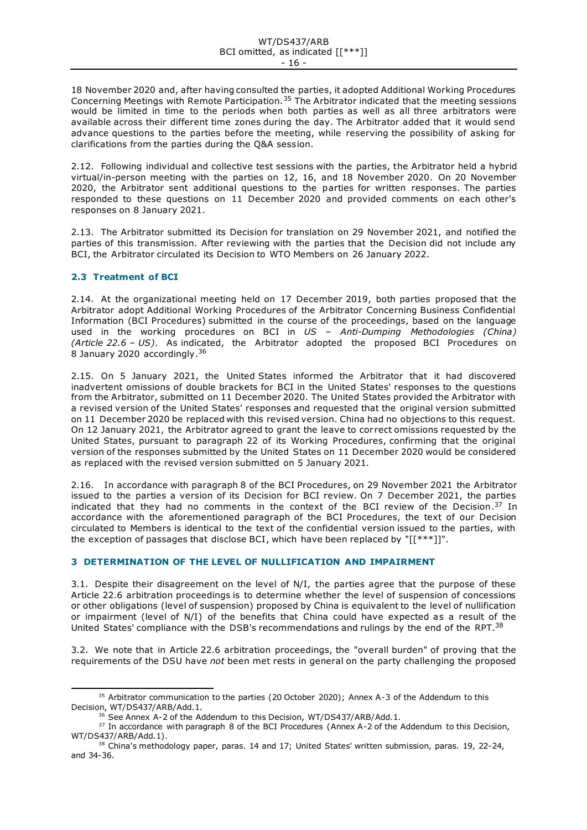18 November 2020 and, after having consulted the parties, it adopted Additional Working Procedures Concerning Meetings with Remote Participation.<sup>35</sup> The Arbitrator indicated that the meeting sessions would be limited in time to the periods when both parties as well as all three arbitrators were available across their different time zones during the day. The Arbitrator added that it would send advance questions to the parties before the meeting, while reserving the possibility of asking for clarifications from the parties during the Q&A session.

2.12. Following individual and collective test sessions with the parties, the Arbitrator held a hybrid virtual/in-person meeting with the parties on 12, 16, and 18 November 2020. On 20 November 2020, the Arbitrator sent additional questions to the parties for written responses. The parties responded to these questions on 11 December 2020 and provided comments on each other's responses on 8 January 2021.

2.13. The Arbitrator submitted its Decision for translation on 29 November 2021, and notified the parties of this transmission. After reviewing with the parties that the Decision did not include any BCI, the Arbitrator circulated its Decision to WTO Members on 26 January 2022.

# <span id="page-15-0"></span>**2.3 Treatment of BCI**

2.14. At the organizational meeting held on 17 December 2019, both parties proposed that the Arbitrator adopt Additional Working Procedures of the Arbitrator Concerning Business Confidential Information (BCI Procedures) submitted in the course of the proceedings, based on the language used in the working procedures on BCI in *US – Anti-Dumping Methodologies (China) (Article 22.6 – US)*. As indicated, the Arbitrator adopted the proposed BCI Procedures on 8 January 2020 accordingly.<sup>36</sup>

2.15. On 5 January 2021, the United States informed the Arbitrator that it had discovered inadvertent omissions of double brackets for BCI in the United States' responses to the questions from the Arbitrator, submitted on 11 December 2020. The United States provided the Arbitrator with a revised version of the United States' responses and requested that the original version submitted on 11 December 2020 be replaced with this revised version. China had no objections to this request. On 12 January 2021, the Arbitrator agreed to grant the leave to cor rect omissions requested by the United States, pursuant to paragraph 22 of its Working Procedures, confirming that the original version of the responses submitted by the United States on 11 December 2020 would be considered as replaced with the revised version submitted on 5 January 2021.

2.16. In accordance with paragraph 8 of the BCI Procedures, on 29 November 2021 the Arbitrator issued to the parties a version of its Decision for BCI review. On 7 December 2021, the parties indicated that they had no comments in the context of the BCI review of the Decision.<sup>37</sup> In accordance with the aforementioned paragraph of the BCI Procedures, the text of our Decision circulated to Members is identical to the text of the confidential version issued to the parties, with the exception of passages that disclose BCI, which have been replaced by "[[\*\*\*]]".

# <span id="page-15-1"></span>**3 DETERMINATION OF THE LEVEL OF NULLIFICATION AND IMPAIRMENT**

3.1. Despite their disagreement on the level of N/I, the parties agree that the purpose of these Article 22.6 arbitration proceedings is to determine whether the level of suspension of concessions or other obligations (level of suspension) proposed by China is equivalent to the level of nullification or impairment (level of N/I) of the benefits that China could have expected as a result of the United States' compliance with the DSB's recommendations and rulings by the end of the RPT.<sup>38</sup>

3.2. We note that in Article 22.6 arbitration proceedings, the "overall burden" of proving that the requirements of the DSU have *not* been met rests in general on the party challenging the proposed

<sup>&</sup>lt;sup>35</sup> Arbitrator communication to the parties (20 October 2020); Annex A-3 of the Addendum to this Decision, WT/DS437/ARB/Add.1.

<sup>&</sup>lt;sup>36</sup> See Annex A-2 of the Addendum to this Decision, WT/DS437/ARB/Add.1.

<sup>&</sup>lt;sup>37</sup> In accordance with paragraph 8 of the BCI Procedures (Annex A-2 of the Addendum to this Decision, WT/DS437/ARB/Add.1).

<sup>&</sup>lt;sup>38</sup> China's methodology paper, paras. 14 and 17; United States' written submission, paras. 19, 22-24, and 34-36.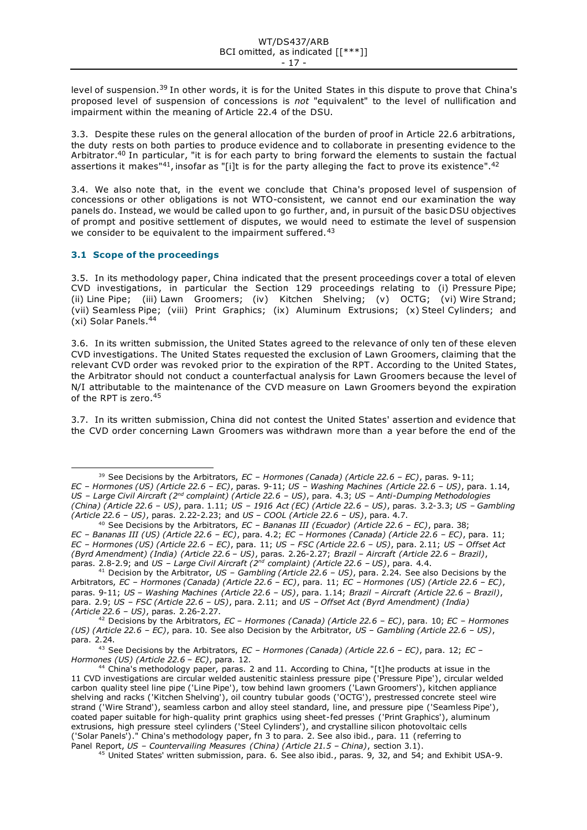level of suspension.<sup>39</sup> In other words, it is for the United States in this dispute to prove that China's proposed level of suspension of concessions is *not* "equivalent" to the level of nullification and impairment within the meaning of Article 22.4 of the DSU.

3.3. Despite these rules on the general allocation of the burden of proof in Article 22.6 arbitrations, the duty rests on both parties to produce evidence and to collaborate in presenting evidence to the Arbitrator.<sup>40</sup> In particular, "it is for each party to bring forward the elements to sustain the factual assertions it makes"<sup>41</sup>, insofar as "[i]t is for the party alleging the fact to prove its existence".<sup>42</sup>

3.4. We also note that, in the event we conclude that China's proposed level of suspension of concessions or other obligations is not WTO-consistent, we cannot end our examination the way panels do. Instead, we would be called upon to go further, and, in pursuit of the basic DSU objectives of prompt and positive settlement of disputes, we would need to estimate the level of suspension we consider to be equivalent to the impairment suffered.<sup>43</sup>

# <span id="page-16-0"></span>**3.1 Scope of the proceedings**

3.5. In its methodology paper, China indicated that the present proceedings cover a total of eleven CVD investigations, in particular the Section 129 proceedings relating to (i) Pressure Pipe; (ii) Line Pipe; (iii) Lawn Groomers; (iv) Kitchen Shelving; (v) OCTG; (vi) Wire Strand; (vii) Seamless Pipe; (viii) Print Graphics; (ix) Aluminum Extrusions; (x) Steel Cylinders; and (xi) Solar Panels. 44

3.6. In its written submission, the United States agreed to the relevance of only ten of these eleven CVD investigations. The United States requested the exclusion of Lawn Groomers, claiming that the relevant CVD order was revoked prior to the expiration of the RPT. According to the United States, the Arbitrator should not conduct a counterfactual analysis for Lawn Groomers because the level of N/I attributable to the maintenance of the CVD measure on Lawn Groomers beyond the expiration of the RPT is zero.<sup>45</sup>

3.7. In its written submission, China did not contest the United States' assertion and evidence that the CVD order concerning Lawn Groomers was withdrawn more than a year before the end of the

<sup>39</sup> See Decisions by the Arbitrators, *EC – Hormones (Canada) (Article 22.6 – EC)*, paras. 9-11; *EC – Hormones (US) (Article 22.6 – EC)*, paras. 9-11; *US – Washing Machines (Article 22.6 – US)*, para. 1.14, *US – Large Civil Aircraft (2nd complaint) (Article 22.6 – US)*, para. 4.3; *US – Anti-Dumping Methodologies (China) (Article 22.6 – US)*, para. 1.11; *US – 1916 Act (EC) (Article 22.6 – US)*, paras. 3.2-3.3; *US – Gambling (Article 22.6 – US)*, paras. 2.22-2.23; and *US – COOL (Article 22.6 – US)*, para. 4.7.

<sup>40</sup> See Decisions by the Arbitrators, *EC – Bananas III (Ecuador) (Article 22.6 – EC)*, para. 38; *EC – Bananas III (US) (Article 22.6 – EC)*, para. 4.2; *EC – Hormones (Canada) (Article 22.6 – EC)*, para. 11; *EC – Hormones (US) (Article 22.6 – EC)*, para. 11; *US – FSC (Article 22.6 – US)*, para. 2.11; *US – Offset Act (Byrd Amendment) (India) (Article 22.6 – US)*, paras. 2.26-2.27; *Brazil – Aircraft (Article 22.6 – Brazil)*, paras. 2.8-2.9; and *US – Large Civil Aircraft (2nd complaint) (Article 22.6 – US)*, para. 4.4.

<sup>41</sup> Decision by the Arbitrator, *US – Gambling (Article 22.6 – US)*, para. 2.24. See also Decisions by the Arbitrators, *EC – Hormones (Canada) (Article 22.6 – EC)*, para. 11; *EC – Hormones (US) (Article 22.6 – EC)*, paras. 9-11; *US – Washing Machines (Article 22.6 – US)*, para. 1.14; *Brazil – Aircraft (Article 22.6 – Brazil)*, para. 2.9; *US – FSC (Article 22.6 – US)*, para. 2.11; and *US – Offset Act (Byrd Amendment) (India) (Article 22.6 – US)*, paras. 2.26-2.27.

<sup>42</sup> Decisions by the Arbitrators, *EC – Hormones (Canada) (Article 22.6 – EC)*, para. 10; *EC – Hormones (US) (Article 22.6 – EC)*, para. 10. See also Decision by the Arbitrator, *US – Gambling (Article 22.6 – US)*, para. 2.24.

<sup>43</sup> See Decisions by the Arbitrators, *EC – Hormones (Canada) (Article 22.6 – EC)*, para. 12; *EC – Hormones (US) (Article 22.6 – EC)*, para. 12.

<sup>44</sup> China's methodology paper, paras. 2 and 11. According to China, "[t]he products at issue in the 11 CVD investigations are circular welded austenitic stainless pressure pipe ('Pressure Pipe'), circular welded carbon quality steel line pipe ('Line Pipe'), tow behind lawn groomers ('Lawn Groomers'), kitchen appliance shelving and racks ('Kitchen Shelving'), oil country tubular goods ('OCTG'), prestressed concrete steel wire strand ('Wire Strand'), seamless carbon and alloy steel standard, line, and pressure pipe ('Seamless Pipe'), coated paper suitable for high-quality print graphics using sheet-fed presses ('Print Graphics'), aluminum extrusions, high pressure steel cylinders ('Steel Cylinders'), and crystalline silicon photovoltaic cells ('Solar Panels')." China's methodology paper, fn 3 to para. 2. See also ibid., para. 11 (referring to Panel Report, *US – Countervailing Measures (China) (Article 21.5 – China)*, section 3.1).

<sup>&</sup>lt;sup>45</sup> United States' written submission, para. 6. See also ibid., paras. 9, 32, and 54; and Exhibit USA-9.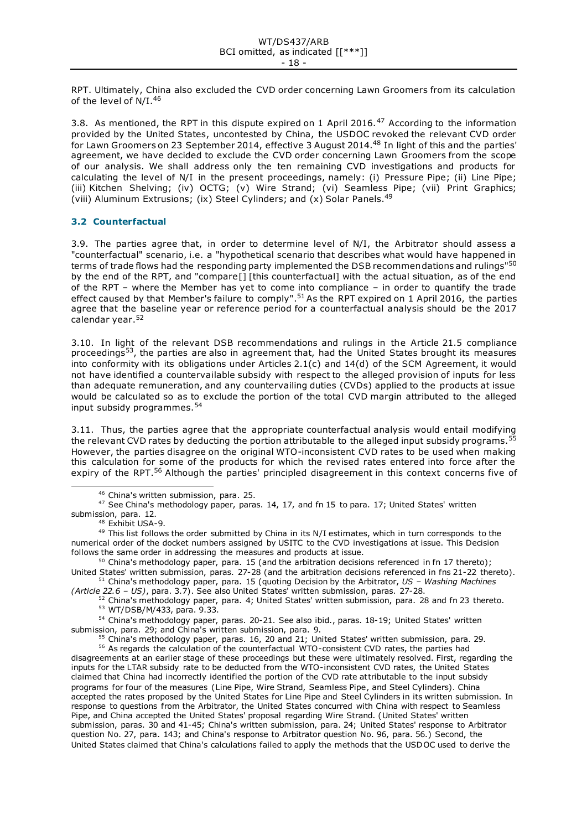RPT. Ultimately, China also excluded the CVD order concerning Lawn Groomers from its calculation of the level of N/I.<sup>46</sup>

3.8. As mentioned, the RPT in this dispute expired on 1 April 2016.<sup>47</sup> According to the information provided by the United States, uncontested by China, the USDOC revoked the relevant CVD order for Lawn Groomers on 23 September 2014, effective 3 August 2014. <sup>48</sup> In light of this and the parties' agreement, we have decided to exclude the CVD order concerning Lawn Groomers from the scope of our analysis. We shall address only the ten remaining CVD investigations and products for calculating the level of N/I in the present proceedings, namely: (i) Pressure Pipe; (ii) Line Pipe; (iii) Kitchen Shelving; (iv) OCTG; (v) Wire Strand; (vi) Seamless Pipe; (vii) Print Graphics; (viii) Aluminum Extrusions; (ix) Steel Cylinders; and (x) Solar Panels.<sup>49</sup>

# <span id="page-17-0"></span>**3.2 Counterfactual**

3.9. The parties agree that, in order to determine level of N/I, the Arbitrator should assess a "counterfactual" scenario, i.e. a "hypothetical scenario that describes what would have happened in terms of trade flows had the responding party implemented the DSB recommendations and rulings"<sup>50</sup> by the end of the RPT, and "compare[] [this counterfactual] with the actual situation, as of the end of the RPT – where the Member has yet to come into compliance – in order to quantify the trade effect caused by that Member's failure to comply".<sup>51</sup> As the RPT expired on 1 April 2016, the parties agree that the baseline year or reference period for a counterfactual analysis should be the 2017 calendar year.<sup>52</sup>

3.10. In light of the relevant DSB recommendations and rulings in the Article 21.5 compliance proceedings53, the parties are also in agreement that, had the United States brought its measures into conformity with its obligations under Articles 2.1(c) and 14(d) of the SCM Agreement, it would not have identified a countervailable subsidy with respect to the alleged provision of inputs for less than adequate remuneration, and any countervailing duties (CVDs) applied to the products at issue would be calculated so as to exclude the portion of the total CVD margin attributed to the alleged input subsidy programmes.<sup>54</sup>

3.11. Thus, the parties agree that the appropriate counterfactual analysis would entail modifying the relevant CVD rates by deducting the portion attributable to the alleged input subsidy programs.<sup>55</sup> However, the parties disagree on the original WTO-inconsistent CVD rates to be used when making this calculation for some of the products for which the revised rates entered into force after the expiry of the RPT.<sup>56</sup> Although the parties' principled disagreement in this context concerns five of

<sup>47</sup> See China's methodology paper, paras. 14, 17, and fn 15 to para. 17; United States' written submission, para. 12.

49 This list follows the order submitted by China in its N/I estimates, which in turn corresponds to the numerical order of the docket numbers assigned by USITC to the CVD investigations at issue. This Decision follows the same order in addressing the measures and products at issue.

<sup>50</sup> China's methodology paper, para. 15 (and the arbitration decisions referenced in fn 17 thereto); United States' written submission, paras. 27-28 (and the arbitration decisions referenced in fns 21-22 thereto).

<sup>51</sup> China's methodology paper, para. 15 (quoting Decision by the Arbitrator, *US – Washing Machines (Article 22.6 – US)*, para. 3.7). See also United States' written submission, paras. 27-28.

54 China's methodology paper, paras. 20-21. See also ibid., paras. 18-19; United States' written submission, para. 29; and China's written submission, para. 9.

<sup>55</sup> China's methodology paper, paras. 16, 20 and 21; United States' written submission, para. 29.

<sup>56</sup> As regards the calculation of the counterfactual WTO-consistent CVD rates, the parties had disagreements at an earlier stage of these proceedings but these were ultimately resolved. First, regarding the inputs for the LTAR subsidy rate to be deducted from the WTO-inconsistent CVD rates, the United States claimed that China had incorrectly identified the portion of the CVD rate attributable to the input subsidy programs for four of the measures (Line Pipe, Wire Strand, Seamless Pipe, and Steel Cylinders). China accepted the rates proposed by the United States for Line Pipe and Steel Cylinders in its written submission. In response to questions from the Arbitrator, the United States concurred with China with respect to Seamless Pipe, and China accepted the United States' proposal regarding Wire Strand. (United States' written submission, paras. 30 and 41-45; China's written submission, para. 24; United States' response to Arbitrator question No. 27, para. 143; and China's response to Arbitrator question No. 96, para. 56.) Second, the United States claimed that China's calculations failed to apply the methods that the USDOC used to derive the

<sup>46</sup> China's written submission, para. 25.

<sup>48</sup> Exhibit USA-9.

 $52$  China's methodology paper, para. 4; United States' written submission, para. 28 and fn 23 thereto. <sup>53</sup> WT/DSB/M/433, para. 9.33.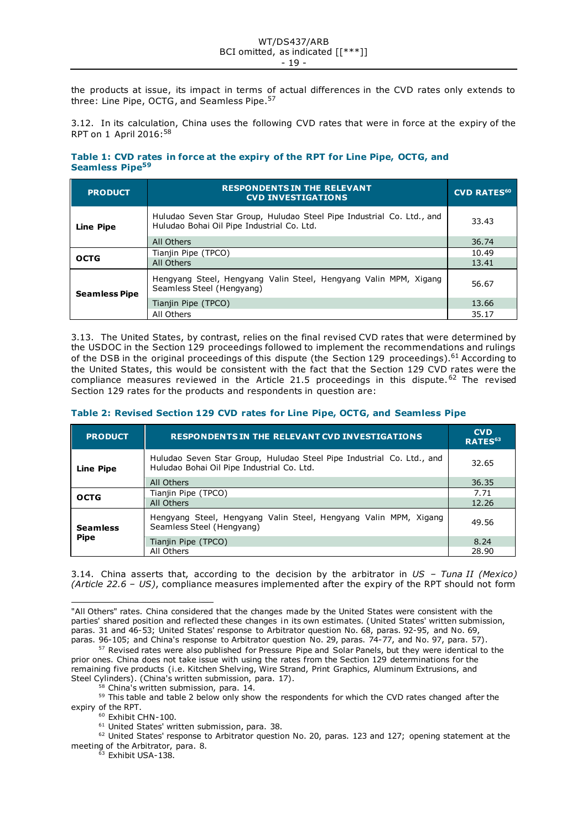the products at issue, its impact in terms of actual differences in the CVD rates only extends to three: Line Pipe, OCTG, and Seamless Pipe.<sup>57</sup>

3.12. In its calculation, China uses the following CVD rates that were in force at the expiry of the RPT on 1 April 2016:<sup>58</sup>

### **Table 1: CVD rates in force at the expiry of the RPT for Line Pipe, OCTG, and Seamless Pipe<sup>59</sup>**

| <b>PRODUCT</b>       | <b>RESPONDENTS IN THE RELEVANT</b><br><b>CVD INVESTIGATIONS</b>                                                     | <b>CVD RATES<sup>60</sup></b> |
|----------------------|---------------------------------------------------------------------------------------------------------------------|-------------------------------|
| Line Pipe            | Huludao Seven Star Group, Huludao Steel Pipe Industrial Co. Ltd., and<br>Huludao Bohai Oil Pipe Industrial Co. Ltd. | 33.43                         |
|                      | All Others                                                                                                          | 36.74                         |
| <b>OCTG</b>          | Tianjin Pipe (TPCO)                                                                                                 | 10.49                         |
|                      | All Others                                                                                                          | 13.41                         |
| <b>Seamless Pipe</b> | Hengyang Steel, Hengyang Valin Steel, Hengyang Valin MPM, Xigang<br>Seamless Steel (Hengyang)                       | 56.67                         |
|                      | Tianjin Pipe (TPCO)                                                                                                 | 13.66                         |
|                      | All Others                                                                                                          | 35.17                         |

3.13. The United States, by contrast, relies on the final revised CVD rates that were determined by the USDOC in the Section 129 proceedings followed to implement the recommendations and rulings of the DSB in the original proceedings of this dispute (the Section 129 proceedings).<sup>61</sup> According to the United States, this would be consistent with the fact that the Section 129 CVD rates were the compliance measures reviewed in the Article 21.5 proceedings in this dispute.<sup>62</sup> The revised Section 129 rates for the products and respondents in question are:

|  |  |  |  | Table 2: Revised Section 129 CVD rates for Line Pipe, OCTG, and Seamless Pipe |
|--|--|--|--|-------------------------------------------------------------------------------|
|--|--|--|--|-------------------------------------------------------------------------------|

| <b>PRODUCT</b>                 | <b>RESPONDENTS IN THE RELEVANT CVD INVESTIGATIONS</b>                                                               | <b>CVD</b><br>RATES <sup>63</sup> |
|--------------------------------|---------------------------------------------------------------------------------------------------------------------|-----------------------------------|
| <b>Line Pipe</b>               | Huludao Seven Star Group, Huludao Steel Pipe Industrial Co. Ltd., and<br>Huludao Bohai Oil Pipe Industrial Co. Ltd. | 32.65                             |
|                                | All Others                                                                                                          | 36.35                             |
| <b>OCTG</b>                    | Tianjin Pipe (TPCO)                                                                                                 | 7.71                              |
|                                | All Others                                                                                                          | 12.26                             |
| <b>Seamless</b><br><b>Pipe</b> | Hengyang Steel, Hengyang Valin Steel, Hengyang Valin MPM, Xigang<br>Seamless Steel (Hengyang)                       | 49.56                             |
|                                | Tianjin Pipe (TPCO)                                                                                                 | 8.24                              |
|                                | All Others                                                                                                          | 28.90                             |

3.14. China asserts that, according to the decision by the arbitrator in *US – Tuna II (Mexico) (Article 22.6 – US)*, compliance measures implemented after the expiry of the RPT should not form

58 China's written submission, para. 14.

<sup>59</sup> This table and table 2 below only show the respondents for which the CVD rates changed after the expiry of the RPT.

<sup>60</sup> Exhibit CHN-100.

 $62$  United States' response to Arbitrator question No. 20, paras. 123 and 127; opening statement at the meeting of the Arbitrator, para. 8.

 $63$  Exhibit USA-138.

<sup>&</sup>quot;All Others" rates. China considered that the changes made by the United States were consistent with the parties' shared position and reflected these changes in its own estimates. (United States' written submission, paras. 31 and 46-53; United States' response to Arbitrator question No. 68, paras. 92-95, and No. 69, paras. 96-105; and China's response to Arbitrator question No. 29, paras. 74-77, and No. 97, para. 57).

<sup>&</sup>lt;sup>57</sup> Revised rates were also published for Pressure Pipe and Solar Panels, but they were identical to the prior ones. China does not take issue with using the rates from the Section 129 determinations for the remaining five products (i.e. Kitchen Shelving, Wire Strand, Print Graphics, Aluminum Extrusions, and Steel Cylinders). (China's written submission, para. 17).

<sup>&</sup>lt;sup>61</sup> United States' written submission, para. 38.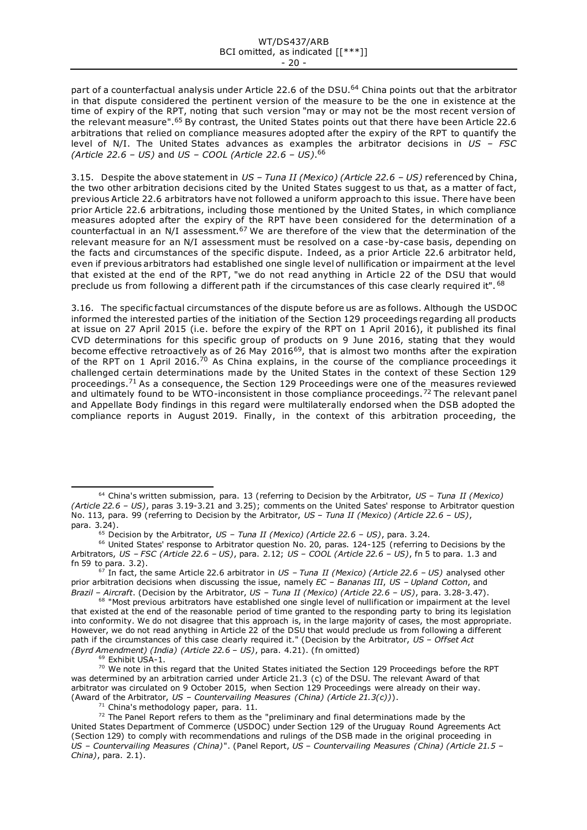part of a counterfactual analysis under Article 22.6 of the DSU.<sup>64</sup> China points out that the arbitrator in that dispute considered the pertinent version of the measure to be the one in existence at the time of expiry of the RPT, noting that such version "may or may not be the most recent version of the relevant measure".<sup>65</sup> By contrast, the United States points out that there have been Article 22.6 arbitrations that relied on compliance measures adopted after the expiry of the RPT to quantify the level of N/I. The United States advances as examples the arbitrator decisions in *US – FSC (Article 22.6 – US)* and *US – COOL (Article 22.6 – US)*. 66

3.15. Despite the above statement in *US – Tuna II (Mexico) (Article 22.6 – US)* referenced by China, the two other arbitration decisions cited by the United States suggest to us that, as a matter of fact, previous Article 22.6 arbitrators have not followed a uniform approach to this issue. There have been prior Article 22.6 arbitrations, including those mentioned by the United States, in which compliance measures adopted after the expiry of the RPT have been considered for the determination of a counterfactual in an N/I assessment.<sup>67</sup> We are therefore of the view that the determination of the relevant measure for an N/I assessment must be resolved on a case -by-case basis, depending on the facts and circumstances of the specific dispute. Indeed, as a prior Article 22.6 arbitrator held, even if previous arbitrators had established one single level of nullification or impairment at the level that existed at the end of the RPT, "we do not read anything in Article 22 of the DSU that would preclude us from following a different path if the circumstances of this case clearly required it". <sup>68</sup>

3.16. The specific factual circumstances of the dispute before us are as follows. Although the USDOC informed the interested parties of the initiation of the Section 129 proceedings regarding all products at issue on 27 April 2015 (i.e. before the expiry of the RPT on 1 April 2016), it published its final CVD determinations for this specific group of products on 9 June 2016, stating that they would become effective retroactively as of 26 May 2016<sup>69</sup>, that is almost two months after the expiration of the RPT on 1 April 2016.<sup>70</sup> As China explains, in the course of the compliance proceedings it challenged certain determinations made by the United States in the context of these Section 129 proceedings.<sup>71</sup> As a consequence, the Section 129 Proceedings were one of the measures reviewed and ultimately found to be WTO-inconsistent in those compliance proceedings.<sup>72</sup> The relevant panel and Appellate Body findings in this regard were multilaterally endorsed when the DSB adopted the compliance reports in August 2019. Finally, in the context of this arbitration proceeding, the

<sup>69</sup> Exhibit USA-1.

<sup>64</sup> China's written submission, para. 13 (referring to Decision by the Arbitrator, *US – Tuna II (Mexico) (Article 22.6 – US)*, paras 3.19-3.21 and 3.25); comments on the United Sates' response to Arbitrator question No. 113, para. 99 (referring to Decision by the Arbitrator, *US – Tuna II (Mexico) (Article 22.6 – US)*, para. 3.24).

<sup>65</sup> Decision by the Arbitrator, *US – Tuna II (Mexico) (Article 22.6 – US)*, para. 3.24.

<sup>66</sup> United States' response to Arbitrator question No. 20, paras. 124-125 (referring to Decisions by the Arbitrators, *US – FSC (Article 22.6 – US)*, para. 2.12; *US – COOL (Article 22.6 – US)*, fn 5 to para. 1.3 and fn 59 to para. 3.2).

<sup>67</sup> In fact, the same Article 22.6 arbitrator in *US – Tuna II (Mexico) (Article 22.6 – US)* analysed other prior arbitration decisions when discussing the issue, namely *EC – Bananas III*, *US – Upland Cotton*, and *Brazil – Aircraft*. (Decision by the Arbitrator, *US – Tuna II (Mexico) (Article 22.6 – US)*, para. 3.28-3.47).

<sup>&</sup>lt;sup>68</sup> "Most previous arbitrators have established one single level of nullification or impairment at the level that existed at the end of the reasonable period of time granted to the responding party to bring its legislation into conformity. We do not disagree that this approach is, in the large majority of cases, the most appropriate. However, we do not read anything in Article 22 of the DSU that would preclude us from following a different path if the circumstances of this case clearly required it." (Decision by the Arbitrator, *US – Offset Act (Byrd Amendment) (India) (Article 22.6 – US)*, para. 4.21). (fn omitted)

 $70$  We note in this regard that the United States initiated the Section 129 Proceedings before the RPT was determined by an arbitration carried under Article 21.3 (c) of the DSU. The relevant Award of that arbitrator was circulated on 9 October 2015, when Section 129 Proceedings were already on their way. (Award of the Arbitrator, *US – Countervailing Measures (China) (Article 21.3(c))*).

 $71$  China's methodology paper, para. 11.

 $72$  The Panel Report refers to them as the "preliminary and final determinations made by the United States Department of Commerce (USDOC) under Section 129 of the Uruguay Round Agreements Act (Section 129) to comply with recommendations and rulings of the DSB made in the original proceeding in *US – Countervailing Measures (China)*". (Panel Report, *US – Countervailing Measures (China) (Article 21.5 – China)*, para. 2.1).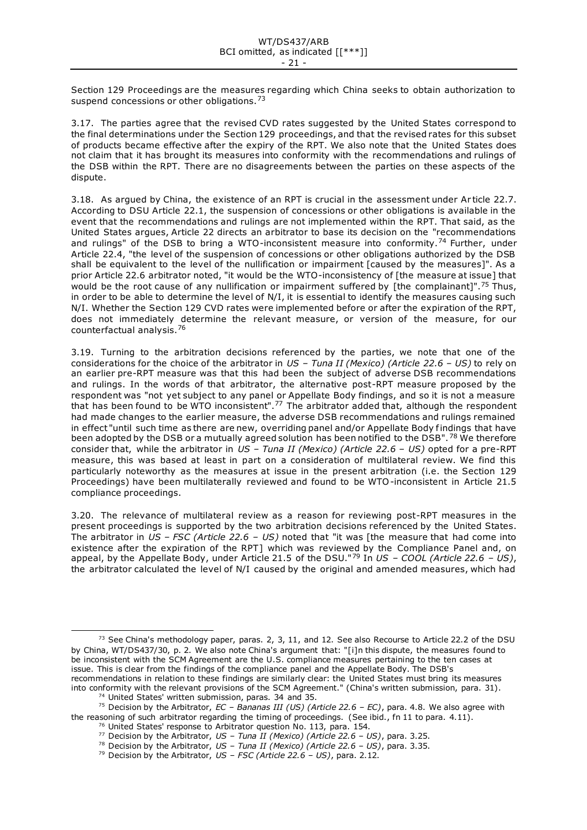Section 129 Proceedings are the measures regarding which China seeks to obtain authorization to suspend concessions or other obligations.<sup>73</sup>

3.17. The parties agree that the revised CVD rates suggested by the United States correspond to the final determinations under the Section 129 proceedings, and that the revised rates for this subset of products became effective after the expiry of the RPT. We also note that the United States does not claim that it has brought its measures into conformity with the recommendations and rulings of the DSB within the RPT. There are no disagreements between the parties on these aspects of the dispute.

3.18. As argued by China, the existence of an RPT is crucial in the assessment under Ar ticle 22.7. According to DSU Article 22.1, the suspension of concessions or other obligations is available in the event that the recommendations and rulings are not implemented within the RPT. That said, as the United States argues, Article 22 directs an arbitrator to base its decision on the "recommendations and rulings" of the DSB to bring a WTO-inconsistent measure into conformity.<sup>74</sup> Further, under Article 22.4, "the level of the suspension of concessions or other obligations authorized by the DSB shall be equivalent to the level of the nullification or impairment [caused by the measures]". As a prior Article 22.6 arbitrator noted, "it would be the WTO-inconsistency of [the measure at issue] that would be the root cause of any nullification or impairment suffered by [the complainant]".<sup>75</sup> Thus, in order to be able to determine the level of N/I, it is essential to identify the measures causing such N/I. Whether the Section 129 CVD rates were implemented before or after the expiration of the RPT, does not immediately determine the relevant measure, or version of the measure, for our counterfactual analysis.<sup>76</sup>

3.19. Turning to the arbitration decisions referenced by the parties, we note that one of the considerations for the choice of the arbitrator in *US – Tuna II (Mexico) (Article 22.6 – US)* to rely on an earlier pre-RPT measure was that this had been the subject of adverse DSB recommendations and rulings. In the words of that arbitrator, the alternative post-RPT measure proposed by the respondent was "not yet subject to any panel or Appellate Body findings, and so it is not a measure that has been found to be WTO inconsistent".<sup>77</sup> The arbitrator added that, although the respondent had made changes to the earlier measure, the adverse DSB recommendations and rulings remained in effect "until such time as there are new, overriding panel and/or Appellate Body findings that have been adopted by the DSB or a mutually agreed solution has been notified to the DSB". <sup>78</sup> We therefore consider that, while the arbitrator in *US – Tuna II (Mexico) (Article 22.6 – US)* opted for a pre-RPT measure, this was based at least in part on a consideration of multilateral review. We find this particularly noteworthy as the measures at issue in the present arbitration (i.e. the Section 129 Proceedings) have been multilaterally reviewed and found to be WTO-inconsistent in Article 21.5 compliance proceedings.

3.20. The relevance of multilateral review as a reason for reviewing post-RPT measures in the present proceedings is supported by the two arbitration decisions referenced by the United States. The arbitrator in *US – FSC (Article 22.6 – US)* noted that "it was [the measure that had come into existence after the expiration of the RPT] which was reviewed by the Compliance Panel and, on appeal, by the Appellate Body, under Article 21.5 of the DSU."<sup>79</sup> In *US – COOL (Article 22.6 – US)*, the arbitrator calculated the level of N/I caused by the original and amended measures, which had

<sup>77</sup> Decision by the Arbitrator, *US – Tuna II (Mexico) (Article 22.6 – US)*, para. 3.25.

 $73$  See China's methodology paper, paras. 2, 3, 11, and 12. See also Recourse to Article 22.2 of the DSU by China, WT/DS437/30, p. 2. We also note China's argument that: "[i]n this dispute, the measures found to be inconsistent with the SCM Agreement are the U.S. compliance measures pertaining to the ten cases at issue. This is clear from the findings of the compliance panel and the Appellate Body. The DSB's recommendations in relation to these findings are similarly clear: the United States must bring its measures into conformity with the relevant provisions of the SCM Agreement." (China's written submission, para. 31).

<sup>74</sup> United States' written submission, paras. 34 and 35.

<sup>75</sup> Decision by the Arbitrator, *EC – Bananas III (US) (Article 22.6 – EC)*, para. 4.8. We also agree with the reasoning of such arbitrator regarding the timing of proceedings. (See ibid., fn 11 to para. 4.11).

<sup>&</sup>lt;sup>76</sup> United States' response to Arbitrator question No. 113, para. 154.

<sup>78</sup> Decision by the Arbitrator, *US – Tuna II (Mexico) (Article 22.6 – US)*, para. 3.35.

<sup>79</sup> Decision by the Arbitrator, *US – FSC (Article 22.6 – US)*, para. 2.12.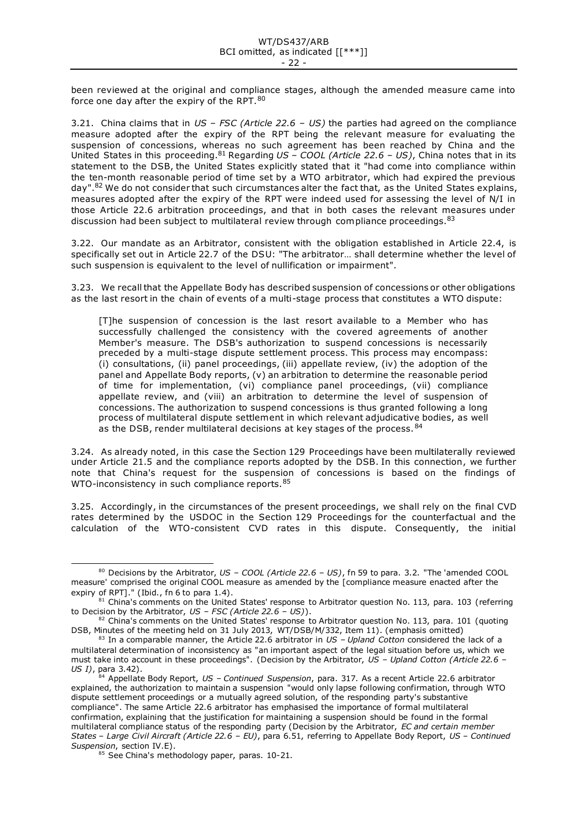been reviewed at the original and compliance stages, although the amended measure came into force one day after the expiry of the RPT.<sup>80</sup>

3.21. China claims that in *US – FSC (Article 22.6 – US)* the parties had agreed on the compliance measure adopted after the expiry of the RPT being the relevant measure for evaluating the suspension of concessions, whereas no such agreement has been reached by China and the United States in this proceeding.<sup>81</sup> Regarding *US – COOL (Article 22.6 – US)*, China notes that in its statement to the DSB, the United States explicitly stated that it "had come into compliance within the ten-month reasonable period of time set by a WTO arbitrator, which had expired the previous day".<sup>82</sup> We do not consider that such circumstances alter the fact that, as the United States explains, measures adopted after the expiry of the RPT were indeed used for assessing the level of N/I in those Article 22.6 arbitration proceedings, and that in both cases the relevant measures under discussion had been subject to multilateral review through compliance proceedings. 83

3.22. Our mandate as an Arbitrator, consistent with the obligation established in Article 22.4, is specifically set out in Article 22.7 of the DSU: "The arbitrator… shall determine whether the level of such suspension is equivalent to the level of nullification or impairment".

3.23. We recall that the Appellate Body has described suspension of concessions or other obligations as the last resort in the chain of events of a multi-stage process that constitutes a WTO dispute:

[T]he suspension of concession is the last resort available to a Member who has successfully challenged the consistency with the covered agreements of another Member's measure. The DSB's authorization to suspend concessions is necessarily preceded by a multi-stage dispute settlement process. This process may encompass: (i) consultations, (ii) panel proceedings, (iii) appellate review, (iv) the adoption of the panel and Appellate Body reports, (v) an arbitration to determine the reasonable period of time for implementation, (vi) compliance panel proceedings, (vii) compliance appellate review, and (viii) an arbitration to determine the level of suspension of concessions. The authorization to suspend concessions is thus granted following a long process of multilateral dispute settlement in which relevant adjudicative bodies, as well as the DSB, render multilateral decisions at key stages of the process. 84

3.24. As already noted, in this case the Section 129 Proceedings have been multilaterally reviewed under Article 21.5 and the compliance reports adopted by the DSB. In this connection, we further note that China's request for the suspension of concessions is based on the findings of WTO-inconsistency in such compliance reports. 85

3.25. Accordingly, in the circumstances of the present proceedings, we shall rely on the final CVD rates determined by the USDOC in the Section 129 Proceedings for the counterfactual and the calculation of the WTO-consistent CVD rates in this dispute. Consequently, the initial

<sup>80</sup> Decisions by the Arbitrator, *US – COOL (Article 22.6 – US)*, fn 59 to para. 3.2. "The 'amended COOL measure' comprised the original COOL measure as amended by the [compliance measure enacted after the expiry of RPT]." (Ibid., fn 6 to para 1.4).

<sup>81</sup> China's comments on the United States' response to Arbitrator question No. 113, para. 103 (referring to Decision by the Arbitrator, *US – FSC (Article 22.6 – US)*).

<sup>82</sup> China's comments on the United States' response to Arbitrator question No. 113, para. 101 (quoting DSB, Minutes of the meeting held on 31 July 2013, WT/DSB/M/332, Item 11). (emphasis omitted)

<sup>83</sup> In a comparable manner, the Article 22.6 arbitrator in *US – Upland Cotton* considered the lack of a multilateral determination of inconsistency as "an important aspect of the legal situation before us, which we must take into account in these proceedings". (Decision by the Arbitrator, *US – Upland Cotton (Article 22.6 – US I)*, para 3.42).

<sup>84</sup> Appellate Body Report, *US – Continued Suspension*, para. 317. As a recent Article 22.6 arbitrator explained, the authorization to maintain a suspension "would only lapse following confirmation, through WTO dispute settlement proceedings or a mutually agreed solution, of the responding party's substantive compliance". The same Article 22.6 arbitrator has emphasised the importance of formal multilateral confirmation, explaining that the justification for maintaining a suspension should be found in the formal multilateral compliance status of the responding party (Decision by the Arbitrator, *EC and certain member States – Large Civil Aircraft (Article 22.6 – EU)*, para 6.51, referring to Appellate Body Report, *US – Continued Suspension*, section IV.E).

<sup>85</sup> See China's methodology paper, paras. 10-21.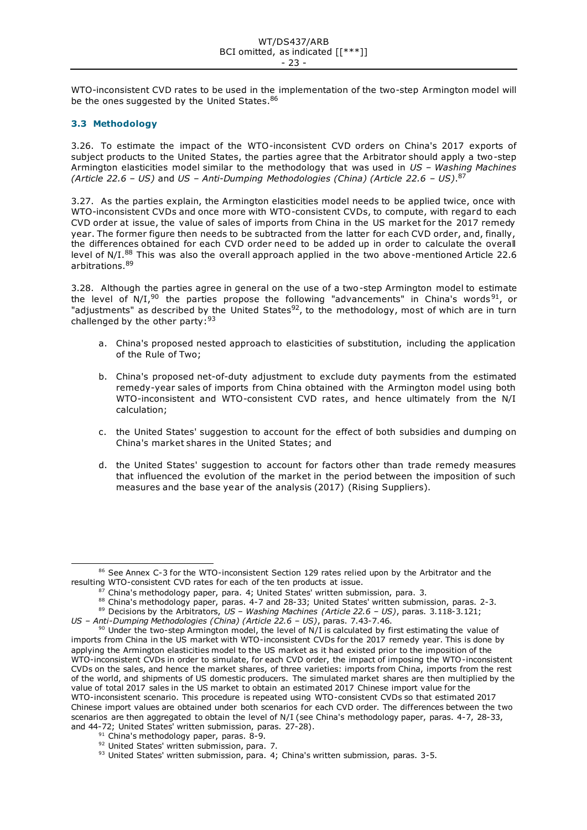WTO-inconsistent CVD rates to be used in the implementation of the two-step Armington model will be the ones suggested by the United States.<sup>86</sup>

# <span id="page-22-0"></span>**3.3 Methodology**

3.26. To estimate the impact of the WTO-inconsistent CVD orders on China's 2017 exports of subject products to the United States, the parties agree that the Arbitrator should apply a two-step Armington elasticities model similar to the methodology that was used in *US – Washing Machines (Article 22.6 – US)* and *US – Anti-Dumping Methodologies (China) (Article 22.6 – US)*. 87

3.27. As the parties explain, the Armington elasticities model needs to be applied twice, once with WTO-inconsistent CVDs and once more with WTO-consistent CVDs, to compute, with regard to each CVD order at issue, the value of sales of imports from China in the US market for the 2017 remedy year. The former figure then needs to be subtracted from the latter for each CVD order, and, finally, the differences obtained for each CVD order need to be added up in order to calculate the overall level of N/I.<sup>88</sup> This was also the overall approach applied in the two above-mentioned Article 22.6 arbitrations.<sup>89</sup>

3.28. Although the parties agree in general on the use of a two-step Armington model to estimate the level of  $N/I$ ,<sup>90</sup> the parties propose the following "advancements" in China's words<sup>91</sup>, or "adjustments" as described by the United States<sup>92</sup>, to the methodology, most of which are in turn challenged by the other party:  $93$ 

- a. China's proposed nested approach to elasticities of substitution, including the application of the Rule of Two;
- b. China's proposed net-of-duty adjustment to exclude duty payments from the estimated remedy-year sales of imports from China obtained with the Armington model using both WTO-inconsistent and WTO-consistent CVD rates, and hence ultimately from the N/I calculation;
- c. the United States' suggestion to account for the effect of both subsidies and dumping on China's market shares in the United States; and
- d. the United States' suggestion to account for factors other than trade remedy measures that influenced the evolution of the market in the period between the imposition of such measures and the base year of the analysis (2017) (Rising Suppliers).

<sup>86</sup> See Annex C-3 for the WTO-inconsistent Section 129 rates relied upon by the Arbitrator and the resulting WTO-consistent CVD rates for each of the ten products at issue.

China's methodology paper, para. 4; United States' written submission, para. 3.

<sup>88</sup> China's methodology paper, paras. 4-7 and 28-33; United States' written submission, paras. 2-3.

<sup>89</sup> Decisions by the Arbitrators, *US – Washing Machines (Article 22.6 – US)*, paras. 3.118-3.121;

*US – Anti-Dumping Methodologies (China) (Article 22.6 – US)*, paras. 7.43-7.46.

 $90$  Under the two-step Armington model, the level of N/I is calculated by first estimating the value of imports from China in the US market with WTO-inconsistent CVDs for the 2017 remedy year. This is done by applying the Armington elasticities model to the US market as it had existed prior to the imposition of the WTO-inconsistent CVDs in order to simulate, for each CVD order, the impact of imposing the WTO-inconsistent CVDs on the sales, and hence the market shares, of three varieties: imports from China, imports from the rest of the world, and shipments of US domestic producers. The simulated market shares are then multiplied by the value of total 2017 sales in the US market to obtain an estimated 2017 Chinese import value for the WTO-inconsistent scenario. This procedure is repeated using WTO-consistent CVDs so that estimated 2017 Chinese import values are obtained under both scenarios for each CVD order. The differences between the two scenarios are then aggregated to obtain the level of N/I (see China's methodology paper, paras. 4-7, 28-33, and 44-72; United States' written submission, paras. 27-28).

<sup>&</sup>lt;sup>91</sup> China's methodology paper, paras. 8-9.

<sup>92</sup> United States' written submission, para. 7.

<sup>93</sup> United States' written submission, para. 4; China's written submission, paras. 3-5.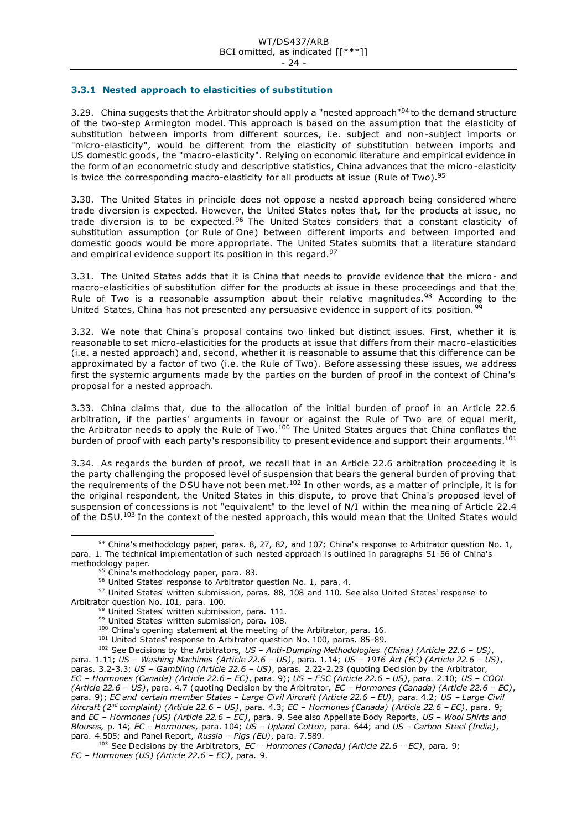## <span id="page-23-0"></span>**3.3.1 Nested approach to elasticities of substitution**

3.29. China suggests that the Arbitrator should apply a "nested approach"<sup>94</sup> to the demand structure of the two-step Armington model. This approach is based on the assumption that the elasticity of substitution between imports from different sources, i.e. subject and non-subject imports or "micro-elasticity", would be different from the elasticity of substitution between imports and US domestic goods, the "macro-elasticity". Relying on economic literature and empirical evidence in the form of an econometric study and descriptive statistics, China advances that the micro -elasticity is twice the corresponding macro-elasticity for all products at issue (Rule of Two).<sup>95</sup>

3.30. The United States in principle does not oppose a nested approach being considered where trade diversion is expected. However, the United States notes that, for the products at issue, no trade diversion is to be expected.<sup>96</sup> The United States considers that a constant elasticity of substitution assumption (or Rule of One) between different imports and between imported and domestic goods would be more appropriate. The United States submits that a literature standard and empirical evidence support its position in this regard.<sup>97</sup>

3.31. The United States adds that it is China that needs to provide evidence that the micro- and macro-elasticities of substitution differ for the products at issue in these proceedings and that the Rule of Two is a reasonable assumption about their relative magnitudes.<sup>98</sup> According to the United States, China has not presented any persuasive evidence in support of its position. 99

3.32. We note that China's proposal contains two linked but distinct issues. First, whether it is reasonable to set micro-elasticities for the products at issue that differs from their macro-elasticities (i.e. a nested approach) and, second, whether it is reasonable to assume that this difference can be approximated by a factor of two (i.e. the Rule of Two). Before assessing these issues, we address first the systemic arguments made by the parties on the burden of proof in the context of China's proposal for a nested approach.

3.33. China claims that, due to the allocation of the initial burden of proof in an Article 22.6 arbitration, if the parties' arguments in favour or against the Rule of Two are of equal merit, the Arbitrator needs to apply the Rule of Two.<sup>100</sup> The United States argues that China conflates the burden of proof with each party's responsibility to present evidence and support their arguments.<sup>101</sup>

3.34. As regards the burden of proof, we recall that in an Article 22.6 arbitration proceeding it is the party challenging the proposed level of suspension that bears the general burden of proving that the requirements of the DSU have not been met.<sup>102</sup> In other words, as a matter of principle, it is for the original respondent, the United States in this dispute, to prove that China's proposed level of suspension of concessions is not "equivalent" to the level of N/I within the meaning of Article 22.4 of the DSU.<sup>103</sup> In the context of the nested approach, this would mean that the United States would

- <sup>100</sup> China's opening statement at the meeting of the Arbitrator, para. 16.
- <sup>101</sup> United States' response to Arbitrator question No. 100, paras. 85-89.

<sup>102</sup> See Decisions by the Arbitrators, *US – Anti-Dumping Methodologies (China) (Article 22.6 – US)*, para. 1.11; *US – Washing Machines (Article 22.6 – US)*, para. 1.14; *US – 1916 Act (EC) (Article 22.6 – US)*, paras. 3.2-3.3; *US – Gambling (Article 22.6 – US)*, paras. 2.22-2.23 (quoting Decision by the Arbitrator, *EC – Hormones (Canada) (Article 22.6 – EC)*, para. 9); *US – FSC (Article 22.6 – US)*, para. 2.10; *US – COOL (Article 22.6 – US)*, para. 4.7 (quoting Decision by the Arbitrator, *EC – Hormones (Canada) (Article 22.6 – EC)*, para. 9); *EC and certain member States – Large Civil Aircraft (Article 22.6 – EU)*, para. 4.2; *US – Large Civil Aircraft (2nd complaint) (Article 22.6 – US)*, para. 4.3; *EC – Hormones (Canada) (Article 22.6 – EC)*, para. 9; and *EC – Hormones (US) (Article 22.6 – EC)*, para. 9. See also Appellate Body Reports, *US – Wool Shirts and Blouses,* p. 14; *EC – Hormones*, para. 104; *US – Upland Cotton*, para. 644; and *US – Carbon Steel (India)*, para. 4.505; and Panel Report, *Russia – Pigs (EU)*, para. 7.589.

<sup>94</sup> China's methodology paper, paras. 8, 27, 82, and 107; China's response to Arbitrator question No. 1, para. 1. The technical implementation of such nested approach is outlined in paragraphs 51-56 of China's methodology paper.

<sup>95</sup> China's methodology paper, para. 83.

<sup>&</sup>lt;sup>96</sup> United States' response to Arbitrator question No. 1, para. 4.

<sup>97</sup> United States' written submission, paras. 88, 108 and 110. See also United States' response to Arbitrator question No. 101, para. 100.

<sup>98</sup> United States' written submission, para. 111.

<sup>99</sup> United States' written submission, para. 108.

<sup>103</sup> See Decisions by the Arbitrators, *EC – Hormones (Canada) (Article 22.6 – EC)*, para. 9; *EC – Hormones (US) (Article 22.6 – EC)*, para. 9.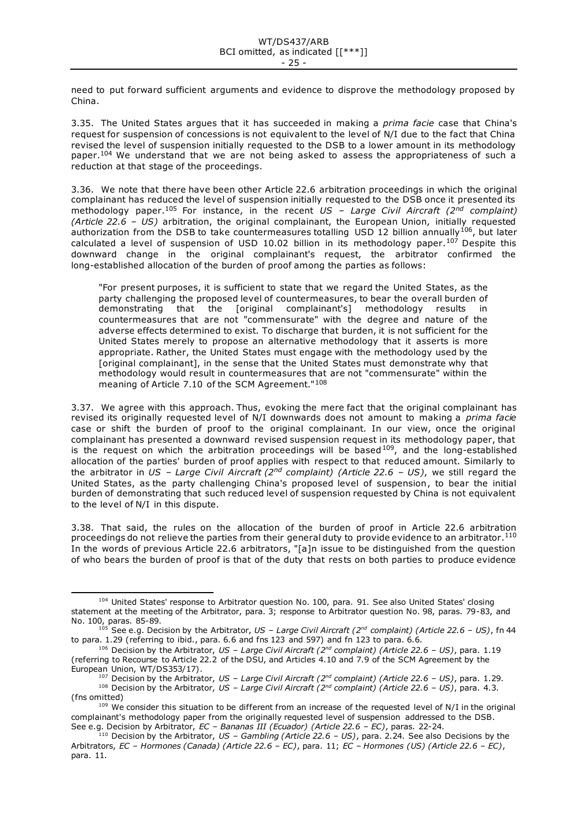need to put forward sufficient arguments and evidence to disprove the methodology proposed by China.

3.35. The United States argues that it has succeeded in making a *prima facie* case that China's request for suspension of concessions is not equivalent to the level of N/I due to the fact that China revised the level of suspension initially requested to the DSB to a lower amount in its methodology paper.<sup>104</sup> We understand that we are not being asked to assess the appropriateness of such a reduction at that stage of the proceedings.

3.36. We note that there have been other Article 22.6 arbitration proceedings in which the original complainant has reduced the level of suspension initially requested to the DSB once it presented its methodology paper.<sup>105</sup> For instance, in the recent *US – Large Civil Aircraft (2nd complaint) (Article 22.6 – US)* arbitration, the original complainant, the European Union, initially requested authorization from the DSB to take countermeasures totalling USD 12 billion annually<sup>106</sup>, but later calculated a level of suspension of USD 10.02 billion in its methodology paper.<sup>107</sup> Despite this downward change in the original complainant's request, the arbitrator confirmed the long-established allocation of the burden of proof among the parties as follows:

"For present purposes, it is sufficient to state that we regard the United States, as the party challenging the proposed level of countermeasures, to bear the overall burden of demonstrating that the [original complainant's] methodology results in countermeasures that are not "commensurate" with the degree and nature of the adverse effects determined to exist. To discharge that burden, it is not sufficient for the United States merely to propose an alternative methodology that it asserts is more appropriate. Rather, the United States must engage with the methodology used by the [original complainant], in the sense that the United States must demonstrate why that methodology would result in countermeasures that are not "commensurate" within the meaning of Article 7.10 of the SCM Agreement."<sup>108</sup>

3.37. We agree with this approach. Thus, evoking the mere fact that the original complainant has revised its originally requested level of N/I downwards does not amount to making a *prima facie* case or shift the burden of proof to the original complainant. In our view, once the original complainant has presented a downward revised suspension request in its methodology paper, that is the request on which the arbitration proceedings will be based  $109$ , and the long-established allocation of the parties' burden of proof applies with respect to that reduced amount. Similarly to the arbitrator in *US – Large Civil Aircraft (2nd complaint) (Article 22.6 – US)*, we still regard the United States, as the party challenging China's proposed level of suspension, to bear the initial burden of demonstrating that such reduced level of suspension requested by China is not equivalent to the level of N/I in this dispute.

3.38. That said, the rules on the allocation of the burden of proof in Article 22.6 arbitration proceedings do not relieve the parties from their general duty to provide evidence to an arbitrator.<sup>110</sup> In the words of previous Article 22.6 arbitrators, "[a]n issue to be distinguished from the question of who bears the burden of proof is that of the duty that rests on both parties to produce evidence

<sup>104</sup> United States' response to Arbitrator question No. 100, para. 91. See also United States' closing statement at the meeting of the Arbitrator, para. 3; response to Arbitrator question No. 98, paras. 79-83, and No. 100, paras. 85-89.

<sup>105</sup> See e.g. Decision by the Arbitrator, *US – Large Civil Aircraft (2nd complaint) (Article 22.6 – US)*, fn 44 to para. 1.29 (referring to ibid., para. 6.6 and fns 123 and 597) and fn 123 to para. 6.6.

<sup>106</sup> Decision by the Arbitrator, *US – Large Civil Aircraft (2nd complaint) (Article 22.6 – US)*, para. 1.19 (referring to Recourse to Article 22.2 of the DSU, and Articles 4.10 and 7.9 of the SCM Agreement by the European Union, WT/DS353/17).

<sup>107</sup> Decision by the Arbitrator, *US – Large Civil Aircraft (2nd complaint) (Article 22.6 – US)*, para. 1.29.

<sup>108</sup> Decision by the Arbitrator, *US – Large Civil Aircraft (2nd complaint) (Article 22.6 – US)*, para. 4.3. (fns omitted)

<sup>109</sup> We consider this situation to be different from an increase of the requested level of N/I in the original complainant's methodology paper from the originally requested level of suspension addressed to the DSB. See e.g. Decision by Arbitrator, *EC – Bananas III (Ecuador) (Article 22.6 – EC)*, paras. 22-24.

<sup>110</sup> Decision by the Arbitrator, *US – Gambling (Article 22.6 – US)*, para. 2.24. See also Decisions by the Arbitrators, *EC – Hormones (Canada) (Article 22.6 – EC)*, para. 11; *EC – Hormones (US) (Article 22.6 – EC)*, para. 11.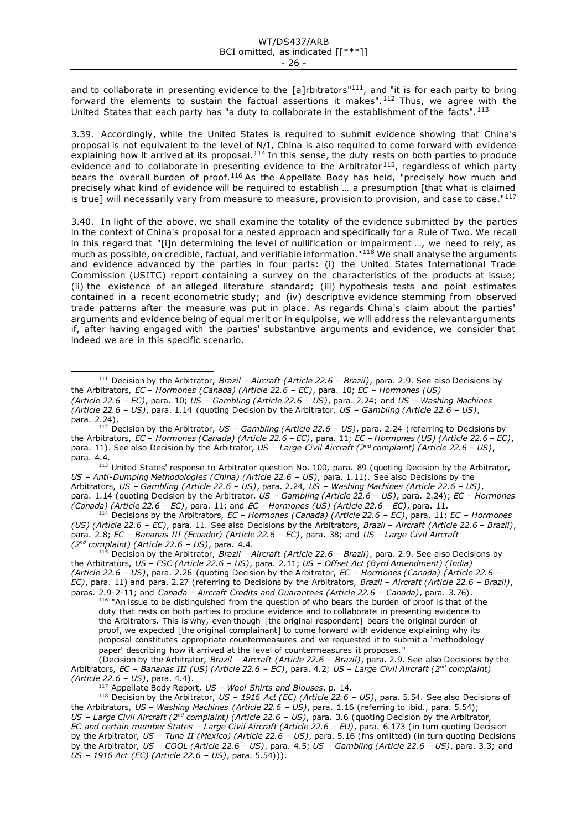and to collaborate in presenting evidence to the  $[a]$ rbitrators"<sup>111</sup>, and "it is for each party to bring forward the elements to sustain the factual assertions it makes".<sup>112</sup> Thus, we agree with the United States that each party has "a duty to collaborate in the establishment of the facts". 113

3.39. Accordingly, while the United States is required to submit evidence showing that China's proposal is not equivalent to the level of N/I, China is also required to come forward with evidence explaining how it arrived at its proposal. $114$  In this sense, the duty rests on both parties to produce evidence and to collaborate in presenting evidence to the Arbitrator<sup>115</sup>, regardless of which party bears the overall burden of proof.<sup>116</sup> As the Appellate Body has held, "precisely how much and precisely what kind of evidence will be required to establish … a presumption [that what is claimed is true] will necessarily vary from measure to measure, provision to provision, and case to case."<sup>117</sup>

3.40. In light of the above, we shall examine the totality of the evidence submitted by the parties in the context of China's proposal for a nested approach and specifically for a Rule of Two. We recall in this regard that "[i]n determining the level of nullification or impairment …, we need to rely, as much as possible, on credible, factual, and verifiable information."<sup>118</sup> We shall analyse the arguments and evidence advanced by the parties in four parts: (i) the United States International Trade Commission (USITC) report containing a survey on the characteristics of the products at issue; (ii) the existence of an alleged literature standard; (iii) hypothesis tests and point estimates contained in a recent econometric study; and (iv) descriptive evidence stemming from observed trade patterns after the measure was put in place. As regards China's claim about the parties' arguments and evidence being of equal merit or in equipoise, we will address the relevant arguments if, after having engaged with the parties' substantive arguments and evidence, we consider that indeed we are in this specific scenario.

<sup>113</sup> United States' response to Arbitrator question No. 100, para. 89 (quoting Decision by the Arbitrator, *US – Anti-Dumping Methodologies (China) (Article 22.6 – US)*, para. 1.11). See also Decisions by the Arbitrators, *US – Gambling (Article 22.6 – US)*, para. 2.24, *US – Washing Machines (Article 22.6 – US)*, para. 1.14 (quoting Decision by the Arbitrator, *US – Gambling (Article 22.6 – US)*, para. 2.24); *EC – Hormones (Canada) (Article 22.6 – EC)*, para. 11; and *EC – Hormones (US) (Article 22.6 – EC)*, para. 11.

<sup>114</sup> Decisions by the Arbitrators, *EC – Hormones (Canada) (Article 22.6 – EC)*, para. 11; *EC – Hormones (US) (Article 22.6 – EC)*, para. 11. See also Decisions by the Arbitrators, *Brazil – Aircraft (Article 22.6 – Brazil)*, para. 2.8; *EC – Bananas III (Ecuador) (Article 22.6 – EC)*, para. 38; and *US – Large Civil Aircraft (2nd complaint) (Article 22.6 – US)*, para. 4.4.

<sup>115</sup> Decision by the Arbitrator, *Brazil – Aircraft (Article 22.6 – Brazil)*, para. 2.9. See also Decisions by the Arbitrators, *US – FSC (Article 22.6 – US)*, para. 2.11; *US – Offset Act (Byrd Amendment) (India) (Article 22.6 – US)*, para. 2.26 (quoting Decision by the Arbitrator, *EC – Hormones (Canada) (Article 22.6 – EC)*, para. 11) and para. 2.27 (referring to Decisions by the Arbitrators, *Brazil – Aircraft (Article 22.6 – Brazil)*, paras. 2.9-2-11; and *Canada – Aircraft Credits and Guarantees (Article 22.6 – Canada)*, para. 3.76).

<sup>116</sup> "An issue to be distinguished from the question of who bears the burden of proof is that of the duty that rests on both parties to produce evidence and to collaborate in presenting evidence to the Arbitrators. This is why, even though [the original respondent] bears the original burden of proof, we expected [the original complainant] to come forward with evidence explaining why its proposal constitutes appropriate countermeasures and we requested it to submit a 'methodology paper' describing how it arrived at the level of countermeasures it proposes. "

(Decision by the Arbitrator, *Brazil – Aircraft (Article 22.6 – Brazil)*, para. 2.9. See also Decisions by the Arbitrators, *EC – Bananas III (US) (Article 22.6 – EC)*, para. 4.2; *US – Large Civil Aircraft (2nd complaint) (Article 22.6 – US)*, para. 4.4).

<sup>117</sup> Appellate Body Report, *US – Wool Shirts and Blouses*, p. 14.

<sup>118</sup> Decision by the Arbitrator, *US – 1916 Act (EC) (Article 22.6 – US)*, para. 5.54. See also Decisions of the Arbitrators, *US – Washing Machines (Article 22.6 – US)*, para. 1.16 (referring to ibid., para. 5.54); *US – Large Civil Aircraft (2nd complaint) (Article 22.6 – US)*, para. 3.6 (quoting Decision by the Arbitrator, *EC and certain member States – Large Civil Aircraft (Article 22.6 – EU)*, para. 6.173 (in turn quoting Decision by the Arbitrator, *US – Tuna II (Mexico) (Article 22.6 – US)*, para. 5.16 (fns omitted) (in turn quoting Decisions by the Arbitrator, *US – COOL (Article 22.6 – US)*, para. 4.5; *US – Gambling (Article 22.6 – US)*, para. 3.3; and *US – 1916 Act (EC) (Article 22.6 – US)*, para. 5.54))).

<sup>111</sup> Decision by the Arbitrator, *Brazil – Aircraft (Article 22.6 – Brazil)*, para. 2.9. See also Decisions by the Arbitrators, *EC – Hormones (Canada) (Article 22.6 – EC)*, para. 10; *EC – Hormones (US) (Article 22.6 – EC)*, para. 10; *US – Gambling (Article 22.6 – US)*, para. 2.24; and *US – Washing Machines (Article 22.6 – US)*, para. 1.14 (quoting Decision by the Arbitrator, *US – Gambling (Article 22.6 – US)*, para. 2.24).

<sup>112</sup> Decision by the Arbitrator, *US – Gambling (Article 22.6 – US)*, para. 2.24 (referring to Decisions by the Arbitrators, *EC – Hormones (Canada) (Article 22.6 – EC)*, para. 11; *EC – Hormones (US) (Article 22.6 – EC)*, para. 11). See also Decision by the Arbitrator, *US – Large Civil Aircraft (2nd complaint) (Article 22.6 – US)*, para. 4.4.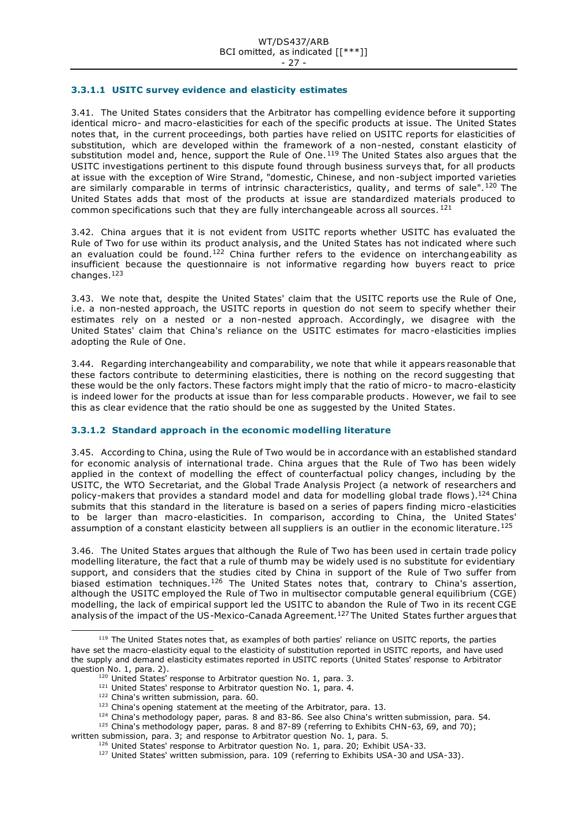## **3.3.1.1 USITC survey evidence and elasticity estimates**

3.41. The United States considers that the Arbitrator has compelling evidence before it supporting identical micro- and macro-elasticities for each of the specific products at issue. The United States notes that, in the current proceedings, both parties have relied on USITC reports for elasticities of substitution, which are developed within the framework of a non-nested, constant elasticity of substitution model and, hence, support the Rule of One.<sup>119</sup> The United States also argues that the USITC investigations pertinent to this dispute found through business surveys that, for all products at issue with the exception of Wire Strand, "domestic, Chinese, and non-subject imported varieties are similarly comparable in terms of intrinsic characteristics, quality, and terms of sale".<sup>120</sup> The United States adds that most of the products at issue are standardized materials produced to common specifications such that they are fully interchangeable across all sources.  $^{121}$ 

3.42. China argues that it is not evident from USITC reports whether USITC has evaluated the Rule of Two for use within its product analysis, and the United States has not indicated where such an evaluation could be found.<sup>122</sup> China further refers to the evidence on interchangeability as insufficient because the questionnaire is not informative regarding how buyers react to price changes.<sup>123</sup>

3.43. We note that, despite the United States' claim that the USITC reports use the Rule of One, i.e. a non-nested approach, the USITC reports in question do not seem to specify whether their estimates rely on a nested or a non-nested approach. Accordingly, we disagree with the United States' claim that China's reliance on the USITC estimates for macro-elasticities implies adopting the Rule of One.

3.44. Regarding interchangeability and comparability, we note that while it appears reasonable that these factors contribute to determining elasticities, there is nothing on the record suggesting that these would be the only factors. These factors might imply that the ratio of micro- to macro-elasticity is indeed lower for the products at issue than for less comparable products . However, we fail to see this as clear evidence that the ratio should be one as suggested by the United States.

# **3.3.1.2 Standard approach in the economic modelling literature**

3.45. According to China, using the Rule of Two would be in accordance with an established standard for economic analysis of international trade. China argues that the Rule of Two has been widely applied in the context of modelling the effect of counterfactual policy changes, including by the USITC, the WTO Secretariat, and the Global Trade Analysis Project (a network of researchers and policy-makers that provides a standard model and data for modelling global trade flows).<sup>124</sup> China submits that this standard in the literature is based on a series of papers finding micro -elasticities to be larger than macro-elasticities. In comparison, according to China, the United States' assumption of a constant elasticity between all suppliers is an outlier in the economic literature.<sup>125</sup>

3.46. The United States argues that although the Rule of Two has been used in certain trade policy modelling literature, the fact that a rule of thumb may be widely used is no substitute for evidentiary support, and considers that the studies cited by China in support of the Rule of Two suffer from biased estimation techniques.<sup>126</sup> The United States notes that, contrary to China's assertion, although the USITC employed the Rule of Two in multisector computable general equilibrium (CGE) modelling, the lack of empirical support led the USITC to abandon the Rule of Two in its recent CGE analysis of the impact of the US-Mexico-Canada Agreement.<sup>127</sup> The United States further argues that

<sup>&</sup>lt;sup>119</sup> The United States notes that, as examples of both parties' reliance on USITC reports, the parties have set the macro-elasticity equal to the elasticity of substitution reported in USITC reports, and have used the supply and demand elasticity estimates reported in USITC reports (United States' response to Arbitrator question No. 1, para. 2).

<sup>&</sup>lt;sup>120</sup> United States' response to Arbitrator question No. 1, para. 3.

<sup>&</sup>lt;sup>121</sup> United States' response to Arbitrator question No. 1, para. 4.

<sup>&</sup>lt;sup>122</sup> China's written submission, para. 60.

<sup>&</sup>lt;sup>123</sup> China's opening statement at the meeting of the Arbitrator, para. 13.

<sup>124</sup> China's methodology paper, paras. 8 and 83-86. See also China's written submission, para. 54. 125 China's methodology paper, paras. 8 and 87-89 (referring to Exhibits CHN-63, 69, and 70);

written submission, para. 3; and response to Arbitrator question No. 1, para. 5.

<sup>&</sup>lt;sup>126</sup> United States' response to Arbitrator question No. 1, para. 20; Exhibit USA-33.

<sup>&</sup>lt;sup>127</sup> United States' written submission, para. 109 (referring to Exhibits USA-30 and USA-33).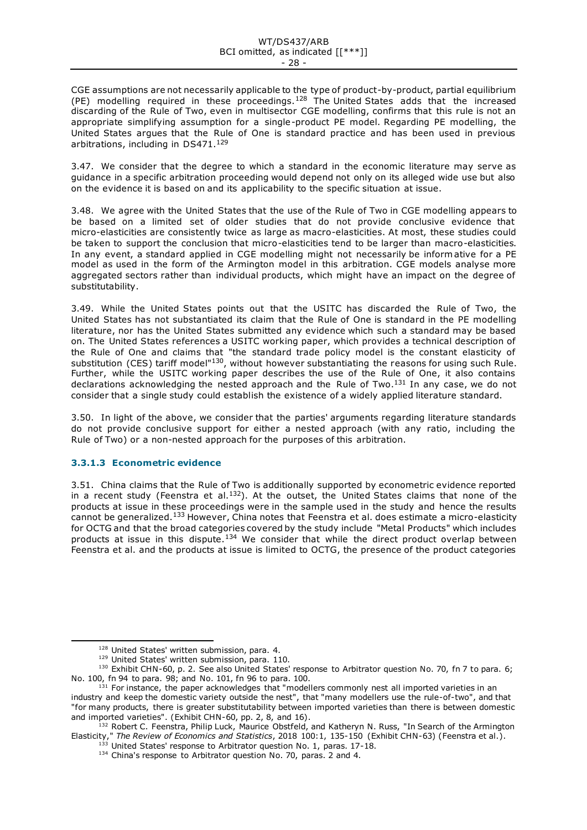#### WT/DS437/ARB BCI omitted, as indicated [[\*\*\*]] - 28 -

CGE assumptions are not necessarily applicable to the type of product-by-product, partial equilibrium (PE) modelling required in these proceedings.<sup>128</sup> The United States adds that the increased discarding of the Rule of Two, even in multisector CGE modelling, confirms that this rule is not an appropriate simplifying assumption for a single-product PE model. Regarding PE modelling, the United States argues that the Rule of One is standard practice and has been used in previous arbitrations, including in DS471.<sup>129</sup>

3.47. We consider that the degree to which a standard in the economic literature may serve as guidance in a specific arbitration proceeding would depend not only on its alleged wide use but also on the evidence it is based on and its applicability to the specific situation at issue.

3.48. We agree with the United States that the use of the Rule of Two in CGE modelling appears to be based on a limited set of older studies that do not provide conclusive evidence that micro-elasticities are consistently twice as large as macro-elasticities. At most, these studies could be taken to support the conclusion that micro-elasticities tend to be larger than macro-elasticities. In any event, a standard applied in CGE modelling might not necessarily be informative for a PE model as used in the form of the Armington model in this arbitration. CGE models analyse more aggregated sectors rather than individual products, which might have an impact on the degree of substitutability.

3.49. While the United States points out that the USITC has discarded the Rule of Two, the United States has not substantiated its claim that the Rule of One is standard in the PE modelling literature, nor has the United States submitted any evidence which such a standard may be based on. The United States references a USITC working paper, which provides a technical description of the Rule of One and claims that "the standard trade policy model is the constant elasticity of substitution (CES) tariff model<sup>"130</sup>, without however substantiating the reasons for using such Rule. Further, while the USITC working paper describes the use of the Rule of One, it also contains declarations acknowledging the nested approach and the Rule of Two.<sup>131</sup> In any case, we do not consider that a single study could establish the existence of a widely applied literature standard.

3.50. In light of the above, we consider that the parties' arguments regarding literature standards do not provide conclusive support for either a nested approach (with any ratio, including the Rule of Two) or a non-nested approach for the purposes of this arbitration.

# **3.3.1.3 Econometric evidence**

3.51. China claims that the Rule of Two is additionally supported by econometric evidence reported in a recent study (Feenstra et al.<sup>132</sup>). At the outset, the United States claims that none of the products at issue in these proceedings were in the sample used in the study and hence the results cannot be generalized.<sup>133</sup> However, China notes that Feenstra et al. does estimate a micro-elasticity for OCTG and that the broad categories covered by the study include "Metal Products" which includes products at issue in this dispute.<sup>134</sup> We consider that while the direct product overlap between Feenstra et al. and the products at issue is limited to OCTG, the presence of the product categories

<sup>128</sup> United States' written submission, para. 4.

<sup>129</sup> United States' written submission, para. 110.

<sup>130</sup> Exhibit CHN-60, p. 2. See also United States' response to Arbitrator question No. 70, fn 7 to para. 6; No. 100, fn 94 to para. 98; and No. 101, fn 96 to para. 100.

 $131$  For instance, the paper acknowledges that "modellers commonly nest all imported varieties in an industry and keep the domestic variety outside the nest", that "many modellers use the rule-of-two", and that "for many products, there is greater substitutability between imported varieties than there is between domestic and imported varieties". (Exhibit CHN-60, pp. 2, 8, and 16).

<sup>132</sup> Robert C. Feenstra, Philip Luck, Maurice Obstfeld, and Katheryn N. Russ, "In Search of the Armington Elasticity," *The Review of Economics and Statistics*, 2018 100:1, 135-150 (Exhibit CHN-63) (Feenstra et al.).

<sup>&</sup>lt;sup>133</sup> United States' response to Arbitrator question No. 1, paras. 17-18.

<sup>&</sup>lt;sup>134</sup> China's response to Arbitrator question No. 70, paras. 2 and 4.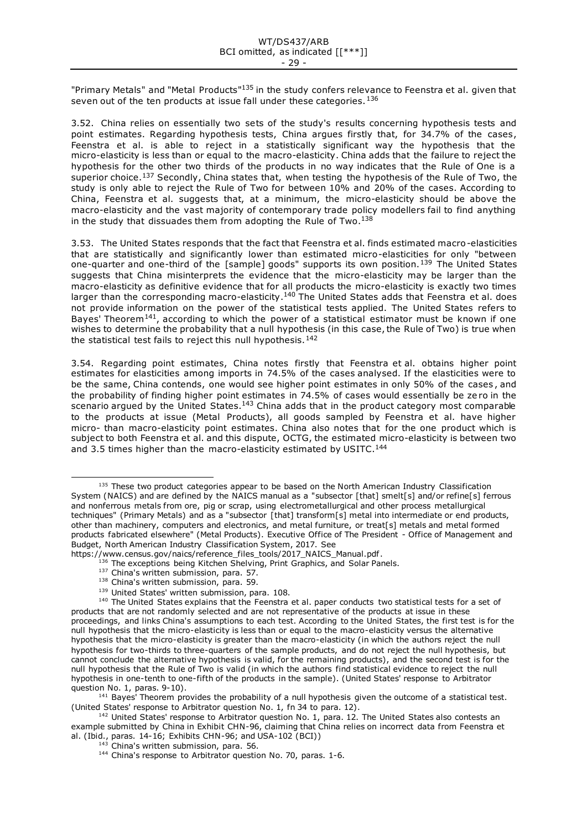"Primary Metals" and "Metal Products"<sup>135</sup> in the study confers relevance to Feenstra et al. given that seven out of the ten products at issue fall under these categories.<sup>136</sup>

3.52. China relies on essentially two sets of the study's results concerning hypothesis tests and point estimates. Regarding hypothesis tests, China argues firstly that, for 34.7% of the cases, Feenstra et al. is able to reject in a statistically significant way the hypothesis that the micro-elasticity is less than or equal to the macro-elasticity. China adds that the failure to reject the hypothesis for the other two thirds of the products in no way indicates that the Rule of One is a superior choice.<sup>137</sup> Secondly, China states that, when testing the hypothesis of the Rule of Two, the study is only able to reject the Rule of Two for between 10% and 20% of the cases. According to China, Feenstra et al. suggests that, at a minimum, the micro-elasticity should be above the macro-elasticity and the vast majority of contemporary trade policy modellers fail to find anything in the study that dissuades them from adopting the Rule of Two. $^{138}$ 

3.53. The United States responds that the fact that Feenstra et al. finds estimated macro-elasticities that are statistically and significantly lower than estimated micro-elasticities for only "between one-quarter and one-third of the [sample] goods" supports its own position.<sup>139</sup> The United States suggests that China misinterprets the evidence that the micro-elasticity may be larger than the macro-elasticity as definitive evidence that for all products the micro-elasticity is exactly two times larger than the corresponding macro-elasticity.<sup>140</sup> The United States adds that Feenstra et al. does not provide information on the power of the statistical tests applied. The United States refers to Bayes' Theorem<sup>141</sup>, according to which the power of a statistical estimator must be known if one wishes to determine the probability that a null hypothesis (in this case, the Rule of Two) is true when the statistical test fails to reject this null hypothesis.<sup>142</sup>

3.54. Regarding point estimates, China notes firstly that Feenstra et al. obtains higher point estimates for elasticities among imports in 74.5% of the cases analysed. If the elasticities were to be the same, China contends, one would see higher point estimates in only 50% of the cases , and the probability of finding higher point estimates in 74.5% of cases would essentially be ze ro in the scenario argued by the United States.<sup>143</sup> China adds that in the product category most comparable to the products at issue (Metal Products), all goods sampled by Feenstra et al. have higher micro- than macro-elasticity point estimates. China also notes that for the one product which is subject to both Feenstra et al. and this dispute, OCTG, the estimated micro-elasticity is between two and 3.5 times higher than the macro-elasticity estimated by USITC.<sup>144</sup>

 $141$  Bayes' Theorem provides the probability of a null hypothesis given the outcome of a statistical test. (United States' response to Arbitrator question No. 1, fn 34 to para. 12).

<sup>142</sup> United States' response to Arbitrator question No. 1, para. 12. The United States also contests an example submitted by China in Exhibit CHN-96, claiming that China relies on incorrect data from Feenstra et al. (Ibid., paras. 14-16; Exhibits CHN-96; and USA-102 (BCI))

<sup>&</sup>lt;sup>135</sup> These two product categories appear to be based on the North American Industry Classification System (NAICS) and are defined by the NAICS manual as a "subsector [that] smelt[s] and/or refine[s] ferrous and nonferrous metals from ore, pig or scrap, using electrometallurgical and other process metallurgical techniques" (Primary Metals) and as a "subsector [that] transform[s] metal into intermediate or end products, other than machinery, computers and electronics, and metal furniture, or treat[s] metals and metal formed products fabricated elsewhere" (Metal Products). Executive Office of The President - Office of Management and Budget, North American Industry Classification System, 2017. See

https://www.census.gov/naics/reference\_files\_tools/2017\_NAICS\_Manual.pdf.

<sup>136</sup> The exceptions being Kitchen Shelving, Print Graphics, and Solar Panels.

<sup>&</sup>lt;sup>137</sup> China's written submission, para. 57.

<sup>138</sup> China's written submission, para. 59.

<sup>139</sup> United States' written submission, para. 108.

<sup>&</sup>lt;sup>140</sup> The United States explains that the Feenstra et al. paper conducts two statistical tests for a set of products that are not randomly selected and are not representative of the products at issue in these proceedings, and links China's assumptions to each test. According to the United States, the first test is for the null hypothesis that the micro-elasticity is less than or equal to the macro-elasticity versus the alternative hypothesis that the micro-elasticity is greater than the macro-elasticity (in which the authors reject the null hypothesis for two-thirds to three-quarters of the sample products, and do not reject the null hypothesis, but cannot conclude the alternative hypothesis is valid, for the remaining products), and the second test is for the null hypothesis that the Rule of Two is valid (in which the authors find statistical evidence to reject the null hypothesis in one-tenth to one-fifth of the products in the sample). (United States' response to Arbitrator question No. 1, paras. 9-10).

 $143$  China's written submission, para. 56.

<sup>&</sup>lt;sup>144</sup> China's response to Arbitrator question No. 70, paras. 1-6.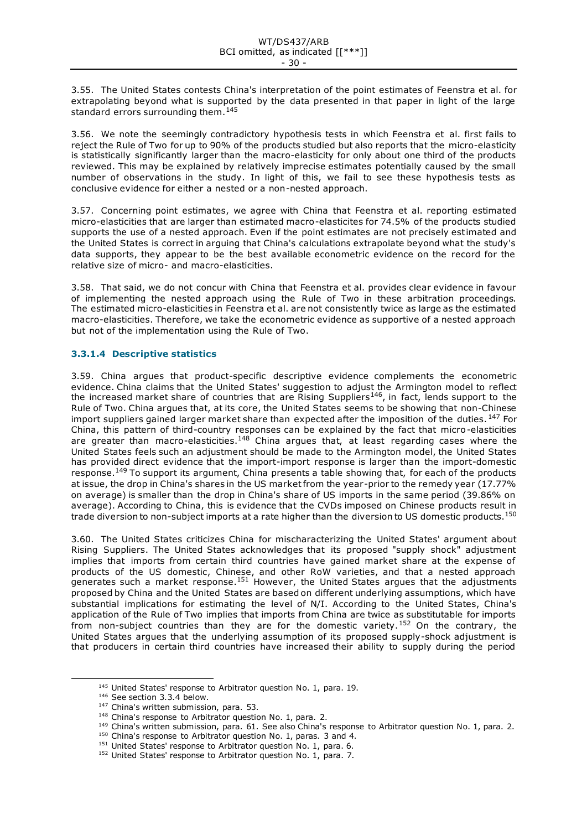3.55. The United States contests China's interpretation of the point estimates of Feenstra et al. for extrapolating beyond what is supported by the data presented in that paper in light of the large standard errors surrounding them.<sup>145</sup>

3.56. We note the seemingly contradictory hypothesis tests in which Feenstra et al. first fails to reject the Rule of Two for up to 90% of the products studied but also reports that the micro-elasticity is statistically significantly larger than the macro-elasticity for only about one third of the products reviewed. This may be explained by relatively imprecise estimates potentially caused by the small number of observations in the study. In light of this, we fail to see these hypothesis tests as conclusive evidence for either a nested or a non-nested approach.

3.57. Concerning point estimates, we agree with China that Feenstra et al. reporting estimated micro-elasticities that are larger than estimated macro-elasticites for 74.5% of the products studied supports the use of a nested approach. Even if the point estimates are not precisely estimated and the United States is correct in arguing that China's calculations extrapolate beyond what the study's data supports, they appear to be the best available econometric evidence on the record for the relative size of micro- and macro-elasticities.

3.58. That said, we do not concur with China that Feenstra et al. provides clear evidence in favour of implementing the nested approach using the Rule of Two in these arbitration proceedings. The estimated micro-elasticities in Feenstra et al. are not consistently twice as large as the estimated macro-elasticities. Therefore, we take the econometric evidence as supportive of a nested approach but not of the implementation using the Rule of Two.

# **3.3.1.4 Descriptive statistics**

3.59. China argues that product-specific descriptive evidence complements the econometric evidence. China claims that the United States' suggestion to adjust the Armington model to reflect the increased market share of countries that are Rising Suppliers<sup>146</sup>, in fact, lends support to the Rule of Two. China argues that, at its core, the United States seems to be showing that non-Chinese import suppliers gained larger market share than expected after the imposition of the duties. 147 For China, this pattern of third-country responses can be explained by the fact that micro-elasticities are greater than macro-elasticities.<sup>148</sup> China argues that, at least regarding cases where the United States feels such an adjustment should be made to the Armington model, the United States has provided direct evidence that the import-import response is larger than the import-domestic response.<sup>149</sup> To support its argument, China presents a table showing that, for each of the products at issue, the drop in China's shares in the US market from the year-prior to the remedy year (17.77% on average) is smaller than the drop in China's share of US imports in the same period (39.86% on average). According to China, this is evidence that the CVDs imposed on Chinese products result in trade diversion to non-subject imports at a rate higher than the diversion to US domestic products.<sup>150</sup>

3.60. The United States criticizes China for mischaracterizing the United States' argument about Rising Suppliers. The United States acknowledges that its proposed "supply shock" adjustment implies that imports from certain third countries have gained market share at the expense of products of the US domestic, Chinese, and other RoW varieties, and that a nested approach generates such a market response.<sup>151</sup> However, the United States argues that the adjustments proposed by China and the United States are based on different underlying assumptions, which have substantial implications for estimating the level of N/I. According to the United States, China's application of the Rule of Two implies that imports from China are twice as substitutable for imports from non-subject countries than they are for the domestic variety.<sup>152</sup> On the contrary, the United States argues that the underlying assumption of its proposed supply-shock adjustment is that producers in certain third countries have increased their ability to supply during the period

<sup>&</sup>lt;sup>145</sup> United States' response to Arbitrator question No. 1, para. 19.

<sup>&</sup>lt;sup>146</sup> See section 3.3.4 below.

<sup>147</sup> China's written submission, para. 53.

<sup>&</sup>lt;sup>148</sup> China's response to Arbitrator question No. 1, para. 2.

<sup>&</sup>lt;sup>149</sup> China's written submission, para. 61. See also China's response to Arbitrator question No. 1, para. 2.

<sup>&</sup>lt;sup>150</sup> China's response to Arbitrator question No. 1, paras. 3 and 4.

<sup>&</sup>lt;sup>151</sup> United States' response to Arbitrator question No. 1, para. 6.

<sup>&</sup>lt;sup>152</sup> United States' response to Arbitrator question No. 1, para. 7.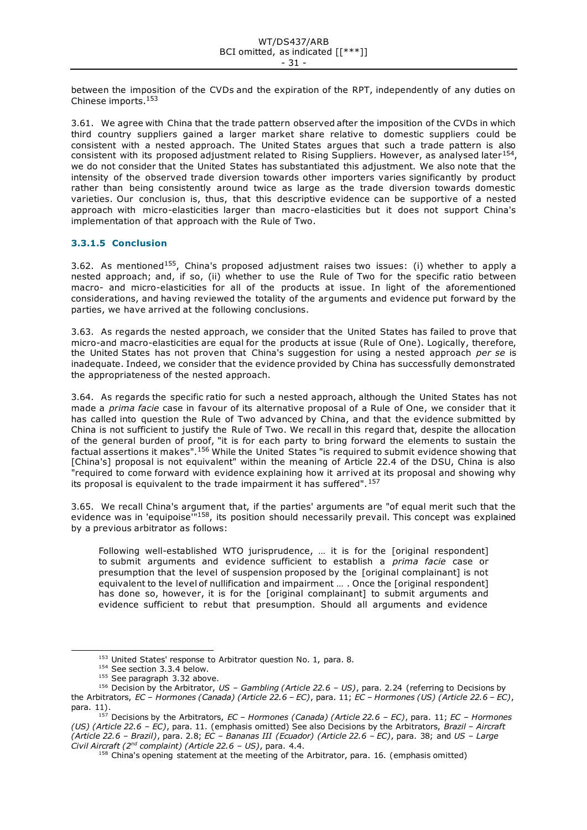between the imposition of the CVDs and the expiration of the RPT, independently of any duties on Chinese imports.<sup>153</sup>

3.61. We agree with China that the trade pattern observed after the imposition of the CVDs in which third country suppliers gained a larger market share relative to domestic suppliers could be consistent with a nested approach. The United States argues that such a trade pattern is also consistent with its proposed adjustment related to Rising Suppliers. However, as analysed later<sup>154</sup>, we do not consider that the United States has substantiated this adjustment. We also note that the intensity of the observed trade diversion towards other importers varies significantly by product rather than being consistently around twice as large as the trade diversion towards domestic varieties. Our conclusion is, thus, that this descriptive evidence can be supportive of a nested approach with micro-elasticities larger than macro-elasticities but it does not support China's implementation of that approach with the Rule of Two.

# **3.3.1.5 Conclusion**

3.62. As mentioned<sup>155</sup>, China's proposed adjustment raises two issues: (i) whether to apply a nested approach; and, if so, (ii) whether to use the Rule of Two for the specific ratio between macro- and micro-elasticities for all of the products at issue. In light of the aforementioned considerations, and having reviewed the totality of the arguments and evidence put forward by the parties, we have arrived at the following conclusions.

3.63. As regards the nested approach, we consider that the United States has failed to prove that micro-and macro-elasticities are equal for the products at issue (Rule of One). Logically, therefore, the United States has not proven that China's suggestion for using a nested approach *per se* is inadequate. Indeed, we consider that the evidence provided by China has successfully demonstrated the appropriateness of the nested approach.

3.64. As regards the specific ratio for such a nested approach, although the United States has not made a *prima facie* case in favour of its alternative proposal of a Rule of One, we consider that it has called into question the Rule of Two advanced by China, and that the evidence submitted by China is not sufficient to justify the Rule of Two. We recall in this regard that, despite the allocation of the general burden of proof, "it is for each party to bring forward the elements to sustain the factual assertions it makes".<sup>156</sup> While the United States "is required to submit evidence showing that [China's] proposal is not equivalent" within the meaning of Article 22.4 of the DSU, China is also "required to come forward with evidence explaining how it arr ived at its proposal and showing why its proposal is equivalent to the trade impairment it has suffered".<sup>157</sup>

3.65. We recall China's argument that, if the parties' arguments are "of equal merit such that the evidence was in 'equipoise"<sup>158</sup>, its position should necessarily prevail. This concept was explained by a previous arbitrator as follows:

Following well-established WTO jurisprudence, … it is for the [original respondent] to submit arguments and evidence sufficient to establish a *prima facie* case or presumption that the level of suspension proposed by the [original complainant] is not equivalent to the level of nullification and impairment … . Once the [original respondent] has done so, however, it is for the [original complainant] to submit arguments and evidence sufficient to rebut that presumption. Should all arguments and evidence

<sup>&</sup>lt;sup>153</sup> United States' response to Arbitrator question No. 1, para. 8.

<sup>&</sup>lt;sup>154</sup> See section 3.3.4 below.

<sup>&</sup>lt;sup>155</sup> See paragraph 3.32 above.

<sup>156</sup> Decision by the Arbitrator, *US – Gambling (Article 22.6 – US)*, para. 2.24 (referring to Decisions by the Arbitrators, *EC – Hormones (Canada) (Article 22.6 – EC)*, para. 11; *EC – Hormones (US) (Article 22.6 – EC)*, para. 11).

<sup>157</sup> Decisions by the Arbitrators, *EC – Hormones (Canada) (Article 22.6 – EC)*, para. 11; *EC – Hormones (US) (Article 22.6 – EC)*, para. 11. (emphasis omitted) See also Decisions by the Arbitrators, *Brazil – Aircraft (Article 22.6 – Brazil)*, para. 2.8; *EC – Bananas III (Ecuador) (Article 22.6 – EC)*, para. 38; and *US – Large Civil Aircraft (2nd complaint) (Article 22.6 – US)*, para. 4.4.

 $158$  China's opening statement at the meeting of the Arbitrator, para. 16. (emphasis omitted)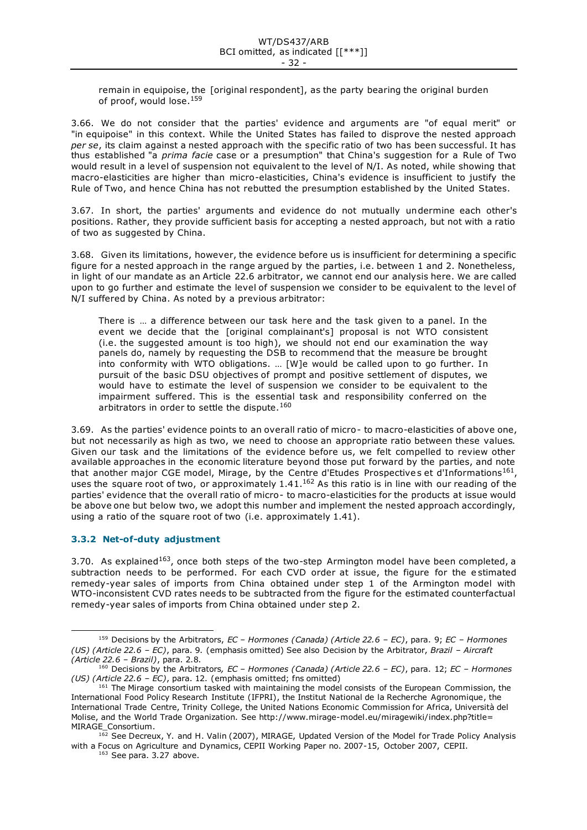remain in equipoise, the [original respondent], as the party bearing the original burden of proof, would lose.<sup>159</sup>

3.66. We do not consider that the parties' evidence and arguments are "of equal merit" or "in equipoise" in this context. While the United States has failed to disprove the nested approach *per se*, its claim against a nested approach with the specific ratio of two has been successful. It has thus established "a *prima facie* case or a presumption" that China's suggestion for a Rule of Two would result in a level of suspension not equivalent to the level of N/I. As noted, while showing that macro-elasticities are higher than micro-elasticities, China's evidence is insufficient to justify the Rule of Two, and hence China has not rebutted the presumption established by the United States.

3.67. In short, the parties' arguments and evidence do not mutually undermine each other's positions. Rather, they provide sufficient basis for accepting a nested approach, but not with a ratio of two as suggested by China.

3.68. Given its limitations, however, the evidence before us is insufficient for determining a specific figure for a nested approach in the range argued by the parties, i.e. between 1 and 2. Nonetheless, in light of our mandate as an Article 22.6 arbitrator, we cannot end our analysis here. We are called upon to go further and estimate the level of suspension we consider to be equivalent to the level of N/I suffered by China. As noted by a previous arbitrator:

There is … a difference between our task here and the task given to a panel. In the event we decide that the [original complainant's] proposal is not WTO consistent (i.e. the suggested amount is too high), we should not end our examination the way panels do, namely by requesting the DSB to recommend that the measure be brought into conformity with WTO obligations. … [W]e would be called upon to go further. In pursuit of the basic DSU objectives of prompt and positive settlement of disputes, we would have to estimate the level of suspension we consider to be equivalent to the impairment suffered. This is the essential task and responsibility conferred on the arbitrators in order to settle the dispute.<sup>160</sup>

3.69. As the parties' evidence points to an overall ratio of micro- to macro-elasticities of above one, but not necessarily as high as two, we need to choose an appropriate ratio between these values. Given our task and the limitations of the evidence before us, we felt compelled to review other available approaches in the economic literature beyond those put forward by the parties, and note that another major CGE model, Mirage, by the Centre d'Etudes Prospectives et d'Informations<sup>161</sup>, uses the square root of two, or approximately  $1.41$ .<sup>162</sup> As this ratio is in line with our reading of the parties' evidence that the overall ratio of micro- to macro-elasticities for the products at issue would be above one but below two, we adopt this number and implement the nested approach accordingly, using a ratio of the square root of two (i.e. approximately 1.41).

# <span id="page-31-0"></span>**3.3.2 Net-of-duty adjustment**

3.70. As explained<sup>163</sup>, once both steps of the two-step Armington model have been completed, a subtraction needs to be performed. For each CVD order at issue, the figure for the e stimated remedy-year sales of imports from China obtained under step 1 of the Armington model with WTO-inconsistent CVD rates needs to be subtracted from the figure for the estimated counterfactual remedy-year sales of imports from China obtained under step 2.

 $163$  See para. 3.27 above.

<sup>159</sup> Decisions by the Arbitrators, *EC – Hormones (Canada) (Article 22.6 – EC)*, para. 9; *EC – Hormones (US) (Article 22.6 – EC)*, para. 9. (emphasis omitted) See also Decision by the Arbitrator, *Brazil – Aircraft (Article 22.6 – Brazil)*, para. 2.8.

<sup>160</sup> Decisions by the Arbitrators*, EC – Hormones (Canada) (Article 22.6 – EC)*, para. 12; *EC – Hormones (US) (Article 22.6 – EC)*, para. 12. (emphasis omitted; fns omitted)

<sup>&</sup>lt;sup>161</sup> The Mirage consortium tasked with maintaining the model consists of the European Commission, the International Food Policy Research Institute (IFPRI), the Institut National de la Recherche Agronomique, the International Trade Centre, Trinity College, the United Nations Economic Commission for Africa, Università del Molise, and the World Trade Organization. See http://www.mirage-model.eu/miragewiki/index.php?title= MIRAGE\_Consortium.

<sup>&</sup>lt;sup>162</sup> See Decreux, Y. and H. Valin (2007), MIRAGE, Updated Version of the Model for Trade Policy Analysis with a Focus on Agriculture and Dynamics, CEPII Working Paper no. 2007-15, October 2007, CEPII.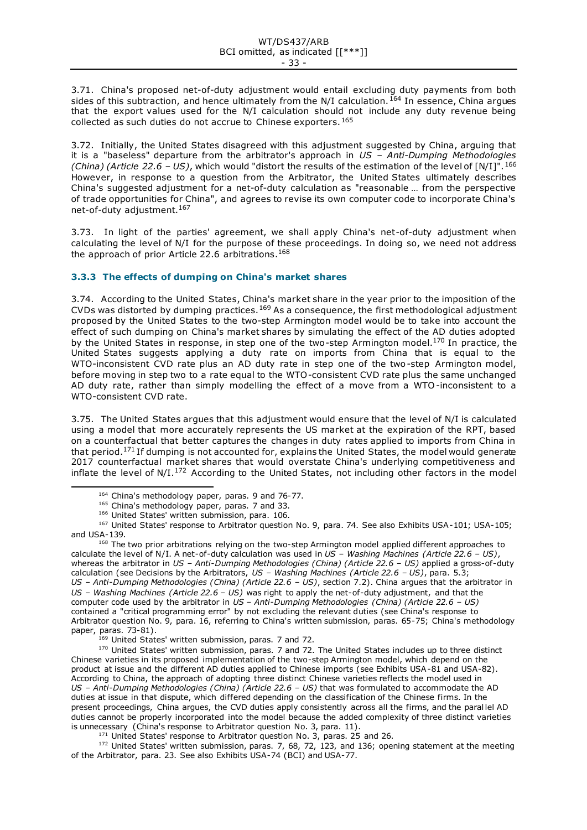3.71. China's proposed net-of-duty adjustment would entail excluding duty payments from both sides of this subtraction, and hence ultimately from the N/I calculation.<sup>164</sup> In essence, China argues that the export values used for the N/I calculation should not include any duty revenue being collected as such duties do not accrue to Chinese exporters.<sup>165</sup>

3.72. Initially, the United States disagreed with this adjustment suggested by China, arguing that it is a "baseless" departure from the arbitrator's approach in *US – Anti-Dumping Methodologies (China) (Article 22.6 – US)*, which would "distort the results of the estimation of the level of [N/I]".<sup>166</sup> However, in response to a question from the Arbitrator, the United States ultimately describes China's suggested adjustment for a net-of-duty calculation as "reasonable … from the perspective of trade opportunities for China", and agrees to revise its own computer code to incorporate China's net-of-duty adjustment.<sup>167</sup>

3.73. In light of the parties' agreement, we shall apply China's net-of-duty adjustment when calculating the level of N/I for the purpose of these proceedings. In doing so, we need not address the approach of prior Article 22.6 arbitrations.<sup>168</sup>

# <span id="page-32-0"></span>**3.3.3 The effects of dumping on China's market shares**

3.74. According to the United States, China's market share in the year prior to the imposition of the CVDs was distorted by dumping practices.<sup>169</sup> As a consequence, the first methodological adjustment proposed by the United States to the two-step Armington model would be to take into account the effect of such dumping on China's market shares by simulating the effect of the AD duties adopted by the United States in response, in step one of the two-step Armington model.<sup>170</sup> In practice, the United States suggests applying a duty rate on imports from China that is equal to the WTO-inconsistent CVD rate plus an AD duty rate in step one of the two-step Armington model, before moving in step two to a rate equal to the WTO-consistent CVD rate plus the same unchanged AD duty rate, rather than simply modelling the effect of a move from a WTO-inconsistent to a WTO-consistent CVD rate.

3.75. The United States argues that this adjustment would ensure that the level of N/I is calculated using a model that more accurately represents the US market at the expiration of the RPT, based on a counterfactual that better captures the changes in duty rates applied to imports from China in that period.<sup>171</sup> If dumping is not accounted for, explains the United States, the model would generate 2017 counterfactual market shares that would overstate China's underlying competitiveness and inflate the level of N/I.<sup>172</sup> According to the United States, not including other factors in the model

<sup>167</sup> United States' response to Arbitrator question No. 9, para. 74. See also Exhibits USA-101; USA-105; and USA-139.

<sup>168</sup> The two prior arbitrations relying on the two-step Armington model applied different approaches to calculate the level of N/I. A net-of-duty calculation was used in *US – Washing Machines (Article 22.6 – US)*, whereas the arbitrator in *US – Anti-Dumping Methodologies (China) (Article 22.6 – US)* applied a gross-of-duty calculation (see Decisions by the Arbitrators, *US – Washing Machines (Article 22.6 – US)*, para. 5.3; *US – Anti-Dumping Methodologies (China) (Article 22.6 – US)*, section 7.2). China argues that the arbitrator in *US – Washing Machines (Article 22.6 – US)* was right to apply the net-of-duty adjustment, and that the computer code used by the arbitrator in *US – Anti-Dumping Methodologies (China) (Article 22.6 – US)* contained a "critical programming error" by not excluding the relevant duties (see China's response to Arbitrator question No. 9, para. 16, referring to China's written submission, paras. 65-75; China's methodology paper, paras. 73-81).

<sup>169</sup> United States' written submission, paras. 7 and 72.

170 United States' written submission, paras. 7 and 72. The United States includes up to three distinct Chinese varieties in its proposed implementation of the two-step Armington model, which depend on the product at issue and the different AD duties applied to Chinese imports (see Exhibits USA-81 and USA-82). According to China, the approach of adopting three distinct Chinese varieties reflects the model used in *US – Anti-Dumping Methodologies (China) (Article 22.6 – US)* that was formulated to accommodate the AD duties at issue in that dispute, which differed depending on the classification of the Chinese firms. In the present proceedings, China argues, the CVD duties apply consistently across all the firms, and the paral lel AD duties cannot be properly incorporated into the model because the added complexity of three distinct varieties is unnecessary (China's response to Arbitrator question No. 3, para. 11).

<sup>171</sup> United States' response to Arbitrator question No. 3, paras. 25 and 26.

<sup>172</sup> United States' written submission, paras. 7, 68, 72, 123, and 136; opening statement at the meeting of the Arbitrator, para. 23. See also Exhibits USA-74 (BCI) and USA-77.

<sup>&</sup>lt;sup>164</sup> China's methodology paper, paras. 9 and 76-77.

<sup>&</sup>lt;sup>165</sup> China's methodology paper, paras. 7 and 33.

<sup>166</sup> United States' written submission, para. 106.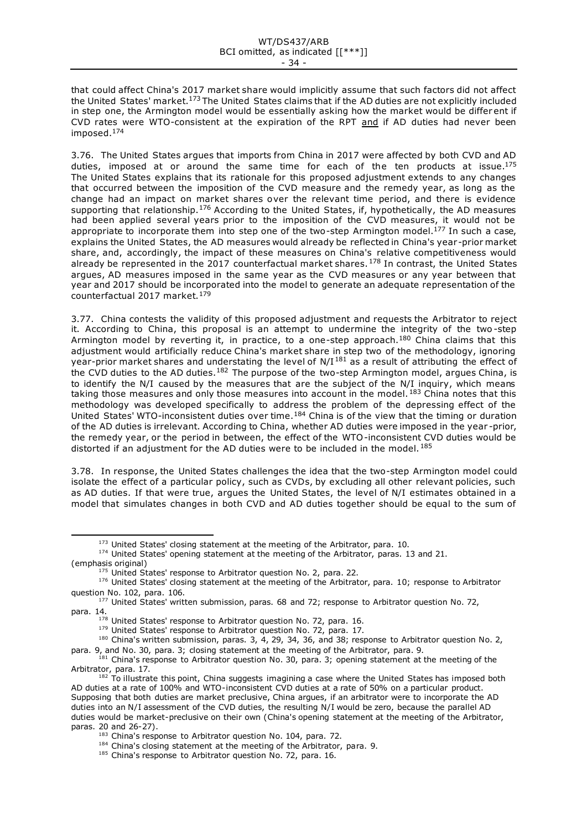that could affect China's 2017 market share would implicitly assume that such factors did not affect the United States' market.<sup>173</sup> The United States claims that if the AD duties are not explicitly included in step one, the Armington model would be essentially asking how the market would be differ ent if CVD rates were WTO-consistent at the expiration of the RPT and if AD duties had never been imposed.<sup>174</sup>

3.76. The United States argues that imports from China in 2017 were affected by both CVD and AD duties, imposed at or around the same time for each of the ten products at issue.<sup>175</sup> The United States explains that its rationale for this proposed adjustment extends to any changes that occurred between the imposition of the CVD measure and the remedy year, as long as the change had an impact on market shares over the relevant time period, and there is evidence supporting that relationship.<sup>176</sup> According to the United States, if, hypothetically, the AD measures had been applied several years prior to the imposition of the CVD measures, it would not be appropriate to incorporate them into step one of the two-step Armington model.<sup>177</sup> In such a case, explains the United States, the AD measures would already be reflected in China's year -prior market share, and, accordingly, the impact of these measures on China's relative competitiveness would already be represented in the 2017 counterfactual market shares.<sup>178</sup> In contrast, the United States argues, AD measures imposed in the same year as the CVD measures or any year between that year and 2017 should be incorporated into the model to generate an adequate representation of the counterfactual 2017 market.<sup>179</sup>

3.77. China contests the validity of this proposed adjustment and requests the Arbitrator to reject it. According to China, this proposal is an attempt to undermine the integrity of the two -step Armington model by reverting it, in practice, to a one-step approach.<sup>180</sup> China claims that this adjustment would artificially reduce China's market share in step two of the methodology, ignoring year-prior market shares and understating the level of  $N/I^{181}$  as a result of attributing the effect of the CVD duties to the AD duties.<sup>182</sup> The purpose of the two-step Armington model, argues China, is to identify the N/I caused by the measures that are the subject of the N/I inquiry, which means taking those measures and only those measures into account in the model.<sup>183</sup> China notes that this methodology was developed specifically to address the problem of the depressing effect of the United States' WTO-inconsistent duties over time.<sup>184</sup> China is of the view that the timing or duration of the AD duties is irrelevant. According to China, whether AD duties were imposed in the year -prior, the remedy year, or the period in between, the effect of the WTO-inconsistent CVD duties would be distorted if an adjustment for the AD duties were to be included in the model.<sup>185</sup>

3.78. In response, the United States challenges the idea that the two-step Armington model could isolate the effect of a particular policy, such as CVDs, by excluding all other relevant policies, such as AD duties. If that were true, argues the United States, the level of N/I estimates obtained in a model that simulates changes in both CVD and AD duties together should be equal to the sum of

<sup>173</sup> United States' closing statement at the meeting of the Arbitrator, para. 10.

<sup>&</sup>lt;sup>174</sup> United States' opening statement at the meeting of the Arbitrator, paras. 13 and 21. (emphasis original)

<sup>&</sup>lt;sup>175</sup> United States' response to Arbitrator question No. 2, para. 22.

<sup>176</sup> United States' closing statement at the meeting of the Arbitrator, para. 10; response to Arbitrator question No. 102, para. 106.

<sup>&</sup>lt;sup>177</sup> United States' written submission, paras. 68 and 72; response to Arbitrator question No. 72, para. 14.

 $178$  United States' response to Arbitrator question No. 72, para. 16.

<sup>&</sup>lt;sup>179</sup> United States' response to Arbitrator question No. 72, para. 17.

<sup>&</sup>lt;sup>180</sup> China's written submission, paras. 3, 4, 29, 34, 36, and 38; response to Arbitrator question No. 2, para. 9, and No. 30, para. 3; closing statement at the meeting of the Arbitrator, para. 9.

 $181$  China's response to Arbitrator question No. 30, para. 3; opening statement at the meeting of the Arbitrator, para. 17.

 $182$  To illustrate this point, China suggests imagining a case where the United States has imposed both AD duties at a rate of 100% and WTO-inconsistent CVD duties at a rate of 50% on a particular product. Supposing that both duties are market preclusive, China argues, if an arbitrator were to incorporate the AD duties into an N/I assessment of the CVD duties, the resulting N/I would be zero, because the parallel AD duties would be market-preclusive on their own (China's opening statement at the meeting of the Arbitrator, paras. 20 and 26-27).

<sup>&</sup>lt;sup>183</sup> China's response to Arbitrator question No. 104, para. 72.

<sup>&</sup>lt;sup>184</sup> China's closing statement at the meeting of the Arbitrator, para. 9.

<sup>&</sup>lt;sup>185</sup> China's response to Arbitrator question No. 72, para. 16.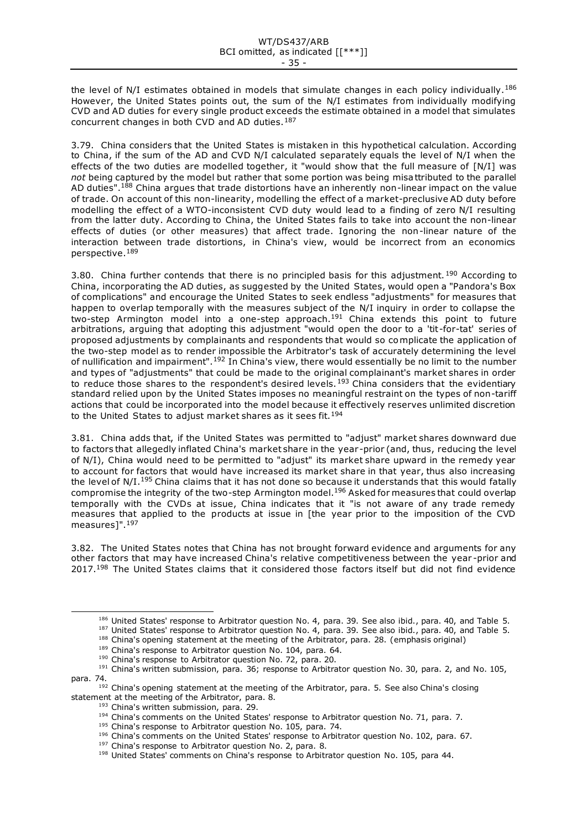the level of N/I estimates obtained in models that simulate changes in each policy individually.<sup>186</sup> However, the United States points out, the sum of the N/I estimates from individually modifying CVD and AD duties for every single product exceeds the estimate obtained in a model that simulates concurrent changes in both CVD and AD duties.<sup>187</sup>

3.79. China considers that the United States is mistaken in this hypothetical calculation. According to China, if the sum of the AD and CVD N/I calculated separately equals the level of N/I when the effects of the two duties are modelled together, it "would show that the full measure of [N/I] was *not* being captured by the model but rather that some portion was being misattributed to the parallel AD duties".<sup>188</sup> China argues that trade distortions have an inherently non-linear impact on the value of trade. On account of this non-linearity, modelling the effect of a market-preclusive AD duty before modelling the effect of a WTO-inconsistent CVD duty would lead to a finding of zero N/I resulting from the latter duty. According to China, the United States fails to take into account the non-linear effects of duties (or other measures) that affect trade. Ignoring the non-linear nature of the interaction between trade distortions, in China's view, would be incorrect from an economics perspective.<sup>189</sup>

3.80. China further contends that there is no principled basis for this adjustment.<sup>190</sup> According to China, incorporating the AD duties, as suggested by the United States, would open a "Pandora's Box of complications" and encourage the United States to seek endless "adjustments" for measures that happen to overlap temporally with the measures subject of the N/I inquiry in order to collapse the two-step Armington model into a one-step approach.<sup>191</sup> China extends this point to future arbitrations, arguing that adopting this adjustment "would open the door to a 'tit-for-tat' series of proposed adjustments by complainants and respondents that would so complicate the application of the two-step model as to render impossible the Arbitrator's task of accurately determining the level of nullification and impairment".<sup>192</sup> In China's view, there would essentially be no limit to the number and types of "adjustments" that could be made to the original complainant's market shares in order to reduce those shares to the respondent's desired levels.<sup>193</sup> China considers that the evidentiary standard relied upon by the United States imposes no meaningful restraint on the types of non-tariff actions that could be incorporated into the model because it effectively reserves unlimited discretion to the United States to adjust market shares as it sees fit.<sup>194</sup>

3.81. China adds that, if the United States was permitted to "adjust" market shares downward due to factors that allegedly inflated China's market share in the year -prior (and, thus, reducing the level of N/I), China would need to be permitted to "adjust" its market share upward in the remedy year to account for factors that would have increased its market share in that year, thus also increasing the level of N/I.<sup>195</sup> China claims that it has not done so because it understands that this would fatally compromise the integrity of the two-step Armington model.<sup>196</sup> Asked for measures that could overlap temporally with the CVDs at issue, China indicates that it "is not aware of any trade remedy measures that applied to the products at issue in [the year prior to the imposition of the CVD measures]".<sup>197</sup>

3.82. The United States notes that China has not brought forward evidence and arguments for any other factors that may have increased China's relative competitiveness between the year -prior and 2017.<sup>198</sup> The United States claims that it considered those factors itself but did not find evidence

<sup>186</sup> United States' response to Arbitrator question No. 4, para. 39. See also ibid., para. 40, and Table 5. <sup>187</sup> United States' response to Arbitrator question No. 4, para. 39. See also ibid., para. 40, and Table 5.

<sup>188</sup> China's opening statement at the meeting of the Arbitrator, para. 28. (emphasis original)

<sup>&</sup>lt;sup>189</sup> China's response to Arbitrator question No. 104, para. 64.

<sup>190</sup> China's response to Arbitrator question No. 72, para. 20.

<sup>&</sup>lt;sup>191</sup> China's written submission, para. 36; response to Arbitrator question No. 30, para. 2, and No. 105, para. 74.

<sup>&</sup>lt;sup>192</sup> China's opening statement at the meeting of the Arbitrator, para. 5. See also China's closing statement at the meeting of the Arbitrator, para. 8.

<sup>&</sup>lt;sup>193</sup> China's written submission, para. 29.

<sup>&</sup>lt;sup>194</sup> China's comments on the United States' response to Arbitrator question No. 71, para. 7.

<sup>&</sup>lt;sup>195</sup> China's response to Arbitrator question No. 105, para. 74.

<sup>196</sup> China's comments on the United States' response to Arbitrator question No. 102, para. 67.

<sup>&</sup>lt;sup>197</sup> China's response to Arbitrator question No. 2, para. 8.

<sup>&</sup>lt;sup>198</sup> United States' comments on China's response to Arbitrator question No. 105, para 44.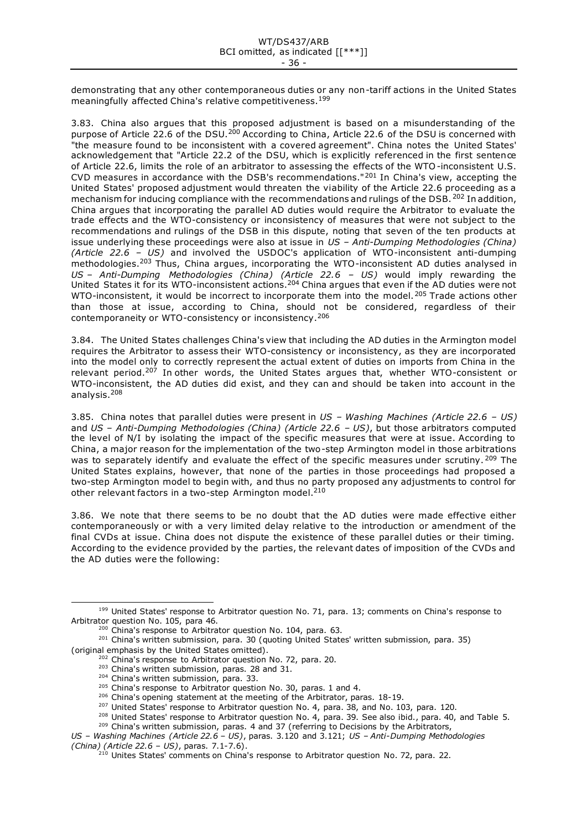demonstrating that any other contemporaneous duties or any non-tariff actions in the United States meaningfully affected China's relative competitiveness.<sup>199</sup>

3.83. China also argues that this proposed adjustment is based on a misunderstanding of the purpose of Article 22.6 of the DSU.<sup>200</sup> According to China, Article 22.6 of the DSU is concerned with "the measure found to be inconsistent with a covered agreement". China notes the United States' acknowledgement that "Article 22.2 of the DSU, which is explicitly referenced in the first sentence of Article 22.6, limits the role of an arbitrator to assessing the effects of the WTO-inconsistent U.S. CVD measures in accordance with the DSB's recommendations."<sup>201</sup> In China's view, accepting the United States' proposed adjustment would threaten the viability of the Article 22.6 proceeding as a mechanism for inducing compliance with the recommendations and rulings of the DSB. <sup>202</sup> In addition, China argues that incorporating the parallel AD duties would require the Arbitrator to evaluate the trade effects and the WTO-consistency or inconsistency of measures that were not subject to the recommendations and rulings of the DSB in this dispute, noting that seven of the ten products at issue underlying these proceedings were also at issue in *US – Anti-Dumping Methodologies (China) (Article 22.6 – US)* and involved the USDOC's application of WTO-inconsistent anti-dumping methodologies.<sup>203</sup> Thus, China argues, incorporating the WTO-inconsistent AD duties analysed in *US – Anti-Dumping Methodologies (China) (Article 22.6 – US)* would imply rewarding the United States it for its WTO-inconsistent actions.<sup>204</sup> China argues that even if the AD duties were not WTO-inconsistent, it would be incorrect to incorporate them into the model.<sup>205</sup> Trade actions other than those at issue, according to China, should not be considered, regardless of their contemporaneity or WTO-consistency or inconsistency.<sup>206</sup>

3.84. The United States challenges China's view that including the AD duties in the Armington model requires the Arbitrator to assess their WTO-consistency or inconsistency, as they are incorporated into the model only to correctly represent the actual extent of duties on imports from China in the relevant period.<sup>207</sup> In other words, the United States argues that, whether WTO-consistent or WTO-inconsistent, the AD duties did exist, and they can and should be taken into account in the analysis.<sup>208</sup>

3.85. China notes that parallel duties were present in *US – Washing Machines (Article 22.6 – US)* and *US – Anti-Dumping Methodologies (China) (Article 22.6 – US)*, but those arbitrators computed the level of N/I by isolating the impact of the specific measures that were at issue. According to China, a major reason for the implementation of the two-step Armington model in those arbitrations was to separately identify and evaluate the effect of the specific measures under scrutiny. <sup>209</sup> The United States explains, however, that none of the parties in those proceedings had proposed a two-step Armington model to begin with, and thus no party proposed any adjustments to control for other relevant factors in a two-step Armington model.<sup>210</sup>

3.86. We note that there seems to be no doubt that the AD duties were made effective either contemporaneously or with a very limited delay relative to the introduction or amendment of the final CVDs at issue. China does not dispute the existence of these parallel duties or their timing. According to the evidence provided by the parties, the relevant dates of imposition of the CVDs and the AD duties were the following:

<sup>207</sup> United States' response to Arbitrator question No. 4, para. 38, and No. 103, para. 120.

<sup>&</sup>lt;sup>199</sup> United States' response to Arbitrator question No. 71, para. 13; comments on China's response to Arbitrator question No. 105, para 46.

<sup>&</sup>lt;sup>200</sup> China's response to Arbitrator question No. 104, para. 63.

<sup>&</sup>lt;sup>201</sup> China's written submission, para. 30 (quoting United States' written submission, para. 35) (original emphasis by the United States omitted).

 $202$  China's response to Arbitrator question No. 72, para. 20.

<sup>&</sup>lt;sup>203</sup> China's written submission, paras. 28 and 31.

<sup>&</sup>lt;sup>204</sup> China's written submission, para. 33.

<sup>&</sup>lt;sup>205</sup> China's response to Arbitrator question No. 30, paras. 1 and 4.

<sup>&</sup>lt;sup>206</sup> China's opening statement at the meeting of the Arbitrator, paras. 18-19.

<sup>&</sup>lt;sup>208</sup> United States' response to Arbitrator question No. 4, para. 39. See also ibid., para. 40, and Table 5.

<sup>&</sup>lt;sup>209</sup> China's written submission, paras. 4 and 37 (referring to Decisions by the Arbitrators,

*US – Washing Machines (Article 22.6 – US)*, paras. 3.120 and 3.121; *US – Anti-Dumping Methodologies (China) (Article 22.6 – US)*, paras. 7.1-7.6).

<sup>&</sup>lt;sup>210</sup> Unites States' comments on China's response to Arbitrator question No. 72, para. 22.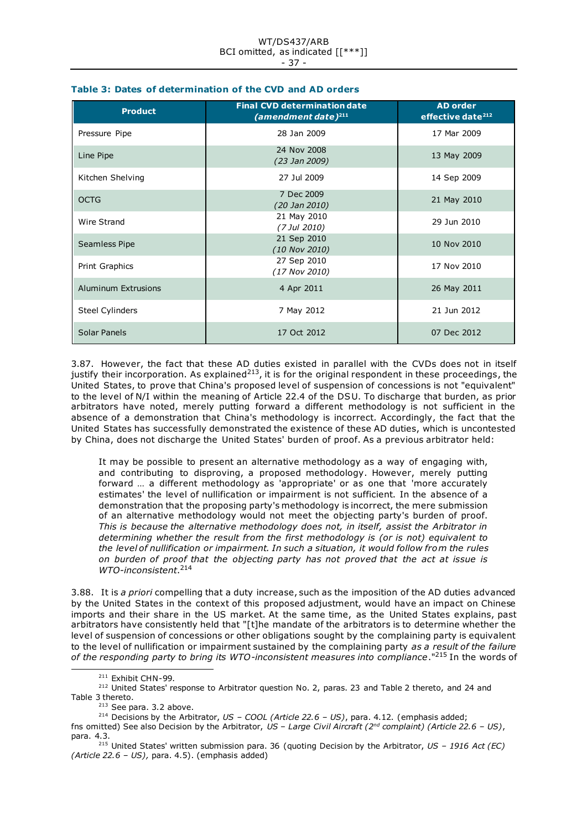| <b>Product</b>         | <b>Final CVD determination date</b><br>(amendment date) $^{211}$ | <b>AD order</b><br>effective date <sup>212</sup> |
|------------------------|------------------------------------------------------------------|--------------------------------------------------|
| Pressure Pipe          | 28 Jan 2009                                                      | 17 Mar 2009                                      |
| Line Pipe              | 24 Nov 2008<br>(23 Jan 2009)                                     | 13 May 2009                                      |
| Kitchen Shelving       | 27 Jul 2009                                                      | 14 Sep 2009                                      |
| <b>OCTG</b>            | 7 Dec 2009<br>(20 Jan 2010)                                      | 21 May 2010                                      |
| Wire Strand            | 21 May 2010<br>(7 Jul 2010)                                      | 29 Jun 2010                                      |
| Seamless Pipe          | 21 Sep 2010<br>(10 Nov 2010)                                     | 10 Nov 2010                                      |
| Print Graphics         | 27 Sep 2010<br>(17 Nov 2010)                                     | 17 Nov 2010                                      |
| Aluminum Extrusions    | 4 Apr 2011                                                       | 26 May 2011                                      |
| <b>Steel Cylinders</b> | 7 May 2012                                                       | 21 Jun 2012                                      |
| Solar Panels           | 17 Oct 2012                                                      | 07 Dec 2012                                      |

# **Table 3: Dates of determination of the CVD and AD orders**

3.87. However, the fact that these AD duties existed in parallel with the CVDs does not in itself justify their incorporation. As explained<sup>213</sup>, it is for the original respondent in these proceedings, the United States, to prove that China's proposed level of suspension of concessions is not "equivalent" to the level of N/I within the meaning of Article 22.4 of the DSU. To discharge that burden, as prior arbitrators have noted, merely putting forward a different methodology is not sufficient in the absence of a demonstration that China's methodology is incorrect. Accordingly, the fact that the United States has successfully demonstrated the existence of these AD duties, which is uncontested by China, does not discharge the United States' burden of proof. As a previous arbitrator held:

It may be possible to present an alternative methodology as a way of engaging with, and contributing to disproving, a proposed methodology. However, merely putting forward … a different methodology as 'appropriate' or as one that 'more accurately estimates' the level of nullification or impairment is not sufficient. In the absence of a demonstration that the proposing party's methodology is incorrect, the mere submission of an alternative methodology would not meet the objecting party's burden of proof. *This is because the alternative methodology does not, in itself, assist the Arbitrator in determining whether the result from the first methodology is (or is not) equivalent to the level of nullification or impairment. In such a situation, it would follow from the rules on burden of proof that the objecting party has not proved that the act at issue is WTO-inconsistent*. 214

3.88. It is *a priori* compelling that a duty increase, such as the imposition of the AD duties advanced by the United States in the context of this proposed adjustment, would have an impact on Chinese imports and their share in the US market. At the same time, as the United States explains, past arbitrators have consistently held that "[t]he mandate of the arbitrators is to determine whether the level of suspension of concessions or other obligations sought by the complaining party is equivalent to the level of nullification or impairment sustained by the complaining party *as a result of the failure of the responding party to bring its WTO-inconsistent measures into compliance*."<sup>215</sup> In the words of

<sup>&</sup>lt;sup>211</sup> Exhibit CHN-99.

<sup>&</sup>lt;sup>212</sup> United States' response to Arbitrator question No. 2, paras. 23 and Table 2 thereto, and 24 and Table 3 thereto.

 $213$  See para. 3.2 above.

<sup>214</sup> Decisions by the Arbitrator, *US – COOL (Article 22.6 – US)*, para. 4.12. (emphasis added;

fns omitted) See also Decision by the Arbitrator, *US – Large Civil Aircraft (2nd complaint) (Article 22.6 – US)*, para. 4.3.

<sup>215</sup> United States' written submission para. 36 (quoting Decision by the Arbitrator, *US – 1916 Act (EC) (Article 22.6 – US),* para. 4.5). (emphasis added)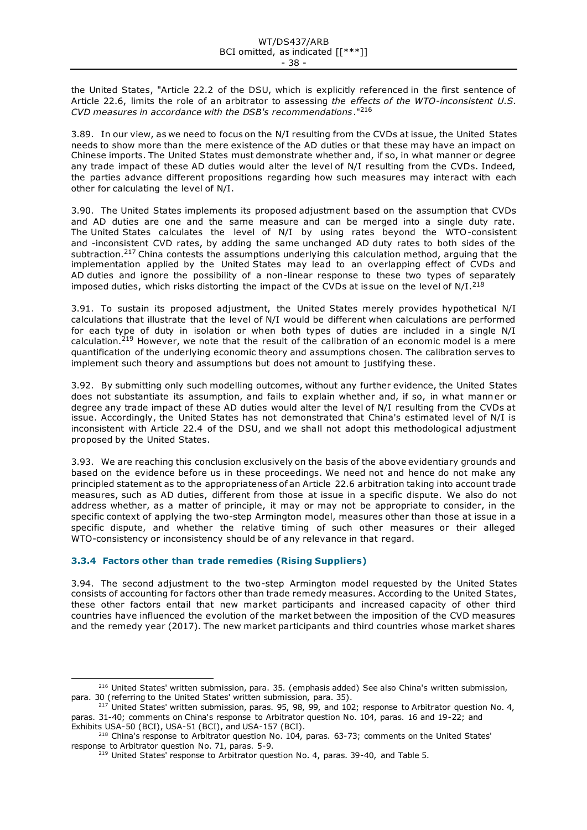the United States, "Article 22.2 of the DSU, which is explicitly referenced in the first sentence of Article 22.6, limits the role of an arbitrator to assessing *the effects of the WTO-inconsistent U.S. CVD measures in accordance with the DSB's recommendations*."<sup>216</sup>

3.89. In our view, as we need to focus on the N/I resulting from the CVDs at issue, the United States needs to show more than the mere existence of the AD duties or that these may have an impact on Chinese imports. The United States must demonstrate whether and, if so, in what manner or degree any trade impact of these AD duties would alter the level of N/I resulting from the CVDs. Indeed, the parties advance different propositions regarding how such measures may interact with each other for calculating the level of N/I.

3.90. The United States implements its proposed adjustment based on the assumption that CVDs and AD duties are one and the same measure and can be merged into a single duty rate. The United States calculates the level of N/I by using rates beyond the WTO-consistent and -inconsistent CVD rates, by adding the same unchanged AD duty rates to both sides of the subtraction.<sup>217</sup> China contests the assumptions underlying this calculation method, arguing that the implementation applied by the United States may lead to an overlapping effect of CVDs and AD duties and ignore the possibility of a non-linear response to these two types of separately imposed duties, which risks distorting the impact of the CVDs at issue on the level of  $N/I.^{218}$ 

3.91. To sustain its proposed adjustment, the United States merely provides hypothetical N/I calculations that illustrate that the level of N/I would be different when calculations are performed for each type of duty in isolation or when both types of duties are included in a single N/I calculation.<sup>219</sup> However, we note that the result of the calibration of an economic model is a mere quantification of the underlying economic theory and assumptions chosen. The calibration serves to implement such theory and assumptions but does not amount to justifying these.

3.92. By submitting only such modelling outcomes, without any further evidence, the United States does not substantiate its assumption, and fails to explain whether and, if so, in what manner or degree any trade impact of these AD duties would alter the level of N/I resulting from the CVDs at issue. Accordingly, the United States has not demonstrated that China's estimated level of N/I is inconsistent with Article 22.4 of the DSU, and we shall not adopt this methodological adjustment proposed by the United States.

3.93. We are reaching this conclusion exclusively on the basis of the above evidentiary grounds and based on the evidence before us in these proceedings. We need not and hence do not make any principled statement as to the appropriateness of an Article 22.6 arbitration taking into account trade measures, such as AD duties, different from those at issue in a specific dispute. We also do not address whether, as a matter of principle, it may or may not be appropriate to consider, in the specific context of applying the two-step Armington model, measures other than those at issue in a specific dispute, and whether the relative timing of such other measures or their alleged WTO-consistency or inconsistency should be of any relevance in that regard.

# **3.3.4 Factors other than trade remedies (Rising Suppliers)**

3.94. The second adjustment to the two-step Armington model requested by the United States consists of accounting for factors other than trade remedy measures. According to the United States, these other factors entail that new market participants and increased capacity of other third countries have influenced the evolution of the market between the imposition of the CVD measures and the remedy year (2017). The new market participants and third countries whose market shares

<sup>&</sup>lt;sup>216</sup> United States' written submission, para. 35. (emphasis added) See also China's written submission, para. 30 (referring to the United States' written submission, para. 35).

 $217$  United States' written submission, paras. 95, 98, 99, and 102; response to Arbitrator question No. 4, paras. 31-40; comments on China's response to Arbitrator question No. 104, paras. 16 and 19-22; and Exhibits USA-50 (BCI), USA-51 (BCI), and USA-157 (BCI).

<sup>&</sup>lt;sup>218</sup> China's response to Arbitrator question No. 104, paras. 63-73; comments on the United States' response to Arbitrator question No. 71, paras. 5-9.

 $219$  United States' response to Arbitrator question No. 4, paras. 39-40, and Table 5.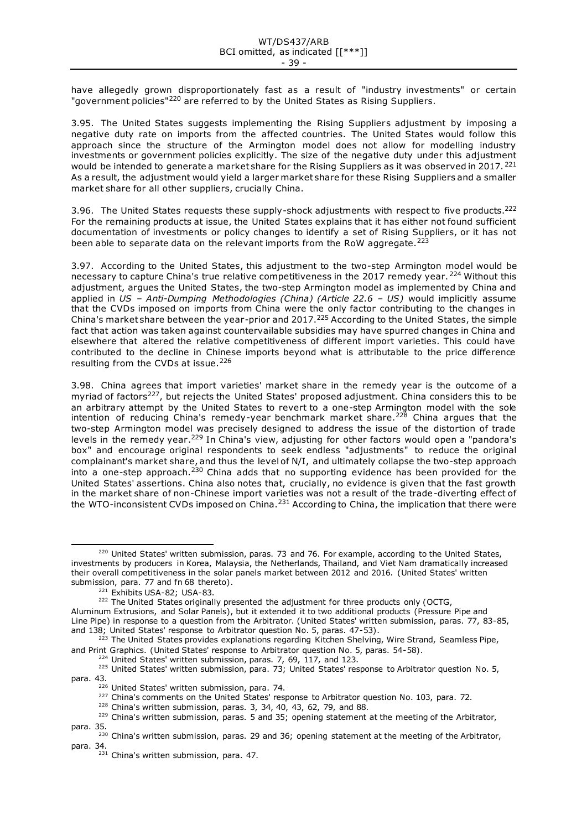have allegedly grown disproportionately fast as a result of "industry investments" or certain "government policies"<sup>220</sup> are referred to by the United States as Rising Suppliers.

3.95. The United States suggests implementing the Rising Suppliers adjustment by imposing a negative duty rate on imports from the affected countries. The United States would follow this approach since the structure of the Armington model does not allow for modelling industry investments or government policies explicitly. The size of the negative duty under this adjustment would be intended to generate a market share for the Rising Suppliers as it was observed in 2017.<sup>221</sup> As a result, the adjustment would yield a larger market share for these Rising Suppliers and a smaller market share for all other suppliers, crucially China.

3.96. The United States requests these supply-shock adjustments with respect to five products.<sup>222</sup> For the remaining products at issue, the United States explains that it has either not found sufficient documentation of investments or policy changes to identify a set of Rising Suppliers, or it has not been able to separate data on the relevant imports from the RoW aggregate.<sup>223</sup>

3.97. According to the United States, this adjustment to the two-step Armington model would be necessary to capture China's true relative competitiveness in the 2017 remedy year. <sup>224</sup> Without this adjustment, argues the United States, the two-step Armington model as implemented by China and applied in *US – Anti-Dumping Methodologies (China) (Article 22.6 – US)* would implicitly assume that the CVDs imposed on imports from China were the only factor contributing to the changes in China's market share between the year-prior and 2017.<sup>225</sup> According to the United States, the simple fact that action was taken against countervailable subsidies may have spurred changes in China and elsewhere that altered the relative competitiveness of different import varieties. This could have contributed to the decline in Chinese imports beyond what is attributable to the price difference resulting from the CVDs at issue.<sup>226</sup>

3.98. China agrees that import varieties' market share in the remedy year is the outcome of a myriad of factors<sup>227</sup>, but rejects the United States' proposed adjustment. China considers this to be an arbitrary attempt by the United States to revert to a one-step Armington model with the sole intention of reducing China's remedy-year benchmark market share.<sup>228</sup> China argues that the two-step Armington model was precisely designed to address the issue of the distortion of trade levels in the remedy year.<sup>229</sup> In China's view, adjusting for other factors would open a "pandora's box" and encourage original respondents to seek endless "adjustments" to reduce the original complainant's market share, and thus the level of N/I, and ultimately collapse the two-step approach into a one-step approach.<sup>230</sup> China adds that no supporting evidence has been provided for the United States' assertions. China also notes that, crucially, no evidence is given that the fast growth in the market share of non-Chinese import varieties was not a result of the trade-diverting effect of the WTO-inconsistent CVDs imposed on China.<sup>231</sup> According to China, the implication that there were

 $224$  United States' written submission, paras. 7, 69, 117, and 123.

 $220$  United States' written submission, paras. 73 and 76. For example, according to the United States, investments by producers in Korea, Malaysia, the Netherlands, Thailand, and Viet Nam dramatically increased their overall competitiveness in the solar panels market between 2012 and 2016. (United States' written submission, para. 77 and fn 68 thereto).

<sup>221</sup> Exhibits USA-82; USA-83.

<sup>&</sup>lt;sup>222</sup> The United States originally presented the adjustment for three products only (OCTG,

Aluminum Extrusions, and Solar Panels), but it extended it to two additional products (Pressure Pipe and Line Pipe) in response to a question from the Arbitrator. (United States' written submission, paras. 77, 83-85, and 138; United States' response to Arbitrator question No. 5, paras. 47-53).

<sup>&</sup>lt;sup>223</sup> The United States provides explanations regarding Kitchen Shelving, Wire Strand, Seamless Pipe, and Print Graphics. (United States' response to Arbitrator question No. 5, paras. 54-58).

<sup>&</sup>lt;sup>225</sup> United States' written submission, para. 73; United States' response to Arbitrator question No. 5, para. 43.

<sup>&</sup>lt;sup>226</sup> United States' written submission, para. 74.

 $227$  China's comments on the United States' response to Arbitrator question No. 103, para. 72.

<sup>&</sup>lt;sup>228</sup> China's written submission, paras. 3, 34, 40, 43, 62, 79, and 88.

 $229$  China's written submission, paras. 5 and 35; opening statement at the meeting of the Arbitrator, para. 35.

<sup>&</sup>lt;sup>230</sup> China's written submission, paras. 29 and 36; opening statement at the meeting of the Arbitrator, para. 34.

 $231$  China's written submission, para. 47.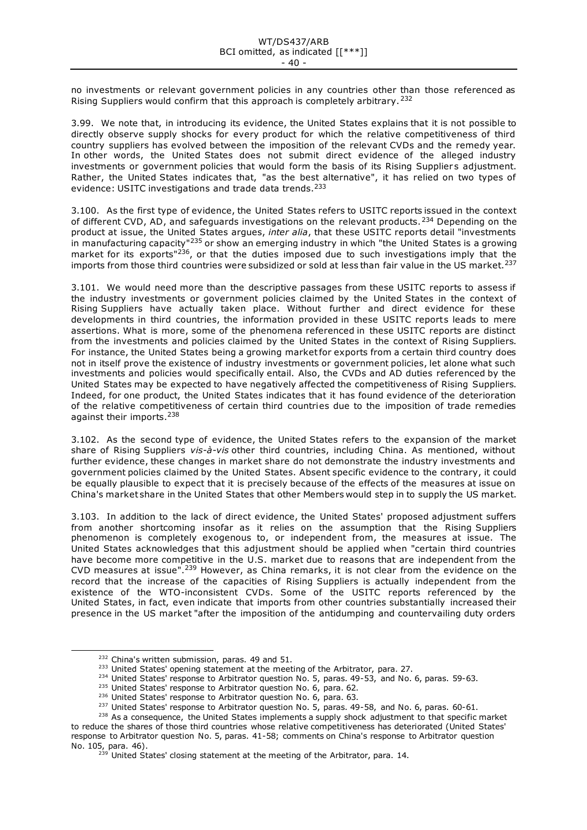no investments or relevant government policies in any countries other than those referenced as Rising Suppliers would confirm that this approach is completely arbitrary.<sup>232</sup>

3.99. We note that, in introducing its evidence, the United States explains that it is not possible to directly observe supply shocks for every product for which the relative competitiveness of third country suppliers has evolved between the imposition of the relevant CVDs and the remedy year. In other words, the United States does not submit direct evidence of the alleged industry investments or government policies that would form the basis of its Rising Suppliers adjustment. Rather, the United States indicates that, "as the best alternative", it has relied on two types of evidence: USITC investigations and trade data trends.<sup>233</sup>

3.100. As the first type of evidence, the United States refers to USITC reports issued in the context of different CVD, AD, and safeguards investigations on the relevant products.  $234$  Depending on the product at issue, the United States argues, *inter alia*, that these USITC reports detail "investments in manufacturing capacity"<sup>235</sup> or show an emerging industry in which "the United States is a growing market for its exports"<sup>236</sup>, or that the duties imposed due to such investigations imply that the imports from those third countries were subsidized or sold at less than fair value in the US market.<sup>237</sup>

3.101. We would need more than the descriptive passages from these USITC reports to assess if the industry investments or government policies claimed by the United States in the context of Rising Suppliers have actually taken place. Without further and direct evidence for these developments in third countries, the information provided in these USITC reports leads to mere assertions. What is more, some of the phenomena referenced in these USITC reports are distinct from the investments and policies claimed by the United States in the context of Rising Suppliers. For instance, the United States being a growing market for exports from a certain third country does not in itself prove the existence of industry investments or government policies, let alone what such investments and policies would specifically entail. Also, the CVDs and AD duties referenced by the United States may be expected to have negatively affected the competitiveness of Rising Suppliers. Indeed, for one product, the United States indicates that it has found evidence of the deterioration of the relative competitiveness of certain third countries due to the imposition of trade remedies against their imports.<sup>238</sup>

3.102. As the second type of evidence, the United States refers to the expansion of the market share of Rising Suppliers *vis-à-vis* other third countries, including China. As mentioned, without further evidence, these changes in market share do not demonstrate the industry investments and government policies claimed by the United States. Absent specific evidence to the contrary, it could be equally plausible to expect that it is precisely because of the effects of the measures at issue on China's market share in the United States that other Members would step in to supply the US market.

3.103. In addition to the lack of direct evidence, the United States' proposed adjustment suffers from another shortcoming insofar as it relies on the assumption that the Rising Suppliers phenomenon is completely exogenous to, or independent from, the measures at issue. The United States acknowledges that this adjustment should be applied when "certain third countries have become more competitive in the U.S. market due to reasons that are independent from the CVD measures at issue".<sup>239</sup> However, as China remarks, it is not clear from the evidence on the record that the increase of the capacities of Rising Suppliers is actually independent from the existence of the WTO-inconsistent CVDs. Some of the USITC reports referenced by the United States, in fact, even indicate that imports from other countries substantially increased their presence in the US market "after the imposition of the antidumping and countervailing duty orders

- <sup>234</sup> United States' response to Arbitrator question No. 5, paras. 49-53, and No. 6, paras. 59-63.
- <sup>235</sup> United States' response to Arbitrator question No. 6, para. 62.

<sup>&</sup>lt;sup>232</sup> China's written submission, paras. 49 and 51.

<sup>&</sup>lt;sup>233</sup> United States' opening statement at the meeting of the Arbitrator, para. 27.

<sup>&</sup>lt;sup>236</sup> United States' response to Arbitrator question No. 6, para. 63.

<sup>&</sup>lt;sup>237</sup> United States' response to Arbitrator question No. 5, paras. 49-58, and No. 6, paras. 60-61.

<sup>&</sup>lt;sup>238</sup> As a consequence, the United States implements a supply shock adjustment to that specific market to reduce the shares of those third countries whose relative competitiveness has deteriorated (United States' response to Arbitrator question No. 5, paras. 41-58; comments on China's response to Arbitrator question No. 105, para. 46).

 $^{239}$  United States' closing statement at the meeting of the Arbitrator, para. 14.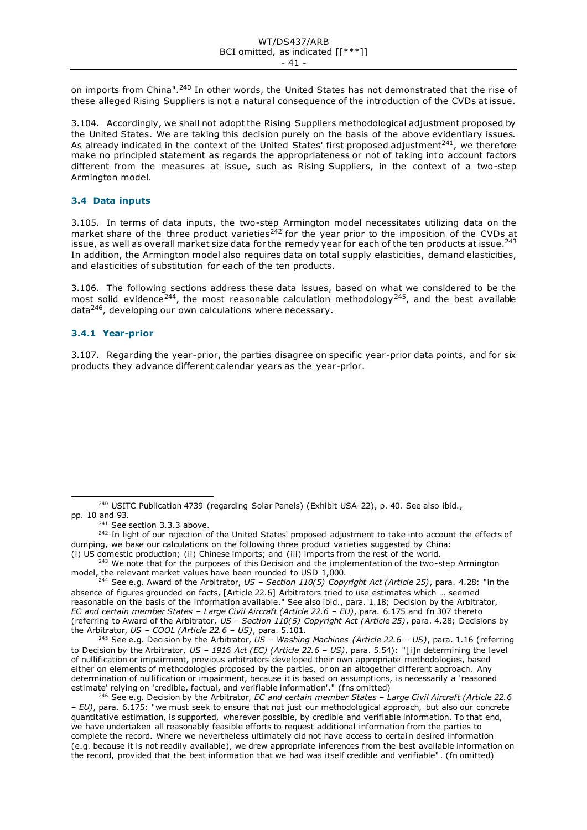on imports from China".<sup>240</sup> In other words, the United States has not demonstrated that the rise of these alleged Rising Suppliers is not a natural consequence of the introduction of the CVDs at issue.

3.104. Accordingly, we shall not adopt the Rising Suppliers methodological adjustment proposed by the United States. We are taking this decision purely on the basis of the above evidentiary issues. As already indicated in the context of the United States' first proposed adjustment<sup>241</sup>, we therefore make no principled statement as regards the appropriateness or not of taking into account factors different from the measures at issue, such as Rising Suppliers, in the context of a two-step Armington model.

### **3.4 Data inputs**

3.105. In terms of data inputs, the two-step Armington model necessitates utilizing data on the market share of the three product varieties<sup>242</sup> for the year prior to the imposition of the CVDs at issue, as well as overall market size data for the remedy year for each of the ten products at issue.<sup>243</sup> In addition, the Armington model also requires data on total supply elasticities, demand elasticities, and elasticities of substitution for each of the ten products.

3.106. The following sections address these data issues, based on what we considered to be the most solid evidence<sup>244</sup>, the most reasonable calculation methodology<sup>245</sup>, and the best available data<sup>246</sup>, developing our own calculations where necessary.

#### **3.4.1 Year-prior**

3.107. Regarding the year-prior, the parties disagree on specific year-prior data points, and for six products they advance different calendar years as the year-prior.

<sup>245</sup> See e.g. Decision by the Arbitrator, *US – Washing Machines (Article 22.6 – US)*, para. 1.16 (referring to Decision by the Arbitrator, *US – 1916 Act (EC) (Article 22.6 – US)*, para. 5.54): "[i]n determining the level of nullification or impairment, previous arbitrators developed their own appropriate methodologies, based either on elements of methodologies proposed by the parties, or on an altogether different approach. Any determination of nullification or impairment, because it is based on assumptions, is necessarily a 'reasoned estimate' relying on 'credible, factual, and verifiable information'." (fns omitted)

<sup>246</sup> See e.g. Decision by the Arbitrator, *EC and certain member States – Large Civil Aircraft (Article 22.6 – EU)*, para. 6.175: "we must seek to ensure that not just our methodological approach, but also our concrete quantitative estimation, is supported, wherever possible, by credible and verifiable information. To that end, we have undertaken all reasonably feasible efforts to request additional information from the parties to complete the record. Where we nevertheless ultimately did not have access to certain desired information (e.g. because it is not readily available), we drew appropriate inferences from the best available information on the record, provided that the best information that we had was itself credible and verifiable" . (fn omitted)

<sup>&</sup>lt;sup>240</sup> USITC Publication 4739 (regarding Solar Panels) (Exhibit USA-22), p. 40. See also ibid., pp. 10 and 93.

 $241$  See section 3.3.3 above.

<sup>&</sup>lt;sup>242</sup> In light of our rejection of the United States' proposed adjustment to take into account the effects of dumping, we base our calculations on the following three product varieties suggested by China:

<sup>(</sup>i) US domestic production; (ii) Chinese imports; and (iii) imports from the rest of the world. <sup>243</sup> We note that for the purposes of this Decision and the implementation of the two-step Armington

model, the relevant market values have been rounded to USD 1,000. <sup>244</sup> See e.g. Award of the Arbitrator, *US – Section 110(5) Copyright Act (Article 25)*, para. 4.28: "in the absence of figures grounded on facts, [Article 22.6] Arbitrators tried to use estimates which … seemed reasonable on the basis of the information available." See also ibid., para. 1.18; Decision by the Arbitrator, *EC and certain member States – Large Civil Aircraft (Article 22.6 – EU)*, para. 6.175 and fn 307 thereto

<sup>(</sup>referring to Award of the Arbitrator, *US – Section 110(5) Copyright Act (Article 25)*, para. 4.28; Decisions by the Arbitrator, *US – COOL (Article 22.6 – US)*, para. 5.101.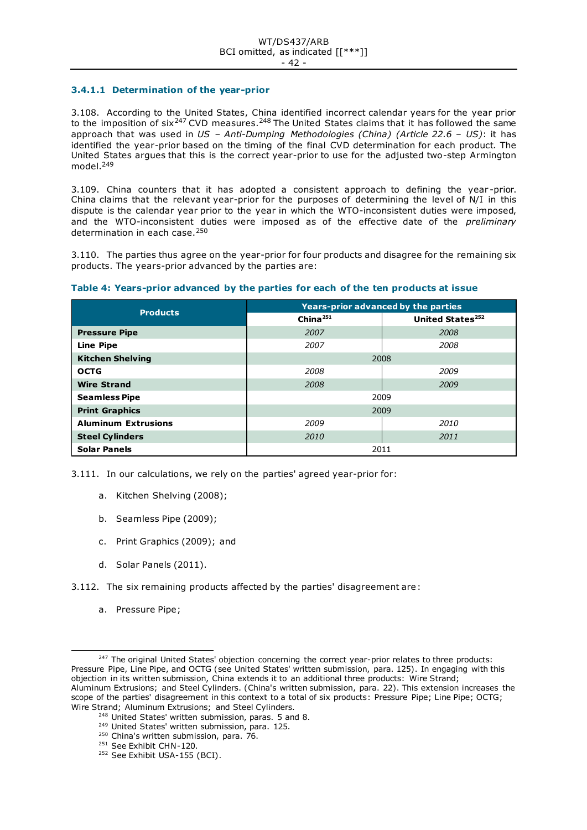# **3.4.1.1 Determination of the year-prior**

3.108. According to the United States, China identified incorrect calendar years for the year prior to the imposition of  $\text{six}^{247}$  CVD measures.<sup>248</sup> The United States claims that it has followed the same approach that was used in *US – Anti-Dumping Methodologies (China) (Article 22.6 – US)*: it has identified the year-prior based on the timing of the final CVD determination for each product. The United States argues that this is the correct year-prior to use for the adjusted two-step Armington model.<sup>249</sup>

3.109. China counters that it has adopted a consistent approach to defining the year -prior. China claims that the relevant year-prior for the purposes of determining the level of N/I in this dispute is the calendar year prior to the year in which the WTO-inconsistent duties were imposed, and the WTO-inconsistent duties were imposed as of the effective date of the *preliminary* determination in each case.<sup>250</sup>

3.110. The parties thus agree on the year-prior for four products and disagree for the remaining six products. The years-prior advanced by the parties are:

| <b>Products</b>            | Years-prior advanced by the parties |                              |  |
|----------------------------|-------------------------------------|------------------------------|--|
|                            | China $^{251}$                      | United States <sup>252</sup> |  |
| <b>Pressure Pipe</b>       | 2007                                | 2008                         |  |
| <b>Line Pipe</b>           | 2007                                | 2008                         |  |
| <b>Kitchen Shelving</b>    | 2008                                |                              |  |
| <b>OCTG</b>                | 2008                                | 2009                         |  |
| <b>Wire Strand</b>         | 2008                                | 2009                         |  |
| <b>Seamless Pipe</b>       | 2009                                |                              |  |
| <b>Print Graphics</b>      | 2009                                |                              |  |
| <b>Aluminum Extrusions</b> | 2009                                | 2010                         |  |
| <b>Steel Cylinders</b>     | 2010                                | 2011                         |  |
| <b>Solar Panels</b>        | 2011                                |                              |  |

## **Table 4: Years-prior advanced by the parties for each of the ten products at issue**

3.111. In our calculations, we rely on the parties' agreed year-prior for:

- a. Kitchen Shelving (2008);
- b. Seamless Pipe (2009);
- c. Print Graphics (2009); and
- d. Solar Panels (2011).
- 3.112. The six remaining products affected by the parties' disagreement are:
	- a. Pressure Pipe;

- <sup>248</sup> United States' written submission, paras. 5 and 8.
- <sup>249</sup> United States' written submission, para. 125.
- <sup>250</sup> China's written submission, para. 76.
- <sup>251</sup> See Exhibit CHN-120.
- <sup>252</sup> See Exhibit USA-155 (BCI).

<sup>&</sup>lt;sup>247</sup> The original United States' objection concerning the correct year-prior relates to three products: Pressure Pipe, Line Pipe, and OCTG (see United States' written submission, para. 125). In engaging with this objection in its written submission, China extends it to an additional three products: Wire Strand; Aluminum Extrusions; and Steel Cylinders. (China's written submission, para. 22). This extension increases the scope of the parties' disagreement in this context to a total of six products: Pressure Pipe; Line Pipe; OCTG; Wire Strand; Aluminum Extrusions; and Steel Cylinders.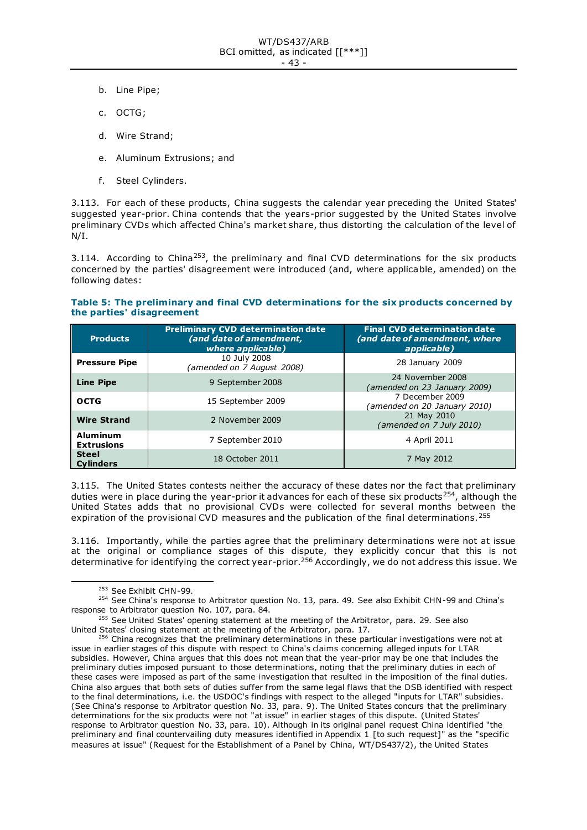- b. Line Pipe;
- c. OCTG;
- d. Wire Strand;
- e. Aluminum Extrusions; and
- f. Steel Cylinders.

3.113. For each of these products, China suggests the calendar year preceding the United States' suggested year-prior. China contends that the years-prior suggested by the United States involve preliminary CVDs which affected China's market share, thus distorting the calculation of the level of N/I.

3.114. According to China<sup>253</sup>, the preliminary and final CVD determinations for the six products concerned by the parties' disagreement were introduced (and, where applicable, amended) on the following dates:

## **Table 5: The preliminary and final CVD determinations for the six products concerned by the parties' disagreement**

| <b>Products</b>                      | <b>Preliminary CVD determination date</b><br>(and date of amendment,<br>where applicable) | <b>Final CVD determination date</b><br>(and date of amendment, where<br>applicable) |
|--------------------------------------|-------------------------------------------------------------------------------------------|-------------------------------------------------------------------------------------|
| <b>Pressure Pipe</b>                 | 10 July 2008<br>(amended on 7 August 2008)                                                | 28 January 2009                                                                     |
| <b>Line Pipe</b>                     | 9 September 2008                                                                          | 24 November 2008<br>(amended on 23 January 2009)                                    |
| <b>OCTG</b>                          | 15 September 2009                                                                         | 7 December 2009<br>(amended on 20 January 2010)                                     |
| <b>Wire Strand</b>                   | 2 November 2009                                                                           | 21 May 2010<br>(amended on 7 July 2010)                                             |
| <b>Aluminum</b><br><b>Extrusions</b> | 7 September 2010                                                                          | 4 April 2011                                                                        |
| <b>Steel</b><br><b>Cylinders</b>     | 18 October 2011                                                                           | 7 May 2012                                                                          |

3.115. The United States contests neither the accuracy of these dates nor the fact that preliminary duties were in place during the year-prior it advances for each of these six products<sup>254</sup>, although the United States adds that no provisional CVDs were collected for several months between the expiration of the provisional CVD measures and the publication of the final determinations.<sup>255</sup>

3.116. Importantly, while the parties agree that the preliminary determinations were not at issue at the original or compliance stages of this dispute, they explicitly concur that this is not determinative for identifying the correct year-prior.<sup>256</sup> Accordingly, we do not address this issue. We

<sup>253</sup> See Exhibit CHN-99.

<sup>&</sup>lt;sup>254</sup> See China's response to Arbitrator question No. 13, para. 49. See also Exhibit CHN-99 and China's response to Arbitrator question No. 107, para. 84.

 $255$  See United States' opening statement at the meeting of the Arbitrator, para. 29. See also United States' closing statement at the meeting of the Arbitrator, para. 17.

<sup>&</sup>lt;sup>256</sup> China recognizes that the preliminary determinations in these particular investigations were not at issue in earlier stages of this dispute with respect to China's claims concerning alleged inputs for LTAR subsidies. However, China argues that this does not mean that the year-prior may be one that includes the preliminary duties imposed pursuant to those determinations, noting that the preliminary duties in each of these cases were imposed as part of the same investigation that resulted in the imposition of the final duties. China also argues that both sets of duties suffer from the same legal flaws that the DSB identified with respect to the final determinations, i.e. the USDOC's findings with respect to the alleged "inputs for LTAR" subsidies. (See China's response to Arbitrator question No. 33, para. 9). The United States concurs that the preliminary determinations for the six products were not "at issue" in earlier stages of this dispute. (United States' response to Arbitrator question No. 33, para. 10). Although in its original panel request China identified "the preliminary and final countervailing duty measures identified in Appendix 1 [to such request]" as the "specific measures at issue" (Request for the Establishment of a Panel by China, WT/DS437/2), the United States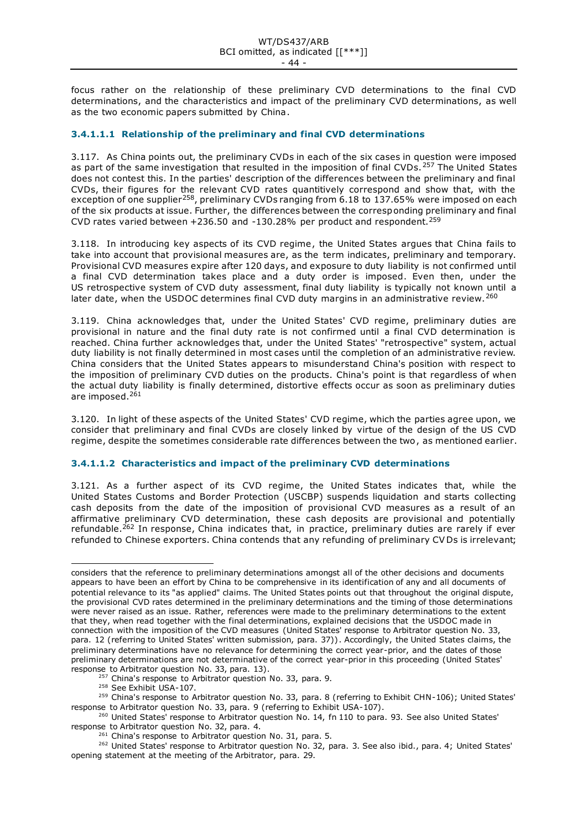focus rather on the relationship of these preliminary CVD determinations to the final CVD determinations, and the characteristics and impact of the preliminary CVD determinations, as well as the two economic papers submitted by China.

# **3.4.1.1.1 Relationship of the preliminary and final CVD determinations**

3.117. As China points out, the preliminary CVDs in each of the six cases in question were imposed as part of the same investigation that resulted in the imposition of final CVDs. 257 The United States does not contest this. In the parties' description of the differences between the preliminary and final CVDs, their figures for the relevant CVD rates quantitively correspond and show that, with the exception of one supplier<sup>258</sup>, preliminary CVDs ranging from 6.18 to 137.65% were imposed on each of the six products at issue. Further, the differences between the corresponding preliminary and final CVD rates varied between +236.50 and -130.28% per product and respondent.<sup>259</sup>

3.118. In introducing key aspects of its CVD regime, the United States argues that China fails to take into account that provisional measures are, as the term indicates, preliminary and temporary. Provisional CVD measures expire after 120 days, and exposure to duty liability is not confirmed until a final CVD determination takes place and a duty order is imposed. Even then, under the US retrospective system of CVD duty assessment, final duty liability is typically not known until a later date, when the USDOC determines final CVD duty margins in an administrative review.<sup>260</sup>

3.119. China acknowledges that, under the United States' CVD regime, preliminary duties are provisional in nature and the final duty rate is not confirmed until a final CVD determination is reached. China further acknowledges that, under the United States' "retrospective" system, actual duty liability is not finally determined in most cases until the completion of an administrative review. China considers that the United States appears to misunderstand China's position with respect to the imposition of preliminary CVD duties on the products. China's point is that regardless of when the actual duty liability is finally determined, distortive effects occur as soon as preliminary duties are imposed.<sup>261</sup>

3.120. In light of these aspects of the United States' CVD regime, which the parties agree upon, we consider that preliminary and final CVDs are closely linked by virtue of the design of the US CVD regime, despite the sometimes considerable rate differences between the two, as mentioned earlier.

# **3.4.1.1.2 Characteristics and impact of the preliminary CVD determinations**

3.121. As a further aspect of its CVD regime, the United States indicates that, while the United States Customs and Border Protection (USCBP) suspends liquidation and starts collecting cash deposits from the date of the imposition of provisional CVD measures as a result of an affirmative preliminary CVD determination, these cash deposits are provisional and potentially refundable.<sup>262</sup> In response, China indicates that, in practice, preliminary duties are rarely if ever refunded to Chinese exporters. China contends that any refunding of preliminary CV Ds is irrelevant;

considers that the reference to preliminary determinations amongst all of the other decisions and documents appears to have been an effort by China to be comprehensive in its identification of any and all documents of potential relevance to its "as applied" claims. The United States points out that throughout the original dispute, the provisional CVD rates determined in the preliminary determinations and the timing of those determinations were never raised as an issue. Rather, references were made to the preliminary determinations to the extent that they, when read together with the final determinations, explained decisions that the USDOC made in connection with the imposition of the CVD measures (United States' response to Arbitrator question No. 33, para. 12 (referring to United States' written submission, para. 37)). Accordingly, the United States claims, the preliminary determinations have no relevance for determining the correct year-prior, and the dates of those preliminary determinations are not determinative of the correct year-prior in this proceeding (United States' response to Arbitrator question No. 33, para. 13).

<sup>&</sup>lt;sup>257</sup> China's response to Arbitrator question No. 33, para. 9.

<sup>258</sup> See Exhibit USA-107.

<sup>&</sup>lt;sup>259</sup> China's response to Arbitrator question No. 33, para. 8 (referring to Exhibit CHN-106); United States' response to Arbitrator question No. 33, para. 9 (referring to Exhibit USA-107).

<sup>&</sup>lt;sup>260</sup> United States' response to Arbitrator question No. 14, fn 110 to para. 93. See also United States' response to Arbitrator question No. 32, para. 4.

<sup>&</sup>lt;sup>261</sup> China's response to Arbitrator question No. 31, para. 5.

<sup>&</sup>lt;sup>262</sup> United States' response to Arbitrator question No. 32, para. 3. See also ibid., para. 4; United States' opening statement at the meeting of the Arbitrator, para. 29.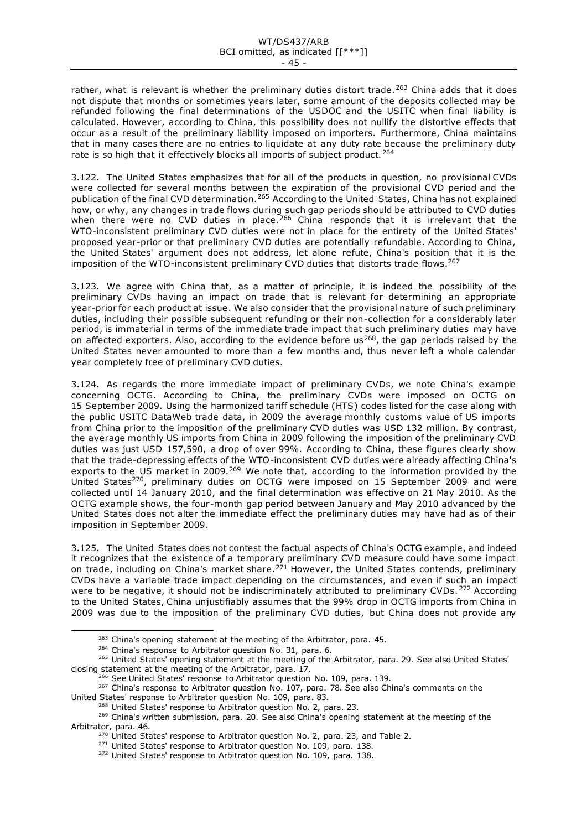rather, what is relevant is whether the preliminary duties distort trade.<sup>263</sup> China adds that it does not dispute that months or sometimes years later, some amount of the deposits collected may be refunded following the final determinations of the USDOC and the USITC when final liability is calculated. However, according to China, this possibility does not nullify the distortive effects that occur as a result of the preliminary liability imposed on importers. Furthermore, China maintains that in many cases there are no entries to liquidate at any duty rate because the preliminary duty rate is so high that it effectively blocks all imports of subject product.<sup>264</sup>

3.122. The United States emphasizes that for all of the products in question, no provisional CVDs were collected for several months between the expiration of the provisional CVD period and the publication of the final CVD determination.<sup>265</sup> According to the United States, China has not explained how, or why, any changes in trade flows during such gap periods should be attributed to CVD duties when there were no CVD duties in place.<sup>266</sup> China responds that it is irrelevant that the WTO-inconsistent preliminary CVD duties were not in place for the entirety of the United States' proposed year-prior or that preliminary CVD duties are potentially refundable. According to China, the United States' argument does not address, let alone refute, China's position that it is the imposition of the WTO-inconsistent preliminary CVD duties that distorts trade flows.<sup>267</sup>

3.123. We agree with China that, as a matter of principle, it is indeed the possibility of the preliminary CVDs having an impact on trade that is relevant for determining an appropriate year-prior for each product at issue. We also consider that the provisional nature of such preliminary duties, including their possible subsequent refunding or their non-collection for a considerably later period, is immaterial in terms of the immediate trade impact that such preliminary duties may have on affected exporters. Also, according to the evidence before us<sup>268</sup>, the gap periods raised by the United States never amounted to more than a few months and, thus never left a whole calendar year completely free of preliminary CVD duties.

3.124. As regards the more immediate impact of preliminary CVDs, we note China's example concerning OCTG. According to China, the preliminary CVDs were imposed on OCTG on 15 September 2009. Using the harmonized tariff schedule (HTS) codes listed for the case along with the public USITC DataWeb trade data, in 2009 the average monthly customs value of US imports from China prior to the imposition of the preliminary CVD duties was USD 132 million. By contrast, the average monthly US imports from China in 2009 following the imposition of the preliminary CVD duties was just USD 157,590, a drop of over 99%. According to China, these figures clearly show that the trade-depressing effects of the WTO-inconsistent CVD duties were already affecting China's exports to the US market in 2009.<sup>269</sup> We note that, according to the information provided by the United States<sup>270</sup>, preliminary duties on OCTG were imposed on 15 September 2009 and were collected until 14 January 2010, and the final determination was effective on 21 May 2010. As the OCTG example shows, the four-month gap period between January and May 2010 advanced by the United States does not alter the immediate effect the preliminary duties may have had as of their imposition in September 2009.

3.125. The United States does not contest the factual aspects of China's OCTG example, and indeed it recognizes that the existence of a temporary preliminary CVD measure could have some impact on trade, including on China's market share.<sup>271</sup> However, the United States contends, preliminary CVDs have a variable trade impact depending on the circumstances, and even if such an impact were to be negative, it should not be indiscriminately attributed to preliminary CVDs. <sup>272</sup> According to the United States, China unjustifiably assumes that the 99% drop in OCTG imports from China in 2009 was due to the imposition of the preliminary CVD duties, but China does not provide any

<sup>266</sup> See United States' response to Arbitrator question No. 109, para. 139.

<sup>&</sup>lt;sup>263</sup> China's opening statement at the meeting of the Arbitrator, para. 45.

<sup>&</sup>lt;sup>264</sup> China's response to Arbitrator question No. 31, para. 6.

<sup>&</sup>lt;sup>265</sup> United States' opening statement at the meeting of the Arbitrator, para. 29. See also United States' closing statement at the meeting of the Arbitrator, para. 17.

<sup>&</sup>lt;sup>267</sup> China's response to Arbitrator question No. 107, para. 78. See also China's comments on the United States' response to Arbitrator question No. 109, para. 83.

<sup>&</sup>lt;sup>268</sup> United States' response to Arbitrator question No. 2, para. 23.

<sup>&</sup>lt;sup>269</sup> China's written submission, para. 20. See also China's opening statement at the meeting of the Arbitrator, para. 46.

<sup>&</sup>lt;sup>270</sup> United States' response to Arbitrator question No. 2, para. 23, and Table 2.

<sup>&</sup>lt;sup>271</sup> United States' response to Arbitrator question No. 109, para. 138.

<sup>&</sup>lt;sup>272</sup> United States' response to Arbitrator question No. 109, para. 138.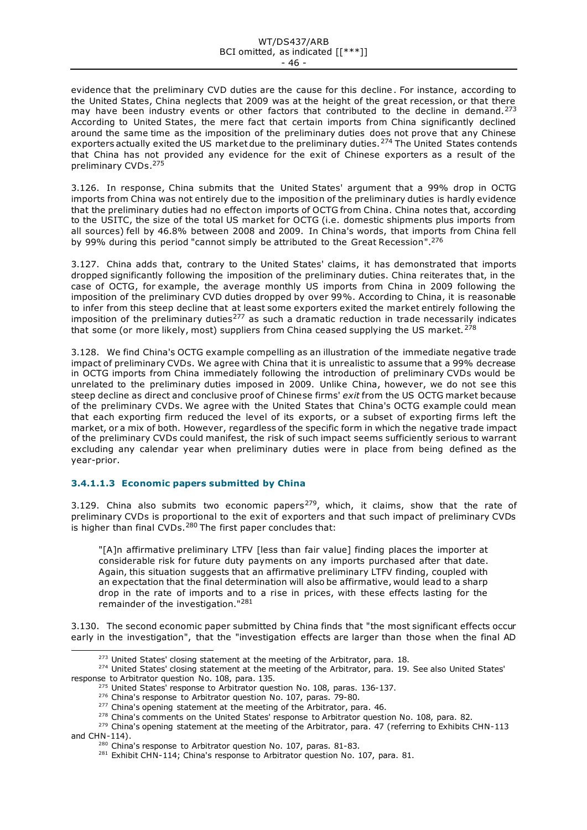evidence that the preliminary CVD duties are the cause for this decline . For instance, according to the United States, China neglects that 2009 was at the height of the great recession, or that there may have been industry events or other factors that contributed to the decline in demand.<sup>273</sup> According to United States, the mere fact that certain imports from China significantly declined around the same time as the imposition of the preliminary duties does not prove that any Chinese exporters actually exited the US market due to the preliminary duties.<sup>274</sup> The United States contends that China has not provided any evidence for the exit of Chinese exporters as a result of the preliminary CVDs. 275

3.126. In response, China submits that the United States' argument that a 99% drop in OCTG imports from China was not entirely due to the imposition of the preliminary duties is hardly evidence that the preliminary duties had no effect on imports of OCTG from China. China notes that, according to the USITC, the size of the total US market for OCTG (i.e. domestic shipments plus imports from all sources) fell by 46.8% between 2008 and 2009. In China's words, that imports from China fell by 99% during this period "cannot simply be attributed to the Great Recession".<sup>276</sup>

3.127. China adds that, contrary to the United States' claims, it has demonstrated that imports dropped significantly following the imposition of the preliminary duties. China reiterates that, in the case of OCTG, for example, the average monthly US imports from China in 2009 following the imposition of the preliminary CVD duties dropped by over 99%. According to China, it is reasonable to infer from this steep decline that at least some exporters exited the market entirely following the imposition of the preliminary duties<sup>277</sup> as such a dramatic reduction in trade necessarily indicates that some (or more likely, most) suppliers from China ceased supplying the US market.<sup>278</sup>

3.128. We find China's OCTG example compelling as an illustration of the immediate negative trade impact of preliminary CVDs. We agree with China that it is unrealistic to assume that a 99% decrease in OCTG imports from China immediately following the introduction of preliminary CVDs would be unrelated to the preliminary duties imposed in 2009. Unlike China, however, we do not see this steep decline as direct and conclusive proof of Chinese firms' *exit* from the US OCTG market because of the preliminary CVDs. We agree with the United States that China's OCTG example could mean that each exporting firm reduced the level of its exports, or a subset of exporting firms left the market, or a mix of both. However, regardless of the specific form in which the negative trade impact of the preliminary CVDs could manifest, the risk of such impact seems sufficiently serious to warrant excluding any calendar year when preliminary duties were in place from being defined as the year-prior.

# **3.4.1.1.3 Economic papers submitted by China**

3.129. China also submits two economic papers<sup>279</sup>, which, it claims, show that the rate of preliminary CVDs is proportional to the exit of exporters and that such impact of preliminary CVDs is higher than final CVDs.<sup>280</sup> The first paper concludes that:

"[A]n affirmative preliminary LTFV [less than fair value] finding places the importer at considerable risk for future duty payments on any imports purchased after that date. Again, this situation suggests that an affirmative preliminary LTFV finding, coupled with an expectation that the final determination will also be affirmative, would lead to a sharp drop in the rate of imports and to a rise in prices, with these effects lasting for the remainder of the investigation."<sup>281</sup>

3.130. The second economic paper submitted by China finds that "the most significant effects occur early in the investigation", that the "investigation effects are larger than those when the final AD

<sup>&</sup>lt;sup>273</sup> United States' closing statement at the meeting of the Arbitrator, para. 18.

<sup>&</sup>lt;sup>274</sup> United States' closing statement at the meeting of the Arbitrator, para. 19. See also United States' response to Arbitrator question No. 108, para. 135.

<sup>&</sup>lt;sup>275</sup> United States' response to Arbitrator question No. 108, paras. 136-137.

<sup>&</sup>lt;sup>276</sup> China's response to Arbitrator question No. 107, paras. 79-80.

<sup>&</sup>lt;sup>277</sup> China's opening statement at the meeting of the Arbitrator, para. 46.

<sup>&</sup>lt;sup>278</sup> China's comments on the United States' response to Arbitrator question No. 108, para. 82.

<sup>&</sup>lt;sup>279</sup> China's opening statement at the meeting of the Arbitrator, para. 47 (referring to Exhibits CHN-113 and CHN-114).

<sup>&</sup>lt;sup>280</sup> China's response to Arbitrator question No. 107, paras. 81-83.

<sup>&</sup>lt;sup>281</sup> Exhibit CHN-114; China's response to Arbitrator question No. 107, para. 81.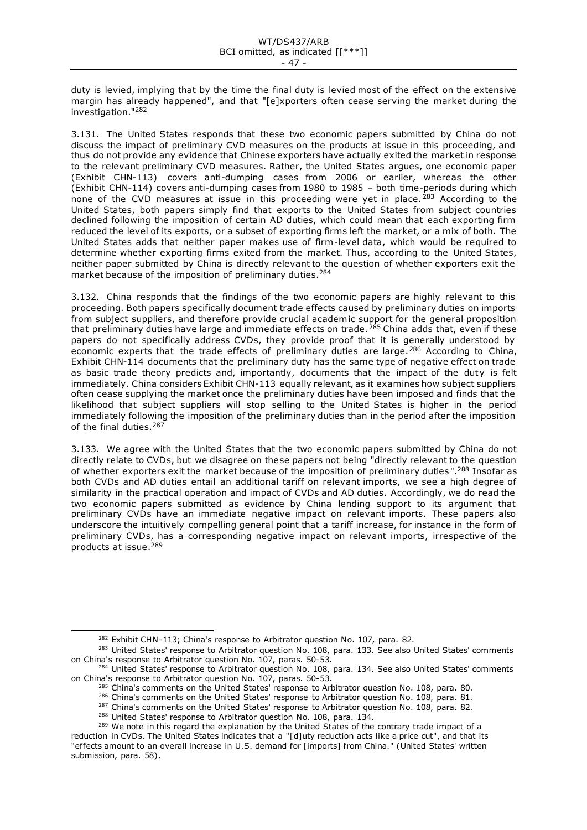duty is levied, implying that by the time the final duty is levied most of the effect on the extensive margin has already happened", and that "[e]xporters often cease serving the market during the investigation."<sup>282</sup>

3.131. The United States responds that these two economic papers submitted by China do not discuss the impact of preliminary CVD measures on the products at issue in this proceeding, and thus do not provide any evidence that Chinese exporters have actually exited the market in response to the relevant preliminary CVD measures. Rather, the United States argues, one economic paper (Exhibit CHN-113) covers anti-dumping cases from 2006 or earlier, whereas the other (Exhibit CHN-114) covers anti-dumping cases from 1980 to 1985 – both time-periods during which none of the CVD measures at issue in this proceeding were yet in place.  $283$  According to the United States, both papers simply find that exports to the United States from subject countries declined following the imposition of certain AD duties, which could mean that each exporting firm reduced the level of its exports, or a subset of exporting firms left the market, or a mix of both. The United States adds that neither paper makes use of firm-level data, which would be required to determine whether exporting firms exited from the market. Thus, according to the United States, neither paper submitted by China is directly relevant to the question of whether exporters exit the market because of the imposition of preliminary duties.<sup>284</sup>

3.132. China responds that the findings of the two economic papers are highly relevant to this proceeding. Both papers specifically document trade effects caused by preliminary duties on imports from subject suppliers, and therefore provide crucial academic support for the general proposition that preliminary duties have large and immediate effects on trade.<sup>285</sup> China adds that, even if these papers do not specifically address CVDs, they provide proof that it is generally understood by economic experts that the trade effects of preliminary duties are large.<sup>286</sup> According to China, Exhibit CHN-114 documents that the preliminary duty has the same type of negative effect on trade as basic trade theory predicts and, importantly, documents that the impact of the duty is felt immediately. China considers Exhibit CHN-113 equally relevant, as it examines how subject suppliers often cease supplying the market once the preliminary duties have been imposed and finds that the likelihood that subject suppliers will stop selling to the United States is higher in the period immediately following the imposition of the preliminary duties than in the period after the imposition of the final duties.<sup>287</sup>

3.133. We agree with the United States that the two economic papers submitted by China do not directly relate to CVDs, but we disagree on these papers not being "directly relevant to the question of whether exporters exit the market because of the imposition of preliminary duties ".<sup>288</sup> Insofar as both CVDs and AD duties entail an additional tariff on relevant imports, we see a high degree of similarity in the practical operation and impact of CVDs and AD duties. Accordingly, we do read the two economic papers submitted as evidence by China lending support to its argument that preliminary CVDs have an immediate negative impact on relevant imports. These papers also underscore the intuitively compelling general point that a tariff increase, for instance in the form of preliminary CVDs, has a corresponding negative impact on relevant imports, irrespective of the products at issue. 289

 $282$  Exhibit CHN-113; China's response to Arbitrator question No. 107, para. 82.

<sup>&</sup>lt;sup>283</sup> United States' response to Arbitrator question No. 108, para. 133. See also United States' comments on China's response to Arbitrator question No. 107, paras. 50-53.

<sup>&</sup>lt;sup>284</sup> United States' response to Arbitrator question No. 108, para. 134. See also United States' comments on China's response to Arbitrator question No. 107, paras. 50-53.

<sup>&</sup>lt;sup>285</sup> China's comments on the United States' response to Arbitrator question No. 108, para. 80.

 $^{286}$  China's comments on the United States' response to Arbitrator question No. 108, para. 81.

<sup>&</sup>lt;sup>287</sup> China's comments on the United States' response to Arbitrator question No. 108, para. 82.

<sup>&</sup>lt;sup>288</sup> United States' response to Arbitrator question No. 108, para. 134.

<sup>&</sup>lt;sup>289</sup> We note in this regard the explanation by the United States of the contrary trade impact of a reduction in CVDs. The United States indicates that a "[d]uty reduction acts like a price cut", and that its "effects amount to an overall increase in U.S. demand for [imports] from China." (United States' written submission, para. 58).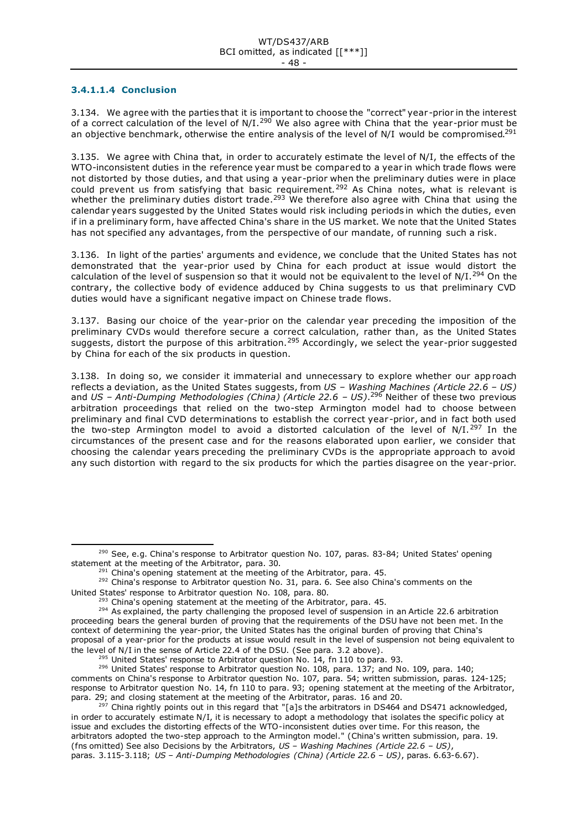# **3.4.1.1.4 Conclusion**

3.134. We agree with the parties that it is important to choose the "correct" year -prior in the interest of a correct calculation of the level of N/I.<sup>290</sup> We also agree with China that the year-prior must be an objective benchmark, otherwise the entire analysis of the level of N/I would be compromised.<sup>291</sup>

3.135. We agree with China that, in order to accurately estimate the level of N/I, the effects of the WTO-inconsistent duties in the reference year must be compared to a year in which trade flows were not distorted by those duties, and that using a year-prior when the preliminary duties were in place could prevent us from satisfying that basic requirement.<sup>292</sup> As China notes, what is relevant is whether the preliminary duties distort trade.<sup>293</sup> We therefore also agree with China that using the calendar years suggested by the United States would risk including periods in which the duties, even if in a preliminary form, have affected China's share in the US market. We note that the United States has not specified any advantages, from the perspective of our mandate, of running such a risk.

3.136. In light of the parties' arguments and evidence, we conclude that the United States has not demonstrated that the year-prior used by China for each product at issue would distort the calculation of the level of suspension so that it would not be equivalent to the level of N/I.<sup>294</sup> On the contrary, the collective body of evidence adduced by China suggests to us that preliminary CVD duties would have a significant negative impact on Chinese trade flows.

3.137. Basing our choice of the year-prior on the calendar year preceding the imposition of the preliminary CVDs would therefore secure a correct calculation, rather than, as the United States suggests, distort the purpose of this arbitration.<sup>295</sup> Accordingly, we select the year-prior suggested by China for each of the six products in question.

3.138. In doing so, we consider it immaterial and unnecessary to explore whether our approach reflects a deviation, as the United States suggests, from *US – Washing Machines (Article 22.6 – US)* and *US – Anti-Dumping Methodologies (China) (Article 22.6 – US)*. <sup>296</sup> Neither of these two previous arbitration proceedings that relied on the two-step Armington model had to choose between preliminary and final CVD determinations to establish the correct year -prior, and in fact both used the two-step Armington model to avoid a distorted calculation of the level of  $N/I$ .<sup>297</sup> In the circumstances of the present case and for the reasons elaborated upon earlier, we consider that choosing the calendar years preceding the preliminary CVDs is the appropriate approach to avoid any such distortion with regard to the six products for which the parties disagree on the year-prior.

<sup>296</sup> United States' response to Arbitrator question No. 108, para. 137; and No. 109, para. 140;

<sup>&</sup>lt;sup>290</sup> See, e.g. China's response to Arbitrator question No. 107, paras. 83-84; United States' opening statement at the meeting of the Arbitrator, para. 30.

 $291$  China's opening statement at the meeting of the Arbitrator, para. 45.

<sup>&</sup>lt;sup>292</sup> China's response to Arbitrator question No. 31, para. 6. See also China's comments on the United States' response to Arbitrator question No. 108, para. 80.

 $293$  China's opening statement at the meeting of the Arbitrator, para. 45.

<sup>&</sup>lt;sup>294</sup> As explained, the party challenging the proposed level of suspension in an Article 22.6 arbitration proceeding bears the general burden of proving that the requirements of the DSU have not been met. In the context of determining the year-prior, the United States has the original burden of proving that China's proposal of a year-prior for the products at issue would result in the level of suspension not being equivalent to the level of N/I in the sense of Article 22.4 of the DSU. (See para. 3.2 above).

 $295$  United States' response to Arbitrator question No. 14, fn 110 to para. 93.

comments on China's response to Arbitrator question No. 107, para. 54; written submission, paras. 124-125; response to Arbitrator question No. 14, fn 110 to para. 93; opening statement at the meeting of the Arbitrator, para. 29; and closing statement at the meeting of the Arbitrator, paras. 16 and 20.

<sup>297</sup> China rightly points out in this regard that "[a]s the arbitrators in DS464 and DS471 acknowledged, in order to accurately estimate N/I, it is necessary to adopt a methodology that isolates the specific policy at issue and excludes the distorting effects of the WTO-inconsistent duties over time. For this reason, the arbitrators adopted the two-step approach to the Armington model." (China's written submission, para. 19. (fns omitted) See also Decisions by the Arbitrators, *US – Washing Machines (Article 22.6 – US)*, paras. 3.115-3.118; *US – Anti-Dumping Methodologies (China) (Article 22.6 – US)*, paras. 6.63-6.67).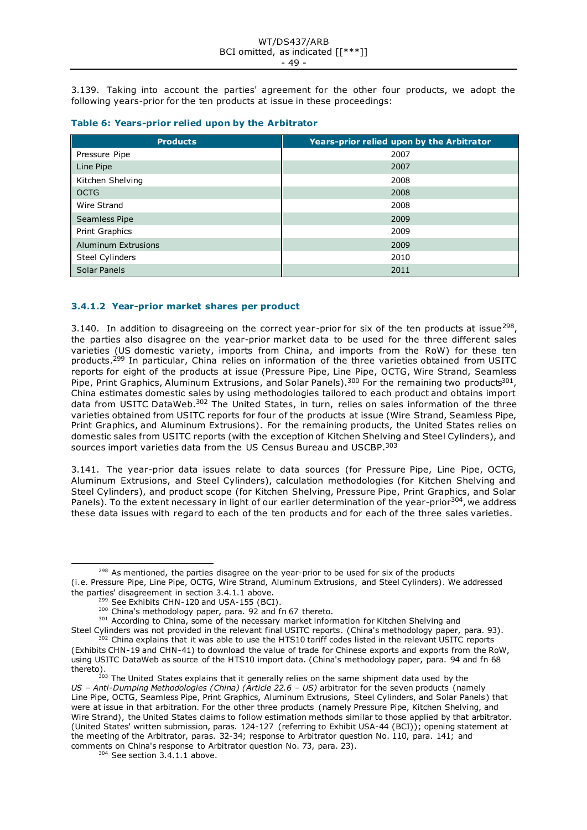3.139. Taking into account the parties' agreement for the other four products, we adopt the following years-prior for the ten products at issue in these proceedings:

|  | Table 6: Years-prior relied upon by the Arbitrator |  |  |  |  |
|--|----------------------------------------------------|--|--|--|--|
|--|----------------------------------------------------|--|--|--|--|

| <b>Products</b>        | Years-prior relied upon by the Arbitrator |
|------------------------|-------------------------------------------|
| Pressure Pipe          | 2007                                      |
| Line Pipe              | 2007                                      |
| Kitchen Shelving       | 2008                                      |
| <b>OCTG</b>            | 2008                                      |
| Wire Strand            | 2008                                      |
| Seamless Pipe          | 2009                                      |
| Print Graphics         | 2009                                      |
| Aluminum Extrusions    | 2009                                      |
| <b>Steel Cylinders</b> | 2010                                      |
| Solar Panels           | 2011                                      |

# **3.4.1.2 Year-prior market shares per product**

3.140. In addition to disagreeing on the correct year-prior for six of the ten products at issue<sup>298</sup>, the parties also disagree on the year-prior market data to be used for the three different sales varieties (US domestic variety, imports from China, and imports from the RoW) for these ten products.<sup>299</sup> In particular, China relies on information of the three varieties obtained from USITC reports for eight of the products at issue (Pressure Pipe, Line Pipe, OCTG, Wire Strand, Seamless Pipe, Print Graphics, Aluminum Extrusions, and Solar Panels).<sup>300</sup> For the remaining two products<sup>301</sup>, China estimates domestic sales by using methodologies tailored to each product and obtains import data from USITC DataWeb.<sup>302</sup> The United States, in turn, relies on sales information of the three varieties obtained from USITC reports for four of the products at issue (Wire Strand, Seamless Pipe, Print Graphics, and Aluminum Extrusions). For the remaining products, the United States relies on domestic sales from USITC reports (with the exception of Kitchen Shelving and Steel Cylinders), and sources import varieties data from the US Census Bureau and USCBP. 303

3.141. The year-prior data issues relate to data sources (for Pressure Pipe, Line Pipe, OCTG, Aluminum Extrusions, and Steel Cylinders), calculation methodologies (for Kitchen Shelving and Steel Cylinders), and product scope (for Kitchen Shelving, Pressure Pipe, Print Graphics, and Solar Panels). To the extent necessary in light of our earlier determination of the year-prior<sup>304</sup>, we address these data issues with regard to each of the ten products and for each of the three sales varieties.

 $298$  As mentioned, the parties disagree on the year-prior to be used for six of the products (i.e. Pressure Pipe, Line Pipe, OCTG, Wire Strand, Aluminum Extrusions, and Steel Cylinders). We addressed the parties' disagreement in section 3.4.1.1 above.

<sup>&</sup>lt;sup>299</sup> See Exhibits CHN-120 and USA-155 (BCI).

<sup>300</sup> China's methodology paper, para. 92 and fn 67 thereto.

<sup>&</sup>lt;sup>301</sup> According to China, some of the necessary market information for Kitchen Shelving and

Steel Cylinders was not provided in the relevant final USITC reports. (China's methodology paper, para. 93).  $302$  China explains that it was able to use the HTS10 tariff codes listed in the relevant USITC reports

<sup>(</sup>Exhibits CHN-19 and CHN-41) to download the value of trade for Chinese exports and exports from the RoW, using USITC DataWeb as source of the HTS10 import data. (China's methodology paper, para. 94 and fn 68 thereto).

<sup>&</sup>lt;sup>303</sup> The United States explains that it generally relies on the same shipment data used by the *US – Anti-Dumping Methodologies (China) (Article 22.6 – US)* arbitrator for the seven products (namely Line Pipe, OCTG, Seamless Pipe, Print Graphics, Aluminum Extrusions, Steel Cylinders, and Solar Panels) that were at issue in that arbitration. For the other three products (namely Pressure Pipe, Kitchen Shelving, and Wire Strand), the United States claims to follow estimation methods similar to those applied by that arbitrator. (United States' written submission, paras. 124-127 (referring to Exhibit USA-44 (BCI)); opening statement at the meeting of the Arbitrator, paras. 32-34; response to Arbitrator question No. 110, para. 141; and comments on China's response to Arbitrator question No. 73, para. 23).

<sup>&</sup>lt;sup>304</sup> See section 3.4.1.1 above.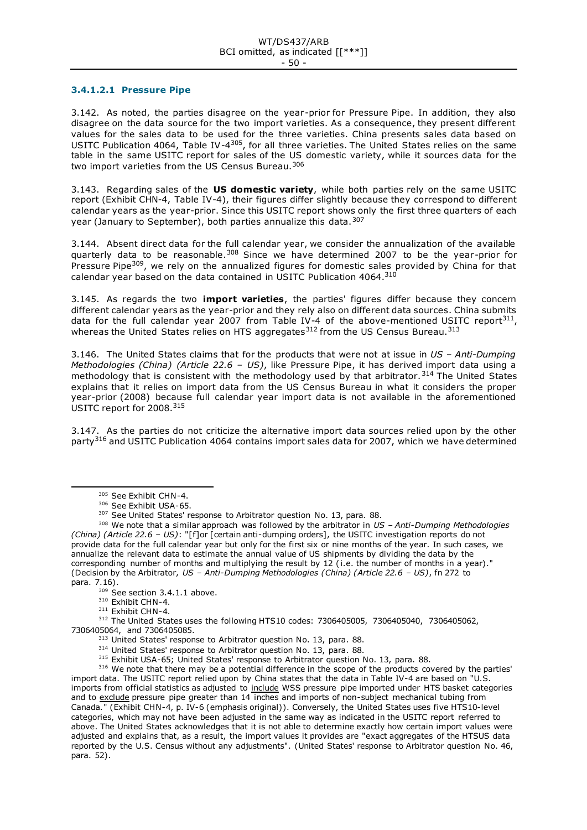#### **3.4.1.2.1 Pressure Pipe**

3.142. As noted, the parties disagree on the year-prior for Pressure Pipe. In addition, they also disagree on the data source for the two import varieties. As a consequence, they present different values for the sales data to be used for the three varieties. China presents sales data based on USITC Publication 4064, Table IV-4<sup>305</sup>, for all three varieties. The United States relies on the same table in the same USITC report for sales of the US domestic variety, while it sources data for the two import varieties from the US Census Bureau.<sup>306</sup>

3.143. Regarding sales of the **US domestic variety**, while both parties rely on the same USITC report (Exhibit CHN-4, Table IV-4), their figures differ slightly because they correspond to different calendar years as the year-prior. Since this USITC report shows only the first three quarters of each year (January to September), both parties annualize this data.<sup>307</sup>

3.144. Absent direct data for the full calendar year, we consider the annualization of the available quarterly data to be reasonable.<sup>308</sup> Since we have determined 2007 to be the year-prior for Pressure Pipe<sup>309</sup>, we rely on the annualized figures for domestic sales provided by China for that calendar year based on the data contained in USITC Publication 4064. 310

3.145. As regards the two **import varieties**, the parties' figures differ because they concern different calendar years as the year-prior and they rely also on different data sources. China submits data for the full calendar year 2007 from Table IV-4 of the above-mentioned USITC report<sup>311</sup>, whereas the United States relies on HTS aggregates<sup>312</sup> from the US Census Bureau.<sup>313</sup>

3.146. The United States claims that for the products that were not at issue in *US – Anti-Dumping Methodologies (China) (Article 22.6 – US)*, like Pressure Pipe, it has derived import data using a methodology that is consistent with the methodology used by that arbitrator.<sup>314</sup> The United States explains that it relies on import data from the US Census Bureau in what it considers the proper year-prior (2008) because full calendar year import data is not available in the aforementioned USITC report for 2008.<sup>315</sup>

3.147. As the parties do not criticize the alternative import data sources relied upon by the other party<sup>316</sup> and USITC Publication 4064 contains import sales data for 2007, which we have determined

<sup>305</sup> See Exhibit CHN-4.

<sup>306</sup> See Exhibit USA-65.

<sup>&</sup>lt;sup>307</sup> See United States' response to Arbitrator question No. 13, para. 88.

<sup>308</sup> We note that a similar approach was followed by the arbitrator in *US – Anti-Dumping Methodologies (China) (Article 22.6 – US)*: "[f]or [certain anti-dumping orders], the USITC investigation reports do not provide data for the full calendar year but only for the first six or nine months of the year. In such cases, we annualize the relevant data to estimate the annual value of US shipments by dividing the data by the corresponding number of months and multiplying the result by 12 ( i.e. the number of months in a year)." (Decision by the Arbitrator, *US – Anti-Dumping Methodologies (China) (Article 22.6 – US)*, fn 272 to para. 7.16).

<sup>&</sup>lt;sup>309</sup> See section 3.4.1.1 above.

<sup>310</sup> Exhibit CHN-4.

<sup>&</sup>lt;sup>311</sup> Exhibit CHN-4.

<sup>312</sup> The United States uses the following HTS10 codes: 7306405005, 7306405040, 7306405062, 7306405064, and 7306405085.

<sup>&</sup>lt;sup>313</sup> United States' response to Arbitrator question No. 13, para. 88.

<sup>&</sup>lt;sup>314</sup> United States' response to Arbitrator question No. 13, para. 88.

<sup>&</sup>lt;sup>315</sup> Exhibit USA-65; United States' response to Arbitrator question No. 13, para. 88.

<sup>&</sup>lt;sup>316</sup> We note that there may be a potential difference in the scope of the products covered by the parties' import data. The USITC report relied upon by China states that the data in Table IV-4 are based on "U.S. imports from official statistics as adjusted to include WSS pressure pipe imported under HTS basket categories and to exclude pressure pipe greater than 14 inches and imports of non-subject mechanical tubing from Canada*.*" (Exhibit CHN-4, p. IV-6 (emphasis original)). Conversely, the United States uses five HTS10-level categories, which may not have been adjusted in the same way as indicated in the USITC report referred to above. The United States acknowledges that it is not able to determine exactly how certain import values were adjusted and explains that, as a result, the import values it provides are "exact aggregates of the HTSUS data reported by the U.S. Census without any adjustments". (United States' response to Arbitrator question No. 46, para. 52).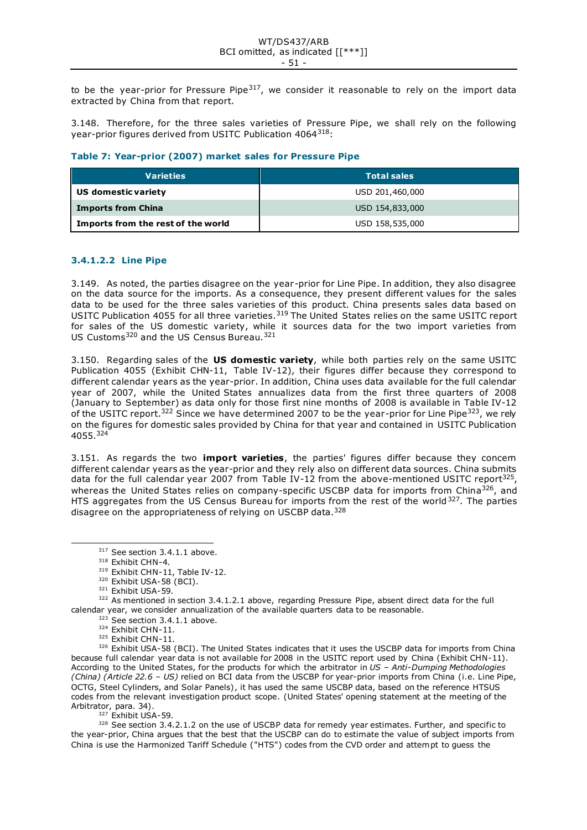to be the year-prior for Pressure Pipe $317$ , we consider it reasonable to rely on the import data extracted by China from that report.

3.148. Therefore, for the three sales varieties of Pressure Pipe, we shall rely on the following year-prior figures derived from USITC Publication 4064<sup>318</sup>:

## **Table 7: Year-prior (2007) market sales for Pressure Pipe**

| <b>Varieties</b>                   | <b>Total sales</b> |
|------------------------------------|--------------------|
| US domestic variety                | USD 201,460,000    |
| <b>Imports from China</b>          | USD 154,833,000    |
| Imports from the rest of the world | USD 158,535,000    |

### **3.4.1.2.2 Line Pipe**

3.149. As noted, the parties disagree on the year-prior for Line Pipe. In addition, they also disagree on the data source for the imports. As a consequence, they present different values for the sales data to be used for the three sales varieties of this product. China presents sales data based on USITC Publication 4055 for all three varieties.<sup>319</sup> The United States relies on the same USITC report for sales of the US domestic variety, while it sources data for the two import varieties from US Customs<sup>320</sup> and the US Census Bureau.<sup>321</sup>

3.150. Regarding sales of the **US domestic variety**, while both parties rely on the same USITC Publication 4055 (Exhibit CHN-11, Table IV-12), their figures differ because they correspond to different calendar years as the year-prior. In addition, China uses data available for the full calendar year of 2007, while the United States annualizes data from the first three quarters of 2008 (January to September) as data only for those first nine months of 2008 is available in Table IV-12 of the USITC report.<sup>322</sup> Since we have determined 2007 to be the year-prior for Line Pipe<sup>323</sup>, we rely on the figures for domestic sales provided by China for that year and contained in USITC Publication 4055. 324

3.151. As regards the two **import varieties**, the parties' figures differ because they concern different calendar years as the year-prior and they rely also on different data sources. China submits data for the full calendar year 2007 from Table IV-12 from the above-mentioned USITC report<sup>325</sup>, whereas the United States relies on company-specific USCBP data for imports from China<sup>326</sup>, and HTS aggregates from the US Census Bureau for imports from the rest of the world<sup>327</sup>. The parties disagree on the appropriateness of relying on USCBP data.<sup>328</sup>

325 Exhibit CHN-11.

326 Exhibit USA-58 (BCI). The United States indicates that it uses the USCBP data for imports from China because full calendar year data is not available for 2008 in the USITC report used by China (Exhibit CHN-11). According to the United States, for the products for which the arbitrator in *US – Anti-Dumping Methodologies (China) (Article 22.6 – US)* relied on BCI data from the USCBP for year-prior imports from China (i.e. Line Pipe, OCTG, Steel Cylinders, and Solar Panels), it has used the same USCBP data, based on the reference HTSUS codes from the relevant investigation product scope. (United States' opening statement at the meeting of the Arbitrator, para. 34).

 $327$  Exhibit USA-59.

328 See section 3.4.2.1.2 on the use of USCBP data for remedy year estimates. Further, and specific to the year-prior, China argues that the best that the USCBP can do to estimate the value of subject imports from China is use the Harmonized Tariff Schedule ("HTS") codes from the CVD order and attempt to guess the

 $317$  See section 3.4.1.1 above.

<sup>318</sup> Exhibit CHN-4.

<sup>319</sup> Exhibit CHN-11, Table IV-12.

<sup>&</sup>lt;sup>320</sup> Exhibit USA-58 (BCI).

<sup>321</sup> Exhibit USA-59.

<sup>&</sup>lt;sup>322</sup> As mentioned in section 3.4.1.2.1 above, regarding Pressure Pipe, absent direct data for the full calendar year, we consider annualization of the available quarters data to be reasonable.

 $323$  See section 3.4.1.1 above.

<sup>324</sup> Exhibit CHN-11.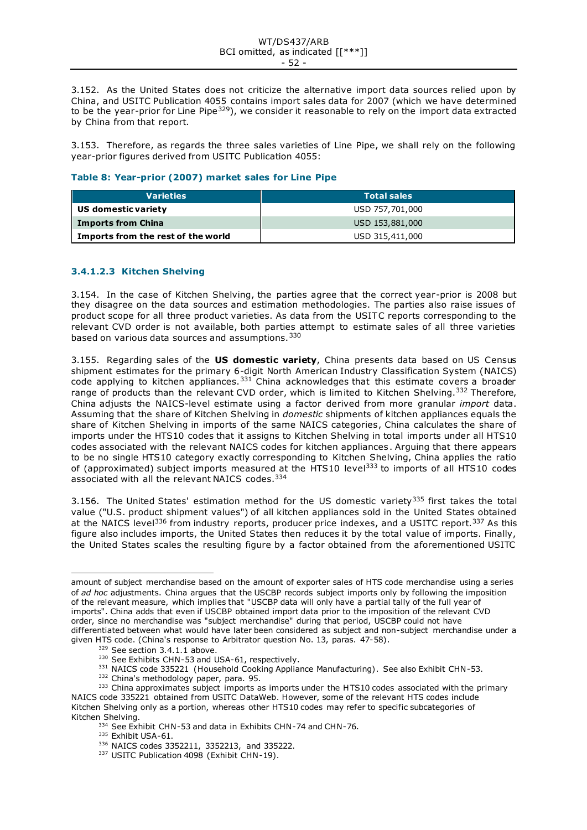3.152. As the United States does not criticize the alternative import data sources relied upon by China, and USITC Publication 4055 contains import sales data for 2007 (which we have determined to be the year-prior for Line Pipe<sup>329</sup>), we consider it reasonable to rely on the import data extracted by China from that report.

3.153. Therefore, as regards the three sales varieties of Line Pipe, we shall rely on the following year-prior figures derived from USITC Publication 4055:

## **Table 8: Year-prior (2007) market sales for Line Pipe**

| <b>Varieties</b>                   | <b>Total sales</b> |
|------------------------------------|--------------------|
| US domestic variety                | USD 757,701,000    |
| <b>Imports from China</b>          | USD 153,881,000    |
| Imports from the rest of the world | USD 315,411,000    |

# **3.4.1.2.3 Kitchen Shelving**

3.154. In the case of Kitchen Shelving, the parties agree that the correct year-prior is 2008 but they disagree on the data sources and estimation methodologies. The parties also raise issues of product scope for all three product varieties. As data from the USITC reports corresponding to the relevant CVD order is not available, both parties attempt to estimate sales of all three varieties based on various data sources and assumptions.<sup>330</sup>

3.155. Regarding sales of the **US domestic variety**, China presents data based on US Census shipment estimates for the primary 6-digit North American Industry Classification System (NAICS) code applying to kitchen appliances.<sup>331</sup> China acknowledges that this estimate covers a broader range of products than the relevant CVD order, which is limited to Kitchen Shelving.<sup>332</sup> Therefore, China adjusts the NAICS-level estimate using a factor derived from more granular *import* data. Assuming that the share of Kitchen Shelving in *domestic* shipments of kitchen appliances equals the share of Kitchen Shelving in imports of the same NAICS categories, China calculates the share of imports under the HTS10 codes that it assigns to Kitchen Shelving in total imports under all HTS10 codes associated with the relevant NAICS codes for kitchen appliances . Arguing that there appears to be no single HTS10 category exactly corresponding to Kitchen Shelving, China applies the ratio of (approximated) subject imports measured at the HTS10 level<sup>333</sup> to imports of all HTS10 codes associated with all the relevant NAICS codes.<sup>334</sup>

3.156. The United States' estimation method for the US domestic variety<sup>335</sup> first takes the total value ("U.S. product shipment values") of all kitchen appliances sold in the United States obtained at the NAICS level<sup>336</sup> from industry reports, producer price indexes, and a USITC report.<sup>337</sup> As this figure also includes imports, the United States then reduces it by the total value of imports. Finally, the United States scales the resulting figure by a factor obtained from the aforementioned USITC

- 334 See Exhibit CHN-53 and data in Exhibits CHN-74 and CHN-76.
- 335 Exhibit USA-61.

amount of subject merchandise based on the amount of exporter sales of HTS code merchandise using a series of *ad hoc* adjustments. China argues that the USCBP records subject imports only by following the imposition of the relevant measure, which implies that "USCBP data will only have a partial tally of the full year of imports". China adds that even if USCBP obtained import data prior to the imposition of the relevant CVD order, since no merchandise was "subject merchandise" during that period, USCBP could not have differentiated between what would have later been considered as subject and non-subject merchandise under a given HTS code. (China's response to Arbitrator question No. 13, paras. 47-58).

<sup>329</sup> See section 3.4.1.1 above.

<sup>330</sup> See Exhibits CHN-53 and USA-61, respectively.

<sup>331</sup> NAICS code 335221 (Household Cooking Appliance Manufacturing). See also Exhibit CHN-53.

<sup>332</sup> China's methodology paper, para. 95.

<sup>333</sup> China approximates subject imports as imports under the HTS10 codes associated with the primary NAICS code 335221 obtained from USITC DataWeb. However, some of the relevant HTS codes include Kitchen Shelving only as a portion, whereas other HTS10 codes may refer to specific subcategories of Kitchen Shelving.

<sup>336</sup> NAICS codes 3352211, 3352213, and 335222.

<sup>337</sup> USITC Publication 4098 (Exhibit CHN-19).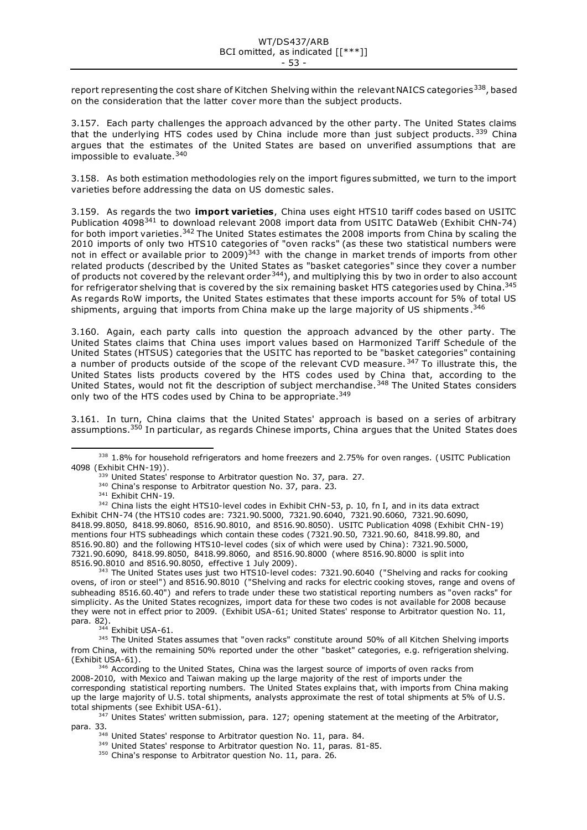report representing the cost share of Kitchen Shelving within the relevant NAICS categories<sup>338</sup>, based on the consideration that the latter cover more than the subject products.

3.157. Each party challenges the approach advanced by the other party. The United States claims that the underlying HTS codes used by China include more than just subject products.  $339$  China argues that the estimates of the United States are based on unverified assumptions that are impossible to evaluate.<sup>340</sup>

3.158. As both estimation methodologies rely on the import figures submitted, we turn to the import varieties before addressing the data on US domestic sales.

3.159. As regards the two **import varieties**, China uses eight HTS10 tariff codes based on USITC Publication 4098<sup>341</sup> to download relevant 2008 import data from USITC DataWeb (Exhibit CHN-74) for both import varieties.<sup>342</sup> The United States estimates the 2008 imports from China by scaling the 2010 imports of only two HTS10 categories of "oven racks" (as these two statistical numbers were not in effect or available prior to 2009)<sup>343</sup> with the change in market trends of imports from other related products (described by the United States as "basket categories" since they cover a number of products not covered by the relevant order344), and multiplying this by two in order to also account for refrigerator shelving that is covered by the six remaining basket HTS categories used by China.<sup>345</sup> As regards RoW imports, the United States estimates that these imports account for 5% of total US shipments, arguing that imports from China make up the large majority of US shipments.  $^{346}$ 

3.160. Again, each party calls into question the approach advanced by the other party. The United States claims that China uses import values based on Harmonized Tariff Schedule of the United States (HTSUS) categories that the USITC has reported to be "basket categories" containing a number of products outside of the scope of the relevant CVD measure. 347 To illustrate this, the United States lists products covered by the HTS codes used by China that, according to the United States, would not fit the description of subject merchandise.<sup>348</sup> The United States considers only two of the HTS codes used by China to be appropriate.<sup>349</sup>

3.161. In turn, China claims that the United States' approach is based on a series of arbitrary assumptions.<sup>350</sup> In particular, as regards Chinese imports, China argues that the United States does

 $339$  United States' response to Arbitrator question No. 37, para. 27.

<sup>343</sup> The United States uses just two HTS10-level codes: 7321.90.6040 ("Shelving and racks for cooking ovens, of iron or steel") and 8516.90.8010 ("Shelving and racks for electric cooking stoves, range and ovens of subheading 8516.60.40") and refers to trade under these two statistical reporting numbers as "oven racks" for simplicity. As the United States recognizes, import data for these two codes is not available for 2008 because they were not in effect prior to 2009. (Exhibit USA-61; United States' response to Arbitrator question No. 11, para. 82).

344 Exhibit USA-61.

<sup>338 1.8%</sup> for household refrigerators and home freezers and 2.75% for oven ranges. (USITC Publication 4098 (Exhibit CHN-19)).

<sup>&</sup>lt;sup>340</sup> China's response to Arbitrator question No. 37, para. 23.

<sup>&</sup>lt;sup>341</sup> Exhibit CHN-19.

<sup>&</sup>lt;sup>342</sup> China lists the eight HTS10-level codes in Exhibit CHN-53, p. 10, fn I, and in its data extract Exhibit CHN-74 (the HTS10 codes are: 7321.90.5000, 7321.90.6040, 7321.90.6060, 7321.90.6090, 8418.99.8050, 8418.99.8060, 8516.90.8010, and 8516.90.8050). USITC Publication 4098 (Exhibit CHN-19) mentions four HTS subheadings which contain these codes (7321.90.50, 7321.90.60, 8418.99.80, and 8516.90.80) and the following HTS10-level codes (six of which were used by China): 7321.90.5000, 7321.90.6090, 8418.99.8050, 8418.99.8060, and 8516.90.8000 (where 8516.90.8000 is split into 8516.90.8010 and 8516.90.8050, effective 1 July 2009).

<sup>345</sup> The United States assumes that "oven racks" constitute around 50% of all Kitchen Shelving imports from China, with the remaining 50% reported under the other "basket" categories, e.g. refrigeration shelving. (Exhibit USA-61).

<sup>&</sup>lt;sup>346</sup> According to the United States, China was the largest source of imports of oven racks from 2008-2010, with Mexico and Taiwan making up the large majority of the rest of imports under the corresponding statistical reporting numbers. The United States explains that, with imports from China making up the large majority of U.S. total shipments, analysts approximate the rest of total shipments at 5% of U.S. total shipments (see Exhibit USA-61).

<sup>&</sup>lt;sup>347</sup> Unites States' written submission, para. 127; opening statement at the meeting of the Arbitrator, para. 33.

<sup>348</sup> United States' response to Arbitrator question No. 11, para. 84.

<sup>&</sup>lt;sup>349</sup> United States' response to Arbitrator question No. 11, paras. 81-85.

<sup>350</sup> China's response to Arbitrator question No. 11, para. 26.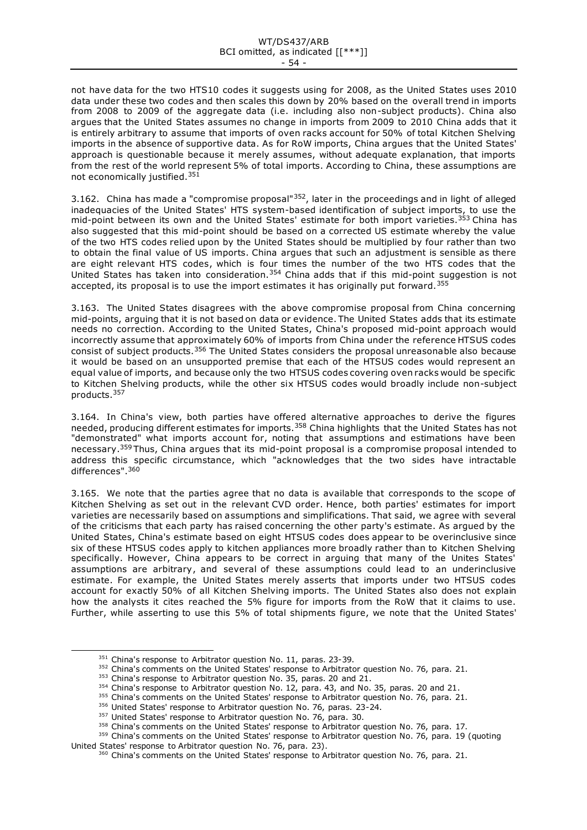not have data for the two HTS10 codes it suggests using for 2008, as the United States uses 2010 data under these two codes and then scales this down by 20% based on the overall trend in imports from 2008 to 2009 of the aggregate data (i.e. including also non-subject products). China also argues that the United States assumes no change in imports from 2009 to 2010 China adds that it is entirely arbitrary to assume that imports of oven racks account for 50% of total Kitchen Shelving imports in the absence of supportive data. As for RoW imports, China argues that the United States' approach is questionable because it merely assumes, without adequate explanation, that imports from the rest of the world represent 5% of total imports. According to China, these assumptions are not economically justified.<sup>351</sup>

3.162. China has made a "compromise proposal"<sup>352</sup>, later in the proceedings and in light of alleged inadequacies of the United States' HTS system-based identification of subject imports, to use the mid-point between its own and the United States' estimate for both import varieties.<sup>353</sup> China has also suggested that this mid-point should be based on a corrected US estimate whereby the value of the two HTS codes relied upon by the United States should be multiplied by four rather than two to obtain the final value of US imports. China argues that such an adjustment is sensible as there are eight relevant HTS codes, which is four times the number of the two HTS codes that the United States has taken into consideration.<sup>354</sup> China adds that if this mid-point suggestion is not accepted, its proposal is to use the import estimates it has originally put forward.<sup>355</sup>

3.163. The United States disagrees with the above compromise proposal from China concerning mid-points, arguing that it is not based on data or evidence. The United States adds that its estimate needs no correction. According to the United States, China's proposed mid-point approach would incorrectly assume that approximately 60% of imports from China under the reference HTSUS codes consist of subject products.<sup>356</sup> The United States considers the proposal unreasonable also because it would be based on an unsupported premise that each of the HTSUS codes would represent an equal value of imports, and because only the two HTSUS codes covering oven racks would be specific to Kitchen Shelving products, while the other six HTSUS codes would broadly include non-subject products.<sup>357</sup>

3.164. In China's view, both parties have offered alternative approaches to derive the figures needed, producing different estimates for imports.<sup>358</sup> China highlights that the United States has not "demonstrated" what imports account for, noting that assumptions and estimations have been necessary.<sup>359</sup> Thus, China argues that its mid-point proposal is a compromise proposal intended to address this specific circumstance, which "acknowledges that the two sides have intractable differences".<sup>360</sup>

3.165. We note that the parties agree that no data is available that corresponds to the scope of Kitchen Shelving as set out in the relevant CVD order. Hence, both parties' estimates for import varieties are necessarily based on assumptions and simplifications. That said, we agree with several of the criticisms that each party has raised concerning the other party's estimate. As argued by the United States, China's estimate based on eight HTSUS codes does appear to be overinclusive since six of these HTSUS codes apply to kitchen appliances more broadly rather than to Kitchen Shelving specifically. However, China appears to be correct in arguing that many of the Unites States' assumptions are arbitrary, and several of these assumptions could lead to an underinclusive estimate. For example, the United States merely asserts that imports under two HTSUS codes account for exactly 50% of all Kitchen Shelving imports. The United States also does not explain how the analysts it cites reached the 5% figure for imports from the RoW that it claims to use. Further, while asserting to use this 5% of total shipments figure, we note that the United States'

358 China's comments on the United States' response to Arbitrator question No. 76, para. 17.

<sup>&</sup>lt;sup>351</sup> China's response to Arbitrator question No. 11, paras. 23-39.

<sup>&</sup>lt;sup>352</sup> China's comments on the United States' response to Arbitrator question No. 76, para. 21.

<sup>&</sup>lt;sup>353</sup> China's response to Arbitrator question No. 35, paras. 20 and 21.

<sup>&</sup>lt;sup>354</sup> China's response to Arbitrator question No. 12, para. 43, and No. 35, paras. 20 and 21.

<sup>&</sup>lt;sup>355</sup> China's comments on the United States' response to Arbitrator question No. 76, para. 21.

<sup>356</sup> United States' response to Arbitrator question No. 76, paras. 23-24.

<sup>&</sup>lt;sup>357</sup> United States' response to Arbitrator question No. 76, para. 30.

<sup>&</sup>lt;sup>359</sup> China's comments on the United States' response to Arbitrator question No. 76, para. 19 (quoting United States' response to Arbitrator question No. 76, para. 23).

<sup>&</sup>lt;sup>360</sup> China's comments on the United States' response to Arbitrator question No. 76, para. 21.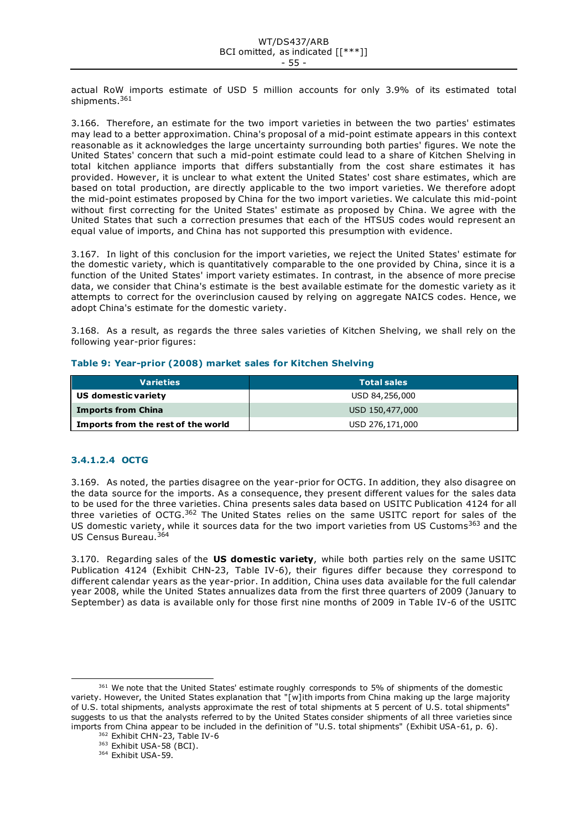actual RoW imports estimate of USD 5 million accounts for only 3.9% of its estimated total shipments.<sup>361</sup>

3.166. Therefore, an estimate for the two import varieties in between the two parties' estimates may lead to a better approximation. China's proposal of a mid-point estimate appears in this context reasonable as it acknowledges the large uncertainty surrounding both parties' figures. We note the United States' concern that such a mid-point estimate could lead to a share of Kitchen Shelving in total kitchen appliance imports that differs substantially from the cost share estimates it has provided. However, it is unclear to what extent the United States' cost share estimates, which are based on total production, are directly applicable to the two import varieties. We therefore adopt the mid-point estimates proposed by China for the two import varieties. We calculate this mid-point without first correcting for the United States' estimate as proposed by China. We agree with the United States that such a correction presumes that each of the HTSUS codes would represent an equal value of imports, and China has not supported this presumption with evidence.

3.167. In light of this conclusion for the import varieties, we reject the United States' estimate for the domestic variety, which is quantitatively comparable to the one provided by China, since it is a function of the United States' import variety estimates. In contrast, in the absence of more precise data, we consider that China's estimate is the best available estimate for the domestic variety as it attempts to correct for the overinclusion caused by relying on aggregate NAICS codes. Hence, we adopt China's estimate for the domestic variety.

3.168. As a result, as regards the three sales varieties of Kitchen Shelving, we shall rely on the following year-prior figures:

|  |  |  |  |  | Table 9: Year-prior (2008) market sales for Kitchen Shelving |  |
|--|--|--|--|--|--------------------------------------------------------------|--|
|--|--|--|--|--|--------------------------------------------------------------|--|

| <b>Varieties</b>                   | <b>Total sales</b> |
|------------------------------------|--------------------|
| US domestic variety                | USD 84,256,000     |
| <b>Imports from China</b>          | USD 150,477,000    |
| Imports from the rest of the world | USD 276,171,000    |

# **3.4.1.2.4 OCTG**

3.169. As noted, the parties disagree on the year-prior for OCTG. In addition, they also disagree on the data source for the imports. As a consequence, they present different values for the sales data to be used for the three varieties. China presents sales data based on USITC Publication 4124 for all three varieties of OCTG.<sup>362</sup> The United States relies on the same USITC report for sales of the US domestic variety, while it sources data for the two import varieties from US Customs<sup>363</sup> and the US Census Bureau.<sup>364</sup>

3.170. Regarding sales of the **US domestic variety**, while both parties rely on the same USITC Publication 4124 (Exhibit CHN-23, Table IV-6), their figures differ because they correspond to different calendar years as the year-prior. In addition, China uses data available for the full calendar year 2008, while the United States annualizes data from the first three quarters of 2009 (January to September) as data is available only for those first nine months of 2009 in Table IV-6 of the USITC

<sup>361</sup> We note that the United States' estimate roughly corresponds to 5% of shipments of the domestic variety. However, the United States explanation that "[w]ith imports from China making up the large majority of U.S. total shipments, analysts approximate the rest of total shipments at 5 percent of U.S. total shipments" suggests to us that the analysts referred to by the United States consider shipments of all three varieties since imports from China appear to be included in the definition of "U.S. total shipments" (Exhibit USA-61, p. 6).

<sup>362</sup> Exhibit CHN-23, Table IV-6

<sup>363</sup> Exhibit USA-58 (BCI).

<sup>364</sup> Exhibit USA-59.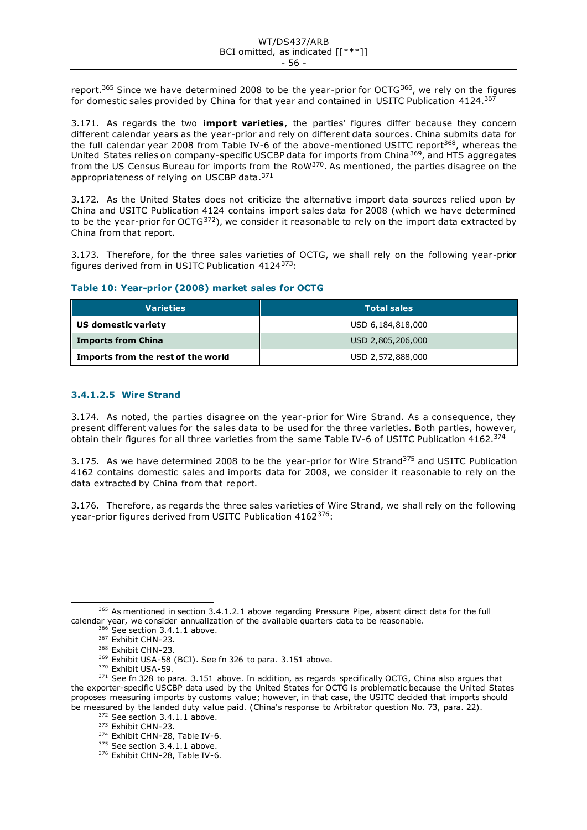report.<sup>365</sup> Since we have determined 2008 to be the year-prior for OCTG<sup>366</sup>, we rely on the figures for domestic sales provided by China for that year and contained in USITC Publication 4124.<sup>367</sup>

3.171. As regards the two **import varieties**, the parties' figures differ because they concern different calendar years as the year-prior and rely on different data sources. China submits data for the full calendar year 2008 from Table IV-6 of the above-mentioned USITC report<sup>368</sup>, whereas the United States relies on company-specific USCBP data for imports from China<sup>369</sup>, and HTS aggregates from the US Census Bureau for imports from the RoW<sup>370</sup>. As mentioned, the parties disagree on the appropriateness of relying on USCBP data.<sup>371</sup>

3.172. As the United States does not criticize the alternative import data sources relied upon by China and USITC Publication 4124 contains import sales data for 2008 (which we have determined to be the year-prior for  $OCTG^{372}$ ), we consider it reasonable to rely on the import data extracted by China from that report.

3.173. Therefore, for the three sales varieties of OCTG, we shall rely on the following year-prior figures derived from in USITC Publication 4124373:

# **Table 10: Year-prior (2008) market sales for OCTG**

| <b>Varieties</b>                   | <b>Total sales</b> |
|------------------------------------|--------------------|
| US domestic variety                | USD 6,184,818,000  |
| <b>Imports from China</b>          | USD 2,805,206,000  |
| Imports from the rest of the world | USD 2,572,888,000  |

# **3.4.1.2.5 Wire Strand**

3.174. As noted, the parties disagree on the year-prior for Wire Strand. As a consequence, they present different values for the sales data to be used for the three varieties. Both parties, however, obtain their figures for all three varieties from the same Table IV-6 of USITC Publication 4162.<sup>374</sup>

3.175. As we have determined 2008 to be the year-prior for Wire Strand<sup>375</sup> and USITC Publication 4162 contains domestic sales and imports data for 2008, we consider it reasonable to rely on the data extracted by China from that report.

3.176. Therefore, as regards the three sales varieties of Wire Strand, we shall rely on the following year-prior figures derived from USITC Publication 4162<sup>376</sup>:

<sup>&</sup>lt;sup>365</sup> As mentioned in section 3.4.1.2.1 above regarding Pressure Pipe, absent direct data for the full calendar year, we consider annualization of the available quarters data to be reasonable.

<sup>366</sup> See section 3.4.1.1 above.

<sup>&</sup>lt;sup>367</sup> Exhibit CHN-23.

<sup>&</sup>lt;sup>368</sup> Exhibit CHN-23.

<sup>369</sup> Exhibit USA-58 (BCI). See fn 326 to para. 3.151 above.

<sup>370</sup> Exhibit USA-59.

<sup>&</sup>lt;sup>371</sup> See fn 328 to para. 3.151 above. In addition, as regards specifically OCTG, China also argues that the exporter-specific USCBP data used by the United States for OCTG is problematic because the United States proposes measuring imports by customs value; however, in that case, the USITC decided that imports should be measured by the landed duty value paid. (China's response to Arbitrator question No. 73, para. 22). <sup>372</sup> See section 3.4.1.1 above.

<sup>&</sup>lt;sup>373</sup> Exhibit CHN-23.

<sup>374</sup> Exhibit CHN-28, Table IV-6.

<sup>&</sup>lt;sup>375</sup> See section 3.4.1.1 above.

<sup>376</sup> Exhibit CHN-28, Table IV-6.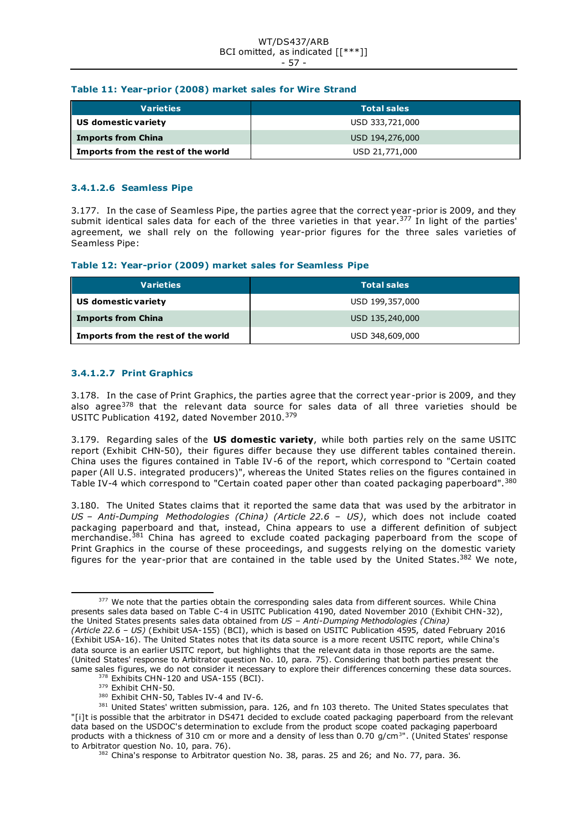#### WT/DS437/ARB BCI omitted, as indicated [[\*\*\*]] - 57 -

### **Table 11: Year-prior (2008) market sales for Wire Strand**

| <b>Varieties</b>                   | <b>Total sales</b> |
|------------------------------------|--------------------|
| US domestic variety                | USD 333,721,000    |
| <b>Imports from China</b>          | USD 194,276,000    |
| Imports from the rest of the world | USD 21,771,000     |

## **3.4.1.2.6 Seamless Pipe**

3.177. In the case of Seamless Pipe, the parties agree that the correct year -prior is 2009, and they submit identical sales data for each of the three varieties in that year.<sup>377</sup> In light of the parties' agreement, we shall rely on the following year-prior figures for the three sales varieties of Seamless Pipe:

### **Table 12: Year-prior (2009) market sales for Seamless Pipe**

| <b>Varieties</b>                   | <b>Total sales</b> |
|------------------------------------|--------------------|
| US domestic variety                | USD 199,357,000    |
| <b>Imports from China</b>          | USD 135,240,000    |
| Imports from the rest of the world | USD 348,609,000    |

# **3.4.1.2.7 Print Graphics**

3.178. In the case of Print Graphics, the parties agree that the correct year -prior is 2009, and they also agree<sup>378</sup> that the relevant data source for sales data of all three varieties should be USITC Publication 4192, dated November 2010.<sup>379</sup>

3.179. Regarding sales of the **US domestic variety**, while both parties rely on the same USITC report (Exhibit CHN-50), their figures differ because they use different tables contained therein. China uses the figures contained in Table IV-6 of the report, which correspond to "Certain coated paper (All U.S. integrated producers)", whereas the United States relies on the figures contained in Table IV-4 which correspond to "Certain coated paper other than coated packaging paperboard".<sup>380</sup>

3.180. The United States claims that it reported the same data that was used by the arbitrator in *US – Anti-Dumping Methodologies (China) (Article 22.6 – US)*, which does not include coated packaging paperboard and that, instead, China appears to use a different definition of subject merchandise.<sup>381</sup> China has agreed to exclude coated packaging paperboard from the scope of Print Graphics in the course of these proceedings, and suggests relying on the domestic variety figures for the year-prior that are contained in the table used by the United States.<sup>382</sup> We note,

380 Exhibit CHN-50, Tables IV-4 and IV-6.

<sup>&</sup>lt;sup>377</sup> We note that the parties obtain the corresponding sales data from different sources. While China presents sales data based on Table C-4 in USITC Publication 4190, dated November 2010 (Exhibit CHN-32), the United States presents sales data obtained from *US – Anti-Dumping Methodologies (China) (Article 22.6 – US)* (Exhibit USA-155) (BCI), which is based on USITC Publication 4595, dated February 2016 (Exhibit USA-16). The United States notes that its data source is a more recent USITC report, while China's data source is an earlier USITC report, but highlights that the relevant data in those reports are the same. (United States' response to Arbitrator question No. 10, para. 75). Considering that both parties present the same sales figures, we do not consider it necessary to explore their differences concerning these data sources.

<sup>&</sup>lt;sup>378</sup> Exhibits CHN-120 and USA-155 (BCI).

<sup>379</sup> Exhibit CHN-50.

<sup>381</sup> United States' written submission, para. 126, and fn 103 thereto. The United States speculates that "[i]t is possible that the arbitrator in DS471 decided to exclude coated packaging paperboard from the relevant data based on the USDOC's determination to exclude from the product scope coated packaging paperboard products with a thickness of 310 cm or more and a density of less than 0.70  $g/cm^{3}$ ". (United States' response to Arbitrator question No. 10, para. 76).

 $382$  China's response to Arbitrator question No. 38, paras. 25 and 26; and No. 77, para. 36.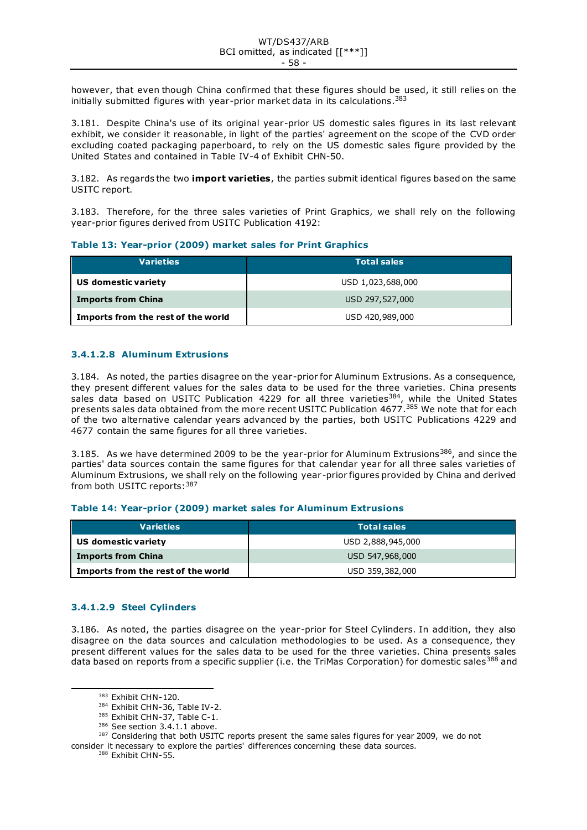however, that even though China confirmed that these figures should be used, it still relies on the initially submitted figures with year-prior market data in its calculations. 383

3.181. Despite China's use of its original year-prior US domestic sales figures in its last relevant exhibit, we consider it reasonable, in light of the parties' agreement on the scope of the CVD order excluding coated packaging paperboard, to rely on the US domestic sales figure provided by the United States and contained in Table IV-4 of Exhibit CHN-50.

3.182. As regards the two **import varieties**, the parties submit identical figures based on the same USITC report.

3.183. Therefore, for the three sales varieties of Print Graphics, we shall rely on the following year-prior figures derived from USITC Publication 4192:

#### **Table 13: Year-prior (2009) market sales for Print Graphics**

| <b>Varieties</b>                   | <b>Total sales</b> |
|------------------------------------|--------------------|
| US domestic variety                | USD 1,023,688,000  |
| <b>Imports from China</b>          | USD 297,527,000    |
| Imports from the rest of the world | USD 420,989,000    |

# **3.4.1.2.8 Aluminum Extrusions**

3.184. As noted, the parties disagree on the year-prior for Aluminum Extrusions. As a consequence, they present different values for the sales data to be used for the three varieties. China presents sales data based on USITC Publication 4229 for all three varieties<sup>384</sup>, while the United States presents sales data obtained from the more recent USITC Publication 4677.<sup>385</sup> We note that for each of the two alternative calendar years advanced by the parties, both USITC Publications 4229 and 4677 contain the same figures for all three varieties.

3.185. As we have determined 2009 to be the year-prior for Aluminum Extrusions<sup>386</sup>, and since the parties' data sources contain the same figures for that calendar year for all three sales varieties of Aluminum Extrusions, we shall rely on the following year-prior figures provided by China and derived from both USITC reports: 387

#### **Table 14: Year-prior (2009) market sales for Aluminum Extrusions**

| <b>Varieties</b>                   | <b>Total sales</b> |
|------------------------------------|--------------------|
| US domestic variety                | USD 2,888,945,000  |
| <b>Imports from China</b>          | USD 547,968,000    |
| Imports from the rest of the world | USD 359,382,000    |

#### **3.4.1.2.9 Steel Cylinders**

3.186. As noted, the parties disagree on the year-prior for Steel Cylinders. In addition, they also disagree on the data sources and calculation methodologies to be used. As a consequence, they present different values for the sales data to be used for the three varieties. China presents sales data based on reports from a specific supplier (i.e. the TriMas Corporation) for domestic sales<sup>388</sup> and

<sup>388</sup> Exhibit CHN-55.

<sup>383</sup> Exhibit CHN-120.

<sup>384</sup> Exhibit CHN-36, Table IV-2.

<sup>385</sup> Exhibit CHN-37, Table C-1.

<sup>386</sup> See section 3.4.1.1 above.

<sup>&</sup>lt;sup>387</sup> Considering that both USITC reports present the same sales figures for year 2009, we do not consider it necessary to explore the parties' differences concerning these data sources.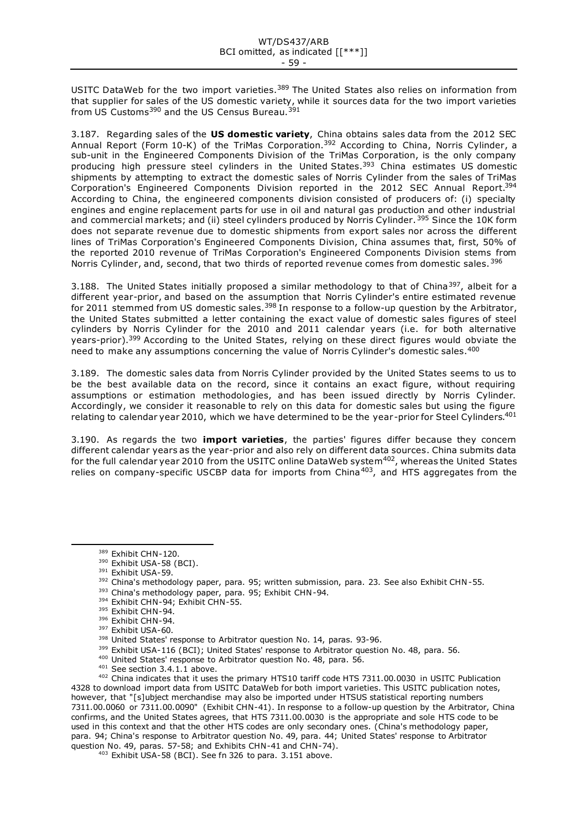USITC DataWeb for the two import varieties.<sup>389</sup> The United States also relies on information from that supplier for sales of the US domestic variety, while it sources data for the two import varieties from US Customs<sup>390</sup> and the US Census Bureau.<sup>391</sup>

3.187. Regarding sales of the **US domestic variety**, China obtains sales data from the 2012 SEC Annual Report (Form 10-K) of the TriMas Corporation.<sup>392</sup> According to China, Norris Cylinder, a sub-unit in the Engineered Components Division of the TriMas Corporation, is the only company producing high pressure steel cylinders in the United States.<sup>393</sup> China estimates US domestic shipments by attempting to extract the domestic sales of Norris Cylinder from the sales of TriMas Corporation's Engineered Components Division reported in the 2012 SEC Annual Report.<sup>394</sup> According to China, the engineered components division consisted of producers of: (i) specialty engines and engine replacement parts for use in oil and natural gas production and other industrial and commercial markets; and (ii) steel cylinders produced by Norris Cylinder. <sup>395</sup> Since the 10K form does not separate revenue due to domestic shipments from export sales nor across the different lines of TriMas Corporation's Engineered Components Division, China assumes that, first, 50% of the reported 2010 revenue of TriMas Corporation's Engineered Components Division stems from Norris Cylinder, and, second, that two thirds of reported revenue comes from domestic sales.<sup>396</sup>

3.188. The United States initially proposed a similar methodology to that of China<sup>397</sup>, albeit for a different year-prior, and based on the assumption that Norris Cylinder's entire estimated revenue for 2011 stemmed from US domestic sales.<sup>398</sup> In response to a follow-up question by the Arbitrator, the United States submitted a letter containing the exact value of domestic sales figures of steel cylinders by Norris Cylinder for the 2010 and 2011 calendar years (i.e. for both alternative years-prior).<sup>399</sup> According to the United States, relying on these direct figures would obviate the need to make any assumptions concerning the value of Norris Cylinder's domestic sales.<sup>400</sup>

3.189. The domestic sales data from Norris Cylinder provided by the United States seems to us to be the best available data on the record, since it contains an exact figure, without requiring assumptions or estimation methodologies, and has been issued directly by Norris Cylinder. Accordingly, we consider it reasonable to rely on this data for domestic sales but using the figure relating to calendar year 2010, which we have determined to be the year-prior for Steel Cylinders.<sup>401</sup>

3.190. As regards the two **import varieties**, the parties' figures differ because they concern different calendar years as the year-prior and also rely on different data sources. China submits data for the full calendar year 2010 from the USITC online DataWeb system $^{402}$ , whereas the United States relies on company-specific USCBP data for imports from China<sup>403</sup>, and HTS aggregates from the

390 Exhibit USA-58 (BCI).

- <sup>393</sup> China's methodology paper, para. 95; Exhibit CHN-94. <sup>394</sup> Exhibit CHN-94; Exhibit CHN-55.
- <sup>395</sup> Exhibit CHN-94.
- <sup>396</sup> Exhibit CHN-94.
- <sup>397</sup> Exhibit USA-60.
- 
- <sup>398</sup> United States' response to Arbitrator question No. 14, paras. 93-96.
- 399 Exhibit USA-116 (BCI); United States' response to Arbitrator question No. 48, para. 56.
- 400 United States' response to Arbitrator question No. 48, para. 56.
- <sup>401</sup> See section 3.4.1.1 above.

<sup>402</sup> China indicates that it uses the primary HTS10 tariff code HTS 7311.00.0030 in USITC Publication 4328 to download import data from USITC DataWeb for both import varieties. This USITC publication notes, however, that "[s]ubject merchandise may also be imported under HTSUS statistical reporting numbers 7311.00.0060 or 7311.00.0090" (Exhibit CHN-41). In response to a follow-up question by the Arbitrator, China confirms, and the United States agrees, that HTS 7311.00.0030 is the appropriate and sole HTS code to be used in this context and that the other HTS codes are only secondary ones. (China's methodology paper, para. 94; China's response to Arbitrator question No. 49, para. 44; United States' response to Arbitrator question No. 49, paras. 57-58; and Exhibits CHN-41 and CHN-74).

<sup>403</sup> Exhibit USA-58 (BCI). See fn 326 to para. 3.151 above.

<sup>389</sup> Exhibit CHN-120.

<sup>391</sup> Exhibit USA-59.

<sup>392</sup> China's methodology paper, para. 95; written submission, para. 23. See also Exhibit CHN-55.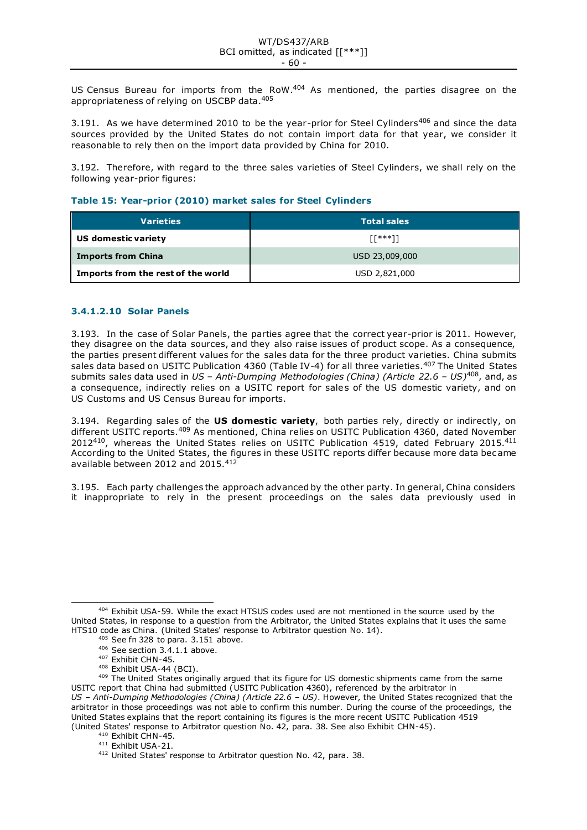US Census Bureau for imports from the RoW.<sup>404</sup> As mentioned, the parties disagree on the appropriateness of relying on USCBP data.<sup>405</sup>

3.191. As we have determined 2010 to be the year-prior for Steel Cylinders<sup>406</sup> and since the data sources provided by the United States do not contain import data for that year, we consider it reasonable to rely then on the import data provided by China for 2010.

3.192. Therefore, with regard to the three sales varieties of Steel Cylinders, we shall rely on the following year-prior figures:

# **Table 15: Year-prior (2010) market sales for Steel Cylinders**

| <b>Varieties</b>                   | <b>Total sales</b> |
|------------------------------------|--------------------|
| US domestic variety                | $[1***]$           |
| <b>Imports from China</b>          | USD 23,009,000     |
| Imports from the rest of the world | USD 2,821,000      |

# **3.4.1.2.10 Solar Panels**

3.193. In the case of Solar Panels, the parties agree that the correct year-prior is 2011. However, they disagree on the data sources, and they also raise issues of product scope. As a consequence, the parties present different values for the sales data for the three product varieties. China submits sales data based on USITC Publication 4360 (Table IV-4) for all three varieties.<sup>407</sup> The United States submits sales data used in *US – Anti-Dumping Methodologies (China) (Article 22.6 – US)*408, and, as a consequence, indirectly relies on a USITC report for sales of the US domestic variety, and on US Customs and US Census Bureau for imports.

3.194. Regarding sales of the **US domestic variety**, both parties rely, directly or indirectly, on different USITC reports.<sup>409</sup> As mentioned, China relies on USITC Publication 4360, dated November 2012<sup>410</sup>, whereas the United States relies on USITC Publication 4519, dated February 2015.<sup>411</sup> According to the United States, the figures in these USITC reports differ because more data became available between 2012 and 2015.<sup>412</sup>

3.195. Each party challenges the approach advanced by the other party. In general, China considers it inappropriate to rely in the present proceedings on the sales data previously used in

<sup>404</sup> Exhibit USA-59. While the exact HTSUS codes used are not mentioned in the source used by the United States, in response to a question from the Arbitrator, the United States explains that it uses the same HTS10 code as China. (United States' response to Arbitrator question No. 14).

<sup>405</sup> See fn 328 to para. 3.151 above.

<sup>406</sup> See section 3.4.1.1 above.

<sup>407</sup> Exhibit CHN-45.

<sup>408</sup> Exhibit USA-44 (BCI).

<sup>409</sup> The United States originally argued that its figure for US domestic shipments came from the same USITC report that China had submitted (USITC Publication 4360), referenced by the arbitrator in *US – Anti-Dumping Methodologies (China) (Article 22.6 – US)*. However, the United States recognized that the arbitrator in those proceedings was not able to confirm this number. During the course of the proceedings, the United States explains that the report containing its figures is the more recent USITC Publication 4519 (United States' response to Arbitrator question No. 42, para. 38. See also Exhibit CHN-45).

<sup>&</sup>lt;sup>410</sup> Exhibit CHN-45. <sup>411</sup> Exhibit USA-21.

<sup>412</sup> United States' response to Arbitrator question No. 42, para. 38.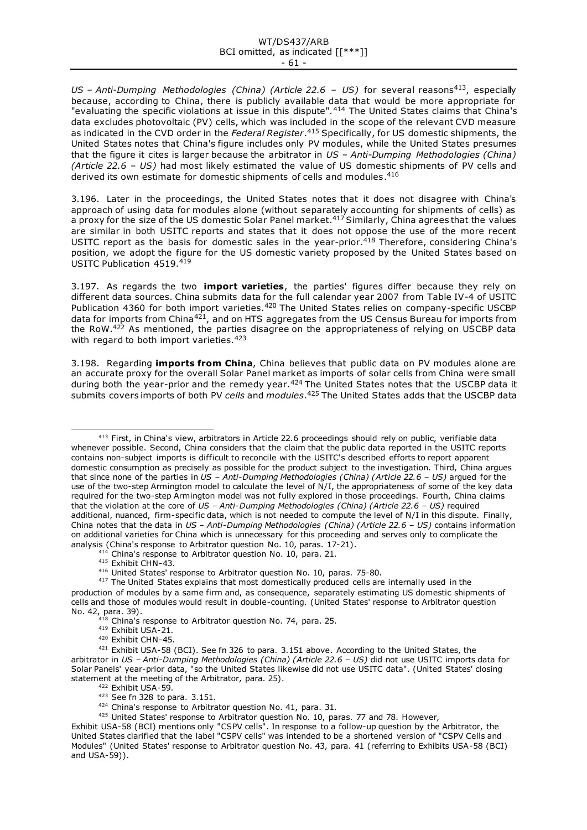*US – Anti-Dumping Methodologies (China) (Article 22.6 – US)* for several reasons413, especially because, according to China, there is publicly available data that would be more appropriate for "evaluating the specific violations at issue in this dispute".<sup>414</sup> The United States claims that China's data excludes photovoltaic (PV) cells, which was included in the scope of the relevant CVD measure as indicated in the CVD order in the *Federal Register*. <sup>415</sup> Specifically, for US domestic shipments, the United States notes that China's figure includes only PV modules, while the United States presumes that the figure it cites is larger because the arbitrator in *US – Anti-Dumping Methodologies (China) (Article 22.6 – US)* had most likely estimated the value of US domestic shipments of PV cells and derived its own estimate for domestic shipments of cells and modules.<sup>416</sup>

3.196. Later in the proceedings, the United States notes that it does not disagree with China's approach of using data for modules alone (without separately accounting for shipments of cells) as a proxy for the size of the US domestic Solar Panel market.<sup>417</sup> Similarly, China agrees that the values are similar in both USITC reports and states that it does not oppose the use of the more recent USITC report as the basis for domestic sales in the year-prior.<sup>418</sup> Therefore, considering China's position, we adopt the figure for the US domestic variety proposed by the United States based on USITC Publication 4519.419

3.197. As regards the two **import varieties**, the parties' figures differ because they rely on different data sources. China submits data for the full calendar year 2007 from Table IV-4 of USITC Publication 4360 for both import varieties.<sup>420</sup> The United States relies on company-specific USCBP data for imports from China<sup>421</sup>, and on HTS aggregates from the US Census Bureau for imports from the RoW. $422$  As mentioned, the parties disagree on the appropriateness of relying on USCBP data with regard to both import varieties.<sup>423</sup>

3.198. Regarding **imports from China**, China believes that public data on PV modules alone are an accurate proxy for the overall Solar Panel market as imports of solar cells from China were small during both the year-prior and the remedy year.<sup>424</sup> The United States notes that the USCBP data it submits covers imports of both PV *cells* and *modules*. <sup>425</sup> The United States adds that the USCBP data

- <sup>414</sup> China's response to Arbitrator question No. 10, para. 21.
- <sup>415</sup> Exhibit CHN-43.
- <sup>416</sup> United States' response to Arbitrator question No. 10, paras. 75-80.

- <sup>419</sup> Exhibit USA-21.
- <sup>420</sup> Exhibit CHN-45.

- 424 China's response to Arbitrator question No. 41, para. 31.
- <sup>425</sup> United States' response to Arbitrator question No. 10, paras. 77 and 78. However,

<sup>&</sup>lt;sup>413</sup> First, in China's view, arbitrators in Article 22.6 proceedings should rely on public, verifiable data whenever possible. Second, China considers that the claim that the public data reported in the USITC reports contains non-subject imports is difficult to reconcile with the USITC's described efforts to report apparent domestic consumption as precisely as possible for the product subject to the investigation. Third, China argues that since none of the parties in *US – Anti-Dumping Methodologies (China) (Article 22.6 – US)* argued for the use of the two-step Armington model to calculate the level of N/I, the appropriateness of some of the key data required for the two-step Armington model was not fully explored in those proceedings. Fourth, China claims that the violation at the core of *US – Anti-Dumping Methodologies (China) (Article 22.6 – US)* required additional, nuanced, firm-specific data, which is not needed to compute the level of N/I in this dispute. Finally, China notes that the data in *US – Anti-Dumping Methodologies (China) (Article 22.6 – US)* contains information on additional varieties for China which is unnecessary for this proceeding and serves only to complicate the analysis (China's response to Arbitrator question No. 10, paras. 17-21).

<sup>&</sup>lt;sup>417</sup> The United States explains that most domestically produced cells are internally used in the production of modules by a same firm and, as consequence, separately estimating US domestic shipments of cells and those of modules would result in double-counting. (United States' response to Arbitrator question No. 42, para. 39).

<sup>&</sup>lt;sup>418</sup> China's response to Arbitrator question No. 74, para. 25.

<sup>421</sup> Exhibit USA-58 (BCI). See fn 326 to para. 3.151 above. According to the United States, the arbitrator in *US – Anti-Dumping Methodologies (China) (Article 22.6 – US)* did not use USITC imports data for Solar Panels' year-prior data, "so the United States likewise did not use USITC data". (United States' closing statement at the meeting of the Arbitrator, para. 25).

<sup>422</sup> Exhibit USA-59.

<sup>423</sup> See fn 328 to para. 3.151.

Exhibit USA-58 (BCI) mentions only "CSPV cells". In response to a follow-up question by the Arbitrator, the United States clarified that the label "CSPV cells" was intended to be a shortened version of "CSPV Cells and Modules" (United States' response to Arbitrator question No. 43, para. 41 (referring to Exhibits USA-58 (BCI) and USA-59)).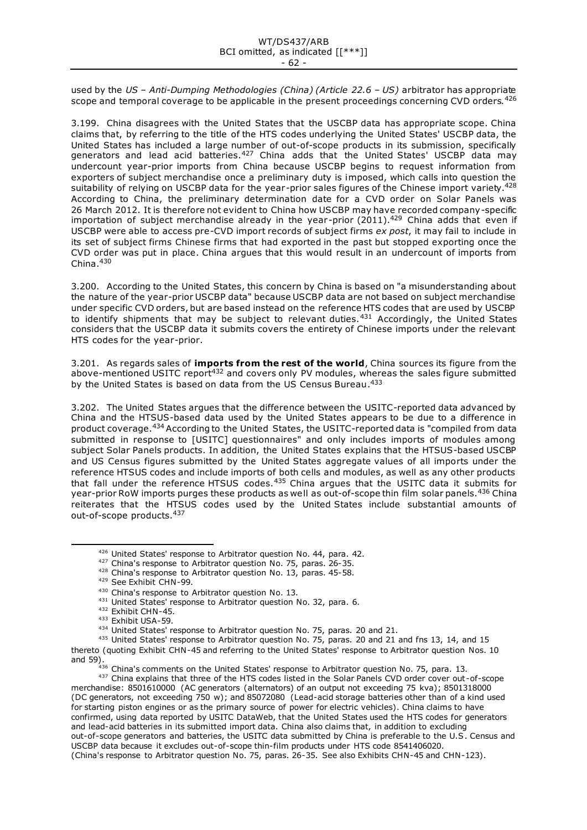used by the *US – Anti-Dumping Methodologies (China) (Article 22.6 – US)* arbitrator has appropriate scope and temporal coverage to be applicable in the present proceedings concerning CVD orders.<sup>426</sup>

3.199. China disagrees with the United States that the USCBP data has appropriate scope. China claims that, by referring to the title of the HTS codes underlying the United States' USCBP data, the United States has included a large number of out-of-scope products in its submission, specifically generators and lead acid batteries.<sup>427</sup> China adds that the United States' USCBP data may undercount year-prior imports from China because USCBP begins to request information from exporters of subject merchandise once a preliminary duty is imposed, which calls into question the suitability of relying on USCBP data for the year-prior sales figures of the Chinese import variety. $^{428}$ According to China, the preliminary determination date for a CVD order on Solar Panels was 26 March 2012. It is therefore not evident to China how USCBP may have recorded company-specific importation of subject merchandise already in the year-prior (2011).<sup>429</sup> China adds that even if USCBP were able to access pre-CVD import records of subject firms *ex post*, it may fail to include in its set of subject firms Chinese firms that had exported in the past but stopped exporting once the CVD order was put in place. China argues that this would result in an undercount of imports from China. $430$ 

3.200. According to the United States, this concern by China is based on "a misunderstanding about the nature of the year-prior USCBP data" because USCBP data are not based on subject merchandise under specific CVD orders, but are based instead on the reference HTS codes that are used by USCBP to identify shipments that may be subject to relevant duties.<sup>431</sup> Accordingly, the United States considers that the USCBP data it submits covers the entirety of Chinese imports under the relevant HTS codes for the year-prior.

3.201. As regards sales of **imports from the rest of the world**, China sources its figure from the above-mentioned USITC report<sup>432</sup> and covers only PV modules, whereas the sales figure submitted by the United States is based on data from the US Census Bureau.<sup>433</sup>

3.202. The United States argues that the difference between the USITC-reported data advanced by China and the HTSUS-based data used by the United States appears to be due to a difference in product coverage.<sup>434</sup> According to the United States, the USITC-reported data is "compiled from data submitted in response to [USITC] questionnaires" and only includes imports of modules among subject Solar Panels products. In addition, the United States explains that the HTSUS-based USCBP and US Census figures submitted by the United States aggregate values of all imports under the reference HTSUS codes and include imports of both cells and modules, as well as any other products that fall under the reference HTSUS codes. $435$  China argues that the USITC data it submits for year-prior RoW imports purges these products as well as out-of-scope thin film solar panels.<sup>436</sup> China reiterates that the HTSUS codes used by the United States include substantial amounts of out-of-scope products.<sup>437</sup>

 $436$  China's comments on the United States' response to Arbitrator question No. 75, para. 13.

<sup>437</sup> China explains that three of the HTS codes listed in the Solar Panels CVD order cover out-of-scope merchandise: 8501610000 (AC generators (alternators) of an output not exceeding 75 kva); 8501318000 (DC generators, not exceeding 750 w); and 85072080 (Lead-acid storage batteries other than of a kind used for starting piston engines or as the primary source of power for electric vehicles). China claims to have confirmed, using data reported by USITC DataWeb, that the United States used the HTS codes for generators and lead-acid batteries in its submitted import data. China also claims that, in addition to excluding out-of-scope generators and batteries, the USITC data submitted by China is preferable to the U.S. Census and USCBP data because it excludes out-of-scope thin-film products under HTS code 8541406020. (China's response to Arbitrator question No. 75, paras. 26-35. See also Exhibits CHN-45 and CHN-123).

<sup>426</sup> United States' response to Arbitrator question No. 44, para. 42.

<sup>&</sup>lt;sup>427</sup> China's response to Arbitrator question No. 75, paras. 26-35.

<sup>&</sup>lt;sup>428</sup> China's response to Arbitrator question No. 13, paras. 45-58.

<sup>429</sup> See Exhibit CHN-99.

<sup>430</sup> China's response to Arbitrator question No. 13.

<sup>431</sup> United States' response to Arbitrator question No. 32, para. 6.

<sup>432</sup> Exhibit CHN-45.

<sup>433</sup> Exhibit USA-59.

<sup>434</sup> United States' response to Arbitrator question No. 75, paras. 20 and 21.

<sup>435</sup> United States' response to Arbitrator question No. 75, paras. 20 and 21 and fns 13, 14, and 15 thereto (quoting Exhibit CHN-45 and referring to the United States' response to Arbitrator question Nos. 10 and 59).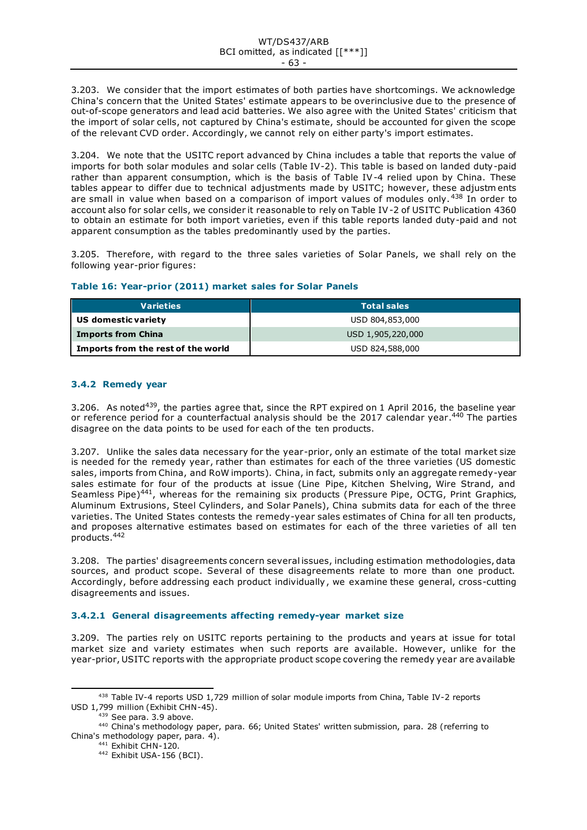3.203. We consider that the import estimates of both parties have shortcomings. We acknowledge China's concern that the United States' estimate appears to be overinclusive due to the presence of out-of-scope generators and lead acid batteries. We also agree with the United States' criticism that the import of solar cells, not captured by China's estimate, should be accounted for given the scope of the relevant CVD order. Accordingly, we cannot rely on either party's import estimates.

3.204. We note that the USITC report advanced by China includes a table that reports the value of imports for both solar modules and solar cells (Table IV-2). This table is based on landed duty-paid rather than apparent consumption, which is the basis of Table IV-4 relied upon by China. These tables appear to differ due to technical adjustments made by USITC; however, these adjustm ents are small in value when based on a comparison of import values of modules only. <sup>438</sup> In order to account also for solar cells, we consider it reasonable to rely on Table IV-2 of USITC Publication 4360 to obtain an estimate for both import varieties, even if this table reports landed duty-paid and not apparent consumption as the tables predominantly used by the parties.

3.205. Therefore, with regard to the three sales varieties of Solar Panels, we shall rely on the following year-prior figures:

|  | Table 16: Year-prior (2011) market sales for Solar Panels |  |  |  |  |  |  |
|--|-----------------------------------------------------------|--|--|--|--|--|--|
|--|-----------------------------------------------------------|--|--|--|--|--|--|

| <b>Varieties</b>                   | <b>Total sales</b> |
|------------------------------------|--------------------|
| US domestic variety                | USD 804,853,000    |
| <b>Imports from China</b>          | USD 1,905,220,000  |
| Imports from the rest of the world | USD 824,588,000    |

# **3.4.2 Remedy year**

3.206. As noted<sup>439</sup>, the parties agree that, since the RPT expired on 1 April 2016, the baseline year or reference period for a counterfactual analysis should be the 2017 calendar year.<sup>440</sup> The parties disagree on the data points to be used for each of the ten products.

3.207. Unlike the sales data necessary for the year-prior, only an estimate of the total market size is needed for the remedy year, rather than estimates for each of the three varieties (US domestic sales, imports from China, and RoW imports). China, in fact, submits only an aggregate remedy-year sales estimate for four of the products at issue (Line Pipe, Kitchen Shelving, Wire Strand, and Seamless Pipe)<sup>441</sup>, whereas for the remaining six products (Pressure Pipe, OCTG, Print Graphics, Aluminum Extrusions, Steel Cylinders, and Solar Panels), China submits data for each of the three varieties. The United States contests the remedy-year sales estimates of China for all ten products, and proposes alternative estimates based on estimates for each of the three varieties of all ten products.<sup>442</sup>

3.208. The parties' disagreements concern several issues, including estimation methodologies, data sources, and product scope. Several of these disagreements relate to more than one product. Accordingly, before addressing each product individually, we examine these general, cross-cutting disagreements and issues.

# **3.4.2.1 General disagreements affecting remedy-year market size**

3.209. The parties rely on USITC reports pertaining to the products and years at issue for total market size and variety estimates when such reports are available. However, unlike for the year-prior, USITC reports with the appropriate product scope covering the remedy year are available

<sup>438</sup> Table IV-4 reports USD 1,729 million of solar module imports from China, Table IV-2 reports USD 1,799 million (Exhibit CHN-45).

<sup>439</sup> See para. 3.9 above.

<sup>440</sup> China's methodology paper, para. 66; United States' written submission, para. 28 (referring to China's methodology paper, para. 4).

<sup>441</sup> Exhibit CHN-120.

<sup>442</sup> Exhibit USA-156 (BCI).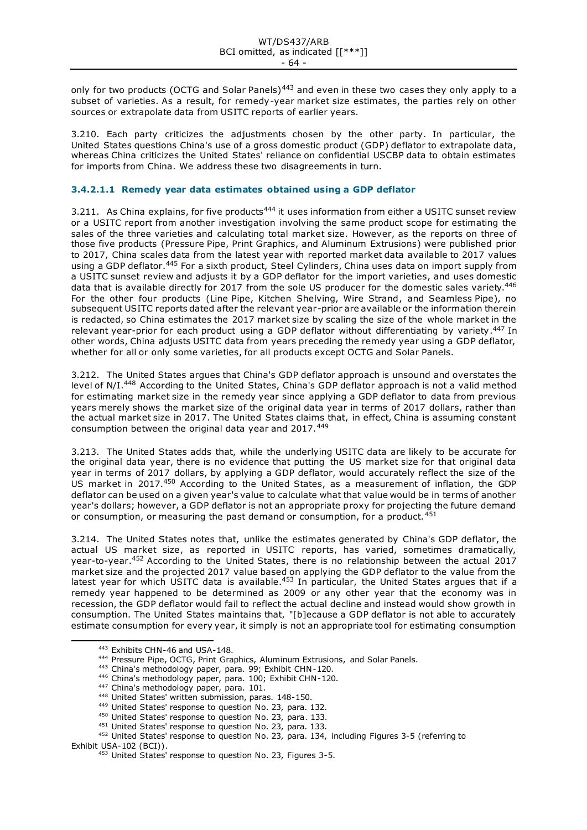only for two products (OCTG and Solar Panels)<sup>443</sup> and even in these two cases they only apply to a subset of varieties. As a result, for remedy-year market size estimates, the parties rely on other sources or extrapolate data from USITC reports of earlier years.

3.210. Each party criticizes the adjustments chosen by the other party. In particular, the United States questions China's use of a gross domestic product (GDP) deflator to extrapolate data, whereas China criticizes the United States' reliance on confidential USCBP data to obtain estimates for imports from China. We address these two disagreements in turn.

# **3.4.2.1.1 Remedy year data estimates obtained using a GDP deflator**

3.211. As China explains, for five products<sup>444</sup> it uses information from either a USITC sunset review or a USITC report from another investigation involving the same product scope for estimating the sales of the three varieties and calculating total market size. However, as the reports on three of those five products (Pressure Pipe, Print Graphics, and Aluminum Extrusions) were published prior to 2017, China scales data from the latest year with reported market data available to 2017 values using a GDP deflator.<sup>445</sup> For a sixth product, Steel Cylinders, China uses data on import supply from a USITC sunset review and adjusts it by a GDP deflator for the import varieties, and uses domestic data that is available directly for 2017 from the sole US producer for the domestic sales variety.<sup>446</sup> For the other four products (Line Pipe, Kitchen Shelving, Wire Strand, and Seamless Pipe), no subsequent USITC reports dated after the relevant year-prior are available or the information therein is redacted, so China estimates the 2017 market size by scaling the size of the whole market in the relevant year-prior for each product using a GDP deflator without differentiating by variety.<sup>447</sup> In other words, China adjusts USITC data from years preceding the remedy year using a GDP deflator, whether for all or only some varieties, for all products except OCTG and Solar Panels.

3.212. The United States argues that China's GDP deflator approach is unsound and overstates the level of N/I.<sup>448</sup> According to the United States, China's GDP deflator approach is not a valid method for estimating market size in the remedy year since applying a GDP deflator to data from previous years merely shows the market size of the original data year in terms of 2017 dollars, rather than the actual market size in 2017. The United States claims that, in effect, China is assuming constant consumption between the original data year and 2017.<sup>449</sup>

3.213. The United States adds that, while the underlying USITC data are likely to be accurate for the original data year, there is no evidence that putting the US market size for that original data year in terms of 2017 dollars, by applying a GDP deflator, would accurately reflect the size of the US market in 2017.<sup>450</sup> According to the United States, as a measurement of inflation, the GDP deflator can be used on a given year's value to calculate what that value would be in terms of another year's dollars; however, a GDP deflator is not an appropriate proxy for projecting the future demand or consumption, or measuring the past demand or consumption, for a product.  $451$ 

3.214. The United States notes that, unlike the estimates generated by China's GDP deflator, the actual US market size, as reported in USITC reports, has varied, sometimes dramatically, year-to-year.<sup>452</sup> According to the United States, there is no relationship between the actual 2017 market size and the projected 2017 value based on applying the GDP deflator to the value from the latest year for which USITC data is available.<sup>453</sup> In particular, the United States argues that if a remedy year happened to be determined as 2009 or any other year that the economy was in recession, the GDP deflator would fail to reflect the actual decline and instead would show growth in consumption. The United States maintains that, "[b]ecause a GDP deflator is not able to accurately estimate consumption for every year, it simply is not an appropriate tool for estimating consumption

450 United States' response to question No. 23, para. 133.

<sup>443</sup> Exhibits CHN-46 and USA-148.

<sup>444</sup> Pressure Pipe, OCTG, Print Graphics, Aluminum Extrusions, and Solar Panels.

<sup>445</sup> China's methodology paper, para. 99; Exhibit CHN-120.

<sup>446</sup> China's methodology paper, para. 100; Exhibit CHN-120.

<sup>447</sup> China's methodology paper, para. 101.

<sup>448</sup> United States' written submission, paras. 148-150.

<sup>449</sup> United States' response to question No. 23, para. 132.

<sup>451</sup> United States' response to question No. 23, para. 133.

<sup>452</sup> United States' response to question No. 23, para. 134, including Figures 3-5 (referring to Exhibit USA-102 (BCI)).

 $453$  United States' response to question No. 23, Figures 3-5.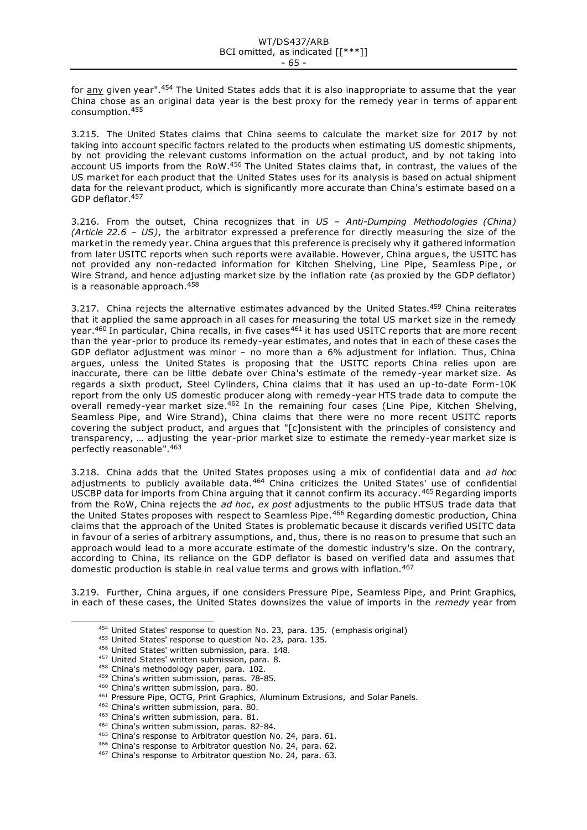for <u>any</u> given year".<sup>454</sup> The United States adds that it is also inappropriate to assume that the year China chose as an original data year is the best proxy for the remedy year in terms of appar ent consumption.<sup>455</sup>

3.215. The United States claims that China seems to calculate the market size for 2017 by not taking into account specific factors related to the products when estimating US domestic shipments, by not providing the relevant customs information on the actual product, and by not taking into account US imports from the RoW.<sup>456</sup> The United States claims that, in contrast, the values of the US market for each product that the United States uses for its analysis is based on actual shipment data for the relevant product, which is significantly more accurate than China's estimate based on a GDP deflator.<sup>457</sup>

3.216. From the outset, China recognizes that in *US – Anti-Dumping Methodologies (China) (Article 22.6 – US)*, the arbitrator expressed a preference for directly measuring the size of the market in the remedy year. China argues that this preference is precisely why it gathered information from later USITC reports when such reports were available. However, China argue s, the USITC has not provided any non-redacted information for Kitchen Shelving, Line Pipe, Seamless Pipe , or Wire Strand, and hence adjusting market size by the inflation rate (as proxied by the GDP deflator) is a reasonable approach.<sup>458</sup>

3.217. China rejects the alternative estimates advanced by the United States.<sup>459</sup> China reiterates that it applied the same approach in all cases for measuring the total US market size in the remedy year.<sup>460</sup> In particular, China recalls, in five cases<sup>461</sup> it has used USITC reports that are more recent than the year-prior to produce its remedy-year estimates, and notes that in each of these cases the GDP deflator adjustment was minor – no more than a 6% adjustment for inflation. Thus, China argues, unless the United States is proposing that the USITC reports China relies upon are inaccurate, there can be little debate over China's estimate of the remedy -year market size. As regards a sixth product, Steel Cylinders, China claims that it has used an up-to-date Form-10K report from the only US domestic producer along with remedy-year HTS trade data to compute the overall remedy-year market size.<sup>462</sup> In the remaining four cases (Line Pipe, Kitchen Shelving, Seamless Pipe, and Wire Strand), China claims that there were no more recent USITC reports covering the subject product, and argues that "[c]onsistent with the principles of consistency and transparency, … adjusting the year-prior market size to estimate the remedy-year market size is perfectly reasonable". 463

3.218. China adds that the United States proposes using a mix of confidential data and *ad hoc*  adjustments to publicly available data.<sup>464</sup> China criticizes the United States' use of confidential USCBP data for imports from China arguing that it cannot confirm its accuracy.<sup>465</sup> Regarding imports from the RoW, China rejects the *ad hoc*, *ex post* adjustments to the public HTSUS trade data that the United States proposes with respect to Seamless Pipe.<sup>466</sup> Regarding domestic production, China claims that the approach of the United States is problematic because it discards verified USITC data in favour of a series of arbitrary assumptions, and, thus, there is no reason to presume that such an approach would lead to a more accurate estimate of the domestic industry's size. On the contrary, according to China, its reliance on the GDP deflator is based on verified data and assumes that domestic production is stable in real value terms and grows with inflation.<sup>467</sup>

3.219. Further, China argues, if one considers Pressure Pipe, Seamless Pipe, and Print Graphics, in each of these cases, the United States downsizes the value of imports in the *remedy* year from

<sup>454</sup> United States' response to question No. 23, para. 135. (emphasis original)

<sup>455</sup> United States' response to question No. 23, para. 135.

<sup>456</sup> United States' written submission, para. 148.

<sup>457</sup> United States' written submission, para. 8.

<sup>458</sup> China's methodology paper, para. 102.

<sup>459</sup> China's written submission, paras. 78-85.

<sup>460</sup> China's written submission, para. 80.

<sup>461</sup> Pressure Pipe, OCTG, Print Graphics, Aluminum Extrusions, and Solar Panels.

<sup>462</sup> China's written submission, para. 80.

<sup>463</sup> China's written submission, para. 81.

<sup>464</sup> China's written submission, paras. 82-84.

<sup>&</sup>lt;sup>465</sup> China's response to Arbitrator question No. 24, para. 61.

<sup>466</sup> China's response to Arbitrator question No. 24, para. 62.

<sup>467</sup> China's response to Arbitrator question No. 24, para. 63.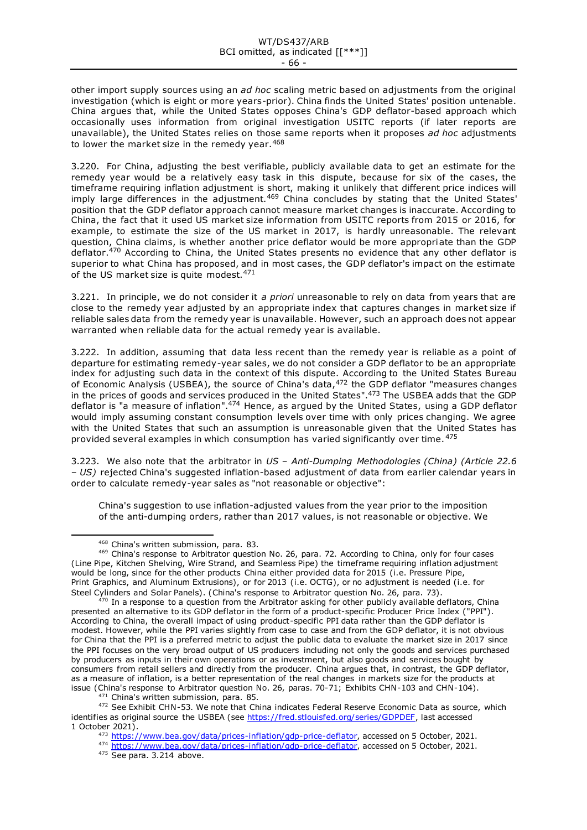other import supply sources using an *ad hoc* scaling metric based on adjustments from the original investigation (which is eight or more years-prior). China finds the United States' position untenable. China argues that, while the United States opposes China's GDP deflator-based approach which occasionally uses information from original investigation USITC reports (if later reports are unavailable), the United States relies on those same reports when it proposes *ad hoc* adjustments to lower the market size in the remedy year. 468

3.220. For China, adjusting the best verifiable, publicly available data to get an estimate for the remedy year would be a relatively easy task in this dispute, because for six of the cases, the timeframe requiring inflation adjustment is short, making it unlikely that different price indices will imply large differences in the adjustment.<sup>469</sup> China concludes by stating that the United States' position that the GDP deflator approach cannot measure market changes is inaccurate. According to China, the fact that it used US market size information from USITC reports from 2015 or 2016, for example, to estimate the size of the US market in 2017, is hardly unreasonable. The relevant question, China claims, is whether another price deflator would be more appropriate than the GDP deflator.<sup>470</sup> According to China, the United States presents no evidence that any other deflator is superior to what China has proposed, and in most cases, the GDP deflator's impact on the estimate of the US market size is quite modest.  $471$ 

3.221. In principle, we do not consider it *a priori* unreasonable to rely on data from years that are close to the remedy year adjusted by an appropriate index that captures changes in market size if reliable sales data from the remedy year is unavailable. However, such an approach does not appear warranted when reliable data for the actual remedy year is available.

3.222. In addition, assuming that data less recent than the remedy year is reliable as a point of departure for estimating remedy-year sales, we do not consider a GDP deflator to be an appropriate index for adjusting such data in the context of this dispute. According to the United States Bureau of Economic Analysis (USBEA), the source of China's data,<sup>472</sup> the GDP deflator "measures changes in the prices of goods and services produced in the United States".<sup>473</sup> The USBEA adds that the GDP deflator is "a measure of inflation".<sup>474</sup> Hence, as argued by the United States, using a GDP deflator would imply assuming constant consumption levels over time with only prices changing. We agree with the United States that such an assumption is unreasonable given that the United States has provided several examples in which consumption has varied significantly over time. <sup>475</sup>

3.223. We also note that the arbitrator in *US – Anti-Dumping Methodologies (China) (Article 22.6 – US)* rejected China's suggested inflation-based adjustment of data from earlier calendar years in order to calculate remedy-year sales as "not reasonable or objective":

China's suggestion to use inflation-adjusted values from the year prior to the imposition of the anti-dumping orders, rather than 2017 values, is not reasonable or objective. We

471 China's written submission, para. 85.

472 See Exhibit CHN-53. We note that China indicates Federal Reserve Economic Data as source, which identifies as original source the USBEA (see [https://fred.stlouisfed.org/series/GDPDEF,](https://fred.stlouisfed.org/series/GDPDEF) last accessed 1 October 2021).

<sup>474</sup> <https://www.bea.gov/data/prices-inflation/gdp-price-deflator>, accessed on 5 October, 2021.

<sup>475</sup> See para. 3.214 above.

<sup>468</sup> China's written submission, para. 83.

<sup>469</sup> China's response to Arbitrator question No. 26, para. 72. According to China, only for four cases (Line Pipe, Kitchen Shelving, Wire Strand, and Seamless Pipe) the timeframe requiring inflation adjustment would be long, since for the other products China either provided data for 2015 (i.e. Pressure Pipe, Print Graphics, and Aluminum Extrusions), or for 2013 (i.e. OCTG), or no adjustment is needed (i.e. for Steel Cylinders and Solar Panels). (China's response to Arbitrator question No. 26, para. 73).

 $470$  In a response to a question from the Arbitrator asking for other publicly available deflators, China presented an alternative to its GDP deflator in the form of a product-specific Producer Price Index ("PPI"). According to China, the overall impact of using product-specific PPI data rather than the GDP deflator is modest. However, while the PPI varies slightly from case to case and from the GDP deflator, it is not obvious for China that the PPI is a preferred metric to adjust the public data to evaluate the market size in 2017 since the PPI focuses on the very broad output of US producers including not only the goods and services purchased by producers as inputs in their own operations or as investment, but also goods and services bought by consumers from retail sellers and directly from the producer. China argues that, in contrast, the GDP deflator, as a measure of inflation, is a better representation of the real changes in markets size for the products at issue (China's response to Arbitrator question No. 26, paras. 70-71; Exhibits CHN-103 and CHN-104).

<sup>473</sup> <https://www.bea.gov/data/prices-inflation/gdp-price-deflator>, accessed on 5 October, 2021.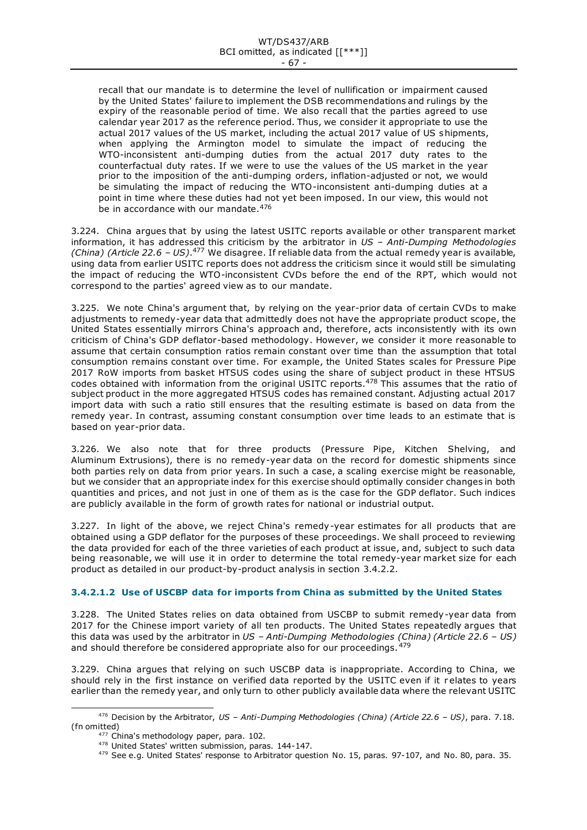recall that our mandate is to determine the level of nullification or impairment caused by the United States' failure to implement the DSB recommendations and rulings by the expiry of the reasonable period of time. We also recall that the parties agreed to use calendar year 2017 as the reference period. Thus, we consider it appropriate to use the actual 2017 values of the US market, including the actual 2017 value of US shipments, when applying the Armington model to simulate the impact of reducing the WTO-inconsistent anti-dumping duties from the actual 2017 duty rates to the counterfactual duty rates. If we were to use the values of the US market in the year prior to the imposition of the anti-dumping orders, inflation-adjusted or not, we would be simulating the impact of reducing the WTO-inconsistent anti-dumping duties at a point in time where these duties had not yet been imposed. In our view, this would not be in accordance with our mandate.  $476$ 

3.224. China argues that by using the latest USITC reports available or other transparent market information, it has addressed this criticism by the arbitrator in *US – Anti-Dumping Methodologies (China) (Article 22.6 – US).<sup>477</sup>* We disagree. If reliable data from the actual remedy year is available, using data from earlier USITC reports does not address the criticism since it would still be simulating the impact of reducing the WTO-inconsistent CVDs before the end of the RPT, which would not correspond to the parties' agreed view as to our mandate.

3.225. We note China's argument that, by relying on the year-prior data of certain CVDs to make adjustments to remedy-year data that admittedly does not have the appropriate product scope, the United States essentially mirrors China's approach and, therefore, acts inconsistently with its own criticism of China's GDP deflator-based methodology. However, we consider it more reasonable to assume that certain consumption ratios remain constant over time than the assumption that total consumption remains constant over time. For example, the United States scales for Pressure Pipe 2017 RoW imports from basket HTSUS codes using the share of subject product in these HTSUS codes obtained with information from the original USITC reports.<sup>478</sup> This assumes that the ratio of subject product in the more aggregated HTSUS codes has remained constant. Adjusting actual 2017 import data with such a ratio still ensures that the resulting estimate is based on data from the remedy year. In contrast, assuming constant consumption over time leads to an estimate that is based on year-prior data.

3.226. We also note that for three products (Pressure Pipe, Kitchen Shelving, and Aluminum Extrusions), there is no remedy-year data on the record for domestic shipments since both parties rely on data from prior years. In such a case, a scaling exercise might be reasonable, but we consider that an appropriate index for this exercise should optimally consider changes in both quantities and prices, and not just in one of them as is the case for the GDP deflator. Such indices are publicly available in the form of growth rates for national or industrial output.

3.227. In light of the above, we reject China's remedy-year estimates for all products that are obtained using a GDP deflator for the purposes of these proceedings. We shall proceed to reviewing the data provided for each of the three varieties of each product at issue, and, subject to such data being reasonable, we will use it in order to determine the total remedy-year market size for each product as detailed in our product-by-product analysis in section 3.4.2.2.

# **3.4.2.1.2 Use of USCBP data for imports from China as submitted by the United States**

3.228. The United States relies on data obtained from USCBP to submit remedy-year data from 2017 for the Chinese import variety of all ten products. The United States repeatedly argues that this data was used by the arbitrator in *US – Anti-Dumping Methodologies (China) (Article 22.6 – US)* and should therefore be considered appropriate also for our proceedings.  $479$ 

3.229. China argues that relying on such USCBP data is inappropriate. According to China, we should rely in the first instance on verified data reported by the USITC even if it r elates to years earlier than the remedy year, and only turn to other publicly available data where the relevant USITC

<sup>476</sup> Decision by the Arbitrator, *US – Anti-Dumping Methodologies (China) (Article 22.6 – US)*, para. 7.18. (fn omitted)

<sup>477</sup> China's methodology paper, para. 102.

<sup>478</sup> United States' written submission, paras. 144-147.

<sup>479</sup> See e.g. United States' response to Arbitrator question No. 15, paras. 97-107, and No. 80, para. 35.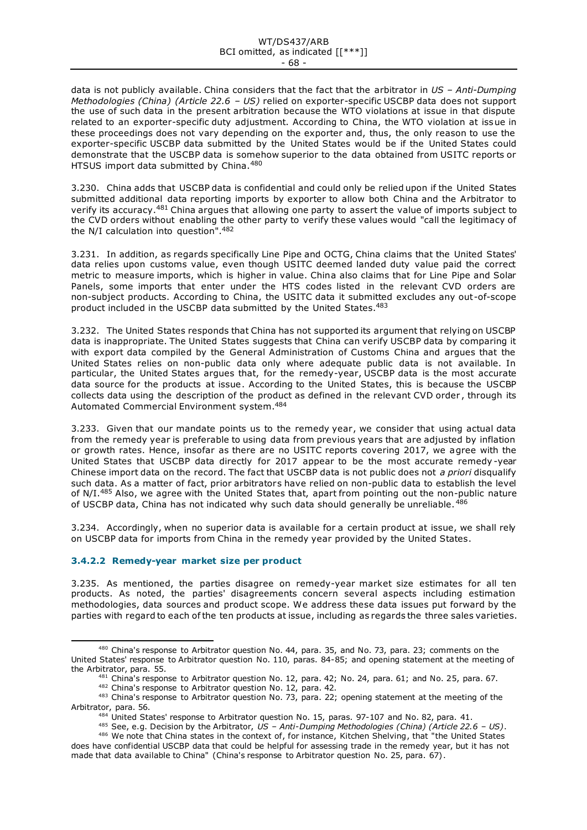#### WT/DS437/ARB BCI omitted, as indicated [[\*\*\*]] - 68 -

data is not publicly available. China considers that the fact that the arbitrator in *US – Anti-Dumping Methodologies (China) (Article 22.6 – US)* relied on exporter-specific USCBP data does not support the use of such data in the present arbitration because the WTO violations at issue in that dispute related to an exporter-specific duty adjustment. According to China, the WTO violation at issue in these proceedings does not vary depending on the exporter and, thus, the only reason to use the exporter-specific USCBP data submitted by the United States would be if the United States could demonstrate that the USCBP data is somehow superior to the data obtained from USITC reports or HTSUS import data submitted by China.<sup>480</sup>

3.230. China adds that USCBP data is confidential and could only be relied upon if the United States submitted additional data reporting imports by exporter to allow both China and the Arbitrator to verify its accuracy.<sup>481</sup> China argues that allowing one party to assert the value of imports subject to the CVD orders without enabling the other party to verify these values would "call the legitimacy of the N/I calculation into question". 482

3.231. In addition, as regards specifically Line Pipe and OCTG, China claims that the United States' data relies upon customs value, even though USITC deemed landed duty value paid the correct metric to measure imports, which is higher in value. China also claims that for Line Pipe and Solar Panels, some imports that enter under the HTS codes listed in the relevant CVD orders are non-subject products. According to China, the USITC data it submitted excludes any out-of-scope product included in the USCBP data submitted by the United States.<sup>483</sup>

3.232. The United States responds that China has not supported its argument that relying on USCBP data is inappropriate. The United States suggests that China can verify USCBP data by comparing it with export data compiled by the General Administration of Customs China and argues that the United States relies on non-public data only where adequate public data is not available. In particular, the United States argues that, for the remedy-year, USCBP data is the most accurate data source for the products at issue. According to the United States, this is because the USCBP collects data using the description of the product as defined in the relevant CVD order , through its Automated Commercial Environment system.<sup>484</sup>

3.233. Given that our mandate points us to the remedy year, we consider that using actual data from the remedy year is preferable to using data from previous years that are adjusted by inflation or growth rates. Hence, insofar as there are no USITC reports covering 2017, we agree with the United States that USCBP data directly for 2017 appear to be the most accurate remedy -year Chinese import data on the record. The fact that USCBP data is not public does not *a priori* disqualify such data. As a matter of fact, prior arbitrators have relied on non-public data to establish the level of N/I.<sup>485</sup> Also, we agree with the United States that, apart from pointing out the non-public nature of USCBP data, China has not indicated why such data should generally be unreliable. <sup>486</sup>

3.234. Accordingly, when no superior data is available for a certain product at issue, we shall rely on USCBP data for imports from China in the remedy year provided by the United States.

# **3.4.2.2 Remedy-year market size per product**

3.235. As mentioned, the parties disagree on remedy-year market size estimates for all ten products. As noted, the parties' disagreements concern several aspects including estimation methodologies, data sources and product scope. We address these data issues put forward by the parties with regard to each of the ten products at issue, including as regards the three sales varieties.

<sup>480</sup> China's response to Arbitrator question No. 44, para. 35, and No. 73, para. 23; comments on the United States' response to Arbitrator question No. 110, paras. 84-85; and opening statement at the meeting of the Arbitrator, para. 55.

<sup>481</sup> China's response to Arbitrator question No. 12, para. 42; No. 24, para. 61; and No. 25, para. 67. 482 China's response to Arbitrator question No. 12, para. 42.

<sup>483</sup> China's response to Arbitrator question No. 73, para. 22; opening statement at the meeting of the Arbitrator, para. 56.

<sup>484</sup> United States' response to Arbitrator question No. 15, paras. 97-107 and No. 82, para. 41.

<sup>485</sup> See, e.g. Decision by the Arbitrator, *US – Anti-Dumping Methodologies (China) (Article 22.6 – US)*.

<sup>486</sup> We note that China states in the context of, for instance, Kitchen Shelving, that "the United States does have confidential USCBP data that could be helpful for assessing trade in the remedy year, but it has not made that data available to China" (China's response to Arbitrator question No. 25, para. 67).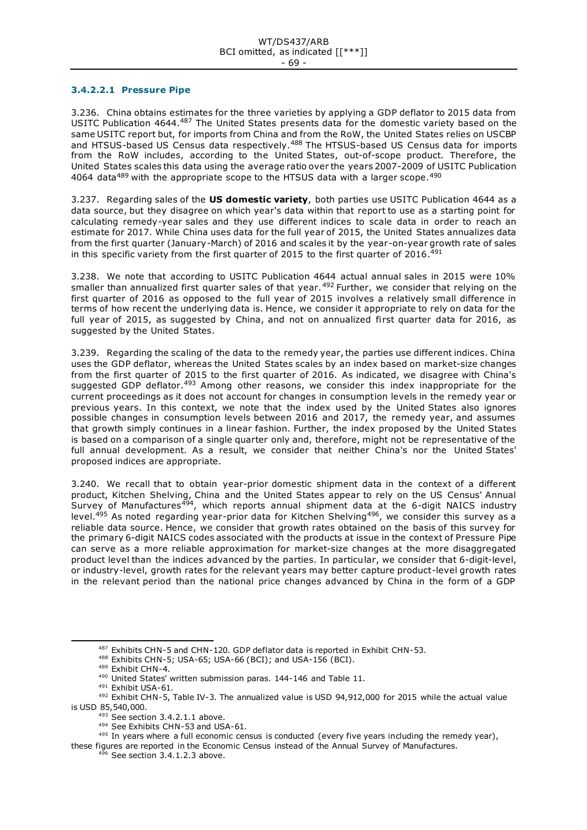### **3.4.2.2.1 Pressure Pipe**

3.236. China obtains estimates for the three varieties by applying a GDP deflator to 2015 data from USITC Publication 4644.<sup>487</sup> The United States presents data for the domestic variety based on the same USITC report but, for imports from China and from the RoW, the United States relies on USCBP and HTSUS-based US Census data respectively.<sup>488</sup> The HTSUS-based US Census data for imports from the RoW includes, according to the United States, out-of-scope product. Therefore, the United States scales this data using the average ratio over the years 2007-2009 of USITC Publication 4064 data<sup>489</sup> with the appropriate scope to the HTSUS data with a larger scope.<sup>490</sup>

3.237. Regarding sales of the **US domestic variety**, both parties use USITC Publication 4644 as a data source, but they disagree on which year's data within that report to use as a starting point for calculating remedy-year sales and they use different indices to scale data in order to reach an estimate for 2017. While China uses data for the full year of 2015, the United States annualizes data from the first quarter (January-March) of 2016 and scales it by the year-on-year growth rate of sales in this specific variety from the first quarter of 2015 to the first quarter of 2016.<sup>491</sup>

3.238. We note that according to USITC Publication 4644 actual annual sales in 2015 were 10% smaller than annualized first quarter sales of that year.<sup>492</sup> Further, we consider that relying on the first quarter of 2016 as opposed to the full year of 2015 involves a relatively small difference in terms of how recent the underlying data is. Hence, we consider it appropriate to rely on data for the full year of 2015, as suggested by China, and not on annualized first quarter data for 2016, as suggested by the United States.

3.239. Regarding the scaling of the data to the remedy year, the parties use different indices. China uses the GDP deflator, whereas the United States scales by an index based on market-size changes from the first quarter of 2015 to the first quarter of 2016. As indicated, we disagree with China's suggested GDP deflator.<sup>493</sup> Among other reasons, we consider this index inappropriate for the current proceedings as it does not account for changes in consumption levels in the remedy year or previous years. In this context, we note that the index used by the United States also ignores possible changes in consumption levels between 2016 and 2017, the remedy year, and assumes that growth simply continues in a linear fashion. Further, the index proposed by the United States is based on a comparison of a single quarter only and, therefore, might not be representative of the full annual development. As a result, we consider that neither China's nor the United States' proposed indices are appropriate.

3.240. We recall that to obtain year-prior domestic shipment data in the context of a different product, Kitchen Shelving, China and the United States appear to rely on the US Census' Annual Survey of Manufactures<sup>494</sup>, which reports annual shipment data at the 6-digit NAICS industry level.<sup>495</sup> As noted regarding year-prior data for Kitchen Shelving<sup>496</sup>, we consider this survey as a reliable data source. Hence, we consider that growth rates obtained on the basis of this survey for the primary 6-digit NAICS codes associated with the products at issue in the context of Pressure Pipe can serve as a more reliable approximation for market-size changes at the more disaggregated product level than the indices advanced by the parties. In particular, we consider that 6-digit-level, or industry-level, growth rates for the relevant years may better capture product-level growth rates in the relevant period than the national price changes advanced by China in the form of a GDP

<sup>493</sup> See section 3.4.2.1.1 above.

<sup>487</sup> Exhibits CHN-5 and CHN-120. GDP deflator data is reported in Exhibit CHN-53.

<sup>488</sup> Exhibits CHN-5; USA-65; USA-66 (BCI); and USA-156 (BCI).

<sup>489</sup> Exhibit CHN-4.

<sup>490</sup> United States' written submission paras. 144-146 and Table 11.

<sup>491</sup> Exhibit USA-61.

<sup>492</sup> Exhibit CHN-5, Table IV-3. The annualized value is USD 94,912,000 for 2015 while the actual value is USD 85,540,000.

<sup>494</sup> See Exhibits CHN-53 and USA-61.

 $495$  In years where a full economic census is conducted (every five years including the remedy year),

these figures are reported in the Economic Census instead of the Annual Survey of Manufactures.

<sup>&</sup>lt;sup>496</sup> See section 3.4.1.2.3 above.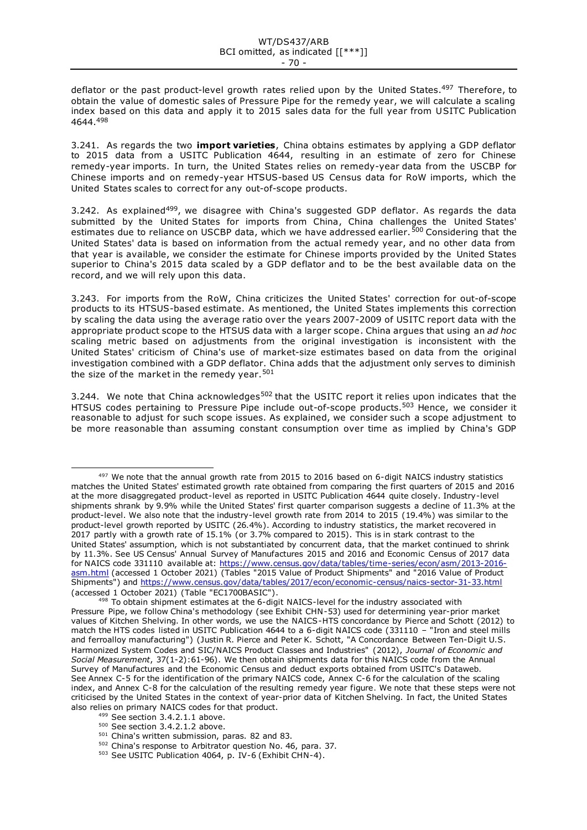deflator or the past product-level growth rates relied upon by the United States.<sup>497</sup> Therefore, to obtain the value of domestic sales of Pressure Pipe for the remedy year, we will calculate a scaling index based on this data and apply it to 2015 sales data for the full year from USITC Publication 4644.<sup>498</sup>

3.241. As regards the two **import varieties**, China obtains estimates by applying a GDP deflator to 2015 data from a USITC Publication 4644, resulting in an estimate of zero for Chinese remedy-year imports. In turn, the United States relies on remedy-year data from the USCBP for Chinese imports and on remedy-year HTSUS-based US Census data for RoW imports, which the United States scales to correct for any out-of-scope products.

3.242. As explained<sup>499</sup>, we disagree with China's suggested GDP deflator. As regards the data submitted by the United States for imports from China, China challenges the United States' estimates due to reliance on USCBP data, which we have addressed earlier.<sup>500</sup> Considering that the United States' data is based on information from the actual remedy year, and no other data from that year is available, we consider the estimate for Chinese imports provided by the United States superior to China's 2015 data scaled by a GDP deflator and to be the best available data on the record, and we will rely upon this data.

3.243. For imports from the RoW, China criticizes the United States' correction for out-of-scope products to its HTSUS-based estimate. As mentioned, the United States implements this correction by scaling the data using the average ratio over the years 2007-2009 of USITC report data with the appropriate product scope to the HTSUS data with a larger scope. China argues that using an *ad hoc* scaling metric based on adjustments from the original investigation is inconsistent with the United States' criticism of China's use of market-size estimates based on data from the original investigation combined with a GDP deflator. China adds that the adjustment only serves to diminish the size of the market in the remedy year.<sup>501</sup>

3.244. We note that China acknowledges<sup>502</sup> that the USITC report it relies upon indicates that the HTSUS codes pertaining to Pressure Pipe include out-of-scope products.<sup>503</sup> Hence, we consider it reasonable to adjust for such scope issues. As explained, we consider such a scope adjustment to be more reasonable than assuming constant consumption over time as implied by China's GDP

 $497$  We note that the annual growth rate from 2015 to 2016 based on 6-digit NAICS industry statistics matches the United States' estimated growth rate obtained from comparing the first quarters of 2015 and 2016 at the more disaggregated product-level as reported in USITC Publication 4644 quite closely. Industry-level shipments shrank by 9.9% while the United States' first quarter comparison suggests a decline of 11.3% at the product-level. We also note that the industry-level growth rate from 2014 to 2015 (19.4%) was similar to the product-level growth reported by USITC (26.4%). According to industry statistics, the market recovered in 2017 partly with a growth rate of 15.1% (or 3.7% compared to 2015). This is in stark contrast to the United States' assumption, which is not substantiated by concurrent data, that the market continued to shrink by 11.3%. See US Census' Annual Survey of Manufactures 2015 and 2016 and Economic Census of 2017 data for NAICS code 331110 available at: [https://www.census.gov/data/tables/time-series/econ/asm/2013-2016](https://www.census.gov/data/tables/time-series/econ/asm/2013-2016-asm.html) [asm.html](https://www.census.gov/data/tables/time-series/econ/asm/2013-2016-asm.html) (accessed 1 October 2021) (Tables "2015 Value of Product Shipments" and "2016 Value of Product Shipments") and<https://www.census.gov/data/tables/2017/econ/economic-census/naics-sector-31-33.html> (accessed 1 October 2021) (Table "EC1700BASIC").

<sup>498</sup> To obtain shipment estimates at the 6-digit NAICS-level for the industry associated with Pressure Pipe, we follow China's methodology (see Exhibit CHN-53) used for determining year-prior market values of Kitchen Shelving. In other words, we use the NAICS-HTS concordance by Pierce and Schott (2012) to match the HTS codes listed in USITC Publication 4644 to a 6-digit NAICS code (331110 – "Iron and steel mills and ferroalloy manufacturing") (Justin R. Pierce and Peter K. Schott, "A Concordance Between Ten-Digit U.S. Harmonized System Codes and SIC/NAICS Product Classes and Industries" (2012), *Journal of Economic and Social Measurement*, 37(1-2):61-96). We then obtain shipments data for this NAICS code from the Annual Survey of Manufactures and the Economic Census and deduct exports obtained from USITC's Dataweb. See Annex C-5 for the identification of the primary NAICS code, Annex C-6 for the calculation of the scaling index, and Annex C-8 for the calculation of the resulting remedy year figure. We note that these steps were not criticised by the United States in the context of year-prior data of Kitchen Shelving. In fact, the United States also relies on primary NAICS codes for that product.

<sup>499</sup> See section 3.4.2.1.1 above.

<sup>&</sup>lt;sup>500</sup> See section 3.4.2.1.2 above.

<sup>501</sup> China's written submission, paras. 82 and 83.

<sup>502</sup> China's response to Arbitrator question No. 46, para. 37.

<sup>&</sup>lt;sup>503</sup> See USITC Publication 4064, p. IV-6 (Exhibit CHN-4).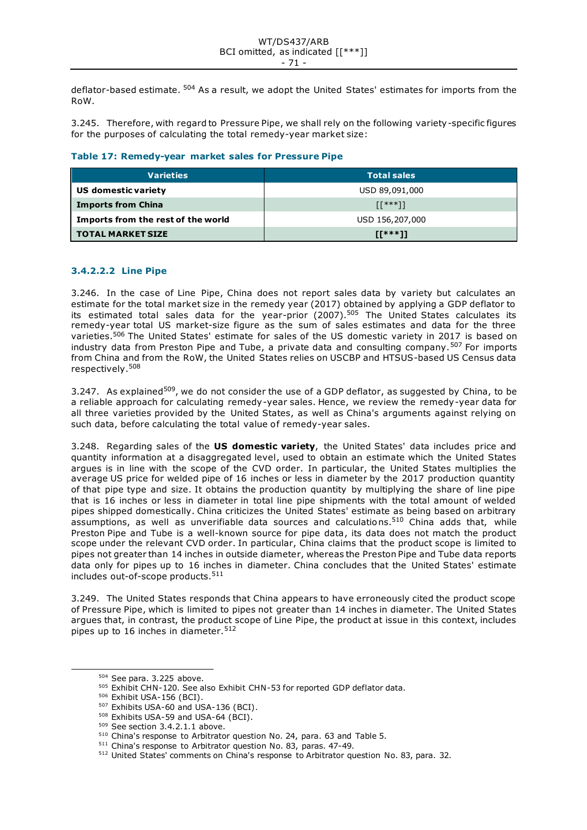deflator-based estimate. <sup>504</sup> As a result, we adopt the United States' estimates for imports from the RoW.

3.245. Therefore, with regard to Pressure Pipe, we shall rely on the following variety-specific figures for the purposes of calculating the total remedy-year market size:

| Table 17: Remedy-year market sales for Pressure Pipe |  |  |
|------------------------------------------------------|--|--|
|------------------------------------------------------|--|--|

| <b>Varieties</b>                   | <b>Total sales</b> |
|------------------------------------|--------------------|
| US domestic variety                | USD 89,091,000     |
| <b>Imports from China</b>          | $[1***]$           |
| Imports from the rest of the world | USD 156,207,000    |
| <b>TOTAL MARKET SIZE</b>           | $IT***11$          |

# **3.4.2.2.2 Line Pipe**

3.246. In the case of Line Pipe, China does not report sales data by variety but calculates an estimate for the total market size in the remedy year (2017) obtained by applying a GDP deflator to its estimated total sales data for the year-prior  $(2007)$ .<sup>505</sup> The United States calculates its remedy-year total US market-size figure as the sum of sales estimates and data for the three varieties.<sup>506</sup> The United States' estimate for sales of the US domestic variety in 2017 is based on industry data from Preston Pipe and Tube, a private data and consulting company.<sup>507</sup> For imports from China and from the RoW, the United States relies on USCBP and HTSUS-based US Census data respectively.<sup>508</sup>

3.247. As explained<sup>509</sup>, we do not consider the use of a GDP deflator, as suggested by China, to be a reliable approach for calculating remedy-year sales. Hence, we review the remedy-year data for all three varieties provided by the United States, as well as China's arguments against relying on such data, before calculating the total value of remedy-year sales.

3.248. Regarding sales of the **US domestic variety**, the United States' data includes price and quantity information at a disaggregated level, used to obtain an estimate which the United States argues is in line with the scope of the CVD order. In particular, the United States multiplies the average US price for welded pipe of 16 inches or less in diameter by the 2017 production quantity of that pipe type and size. It obtains the production quantity by multiplying the share of line pipe that is 16 inches or less in diameter in total line pipe shipments with the total amount of welded pipes shipped domestically. China criticizes the United States' estimate as being based on arbitrary assumptions, as well as unverifiable data sources and calculations.<sup>510</sup> China adds that, while Preston Pipe and Tube is a well-known source for pipe data, its data does not match the product scope under the relevant CVD order. In particular, China claims that the product scope is limited to pipes not greater than 14 inches in outside diameter, whereas the Preston Pipe and Tube data reports data only for pipes up to 16 inches in diameter. China concludes that the United States' estimate includes out-of-scope products.<sup>511</sup>

3.249. The United States responds that China appears to have erroneously cited the product scope of Pressure Pipe, which is limited to pipes not greater than 14 inches in diameter. The United States argues that, in contrast, the product scope of Line Pipe, the product at issue in this context, includes pipes up to 16 inches in diameter.<sup>512</sup>

<sup>504</sup> See para. 3.225 above.

<sup>505</sup> Exhibit CHN-120. See also Exhibit CHN-53 for reported GDP deflator data.

<sup>506</sup> Exhibit USA-156 (BCI).

<sup>507</sup> Exhibits USA-60 and USA-136 (BCI).

<sup>508</sup> Exhibits USA-59 and USA-64 (BCI).

<sup>509</sup> See section 3.4.2.1.1 above.

<sup>510</sup> China's response to Arbitrator question No. 24, para. 63 and Table 5.

<sup>511</sup> China's response to Arbitrator question No. 83, paras. 47-49.

<sup>512</sup> United States' comments on China's response to Arbitrator question No. 83, para. 32.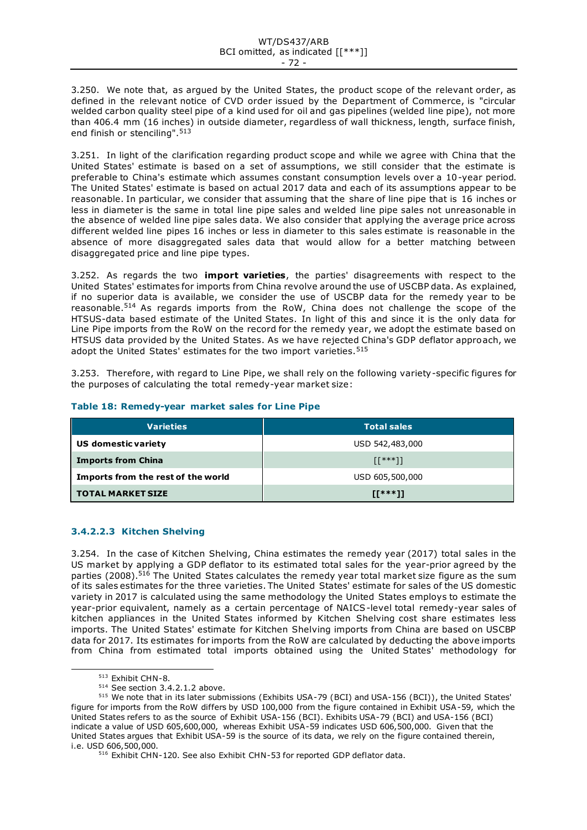3.250. We note that, as argued by the United States, the product scope of the relevant order, as defined in the relevant notice of CVD order issued by the Department of Commerce, is "circular welded carbon quality steel pipe of a kind used for oil and gas pipelines (welded line pipe), not more than 406.4 mm (16 inches) in outside diameter, regardless of wall thickness, length, surface finish, end finish or stenciling".<sup>513</sup>

3.251. In light of the clarification regarding product scope and while we agree with China that the United States' estimate is based on a set of assumptions, we still consider that the estimate is preferable to China's estimate which assumes constant consumption levels over a 10-year period. The United States' estimate is based on actual 2017 data and each of its assumptions appear to be reasonable. In particular, we consider that assuming that the share of line pipe that is 16 inches or less in diameter is the same in total line pipe sales and welded line pipe sales not unreasonable in the absence of welded line pipe sales data. We also consider that applying the average price across different welded line pipes 16 inches or less in diameter to this sales estimate is reasonable in the absence of more disaggregated sales data that would allow for a better matching between disaggregated price and line pipe types.

3.252. As regards the two **import varieties**, the parties' disagreements with respect to the United States' estimates for imports from China revolve around the use of USCBP data. As explained, if no superior data is available, we consider the use of USCBP data for the remedy year to be reasonable.<sup>514</sup> As regards imports from the RoW, China does not challenge the scope of the HTSUS-data based estimate of the United States. In light of this and since it is the only data for Line Pipe imports from the RoW on the record for the remedy year, we adopt the estimate based on HTSUS data provided by the United States. As we have rejected China's GDP deflator approach, we adopt the United States' estimates for the two import varieties.<sup>515</sup>

3.253. Therefore, with regard to Line Pipe, we shall rely on the following variety-specific figures for the purposes of calculating the total remedy-year market size:

| <b>Varieties</b>                   | <b>Total sales</b> |
|------------------------------------|--------------------|
| US domestic variety                | USD 542,483,000    |
| <b>Imports from China</b>          | $[1***]$           |
| Imports from the rest of the world | USD 605,500,000    |
| <b>TOTAL MARKET SIZE</b>           | $II***11$          |

# **Table 18: Remedy-year market sales for Line Pipe**

# **3.4.2.2.3 Kitchen Shelving**

3.254. In the case of Kitchen Shelving, China estimates the remedy year (2017) total sales in the US market by applying a GDP deflator to its estimated total sales for the year-prior agreed by the parties (2008).<sup>516</sup> The United States calculates the remedy year total market size figure as the sum of its sales estimates for the three varieties. The United States' estimate for sales of the US domestic variety in 2017 is calculated using the same methodology the United States employs to estimate the year-prior equivalent, namely as a certain percentage of NAICS-level total remedy-year sales of kitchen appliances in the United States informed by Kitchen Shelving cost share estimates less imports. The United States' estimate for Kitchen Shelving imports from China are based on USCBP data for 2017. Its estimates for imports from the RoW are calculated by deducting the above imports from China from estimated total imports obtained using the United States' methodology for

<sup>513</sup> Exhibit CHN-8.

<sup>514</sup> See section 3.4.2.1.2 above.

<sup>515</sup> We note that in its later submissions (Exhibits USA-79 (BCI) and USA-156 (BCI)), the United States' figure for imports from the RoW differs by USD 100,000 from the figure contained in Exhibit USA-59, which the United States refers to as the source of Exhibit USA-156 (BCI). Exhibits USA-79 (BCI) and USA-156 (BCI) indicate a value of USD 605,600,000, whereas Exhibit USA-59 indicates USD 606,500,000. Given that the United States argues that Exhibit USA-59 is the source of its data, we rely on the figure contained therein, i.e. USD 606,500,000.

<sup>516</sup> Exhibit CHN-120. See also Exhibit CHN-53 for reported GDP deflator data.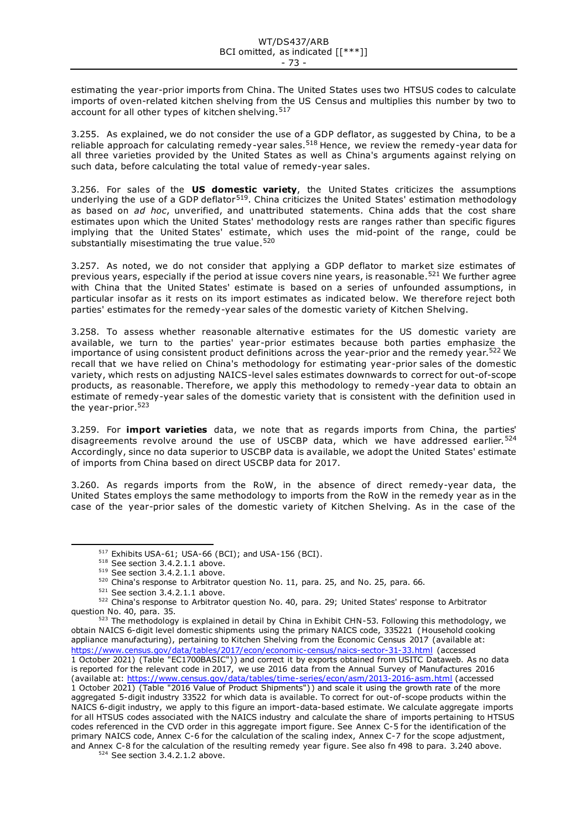estimating the year-prior imports from China. The United States uses two HTSUS codes to calculate imports of oven-related kitchen shelving from the US Census and multiplies this number by two to account for all other types of kitchen shelving. 517

3.255. As explained, we do not consider the use of a GDP deflator, as suggested by China, to be a reliable approach for calculating remedy-year sales.<sup>518</sup> Hence, we review the remedy-year data for all three varieties provided by the United States as well as China's arguments against relying on such data, before calculating the total value of remedy-year sales.

3.256. For sales of the **US domestic variety**, the United States criticizes the assumptions underlying the use of a GDP deflator<sup>519</sup>. China criticizes the United States' estimation methodology as based on *ad hoc*, unverified, and unattributed statements. China adds that the cost share estimates upon which the United States' methodology rests are ranges rather than specific figures implying that the United States' estimate, which uses the mid-point of the range, could be substantially misestimating the true value.<sup>520</sup>

3.257. As noted, we do not consider that applying a GDP deflator to market size estimates of previous years, especially if the period at issue covers nine years, is reasonable.<sup>521</sup> We further agree with China that the United States' estimate is based on a series of unfounded assumptions, in particular insofar as it rests on its import estimates as indicated below. We therefore reject both parties' estimates for the remedy-year sales of the domestic variety of Kitchen Shelving.

3.258. To assess whether reasonable alternative estimates for the US domestic variety are available, we turn to the parties' year-prior estimates because both parties emphasize the importance of using consistent product definitions across the year-prior and the remedy year.<sup>522</sup> We recall that we have relied on China's methodology for estimating year-prior sales of the domestic variety, which rests on adjusting NAICS-level sales estimates downwards to correct for out-of-scope products, as reasonable. Therefore, we apply this methodology to remedy -year data to obtain an estimate of remedy-year sales of the domestic variety that is consistent with the definition used in the year-prior.<sup>523</sup>

3.259. For **import varieties** data, we note that as regards imports from China, the parties' disagreements revolve around the use of USCBP data, which we have addressed earlier.<sup>524</sup> Accordingly, since no data superior to USCBP data is available, we adopt the United States' estimate of imports from China based on direct USCBP data for 2017.

3.260. As regards imports from the RoW, in the absence of direct remedy-year data, the United States employs the same methodology to imports from the RoW in the remedy year as in the case of the year-prior sales of the domestic variety of Kitchen Shelving. As in the case of the

<sup>&</sup>lt;sup>517</sup> Exhibits USA-61; USA-66 (BCI); and USA-156 (BCI).

<sup>518</sup> See section 3.4.2.1.1 above.

<sup>519</sup> See section 3.4.2.1.1 above.

<sup>520</sup> China's response to Arbitrator question No. 11, para. 25, and No. 25, para. 66.

<sup>521</sup> See section 3.4.2.1.1 above.

<sup>522</sup> China's response to Arbitrator question No. 40, para. 29; United States' response to Arbitrator question No. 40, para. 35.

<sup>523</sup> The methodology is explained in detail by China in Exhibit CHN-53. Following this methodology, we obtain NAICS 6-digit level domestic shipments using the primary NAICS code, 335221 (Household cooking appliance manufacturing), pertaining to Kitchen Shelving from the Economic Census 2017 (available at: <https://www.census.gov/data/tables/2017/econ/economic-census/naics-sector-31-33.html> (accessed 1 October 2021) (Table "EC1700BASIC")) and correct it by exports obtained from USITC Dataweb. As no data is reported for the relevant code in 2017, we use 2016 data from the Annual Survey of Manufactures 2016 (available at[: https://www.census.gov/data/tables/time-series/econ/asm/2013-2016-asm.html](https://www.census.gov/data/tables/time-series/econ/asm/2013-2016-asm.html) (accessed 1 October 2021) (Table "2016 Value of Product Shipments")) and scale it using the growth rate of the more aggregated 5-digit industry 33522 for which data is available. To correct for out-of-scope products within the NAICS 6-digit industry, we apply to this figure an import-data-based estimate. We calculate aggregate imports for all HTSUS codes associated with the NAICS industry and calculate the share of imports pertaining to HTSUS codes referenced in the CVD order in this aggregate import figure. See Annex C-5 for the identification of the primary NAICS code, Annex C-6 for the calculation of the scaling index, Annex C-7 for the scope adjustment, and Annex C-8 for the calculation of the resulting remedy year figure. See also fn 498 to para. 3.240 above. 524 See section 3.4.2.1.2 above.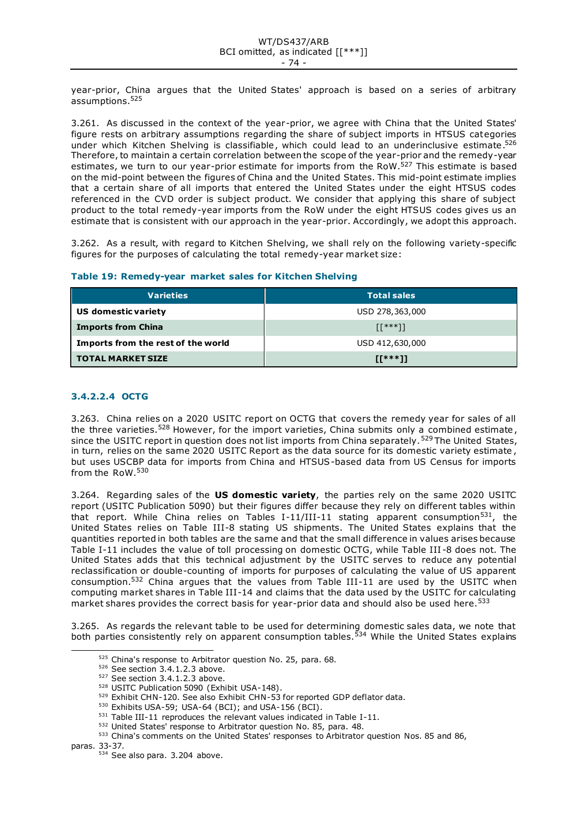year-prior, China argues that the United States' approach is based on a series of arbitrary assumptions.<sup>525</sup>

3.261. As discussed in the context of the year-prior, we agree with China that the United States' figure rests on arbitrary assumptions regarding the share of subject imports in HTSUS categories under which Kitchen Shelving is classifiable, which could lead to an underinclusive estimate.<sup>526</sup> Therefore, to maintain a certain correlation between the scope of the year-prior and the remedy-year estimates, we turn to our year-prior estimate for imports from the RoW.<sup>527</sup> This estimate is based on the mid-point between the figures of China and the United States. This mid-point estimate implies that a certain share of all imports that entered the United States under the eight HTSUS codes referenced in the CVD order is subject product. We consider that applying this share of subject product to the total remedy-year imports from the RoW under the eight HTSUS codes gives us an estimate that is consistent with our approach in the year-prior. Accordingly, we adopt this approach.

3.262. As a result, with regard to Kitchen Shelving, we shall rely on the following variety-specific figures for the purposes of calculating the total remedy-year market size:

| Table 19: Remedy-year market sales for Kitchen Shelving |  |  |  |  |  |  |  |  |
|---------------------------------------------------------|--|--|--|--|--|--|--|--|
|---------------------------------------------------------|--|--|--|--|--|--|--|--|

| <b>Varieties</b>                   | Total sales     |
|------------------------------------|-----------------|
| US domestic variety                | USD 278,363,000 |
| <b>Imports from China</b>          | $[1***]$        |
| Imports from the rest of the world | USD 412,630,000 |
| <b>TOTAL MARKET SIZE</b>           | $II***11$       |

# **3.4.2.2.4 OCTG**

3.263. China relies on a 2020 USITC report on OCTG that covers the remedy year for sales of all the three varieties.<sup>528</sup> However, for the import varieties, China submits only a combined estimate, since the USITC report in question does not list imports from China separately.<sup>529</sup> The United States, in turn, relies on the same 2020 USITC Report as the data source for its domestic variety estimate , but uses USCBP data for imports from China and HTSUS-based data from US Census for imports from the RoW.<sup>530</sup>

3.264. Regarding sales of the **US domestic variety**, the parties rely on the same 2020 USITC report (USITC Publication 5090) but their figures differ because they rely on different tables within that report. While China relies on Tables I-11/III-11 stating apparent consumption<sup>531</sup>, the United States relies on Table III-8 stating US shipments. The United States explains that the quantities reported in both tables are the same and that the small difference in values arises because Table I-11 includes the value of toll processing on domestic OCTG, while Table III -8 does not. The United States adds that this technical adjustment by the USITC serves to reduce any potential reclassification or double-counting of imports for purposes of calculating the value of US apparent consumption.<sup>532</sup> China argues that the values from Table III-11 are used by the USITC when computing market shares in Table III-14 and claims that the data used by the USITC for calculating market shares provides the correct basis for year-prior data and should also be used here.<sup>533</sup>

3.265. As regards the relevant table to be used for determining domestic sales data, we note that both parties consistently rely on apparent consumption tables.<sup>534</sup> While the United States explains

paras. 33-37.

<sup>525</sup> China's response to Arbitrator question No. 25, para. 68.

<sup>526</sup> See section 3.4.1.2.3 above.

<sup>&</sup>lt;sup>527</sup> See section 3.4.1.2.3 above.

<sup>528</sup> USITC Publication 5090 (Exhibit USA-148).

 $529$  Exhibit CHN-120. See also Exhibit CHN- $53$  for reported GDP deflator data.

<sup>530</sup> Exhibits USA-59; USA-64 (BCI); and USA-156 (BCI).

<sup>531</sup> Table III-11 reproduces the relevant values indicated in Table I-11.

<sup>532</sup> United States' response to Arbitrator question No. 85, para. 48.

<sup>533</sup> China's comments on the United States' responses to Arbitrator question Nos. 85 and 86,

<sup>534</sup> See also para. 3.204 above.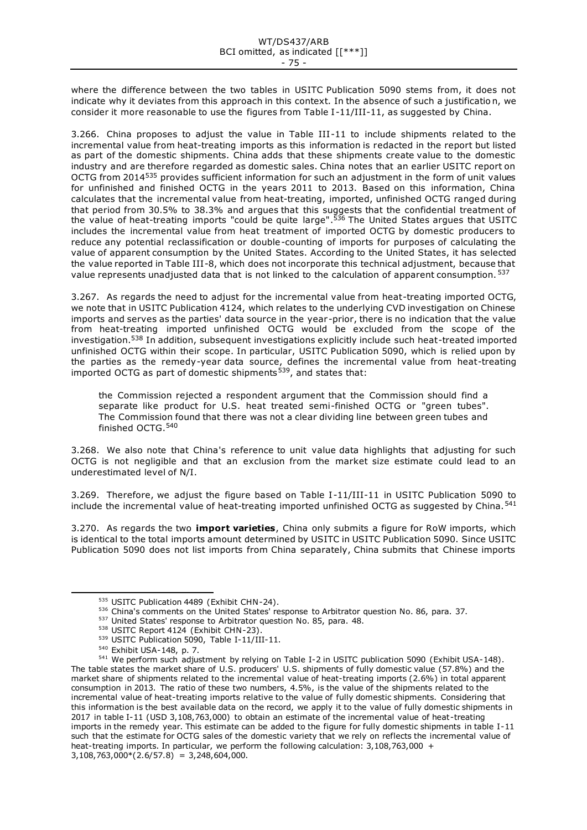where the difference between the two tables in USITC Publication 5090 stems from, it does not indicate why it deviates from this approach in this context. In the absence of such a justificatio n, we consider it more reasonable to use the figures from Table I -11/III-11, as suggested by China.

3.266. China proposes to adjust the value in Table III -11 to include shipments related to the incremental value from heat-treating imports as this information is redacted in the report but listed as part of the domestic shipments. China adds that these shipments create value to the domestic industry and are therefore regarded as domestic sales. China notes that an earlier USITC report on OCTG from 2014<sup>535</sup> provides sufficient information for such an adjustment in the form of unit values for unfinished and finished OCTG in the years 2011 to 2013. Based on this information, China calculates that the incremental value from heat-treating, imported, unfinished OCTG ranged during that period from 30.5% to 38.3% and argues that this suggests that the confidential treatment of the value of heat-treating imports "could be quite large".<sup>536</sup> The United States argues that USITC includes the incremental value from heat treatment of imported OCTG by domestic producers to reduce any potential reclassification or double-counting of imports for purposes of calculating the value of apparent consumption by the United States. According to the United States, it has selected the value reported in Table III-8, which does not incorporate this technical adjustment, because that value represents unadjusted data that is not linked to the calculation of apparent consumption.  $537$ 

3.267. As regards the need to adjust for the incremental value from heat-treating imported OCTG, we note that in USITC Publication 4124, which relates to the underlying CVD investigation on Chinese imports and serves as the parties' data source in the year -prior, there is no indication that the value from heat-treating imported unfinished OCTG would be excluded from the scope of the investigation.<sup>538</sup> In addition, subsequent investigations explicitly include such heat-treated imported unfinished OCTG within their scope. In particular, USITC Publication 5090, which is relied upon by the parties as the remedy-year data source, defines the incremental value from heat-treating imported OCTG as part of domestic shipments<sup>539</sup>, and states that:

the Commission rejected a respondent argument that the Commission should find a separate like product for U.S. heat treated semi-finished OCTG or "green tubes". The Commission found that there was not a clear dividing line between green tubes and finished OCTG.<sup>540</sup>

3.268. We also note that China's reference to unit value data highlights that adjusting for such OCTG is not negligible and that an exclusion from the market size estimate could lead to an underestimated level of N/I.

3.269. Therefore, we adjust the figure based on Table I-11/III-11 in USITC Publication 5090 to include the incremental value of heat-treating imported unfinished OCTG as suggested by China.<sup>541</sup>

3.270. As regards the two **import varieties**, China only submits a figure for RoW imports, which is identical to the total imports amount determined by USITC in USITC Publication 5090. Since USITC Publication 5090 does not list imports from China separately, China submits that Chinese imports

<sup>535</sup> USITC Publication 4489 (Exhibit CHN-24).

<sup>536</sup> China's comments on the United States' response to Arbitrator question No. 86, para. 37.

<sup>537</sup> United States' response to Arbitrator question No. 85, para. 48.

<sup>538</sup> USITC Report 4124 (Exhibit CHN-23).

<sup>539</sup> USITC Publication 5090, Table I-11/III-11.

<sup>540</sup> Exhibit USA-148, p. 7.

<sup>&</sup>lt;sup>541</sup> We perform such adjustment by relying on Table I-2 in USITC publication 5090 (Exhibit USA-148). The table states the market share of U.S. producers' U.S. shipments of fully domestic value (57.8%) and the market share of shipments related to the incremental value of heat-treating imports (2.6%) in total apparent consumption in 2013. The ratio of these two numbers, 4.5%, is the value of the shipments related to the incremental value of heat-treating imports relative to the value of fully domestic shipments. Considering that this information is the best available data on the record, we apply it to the value of fully domestic shipments in 2017 in table I-11 (USD 3,108,763,000) to obtain an estimate of the incremental value of heat-treating imports in the remedy year. This estimate can be added to the figure for fully domestic shipments in table I-11 such that the estimate for OCTG sales of the domestic variety that we rely on reflects the incremental value of heat-treating imports. In particular, we perform the following calculation: 3,108,763,000 +  $3,108,763,000*(2.6/57.8) = 3,248,604,000$ .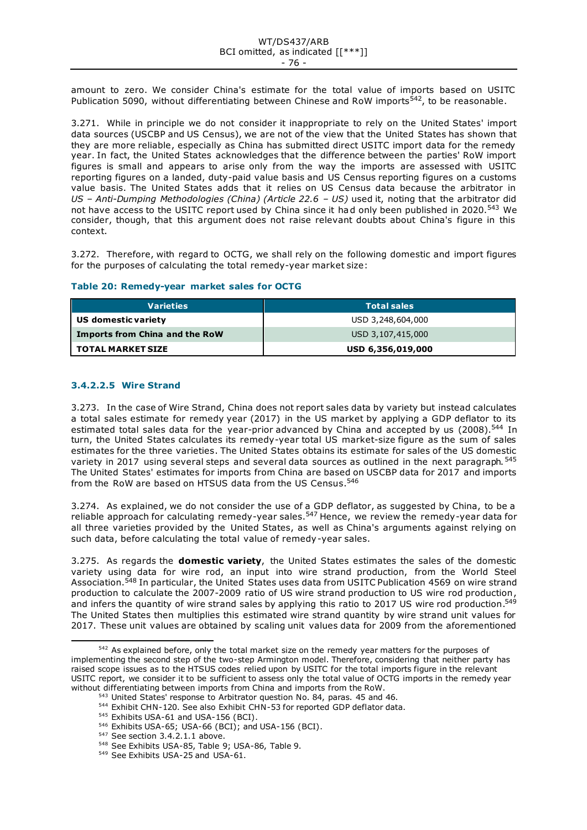amount to zero. We consider China's estimate for the total value of imports based on USITC Publication 5090, without differentiating between Chinese and RoW imports<sup>542</sup>, to be reasonable.

3.271. While in principle we do not consider it inappropriate to rely on the United States' import data sources (USCBP and US Census), we are not of the view that the United States has shown that they are more reliable, especially as China has submitted direct USITC import data for the remedy year. In fact, the United States acknowledges that the difference between the parties' RoW import figures is small and appears to arise only from the way the imports are assessed with USITC reporting figures on a landed, duty-paid value basis and US Census reporting figures on a customs value basis. The United States adds that it relies on US Census data because the arbitrator in *US – Anti-Dumping Methodologies (China) (Article 22.6 – US)* used it, noting that the arbitrator did not have access to the USITC report used by China since it had only been published in 2020.<sup>543</sup> We consider, though, that this argument does not raise relevant doubts about China's figure in this context.

3.272. Therefore, with regard to OCTG, we shall rely on the following domestic and import figures for the purposes of calculating the total remedy-year market size:

# **Table 20: Remedy-year market sales for OCTG**

| <b>Varieties</b>               | <b>Total sales</b> |
|--------------------------------|--------------------|
| US domestic variety            | USD 3,248,604,000  |
| Imports from China and the RoW | USD 3,107,415,000  |
| <b>TOTAL MARKET SIZE</b>       | USD 6,356,019,000  |

# **3.4.2.2.5 Wire Strand**

3.273. In the case of Wire Strand, China does not report sales data by variety but instead calculates a total sales estimate for remedy year (2017) in the US market by applying a GDP deflator to its estimated total sales data for the year-prior advanced by China and accepted by us (2008).<sup>544</sup> In turn, the United States calculates its remedy-year total US market-size figure as the sum of sales estimates for the three varieties. The United States obtains its estimate for sales of the US domestic variety in 2017 using several steps and several data sources as outlined in the next paragraph.<sup>545</sup> The United States' estimates for imports from China are based on USCBP data for 2017 and imports from the RoW are based on HTSUS data from the US Census.<sup>546</sup>

3.274. As explained, we do not consider the use of a GDP deflator, as suggested by China, to be a reliable approach for calculating remedy-year sales.<sup>547</sup> Hence, we review the remedy-year data for all three varieties provided by the United States, as well as China's arguments against relying on such data, before calculating the total value of remedy-year sales.

3.275. As regards the **domestic variety**, the United States estimates the sales of the domestic variety using data for wire rod, an input into wire strand production, from the World Steel Association.<sup>548</sup> In particular, the United States uses data from USITC Publication 4569 on wire strand production to calculate the 2007-2009 ratio of US wire strand production to US wire rod production, and infers the quantity of wire strand sales by applying this ratio to 2017 US wire rod production.<sup>549</sup> The United States then multiplies this estimated wire strand quantity by wire strand unit values for 2017. These unit values are obtained by scaling unit values data for 2009 from the aforementioned

<sup>&</sup>lt;sup>542</sup> As explained before, only the total market size on the remedy year matters for the purposes of implementing the second step of the two-step Armington model. Therefore, considering that neither party has raised scope issues as to the HTSUS codes relied upon by USITC for the total imports figure in the relevant USITC report, we consider it to be sufficient to assess only the total value of OCTG imports in the remedy year without differentiating between imports from China and imports from the RoW.

<sup>543</sup> United States' response to Arbitrator question No. 84, paras. 45 and 46.

<sup>544</sup> Exhibit CHN-120. See also Exhibit CHN-53 for reported GDP deflator data.

<sup>&</sup>lt;sup>545</sup> Exhibits USA-61 and USA-156 (BCI).

<sup>546</sup> Exhibits USA-65; USA-66 (BCI); and USA-156 (BCI).

<sup>&</sup>lt;sup>547</sup> See section 3.4.2.1.1 above.

<sup>548</sup> See Exhibits USA-85, Table 9; USA-86, Table 9.

<sup>549</sup> See Exhibits USA-25 and USA-61.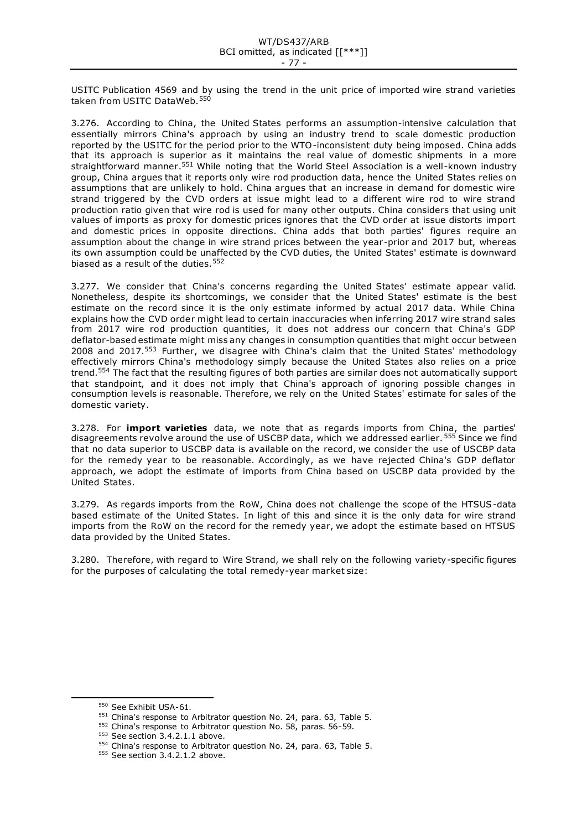USITC Publication 4569 and by using the trend in the unit price of imported wire strand varieties taken from USITC DataWeb.<sup>550</sup>

3.276. According to China, the United States performs an assumption-intensive calculation that essentially mirrors China's approach by using an industry trend to scale domestic production reported by the USITC for the period prior to the WTO-inconsistent duty being imposed. China adds that its approach is superior as it maintains the real value of domestic shipments in a more straightforward manner.<sup>551</sup> While noting that the World Steel Association is a well-known industry group, China argues that it reports only wire rod production data, hence the United States relies on assumptions that are unlikely to hold. China argues that an increase in demand for domestic wire strand triggered by the CVD orders at issue might lead to a different wire rod to wire strand production ratio given that wire rod is used for many other outputs. China considers that using unit values of imports as proxy for domestic prices ignores that the CVD order at issue distorts import and domestic prices in opposite directions. China adds that both parties' figures require an assumption about the change in wire strand prices between the year-prior and 2017 but, whereas its own assumption could be unaffected by the CVD duties, the United States' estimate is downward biased as a result of the duties.  $552$ 

3.277. We consider that China's concerns regarding the United States' estimate appear valid. Nonetheless, despite its shortcomings, we consider that the United States' estimate is the best estimate on the record since it is the only estimate informed by actual 2017 data. While China explains how the CVD order might lead to certain inaccuracies when inferring 2017 wire strand sales from 2017 wire rod production quantities, it does not address our concern that China's GDP deflator-based estimate might miss any changes in consumption quantities that might occur between 2008 and 2017.<sup>553</sup> Further, we disagree with China's claim that the United States' methodology effectively mirrors China's methodology simply because the United States also relies on a price trend.<sup>554</sup> The fact that the resulting figures of both parties are similar does not automatically support that standpoint, and it does not imply that China's approach of ignoring possible changes in consumption levels is reasonable. Therefore, we rely on the United States' estimate for sales of the domestic variety.

3.278. For **import varieties** data, we note that as regards imports from China, the parties' disagreements revolve around the use of USCBP data, which we addressed earlier. <sup>555</sup> Since we find that no data superior to USCBP data is available on the record, we consider the use of USCBP data for the remedy year to be reasonable. Accordingly, as we have rejected China's GDP deflator approach, we adopt the estimate of imports from China based on USCBP data provided by the United States.

3.279. As regards imports from the RoW, China does not challenge the scope of the HTSUS-data based estimate of the United States. In light of this and since it is the only data for wire strand imports from the RoW on the record for the remedy year, we adopt the estimate based on HTSUS data provided by the United States.

3.280. Therefore, with regard to Wire Strand, we shall rely on the following variety-specific figures for the purposes of calculating the total remedy-year market size:

<sup>550</sup> See Exhibit USA-61.

<sup>551</sup> China's response to Arbitrator question No. 24, para. 63, Table 5.

<sup>552</sup> China's response to Arbitrator question No. 58, paras. 56-59.

<sup>553</sup> See section 3.4.2.1.1 above.

<sup>554</sup> China's response to Arbitrator question No. 24, para. 63, Table 5.

<sup>555</sup> See section 3.4.2.1.2 above.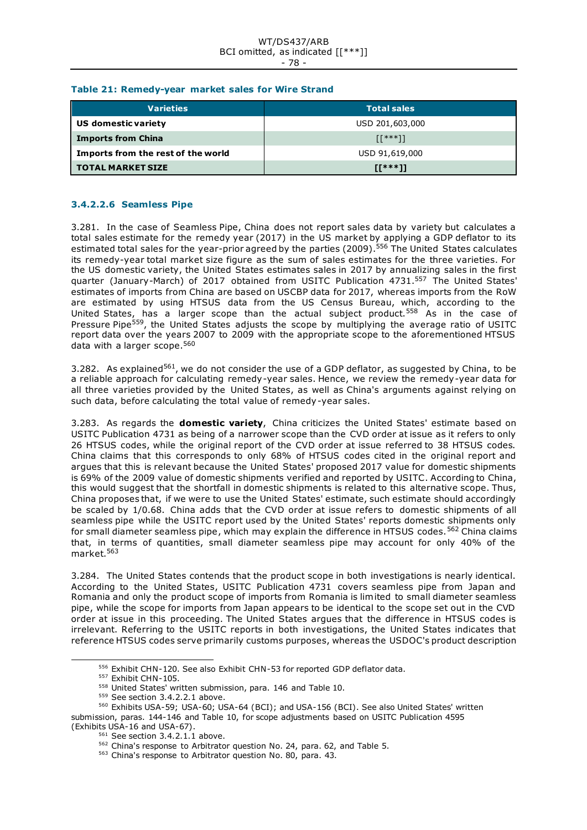#### WT/DS437/ARB BCI omitted, as indicated [[\*\*\*]] - 78 -

### **Table 21: Remedy-year market sales for Wire Strand**

| <b>Varieties</b>                   | <b>Total sales</b> |
|------------------------------------|--------------------|
| US domestic variety                | USD 201,603,000    |
| <b>Imports from China</b>          | [[***]]            |
| Imports from the rest of the world | USD 91,619,000     |
| <b>TOTAL MARKET SIZE</b>           | $IT***11$          |

# **3.4.2.2.6 Seamless Pipe**

3.281. In the case of Seamless Pipe, China does not report sales data by variety but calculates a total sales estimate for the remedy year (2017) in the US market by applying a GDP deflator to its estimated total sales for the year-prior agreed by the parties (2009). <sup>556</sup> The United States calculates its remedy-year total market size figure as the sum of sales estimates for the three varieties. For the US domestic variety, the United States estimates sales in 2017 by annualizing sales in the first quarter (January-March) of 2017 obtained from USITC Publication 4731.<sup>557</sup> The United States' estimates of imports from China are based on USCBP data for 2017, whereas imports from the RoW are estimated by using HTSUS data from the US Census Bureau, which, according to the United States, has a larger scope than the actual subject product.<sup>558</sup> As in the case of Pressure Pipe<sup>559</sup>, the United States adjusts the scope by multiplying the average ratio of USITC report data over the years 2007 to 2009 with the appropriate scope to the aforementioned HTSUS data with a larger scope.<sup>560</sup>

3.282. As explained<sup>561</sup>, we do not consider the use of a GDP deflator, as suggested by China, to be a reliable approach for calculating remedy-year sales. Hence, we review the remedy-year data for all three varieties provided by the United States, as well as China's arguments against relying on such data, before calculating the total value of remedy-year sales.

3.283. As regards the **domestic variety**, China criticizes the United States' estimate based on USITC Publication 4731 as being of a narrower scope than the CVD order at issue as it refers to only 26 HTSUS codes, while the original report of the CVD order at issue referred to 38 HTSUS codes. China claims that this corresponds to only 68% of HTSUS codes cited in the original report and argues that this is relevant because the United States' proposed 2017 value for domestic shipments is 69% of the 2009 value of domestic shipments verified and reported by USITC. According to China, this would suggest that the shortfall in domestic shipments is related to this alternative scope. Thus, China proposes that, if we were to use the United States' estimate, such estimate should accordingly be scaled by 1/0.68. China adds that the CVD order at issue refers to domestic shipments of all seamless pipe while the USITC report used by the United States' reports domestic shipments only for small diameter seamless pipe, which may explain the difference in HTSUS codes.<sup>562</sup> China claims that, in terms of quantities, small diameter seamless pipe may account for only 40% of the market.<sup>563</sup>

3.284. The United States contends that the product scope in both investigations is nearly identical. According to the United States, USITC Publication 4731 covers seamless pipe from Japan and Romania and only the product scope of imports from Romania is limited to small diameter seamless pipe, while the scope for imports from Japan appears to be identical to the scope set out in the CVD order at issue in this proceeding. The United States argues that the difference in HTSUS codes is irrelevant. Referring to the USITC reports in both investigations, the United States indicates that reference HTSUS codes serve primarily customs purposes, whereas the USDOC's product description

<sup>556</sup> Exhibit CHN-120. See also Exhibit CHN-53 for reported GDP deflator data.

<sup>557</sup> Exhibit CHN-105.

<sup>558</sup> United States' written submission, para. 146 and Table 10.

<sup>&</sup>lt;sup>559</sup> See section 3.4.2.2.1 above.

<sup>560</sup> Exhibits USA-59; USA-60; USA-64 (BCI); and USA-156 (BCI). See also United States' written submission, paras. 144-146 and Table 10, for scope adjustments based on USITC Publication 4595 (Exhibits USA-16 and USA-67).

 $561$  See section 3.4.2.1.1 above.

<sup>562</sup> China's response to Arbitrator question No. 24, para. 62, and Table 5.

<sup>&</sup>lt;sup>563</sup> China's response to Arbitrator question No. 80, para. 43.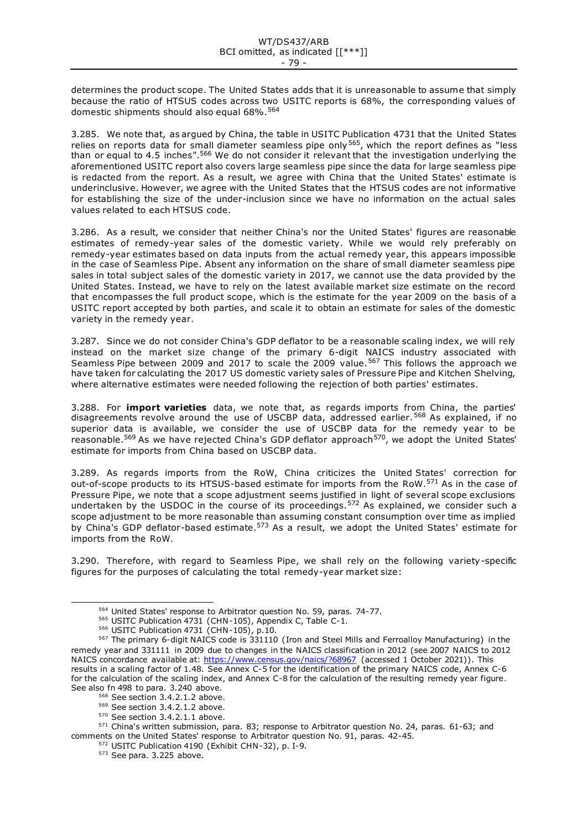determines the product scope. The United States adds that it is unreasonable to assume that simply because the ratio of HTSUS codes across two USITC reports is 68%, the corresponding values of domestic shipments should also equal 68%.<sup>564</sup>

3.285. We note that, as argued by China, the table in USITC Publication 4731 that the United States relies on reports data for small diameter seamless pipe only 565, which the report defines as "less than or equal to 4.5 inches".<sup>566</sup> We do not consider it relevant that the investigation underlying the aforementioned USITC report also covers large seamless pipe since the data for large seamless pipe is redacted from the report. As a result, we agree with China that the United States' estimate is underinclusive. However, we agree with the United States that the HTSUS codes are not informative for establishing the size of the under-inclusion since we have no information on the actual sales values related to each HTSUS code.

3.286. As a result, we consider that neither China's nor the United States' figures are reasonable estimates of remedy-year sales of the domestic variety. While we would rely preferably on remedy-year estimates based on data inputs from the actual remedy year, this appears impossible in the case of Seamless Pipe. Absent any information on the share of small diameter seamless pipe sales in total subject sales of the domestic variety in 2017, we cannot use the data provided by the United States. Instead, we have to rely on the latest available market size estimate on the record that encompasses the full product scope, which is the estimate for the year 2009 on the basis of a USITC report accepted by both parties, and scale it to obtain an estimate for sales of the domestic variety in the remedy year.

3.287. Since we do not consider China's GDP deflator to be a reasonable scaling index, we will rely instead on the market size change of the primary 6-digit NAICS industry associated with Seamless Pipe between 2009 and 2017 to scale the 2009 value.<sup>567</sup> This follows the approach we have taken for calculating the 2017 US domestic variety sales of Pressure Pipe and Kitchen Shelving, where alternative estimates were needed following the rejection of both parties' estimates.

3.288. For **import varieties** data, we note that, as regards imports from China, the parties' disagreements revolve around the use of USCBP data, addressed earlier. <sup>568</sup> As explained, if no superior data is available, we consider the use of USCBP data for the remedy year to be reasonable.<sup>569</sup> As we have rejected China's GDP deflator approach<sup>570</sup>, we adopt the United States' estimate for imports from China based on USCBP data.

3.289. As regards imports from the RoW, China criticizes the United States' correction for out-of-scope products to its HTSUS-based estimate for imports from the RoW.<sup>571</sup> As in the case of Pressure Pipe, we note that a scope adjustment seems justified in light of several scope exclusions undertaken by the USDOC in the course of its proceedings.<sup>572</sup> As explained, we consider such a scope adjustment to be more reasonable than assuming constant consumption over time as implied by China's GDP deflator-based estimate.<sup>573</sup> As a result, we adopt the United States' estimate for imports from the RoW.

3.290. Therefore, with regard to Seamless Pipe, we shall rely on the following variety-specific figures for the purposes of calculating the total remedy-year market size:

<sup>564</sup> United States' response to Arbitrator question No. 59, paras. 74-77.

<sup>565</sup> USITC Publication 4731 (CHN-105), Appendix C, Table C-1.

<sup>566</sup> USITC Publication 4731 (CHN-105), p.10.

<sup>567</sup> The primary 6-digit NAICS code is 331110 (Iron and Steel Mills and Ferroalloy Manufacturing) in the remedy year and 331111 in 2009 due to changes in the NAICS classification in 2012 (see 2007 NAICS to 2012 NAICS concordance available at:<https://www.census.gov/naics/?68967> (accessed 1 October 2021)). This results in a scaling factor of 1.48. See Annex C-5 for the identification of the primary NAICS code, Annex C-6 for the calculation of the scaling index, and Annex C-8 for the calculation of the resulting remedy year figure. See also fn 498 to para. 3.240 above.

<sup>568</sup> See section 3.4.2.1.2 above.

<sup>569</sup> See section 3.4.2.1.2 above.

<sup>570</sup> See section 3.4.2.1.1 above.

<sup>571</sup> China's written submission, para. 83; response to Arbitrator question No. 24, paras. 61-63; and comments on the United States' response to Arbitrator question No. 91, paras. 42-45.

<sup>572</sup> USITC Publication 4190 (Exhibit CHN-32), p. I-9.

<sup>573</sup> See para. 3.225 above.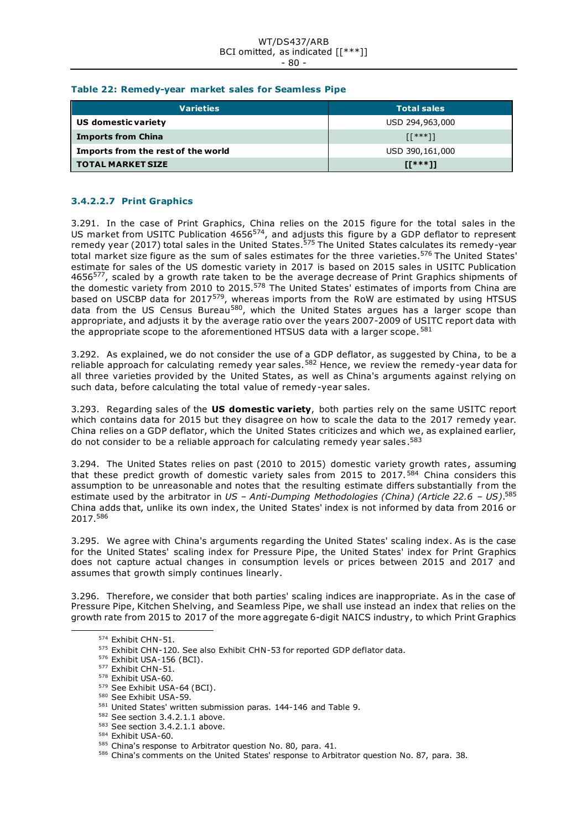#### WT/DS437/ARB BCI omitted, as indicated [[\*\*\*]] - 80 -

### **Table 22: Remedy-year market sales for Seamless Pipe**

| Varieties                          | <b>Total sales</b> |  |  |
|------------------------------------|--------------------|--|--|
| US domestic variety                | USD 294,963,000    |  |  |
| <b>Imports from China</b>          | $[1***]$           |  |  |
| Imports from the rest of the world | USD 390, 161, 000  |  |  |
| <b>TOTAL MARKET SIZE</b>           | $IT***11$          |  |  |

# **3.4.2.2.7 Print Graphics**

3.291. In the case of Print Graphics, China relies on the 2015 figure for the total sales in the US market from USITC Publication 4656<sup>574</sup>, and adjusts this figure by a GDP deflator to represent remedy year (2017) total sales in the United States.<sup>575</sup> The United States calculates its remedy-year total market size figure as the sum of sales estimates for the three varieties.<sup>576</sup> The United States' estimate for sales of the US domestic variety in 2017 is based on 2015 sales in USITC Publication 4656<sup>577</sup>, scaled by a growth rate taken to be the average decrease of Print Graphics shipments of the domestic variety from 2010 to 2015.<sup>578</sup> The United States' estimates of imports from China are based on USCBP data for 2017<sup>579</sup>, whereas imports from the RoW are estimated by using HTSUS data from the US Census Bureau<sup>580</sup>, which the United States argues has a larger scope than appropriate, and adjusts it by the average ratio over the years 2007-2009 of USITC report data with the appropriate scope to the aforementioned HTSUS data with a larger scope.<sup>581</sup>

3.292. As explained, we do not consider the use of a GDP deflator, as suggested by China, to be a reliable approach for calculating remedy year sales.<sup>582</sup> Hence, we review the remedy-year data for all three varieties provided by the United States, as well as China's arguments against relying on such data, before calculating the total value of remedy-year sales.

3.293. Regarding sales of the **US domestic variety**, both parties rely on the same USITC report which contains data for 2015 but they disagree on how to scale the data to the 2017 remedy year. China relies on a GDP deflator, which the United States criticizes and which we, as explained earlier, do not consider to be a reliable approach for calculating remedy year sales.<sup>583</sup>

3.294. The United States relies on past (2010 to 2015) domestic variety growth rates, assuming that these predict growth of domestic variety sales from 2015 to 2017.<sup>584</sup> China considers this assumption to be unreasonable and notes that the resulting estimate differs substantially from the estimate used by the arbitrator in *US – Anti-Dumping Methodologies (China) (Article 22.6 – US)*. 585 China adds that, unlike its own index, the United States' index is not informed by data from 2016 or 2017.<sup>586</sup>

3.295. We agree with China's arguments regarding the United States' scaling index. As is the case for the United States' scaling index for Pressure Pipe, the United States' index for Print Graphics does not capture actual changes in consumption levels or prices between 2015 and 2017 and assumes that growth simply continues linearly.

3.296. Therefore, we consider that both parties' scaling indices are inappropriate. As in the case of Pressure Pipe, Kitchen Shelving, and Seamless Pipe, we shall use instead an index that relies on the growth rate from 2015 to 2017 of the more aggregate 6-digit NAICS industry, to which Print Graphics

<sup>577</sup> Exhibit CHN-51.

<sup>574</sup> Exhibit CHN-51.

<sup>575</sup> Exhibit CHN-120. See also Exhibit CHN-53 for reported GDP deflator data.

<sup>576</sup> Exhibit USA-156 (BCI).

<sup>578</sup> Exhibit USA-60.

<sup>579</sup> See Exhibit USA-64 (BCI).

<sup>580</sup> See Exhibit USA-59.

<sup>581</sup> United States' written submission paras. 144-146 and Table 9.

<sup>582</sup> See section 3.4.2.1.1 above.

<sup>583</sup> See section 3.4.2.1.1 above.

<sup>584</sup> Exhibit USA-60.

<sup>585</sup> China's response to Arbitrator question No. 80, para. 41.

<sup>586</sup> China's comments on the United States' response to Arbitrator question No. 87, para. 38.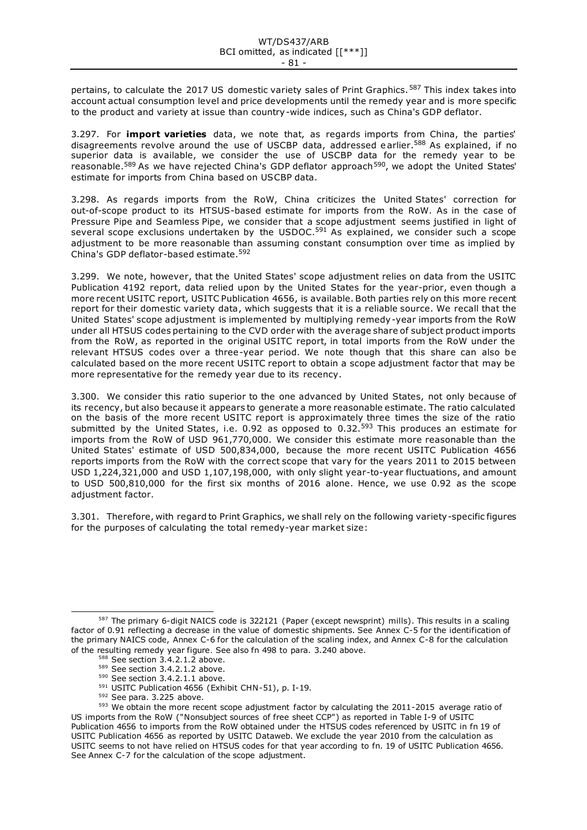pertains, to calculate the 2017 US domestic variety sales of Print Graphics.<sup>587</sup> This index takes into account actual consumption level and price developments until the remedy year and is more specific to the product and variety at issue than country-wide indices, such as China's GDP deflator.

3.297. For **import varieties** data, we note that, as regards imports from China, the parties' disagreements revolve around the use of USCBP data, addressed earlier.<sup>588</sup> As explained, if no superior data is available, we consider the use of USCBP data for the remedy year to be reasonable.<sup>589</sup> As we have rejected China's GDP deflator approach<sup>590</sup>, we adopt the United States' estimate for imports from China based on USCBP data.

3.298. As regards imports from the RoW, China criticizes the United States' correction for out-of-scope product to its HTSUS-based estimate for imports from the RoW. As in the case of Pressure Pipe and Seamless Pipe, we consider that a scope adjustment seems justified in light of several scope exclusions undertaken by the USDOC.<sup>591</sup> As explained, we consider such a scope adjustment to be more reasonable than assuming constant consumption over time as implied by China's GDP deflator-based estimate.<sup>592</sup>

3.299. We note, however, that the United States' scope adjustment relies on data from the USITC Publication 4192 report, data relied upon by the United States for the year-prior, even though a more recent USITC report, USITC Publication 4656, is available. Both parties rely on this more recent report for their domestic variety data, which suggests that it is a reliable source. We recall that the United States' scope adjustment is implemented by multiplying remedy-year imports from the RoW under all HTSUS codes pertaining to the CVD order with the average share of subject product imports from the RoW, as reported in the original USITC report, in total imports from the RoW under the relevant HTSUS codes over a three-year period. We note though that this share can also be calculated based on the more recent USITC report to obtain a scope adjustment factor that may be more representative for the remedy year due to its recency.

3.300. We consider this ratio superior to the one advanced by United States, not only because of its recency, but also because it appears to generate a more reasonable estimate. The ratio calculated on the basis of the more recent USITC report is approximately three times the size of the ratio submitted by the United States, i.e. 0.92 as opposed to 0.32.<sup>593</sup> This produces an estimate for imports from the RoW of USD 961,770,000. We consider this estimate more reasonable than the United States' estimate of USD 500,834,000, because the more recent USITC Publication 4656 reports imports from the RoW with the correct scope that vary for the years 2011 to 2015 between USD 1,224,321,000 and USD 1,107,198,000, with only slight year-to-year fluctuations, and amount to USD 500,810,000 for the first six months of 2016 alone. Hence, we use 0.92 as the scope adjustment factor.

3.301. Therefore, with regard to Print Graphics, we shall rely on the following variety-specific figures for the purposes of calculating the total remedy-year market size:

<sup>587</sup> The primary 6-digit NAICS code is 322121 (Paper (except newsprint) mills). This results in a scaling factor of 0.91 reflecting a decrease in the value of domestic shipments. See Annex C-5 for the identification of the primary NAICS code, Annex C-6 for the calculation of the scaling index, and Annex C-8 for the calculation of the resulting remedy year figure. See also fn 498 to para. 3.240 above.

 $588$  See section 3.4.2.1.2 above.

<sup>589</sup> See section 3.4.2.1.2 above.

<sup>590</sup> See section 3.4.2.1.1 above.

<sup>591</sup> USITC Publication 4656 (Exhibit CHN-51), p. I-19.

<sup>592</sup> See para. 3.225 above.

<sup>593</sup> We obtain the more recent scope adjustment factor by calculating the 2011-2015 average ratio of US imports from the RoW ("Nonsubject sources of free sheet CCP") as reported in Table I-9 of USITC Publication 4656 to imports from the RoW obtained under the HTSUS codes referenced by USITC in fn 19 of USITC Publication 4656 as reported by USITC Dataweb. We exclude the year 2010 from the calculation as USITC seems to not have relied on HTSUS codes for that year according to fn. 19 of USITC Publication 4656. See Annex C-7 for the calculation of the scope adjustment.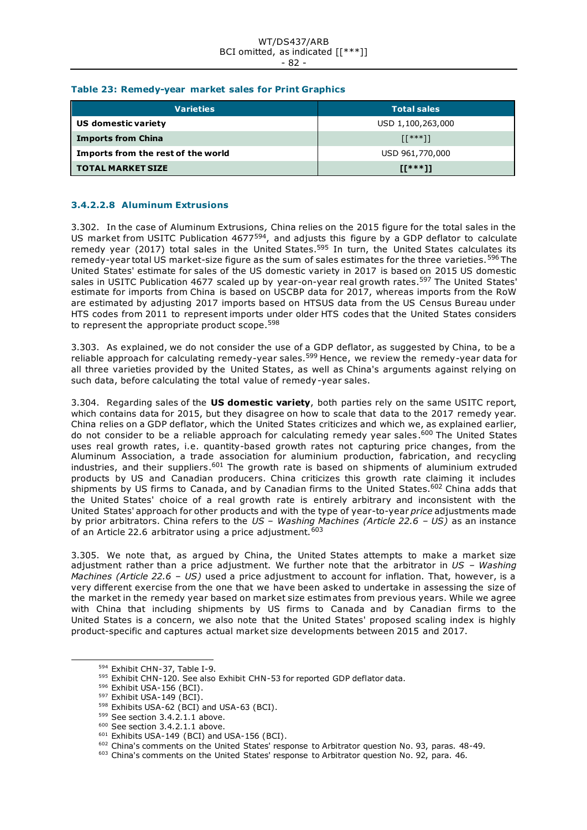#### WT/DS437/ARB BCI omitted, as indicated [[\*\*\*]] - 82 -

# **Table 23: Remedy-year market sales for Print Graphics**

| <b>Varieties</b>                   | <b>Total sales</b> |
|------------------------------------|--------------------|
| US domestic variety                | USD 1,100,263,000  |
| <b>Imports from China</b>          | $[1***]$           |
| Imports from the rest of the world | USD 961,770,000    |
| <b>TOTAL MARKET SIZE</b>           | $II***11$          |

# **3.4.2.2.8 Aluminum Extrusions**

3.302. In the case of Aluminum Extrusions*,* China relies on the 2015 figure for the total sales in the US market from USITC Publication 4677<sup>594</sup>, and adjusts this figure by a GDP deflator to calculate remedy year (2017) total sales in the United States.<sup>595</sup> In turn, the United States calculates its remedy-year total US market-size figure as the sum of sales estimates for the three varieties.<sup>596</sup> The United States' estimate for sales of the US domestic variety in 2017 is based on 2015 US domestic sales in USITC Publication 4677 scaled up by year-on-year real growth rates.<sup>597</sup> The United States' estimate for imports from China is based on USCBP data for 2017, whereas imports from the RoW are estimated by adjusting 2017 imports based on HTSUS data from the US Census Bureau under HTS codes from 2011 to represent imports under older HTS codes that the United States considers to represent the appropriate product scope.<sup>598</sup>

3.303. As explained, we do not consider the use of a GDP deflator, as suggested by China, to be a reliable approach for calculating remedy-year sales.<sup>599</sup> Hence, we review the remedy-year data for all three varieties provided by the United States, as well as China's arguments against relying on such data, before calculating the total value of remedy-year sales.

3.304. Regarding sales of the **US domestic variety**, both parties rely on the same USITC report, which contains data for 2015, but they disagree on how to scale that data to the 2017 remedy year. China relies on a GDP deflator, which the United States criticizes and which we, as explained earlier, do not consider to be a reliable approach for calculating remedy year sales.<sup>600</sup> The United States uses real growth rates, i.e. quantity-based growth rates not capturing price changes, from the Aluminum Association, a trade association for aluminium production, fabrication, and recycling industries, and their suppliers.<sup>601</sup> The growth rate is based on shipments of aluminium extruded products by US and Canadian producers. China criticizes this growth rate claiming it includes shipments by US firms to Canada, and by Canadian firms to the United States.<sup>602</sup> China adds that the United States' choice of a real growth rate is entirely arbitrary and inconsistent with the United States' approach for other products and with the type of year-to-year *price* adjustments made by prior arbitrators. China refers to the *US – Washing Machines (Article 22.6 – US)* as an instance of an Article 22.6 arbitrator using a price adjustment. 603

3.305. We note that, as argued by China, the United States attempts to make a market size adjustment rather than a price adjustment. We further note that the arbitrator in *US – Washing Machines (Article 22.6 – US)* used a price adjustment to account for inflation. That, however, is a very different exercise from the one that we have been asked to undertake in assessing the size of the market in the remedy year based on market size estimates from previous years. While we agree with China that including shipments by US firms to Canada and by Canadian firms to the United States is a concern, we also note that the United States' proposed scaling index is highly product-specific and captures actual market size developments between 2015 and 2017.

<sup>594</sup> Exhibit CHN-37, Table I-9.

<sup>595</sup> Exhibit CHN-120. See also Exhibit CHN-53 for reported GDP deflator data.

<sup>596</sup> Exhibit USA-156 (BCI).

<sup>597</sup> Exhibit USA-149 (BCI).

<sup>598</sup> Exhibits USA-62 (BCI) and USA-63 (BCI).

<sup>599</sup> See section 3.4.2.1.1 above.

<sup>&</sup>lt;sup>600</sup> See section 3.4.2.1.1 above.

<sup>601</sup> Exhibits USA-149 (BCI) and USA-156 (BCI).

<sup>602</sup> China's comments on the United States' response to Arbitrator question No. 93, paras. 48-49.

<sup>&</sup>lt;sup>603</sup> China's comments on the United States' response to Arbitrator question No. 92, para. 46.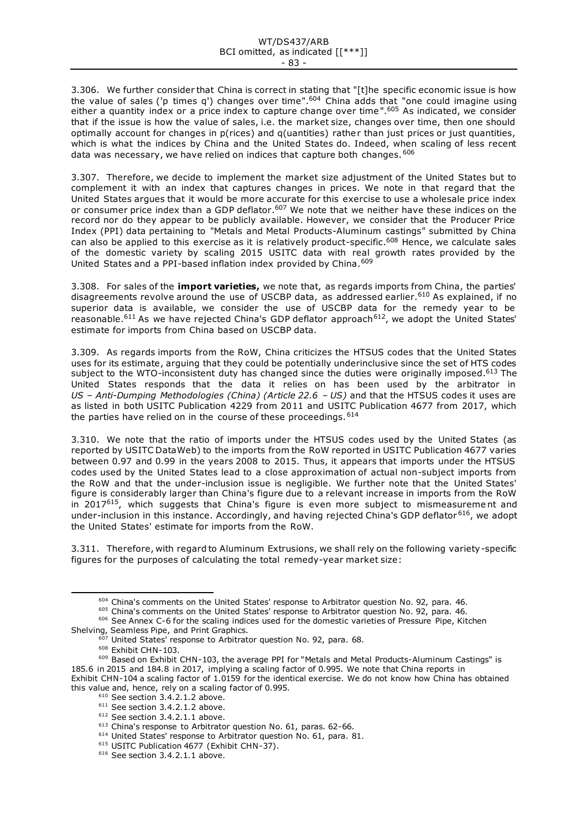3.306. We further consider that China is correct in stating that "[t]he specific economic issue is how the value of sales ('p times q') changes over time".<sup>604</sup> China adds that "one could imagine using either a quantity index or a price index to capture change over time".<sup>605</sup> As indicated, we consider that if the issue is how the value of sales, i.e. the market size, changes over time, then one should optimally account for changes in p(rices) and q(uantities) rather than just prices or just quantities, which is what the indices by China and the United States do. Indeed, when scaling of less recent data was necessary, we have relied on indices that capture both changes. 606

3.307. Therefore, we decide to implement the market size adjustment of the United States but to complement it with an index that captures changes in prices. We note in that regard that the United States argues that it would be more accurate for this exercise to use a wholesale price index or consumer price index than a GDP deflator.<sup>607</sup> We note that we neither have these indices on the record nor do they appear to be publicly available. However, we consider that the Producer Price Index (PPI) data pertaining to "Metals and Metal Products-Aluminum castings" submitted by China can also be applied to this exercise as it is relatively product-specific.<sup>608</sup> Hence, we calculate sales of the domestic variety by scaling 2015 USITC data with real growth rates provided by the United States and a PPI-based inflation index provided by China. 609

3.308. For sales of the **import varieties,** we note that, as regards imports from China, the parties' disagreements revolve around the use of USCBP data, as addressed earlier.<sup>610</sup> As explained, if no superior data is available, we consider the use of USCBP data for the remedy year to be reasonable.<sup>611</sup> As we have rejected China's GDP deflator approach<sup>612</sup>, we adopt the United States' estimate for imports from China based on USCBP data.

3.309. As regards imports from the RoW, China criticizes the HTSUS codes that the United States uses for its estimate, arguing that they could be potentially underinclusive since the set of HTS codes subject to the WTO-inconsistent duty has changed since the duties were originally imposed.<sup>613</sup> The United States responds that the data it relies on has been used by the arbitrator in *US – Anti-Dumping Methodologies (China) (Article 22.6 – US)* and that the HTSUS codes it uses are as listed in both USITC Publication 4229 from 2011 and USITC Publication 4677 from 2017, which the parties have relied on in the course of these proceedings. 614

3.310. We note that the ratio of imports under the HTSUS codes used by the United States (as reported by USITC DataWeb) to the imports from the RoW reported in USITC Publication 4677 varies between 0.97 and 0.99 in the years 2008 to 2015. Thus, it appears that imports under the HTSUS codes used by the United States lead to a close approximation of actual non-subject imports from the RoW and that the under-inclusion issue is negligible. We further note that the United States' figure is considerably larger than China's figure due to a relevant increase in imports from the RoW in 2017 $615$ , which suggests that China's figure is even more subject to mismeasurement and under-inclusion in this instance. Accordingly, and having rejected China's GDP deflator <sup>616</sup>, we adopt the United States' estimate for imports from the RoW.

3.311. Therefore, with regard to Aluminum Extrusions, we shall rely on the following variety-specific figures for the purposes of calculating the total remedy-year market size:

<sup>605</sup> China's comments on the United States' response to Arbitrator question No. 92, para. 46.

<sup>604</sup> China's comments on the United States' response to Arbitrator question No. 92, para. 46.

<sup>606</sup> See Annex C-6 for the scaling indices used for the domestic varieties of Pressure Pipe, Kitchen Shelving, Seamless Pipe, and Print Graphics.

<sup>&</sup>lt;sup>607</sup> United States' response to Arbitrator question No. 92, para. 68.

<sup>608</sup> Exhibit CHN-103.

<sup>&</sup>lt;sup>609</sup> Based on Exhibit CHN-103, the average PPI for "Metals and Metal Products-Aluminum Castings" is 185.6 in 2015 and 184.8 in 2017, implying a scaling factor of 0.995. We note that China reports in Exhibit CHN-104 a scaling factor of 1.0159 for the identical exercise. We do not know how China has obtained this value and, hence, rely on a scaling factor of 0.995.

 $610$  See section 3.4.2.1.2 above.

 $611$  See section 3.4.2.1.2 above.

<sup>612</sup> See section 3.4.2.1.1 above.

<sup>613</sup> China's response to Arbitrator question No. 61, paras. 62-66.

<sup>&</sup>lt;sup>614</sup> United States' response to Arbitrator question No. 61, para. 81.

<sup>&</sup>lt;sup>615</sup> USITC Publication 4677 (Exhibit CHN-37).

 $616$  See section 3.4.2.1.1 above.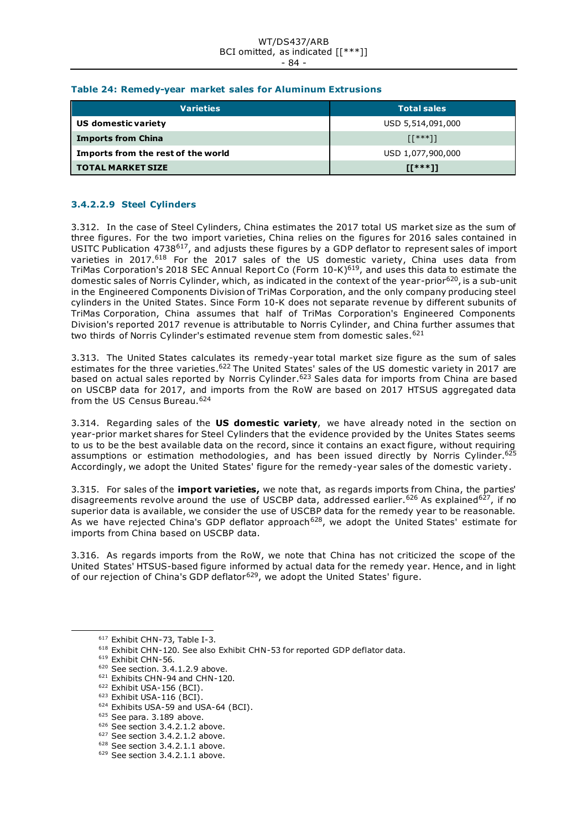#### WT/DS437/ARB BCI omitted, as indicated [[\*\*\*]] - 84 -

### **Table 24: Remedy-year market sales for Aluminum Extrusions**

| <b>Varieties</b>                   | <b>Total sales</b>                                            |  |  |
|------------------------------------|---------------------------------------------------------------|--|--|
| US domestic variety                | USD 5,514,091,000                                             |  |  |
| <b>Imports from China</b>          | $\left[\left[\begin{array}{c}***\\1\end{array}\right]\right]$ |  |  |
| Imports from the rest of the world | USD 1,077,900,000                                             |  |  |
| <b>TOTAL MARKET SIZE</b>           | $IT***11$                                                     |  |  |

# **3.4.2.2.9 Steel Cylinders**

3.312. In the case of Steel Cylinders*,* China estimates the 2017 total US market size as the sum of three figures. For the two import varieties, China relies on the figures for 2016 sales contained in USITC Publication 4738<sup>617</sup>, and adjusts these figures by a GDP deflator to represent sales of import varieties in 2017.<sup>618</sup> For the 2017 sales of the US domestic variety, China uses data from TriMas Corporation's 2018 SEC Annual Report Co (Form 10-K)619, and uses this data to estimate the domestic sales of Norris Cylinder, which, as indicated in the context of the year-prior<sup>620</sup>, is a sub-unit in the Engineered Components Division of TriMas Corporation, and the only company producing steel cylinders in the United States. Since Form 10-K does not separate revenue by different subunits of TriMas Corporation, China assumes that half of TriMas Corporation's Engineered Components Division's reported 2017 revenue is attributable to Norris Cylinder, and China further assumes that two thirds of Norris Cylinder's estimated revenue stem from domestic sales.<sup>621</sup>

3.313. The United States calculates its remedy-year total market size figure as the sum of sales estimates for the three varieties.<sup>622</sup> The United States' sales of the US domestic variety in 2017 are based on actual sales reported by Norris Cylinder.<sup>623</sup> Sales data for imports from China are based on USCBP data for 2017, and imports from the RoW are based on 2017 HTSUS aggregated data from the US Census Bureau.<sup>624</sup>

3.314. Regarding sales of the **US domestic variety**, we have already noted in the section on year-prior market shares for Steel Cylinders that the evidence provided by the Unites States seems to us to be the best available data on the record, since it contains an exact figure, without requiring assumptions or estimation methodologies, and has been issued directly by Norris Cylinder.<sup>625</sup> Accordingly, we adopt the United States' figure for the remedy-year sales of the domestic variety.

3.315. For sales of the **import varieties,** we note that, as regards imports from China, the parties' disagreements revolve around the use of USCBP data, addressed earlier.<sup>626</sup> As explained<sup>627</sup>, if no superior data is available, we consider the use of USCBP data for the remedy year to be reasonable. As we have rejected China's GDP deflator approach<sup>628</sup>, we adopt the United States' estimate for imports from China based on USCBP data.

3.316. As regards imports from the RoW, we note that China has not criticized the scope of the United States' HTSUS-based figure informed by actual data for the remedy year. Hence, and in light of our rejection of China's GDP deflator<sup>629</sup>, we adopt the United States' figure.

<sup>617</sup> Exhibit CHN-73, Table I-3.

<sup>618</sup> Exhibit CHN-120. See also Exhibit CHN-53 for reported GDP deflator data.

<sup>619</sup> Exhibit CHN-56.

<sup>&</sup>lt;sup>620</sup> See section. 3.4.1.2.9 above.

<sup>&</sup>lt;sup>621</sup> Exhibits CHN-94 and CHN-120.

<sup>622</sup> Exhibit USA-156 (BCI).

<sup>623</sup> Exhibit USA-116 (BCI).

<sup>624</sup> Exhibits USA-59 and USA-64 (BCI).

<sup>625</sup> See para. 3.189 above.

<sup>&</sup>lt;sup>626</sup> See section 3.4.2.1.2 above.

<sup>&</sup>lt;sup>627</sup> See section 3.4.2.1.2 above.

<sup>628</sup> See section 3.4.2.1.1 above.

<sup>&</sup>lt;sup>629</sup> See section 3.4.2.1.1 above.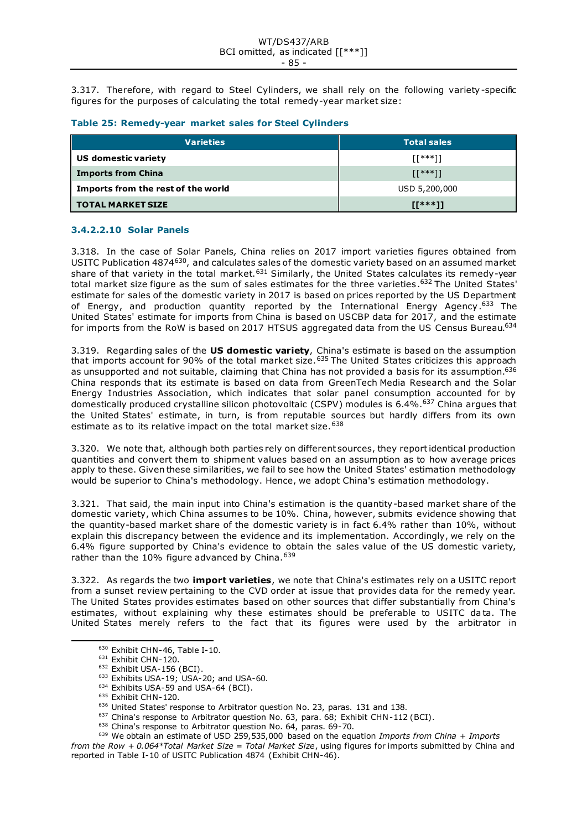3.317. Therefore, with regard to Steel Cylinders, we shall rely on the following variety-specific figures for the purposes of calculating the total remedy-year market size:

|  |  | Table 25: Remedy-year market sales for Steel Cylinders |  |  |  |
|--|--|--------------------------------------------------------|--|--|--|
|--|--|--------------------------------------------------------|--|--|--|

| <b>Varieties</b>                   | <b>Total sales</b>                                                |
|------------------------------------|-------------------------------------------------------------------|
| US domestic variety                | $[1***]$                                                          |
| <b>Imports from China</b>          | $\left[\begin{matrix} \{x \cdot x + 1\} \\ 1 \end{matrix}\right]$ |
| Imports from the rest of the world | USD 5,200,000                                                     |
| <b>TOTAL MARKET SIZE</b>           | $II***11$                                                         |

### **3.4.2.2.10 Solar Panels**

3.318. In the case of Solar Panels*,* China relies on 2017 import varieties figures obtained from USITC Publication 4874630, and calculates sales of the domestic variety based on an assumed market share of that variety in the total market.<sup>631</sup> Similarly, the United States calculates its remedy-year total market size figure as the sum of sales estimates for the three varieties.<sup>632</sup> The United States' estimate for sales of the domestic variety in 2017 is based on prices reported by the US Department of Energy, and production quantity reported by the International Energy Agency.<sup>633</sup> The United States' estimate for imports from China is based on USCBP data for 2017, and the estimate for imports from the RoW is based on 2017 HTSUS aggregated data from the US Census Bureau.<sup>634</sup>

3.319. Regarding sales of the **US domestic variety**, China's estimate is based on the assumption that imports account for 90% of the total market size.<sup>635</sup> The United States criticizes this approach as unsupported and not suitable, claiming that China has not provided a basis for its assumption.<sup>636</sup> China responds that its estimate is based on data from GreenTech Media Research and the Solar Energy Industries Association, which indicates that solar panel consumption accounted for by domestically produced crystalline silicon photovoltaic (CSPV) modules is 6.4%.<sup>637</sup> China argues that the United States' estimate, in turn, is from reputable sources but hardly differs from its own estimate as to its relative impact on the total market size. 638

3.320. We note that, although both parties rely on different sources, they report identical production quantities and convert them to shipment values based on an assumption as to how average prices apply to these. Given these similarities, we fail to see how the United States' estimation methodology would be superior to China's methodology. Hence, we adopt China's estimation methodology.

3.321. That said, the main input into China's estimation is the quantity-based market share of the domestic variety, which China assumes to be 10%. China, however, submits evidence showing that the quantity-based market share of the domestic variety is in fact 6.4% rather than 10%, without explain this discrepancy between the evidence and its implementation. Accordingly, we rely on the 6.4% figure supported by China's evidence to obtain the sales value of the US domestic variety, rather than the 10% figure advanced by China. 639

3.322. As regards the two **import varieties**, we note that China's estimates rely on a USITC report from a sunset review pertaining to the CVD order at issue that provides data for the remedy year. The United States provides estimates based on other sources that differ substantially from China's estimates, without explaining why these estimates should be preferable to USITC data. The United States merely refers to the fact that its figures were used by the arbitrator in

*from the Row + 0.064\*Total Market Size = Total Market Size*, using figures for imports submitted by China and reported in Table I-10 of USITC Publication 4874 (Exhibit CHN-46).

<sup>630</sup> Exhibit CHN-46, Table I-10.

 $631$  Exhibit CHN-120.

<sup>632</sup> Exhibit USA-156 (BCI).

 $633$  Exhibits USA-19; USA-20; and USA-60.

<sup>&</sup>lt;sup>634</sup> Exhibits USA-59 and USA-64 (BCI).

<sup>&</sup>lt;sup>635</sup> Exhibit CHN-120.

<sup>636</sup> United States' response to Arbitrator question No. 23, paras. 131 and 138.

<sup>&</sup>lt;sup>637</sup> China's response to Arbitrator question No. 63, para. 68; Exhibit CHN-112 (BCI).

<sup>&</sup>lt;sup>638</sup> China's response to Arbitrator question No. 64, paras. 69-70.

<sup>639</sup> We obtain an estimate of USD 259,535,000 based on the equation *Imports from China + Imports*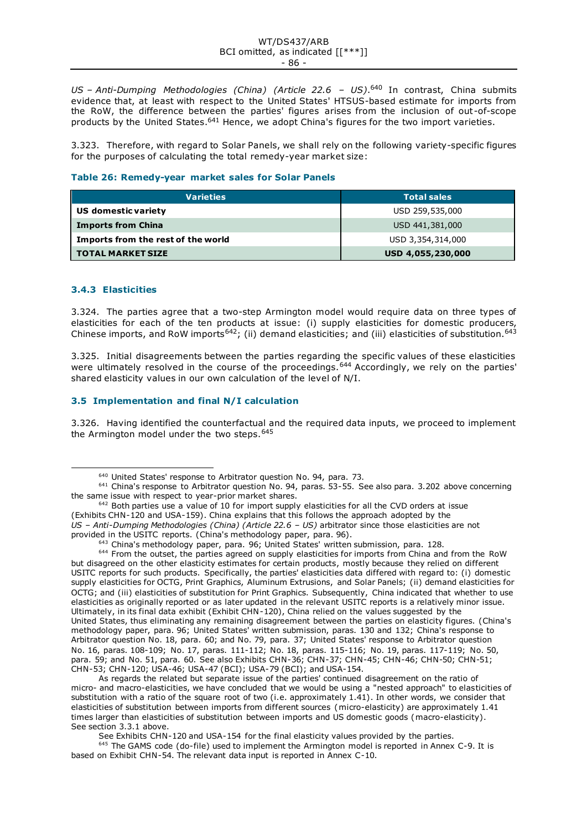#### WT/DS437/ARB BCI omitted, as indicated [[\*\*\*]] - 86 -

*US – Anti-Dumping Methodologies (China) (Article 22.6 – US)*. <sup>640</sup> In contrast, China submits evidence that, at least with respect to the United States' HTSUS-based estimate for imports from the RoW, the difference between the parties' figures arises from the inclusion of out-of-scope products by the United States.<sup>641</sup> Hence, we adopt China's figures for the two import varieties.

3.323. Therefore, with regard to Solar Panels, we shall rely on the following variety-specific figures for the purposes of calculating the total remedy-year market size:

### **Table 26: Remedy-year market sales for Solar Panels**

| <b>Varieties</b>                   | <b>Total sales</b> |  |
|------------------------------------|--------------------|--|
| US domestic variety                | USD 259,535,000    |  |
| <b>Imports from China</b>          | USD 441,381,000    |  |
| Imports from the rest of the world | USD 3,354,314,000  |  |
| <b>TOTAL MARKET SIZE</b>           | USD 4,055,230,000  |  |

### **3.4.3 Elasticities**

3.324. The parties agree that a two-step Armington model would require data on three types of elasticities for each of the ten products at issue: (i) supply elasticities for domestic producers, Chinese imports, and RoW imports<sup>642</sup>; (ii) demand elasticities; and (iii) elasticities of substitution.<sup>643</sup>

3.325. Initial disagreements between the parties regarding the specific values of these elasticities were ultimately resolved in the course of the proceedings.<sup>644</sup> Accordingly, we rely on the parties' shared elasticity values in our own calculation of the level of N/I.

### **3.5 Implementation and final N/I calculation**

3.326. Having identified the counterfactual and the required data inputs, we proceed to implement the Armington model under the two steps.<sup>645</sup>

See Exhibits CHN-120 and USA-154 for the final elasticity values provided by the parties.

<sup>645</sup> The GAMS code (do-file) used to implement the Armington model is reported in Annex C-9. It is based on Exhibit CHN-54. The relevant data input is reported in Annex C-10.

<sup>640</sup> United States' response to Arbitrator question No. 94, para. 73.

<sup>641</sup> China's response to Arbitrator question No. 94, paras. 53-55. See also para. 3.202 above concerning the same issue with respect to year-prior market shares.

<sup>&</sup>lt;sup>642</sup> Both parties use a value of 10 for import supply elasticities for all the CVD orders at issue (Exhibits CHN-120 and USA-159). China explains that this follows the approach adopted by the *US – Anti-Dumping Methodologies (China) (Article 22.6 – US)* arbitrator since those elasticities are not provided in the USITC reports. (China's methodology paper, para. 96).

<sup>643</sup> China's methodology paper, para. 96; United States' written submission, para. 128.

<sup>&</sup>lt;sup>644</sup> From the outset, the parties agreed on supply elasticities for imports from China and from the RoW but disagreed on the other elasticity estimates for certain products, mostly because they relied on different USITC reports for such products. Specifically, the parties' elasticities data differed with regard to: (i) domestic supply elasticities for OCTG, Print Graphics, Aluminum Extrusions, and Solar Panels; (ii) demand elasticities for OCTG; and (iii) elasticities of substitution for Print Graphics. Subsequently, China indicated that whether to use elasticities as originally reported or as later updated in the relevant USITC reports is a relatively minor issue. Ultimately, in its final data exhibit (Exhibit CHN-120), China relied on the values suggested by the United States, thus eliminating any remaining disagreement between the parties on elasticity figures. (China's methodology paper, para. 96; United States' written submission, paras. 130 and 132; China's response to Arbitrator question No. 18, para. 60; and No. 79, para. 37; United States' response to Arbitrator question No. 16, paras. 108-109; No. 17, paras. 111-112; No. 18, paras. 115-116; No. 19, paras. 117-119; No. 50, para. 59; and No. 51, para. 60. See also Exhibits CHN-36; CHN-37; CHN-45; CHN-46; CHN-50; CHN-51; CHN-53; CHN-120; USA-46; USA-47 (BCI); USA-79 (BCI); and USA-154.

As regards the related but separate issue of the parties' continued disagreement on the ratio of micro- and macro-elasticities, we have concluded that we would be using a "nested approach" to elasticities of substitution with a ratio of the square root of two (i.e. approximately 1.41). In other words, we consider that elasticities of substitution between imports from different sources (micro-elasticity) are approximately 1.41 times larger than elasticities of substitution between imports and US domestic goods (macro-elasticity). See section 3.3.1 above.